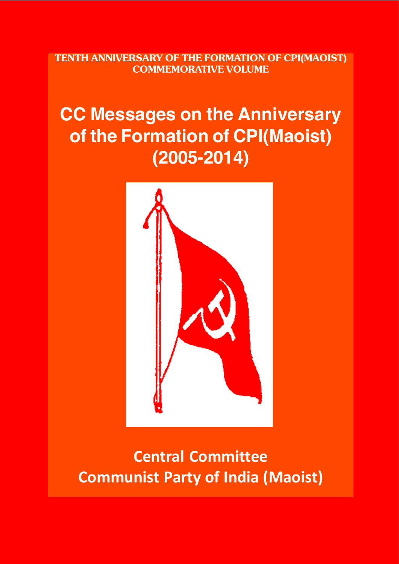**TENTH ANNIVERSARY OF THE FORMATION OF CPI(MAOIST) COMMEMORATIVE VOLUME**

# **CC Messages on the Anniversary of the Formation of CPI(Maoist) (2005-2014)**



# **Central Committee Communist Party of India (Maoist)**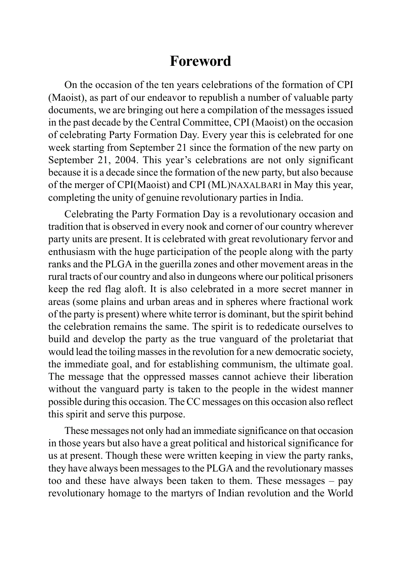# **Foreword**

On the occasion of the ten years celebrations of the formation of CPI (Maoist), as part of our endeavor to republish a number of valuable party documents, we are bringing out here a compilation of the messages issued in the past decade by the Central Committee, CPI (Maoist) on the occasion of celebrating Party Formation Day. Every year this is celebrated for one week starting from September 21 since the formation of the new party on September 21, 2004. This year's celebrations are not only significant because it is a decade since the formation of the new party, but also because of the merger of CPI(Maoist) and CPI (ML)NAXALBARI in May this year, completing the unity of genuine revolutionary parties in India.

Celebrating the Party Formation Day is a revolutionary occasion and tradition that is observed in every nook and corner of our country wherever party units are present. It is celebrated with great revolutionary fervor and enthusiasm with the huge participation of the people along with the party ranks and the PLGA in the guerilla zones and other movement areas in the rural tracts of our country and also in dungeons where our political prisoners keep the red flag aloft. It is also celebrated in a more secret manner in areas (some plains and urban areas and in spheres where fractional work of the party is present) where white terror is dominant, but the spirit behind the celebration remains the same. The spirit is to rededicate ourselves to build and develop the party as the true vanguard of the proletariat that would lead the toiling masses in the revolution for a new democratic society, the immediate goal, and for establishing communism, the ultimate goal. The message that the oppressed masses cannot achieve their liberation without the vanguard party is taken to the people in the widest manner possible during this occasion. The CC messages on this occasion also reflect this spirit and serve this purpose.

These messages not only had an immediate significance on that occasion in those years but also have a great political and historical significance for us at present. Though these were written keeping in view the party ranks, they have always been messages to the PLGA and the revolutionary masses too and these have always been taken to them. These messages – pay revolutionary homage to the martyrs of Indian revolution and the World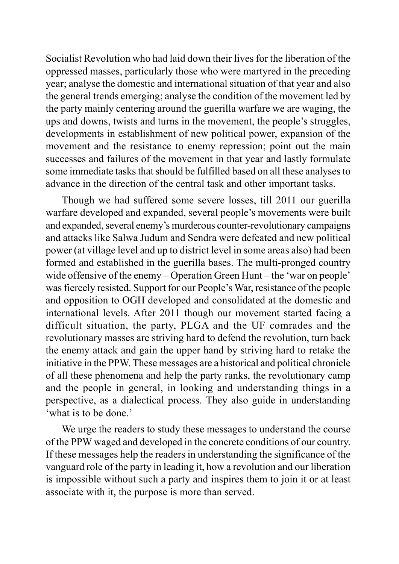Socialist Revolution who had laid down their lives for the liberation of the oppressed masses, particularly those who were martyred in the preceding year; analyse the domestic and international situation of that year and also the general trends emerging; analyse the condition of the movement led by the party mainly centering around the guerilla warfare we are waging, the ups and downs, twists and turns in the movement, the people's struggles, developments in establishment of new political power, expansion of the movement and the resistance to enemy repression; point out the main successes and failures of the movement in that year and lastly formulate some immediate tasks that should be fulfilled based on all these analyses to advance in the direction of the central task and other important tasks.

Though we had suffered some severe losses, till 2011 our guerilla warfare developed and expanded, several people's movements were built and expanded, several enemy's murderous counter-revolutionary campaigns and attacks like Salwa Judum and Sendra were defeated and new political power (at village level and up to district level in some areas also) had been formed and established in the guerilla bases. The multi-pronged country wide offensive of the enemy – Operation Green Hunt – the 'war on people' was fiercely resisted. Support for our People's War, resistance of the people and opposition to OGH developed and consolidated at the domestic and international levels. After 2011 though our movement started facing a difficult situation, the party, PLGA and the UF comrades and the revolutionary masses are striving hard to defend the revolution, turn back the enemy attack and gain the upper hand by striving hard to retake the initiative in the PPW. These messages are a historical and political chronicle of all these phenomena and help the party ranks, the revolutionary camp and the people in general, in looking and understanding things in a perspective, as a dialectical process. They also guide in understanding 'what is to be done.'

We urge the readers to study these messages to understand the course of the PPW waged and developed in the concrete conditions of our country. If these messages help the readers in understanding the significance of the vanguard role of the party in leading it, how a revolution and our liberation is impossible without such a party and inspires them to join it or at least associate with it, the purpose is more than served.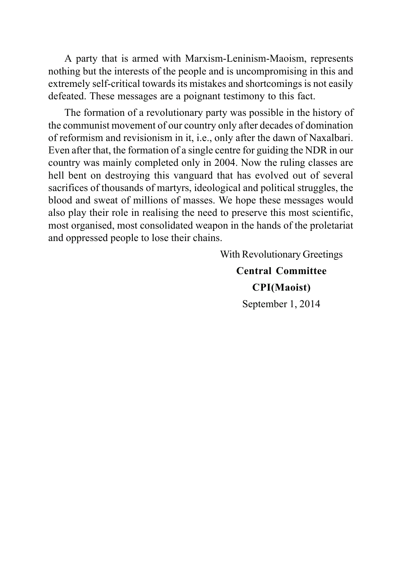A party that is armed with Marxism-Leninism-Maoism, represents nothing but the interests of the people and is uncompromising in this and extremely self-critical towards its mistakes and shortcomings is not easily defeated. These messages are a poignant testimony to this fact.

The formation of a revolutionary party was possible in the history of the communist movement of our country only after decades of domination of reformism and revisionism in it, i.e., only after the dawn of Naxalbari. Even after that, the formation of a single centre for guiding the NDR in our country was mainly completed only in 2004. Now the ruling classes are hell bent on destroying this vanguard that has evolved out of several sacrifices of thousands of martyrs, ideological and political struggles, the blood and sweat of millions of masses. We hope these messages would also play their role in realising the need to preserve this most scientific, most organised, most consolidated weapon in the hands of the proletariat and oppressed people to lose their chains.

With Revolutionary Greetings

# **Central Committee CPI(Maoist)**

September 1, 2014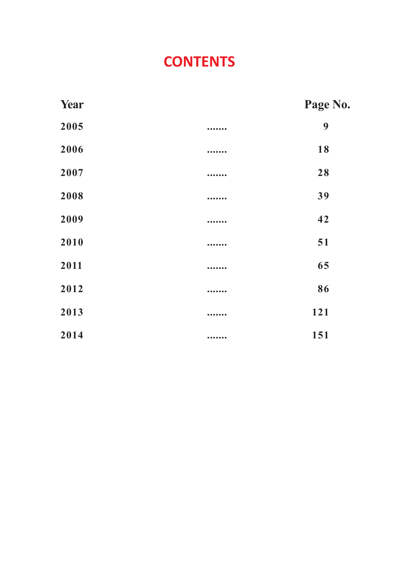# **CONTENTS**

| Year |   | Page No. |
|------|---|----------|
| 2005 |   | 9        |
| 2006 | . | 18       |
| 2007 |   | 28       |
| 2008 | . | 39       |
| 2009 |   | 42       |
| 2010 | . | 51       |
| 2011 |   | 65       |
| 2012 | . | 86       |
| 2013 |   | 121      |
| 2014 |   | 151      |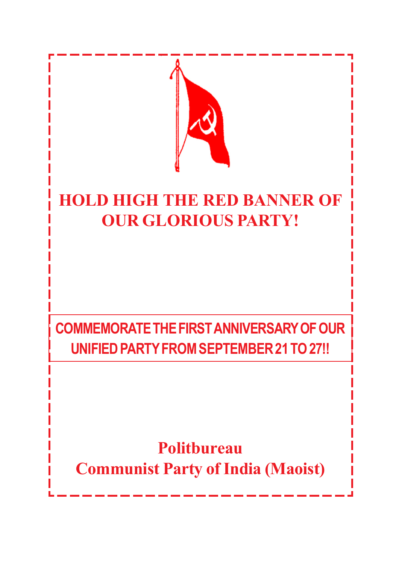| <b>HOLD HIGH THE RED BANNER OF</b><br><b>OUR GLORIOUS PARTY!</b>                                  |
|---------------------------------------------------------------------------------------------------|
| <b>COMMEMORATE THE FIRST ANNIVERSARY OF OUR</b><br><b>UNIFIED PARTY FROM SEPTEMBER 21 TO 27!!</b> |
| <b>Politbureau</b><br><b>Communist Party of India (Maoist)</b>                                    |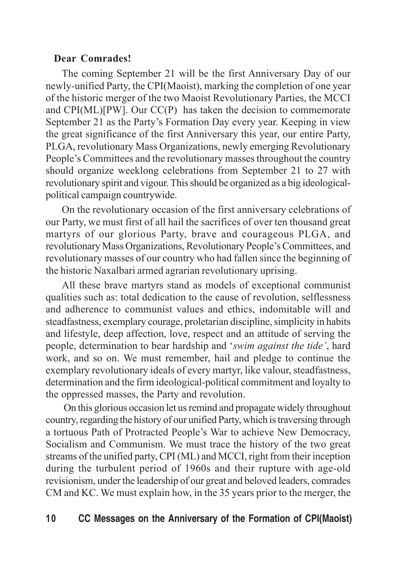#### **Dear Comrades!**

The coming September 21 will be the first Anniversary Day of our newly-unified Party, the CPI(Maoist), marking the completion of one year of the historic merger of the two Maoist Revolutionary Parties, the MCCI and CPI(ML)[PW]. Our CC(P) has taken the decision to commemorate September 21 as the Party's Formation Day every year. Keeping in view the great significance of the first Anniversary this year, our entire Party, PLGA, revolutionary Mass Organizations, newly emerging Revolutionary People's Committees and the revolutionary masses throughout the country should organize weeklong celebrations from September 21 to 27 with revolutionary spirit and vigour. This should be organized as a big ideologicalpolitical campaign countrywide.

On the revolutionary occasion of the first anniversary celebrations of our Party, we must first of all hail the sacrifices of over ten thousand great martyrs of our glorious Party, brave and courageous PLGA, and revolutionary Mass Organizations, Revolutionary People's Committees, and revolutionary masses of our country who had fallen since the beginning of the historic Naxalbari armed agrarian revolutionary uprising.

All these brave martyrs stand as models of exceptional communist qualities such as: total dedication to the cause of revolution, selflessness and adherence to communist values and ethics, indomitable will and steadfastness, exemplary courage, proletarian discipline, simplicity in habits and lifestyle, deep affection, love, respect and an attitude of serving the people, determination to bear hardship and '*swim against the tide'*, hard work, and so on. We must remember, hail and pledge to continue the exemplary revolutionary ideals of every martyr, like valour, steadfastness, determination and the firm ideological-political commitment and loyalty to the oppressed masses, the Party and revolution.

 On this glorious occasion let us remind and propagate widely throughout country, regarding the history of our unified Party, which is traversing through a tortuous Path of Protracted People's War to achieve New Democracy, Socialism and Communism. We must trace the history of the two great streams of the unified party, CPI (ML) and MCCI, right from their inception during the turbulent period of 1960s and their rupture with age-old revisionism, under the leadership of our great and beloved leaders, comrades CM and KC. We must explain how, in the 35 years prior to the merger, the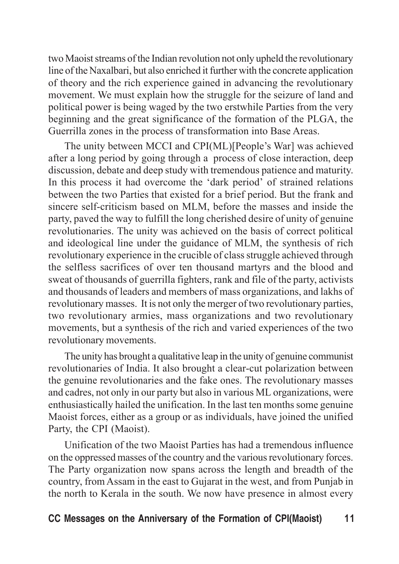two Maoist streams of the Indian revolution not only upheld the revolutionary line of the Naxalbari, but also enriched it further with the concrete application of theory and the rich experience gained in advancing the revolutionary movement. We must explain how the struggle for the seizure of land and political power is being waged by the two erstwhile Parties from the very beginning and the great significance of the formation of the PLGA, the Guerrilla zones in the process of transformation into Base Areas.

The unity between MCCI and CPI(ML)[People's War] was achieved after a long period by going through a process of close interaction, deep discussion, debate and deep study with tremendous patience and maturity. In this process it had overcome the 'dark period' of strained relations between the two Parties that existed for a brief period. But the frank and sincere self-criticism based on MLM, before the masses and inside the party, paved the way to fulfill the long cherished desire of unity of genuine revolutionaries. The unity was achieved on the basis of correct political and ideological line under the guidance of MLM, the synthesis of rich revolutionary experience in the crucible of class struggle achieved through the selfless sacrifices of over ten thousand martyrs and the blood and sweat of thousands of guerrilla fighters, rank and file of the party, activists and thousands of leaders and members of mass organizations, and lakhs of revolutionary masses. It is not only the merger of two revolutionary parties, two revolutionary armies, mass organizations and two revolutionary movements, but a synthesis of the rich and varied experiences of the two revolutionary movements.

The unity has brought a qualitative leap in the unity of genuine communist revolutionaries of India. It also brought a clear-cut polarization between the genuine revolutionaries and the fake ones. The revolutionary masses and cadres, not only in our party but also in various ML organizations, were enthusiastically hailed the unification. In the last ten months some genuine Maoist forces, either as a group or as individuals, have joined the unified Party, the CPI (Maoist).

Unification of the two Maoist Parties has had a tremendous influence on the oppressed masses of the country and the various revolutionary forces. The Party organization now spans across the length and breadth of the country, from Assam in the east to Gujarat in the west, and from Punjab in the north to Kerala in the south. We now have presence in almost every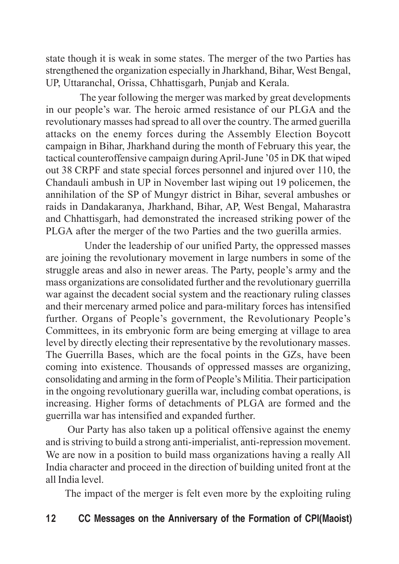state though it is weak in some states. The merger of the two Parties has strengthened the organization especially in Jharkhand, Bihar, West Bengal, UP, Uttaranchal, Orissa, Chhattisgarh, Punjab and Kerala.

The year following the merger was marked by great developments in our people's war. The heroic armed resistance of our PLGA and the revolutionary masses had spread to all over the country. The armed guerilla attacks on the enemy forces during the Assembly Election Boycott campaign in Bihar, Jharkhand during the month of February this year, the tactical counteroffensive campaign during April-June '05 in DK that wiped out 38 CRPF and state special forces personnel and injured over 110, the Chandauli ambush in UP in November last wiping out 19 policemen, the annihilation of the SP of Mungyr district in Bihar, several ambushes or raids in Dandakaranya, Jharkhand, Bihar, AP, West Bengal, Maharastra and Chhattisgarh, had demonstrated the increased striking power of the PLGA after the merger of the two Parties and the two guerilla armies.

 Under the leadership of our unified Party, the oppressed masses are joining the revolutionary movement in large numbers in some of the struggle areas and also in newer areas. The Party, people's army and the mass organizations are consolidated further and the revolutionary guerrilla war against the decadent social system and the reactionary ruling classes and their mercenary armed police and para-military forces has intensified further. Organs of People's government, the Revolutionary People's Committees, in its embryonic form are being emerging at village to area level by directly electing their representative by the revolutionary masses. The Guerrilla Bases, which are the focal points in the GZs, have been coming into existence. Thousands of oppressed masses are organizing, consolidating and arming in the form of People's Militia. Their participation in the ongoing revolutionary guerilla war, including combat operations, is increasing. Higher forms of detachments of PLGA are formed and the guerrilla war has intensified and expanded further.

 Our Party has also taken up a political offensive against the enemy and is striving to build a strong anti-imperialist, anti-repression movement. We are now in a position to build mass organizations having a really All India character and proceed in the direction of building united front at the all India level.

The impact of the merger is felt even more by the exploiting ruling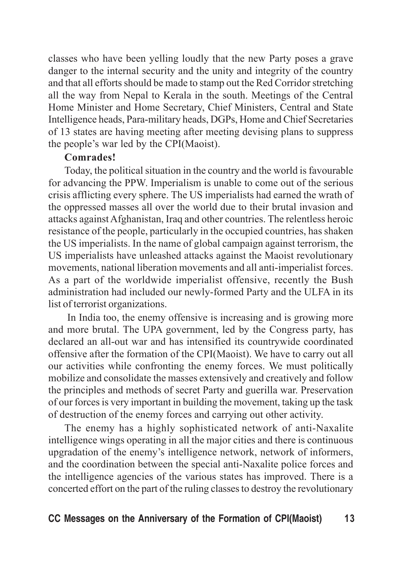classes who have been yelling loudly that the new Party poses a grave danger to the internal security and the unity and integrity of the country and that all efforts should be made to stamp out the Red Corridor stretching all the way from Nepal to Kerala in the south. Meetings of the Central Home Minister and Home Secretary, Chief Ministers, Central and State Intelligence heads, Para-military heads, DGPs, Home and Chief Secretaries of 13 states are having meeting after meeting devising plans to suppress the people's war led by the CPI(Maoist).

#### **Comrades!**

Today, the political situation in the country and the world is favourable for advancing the PPW. Imperialism is unable to come out of the serious crisis afflicting every sphere. The US imperialists had earned the wrath of the oppressed masses all over the world due to their brutal invasion and attacks against Afghanistan, Iraq and other countries. The relentless heroic resistance of the people, particularly in the occupied countries, has shaken the US imperialists. In the name of global campaign against terrorism, the US imperialists have unleashed attacks against the Maoist revolutionary movements, national liberation movements and all anti-imperialist forces. As a part of the worldwide imperialist offensive, recently the Bush administration had included our newly-formed Party and the ULFA in its list of terrorist organizations.

 In India too, the enemy offensive is increasing and is growing more and more brutal. The UPA government, led by the Congress party, has declared an all-out war and has intensified its countrywide coordinated offensive after the formation of the CPI(Maoist). We have to carry out all our activities while confronting the enemy forces. We must politically mobilize and consolidate the masses extensively and creatively and follow the principles and methods of secret Party and guerilla war. Preservation of our forces is very important in building the movement, taking up the task of destruction of the enemy forces and carrying out other activity.

The enemy has a highly sophisticated network of anti-Naxalite intelligence wings operating in all the major cities and there is continuous upgradation of the enemy's intelligence network, network of informers, and the coordination between the special anti-Naxalite police forces and the intelligence agencies of the various states has improved. There is a concerted effort on the part of the ruling classes to destroy the revolutionary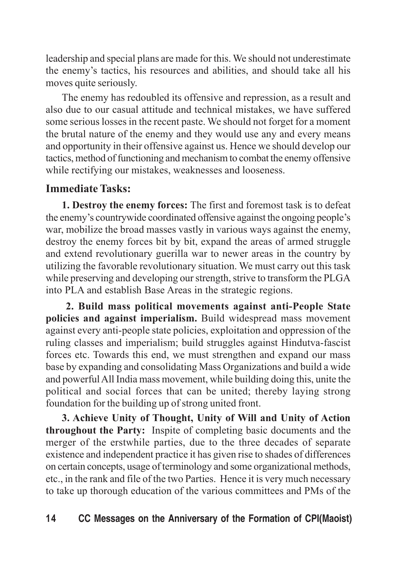leadership and special plans are made for this. We should not underestimate the enemy's tactics, his resources and abilities, and should take all his moves quite seriously.

The enemy has redoubled its offensive and repression, as a result and also due to our casual attitude and technical mistakes, we have suffered some serious losses in the recent paste. We should not forget for a moment the brutal nature of the enemy and they would use any and every means and opportunity in their offensive against us. Hence we should develop our tactics, method of functioning and mechanism to combat the enemy offensive while rectifying our mistakes, weaknesses and looseness.

### **Immediate Tasks:**

**1. Destroy the enemy forces:** The first and foremost task is to defeat the enemy's countrywide coordinated offensive against the ongoing people's war, mobilize the broad masses vastly in various ways against the enemy, destroy the enemy forces bit by bit, expand the areas of armed struggle and extend revolutionary guerilla war to newer areas in the country by utilizing the favorable revolutionary situation. We must carry out this task while preserving and developing our strength, strive to transform the PLGA into PLA and establish Base Areas in the strategic regions.

**2. Build mass political movements against anti-People State policies and against imperialism.** Build widespread mass movement against every anti-people state policies, exploitation and oppression of the ruling classes and imperialism; build struggles against Hindutva-fascist forces etc. Towards this end, we must strengthen and expand our mass base by expanding and consolidating Mass Organizations and build a wide and powerful All India mass movement, while building doing this, unite the political and social forces that can be united; thereby laying strong foundation for the building up of strong united front.

**3. Achieve Unity of Thought, Unity of Will and Unity of Action throughout the Party:** Inspite of completing basic documents and the merger of the erstwhile parties, due to the three decades of separate existence and independent practice it has given rise to shades of differences on certain concepts, usage of terminology and some organizational methods, etc., in the rank and file of the two Parties. Hence it is very much necessary to take up thorough education of the various committees and PMs of the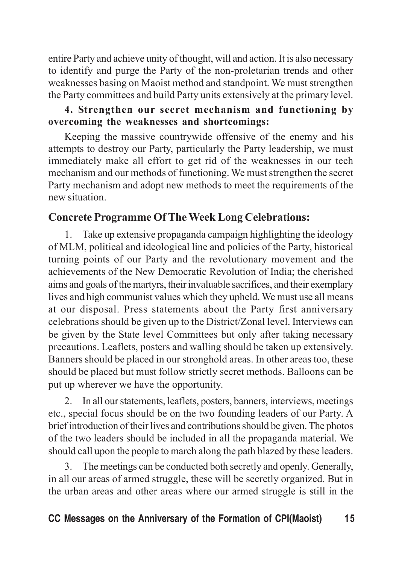entire Party and achieve unity of thought, will and action. It is also necessary to identify and purge the Party of the non-proletarian trends and other weaknesses basing on Maoist method and standpoint. We must strengthen the Party committees and build Party units extensively at the primary level.

#### **4. Strengthen our secret mechanism and functioning by overcoming the weaknesses and shortcomings:**

Keeping the massive countrywide offensive of the enemy and his attempts to destroy our Party, particularly the Party leadership, we must immediately make all effort to get rid of the weaknesses in our tech mechanism and our methods of functioning. We must strengthen the secret Party mechanism and adopt new methods to meet the requirements of the new situation.

### **Concrete Programme Of The Week Long Celebrations:**

1. Take up extensive propaganda campaign highlighting the ideology of MLM, political and ideological line and policies of the Party, historical turning points of our Party and the revolutionary movement and the achievements of the New Democratic Revolution of India; the cherished aims and goals of the martyrs, their invaluable sacrifices, and their exemplary lives and high communist values which they upheld. We must use all means at our disposal. Press statements about the Party first anniversary celebrations should be given up to the District/Zonal level. Interviews can be given by the State level Committees but only after taking necessary precautions. Leaflets, posters and walling should be taken up extensively. Banners should be placed in our stronghold areas. In other areas too, these should be placed but must follow strictly secret methods. Balloons can be put up wherever we have the opportunity.

2. In all our statements, leaflets, posters, banners, interviews, meetings etc., special focus should be on the two founding leaders of our Party. A brief introduction of their lives and contributions should be given. The photos of the two leaders should be included in all the propaganda material. We should call upon the people to march along the path blazed by these leaders.

3. The meetings can be conducted both secretly and openly. Generally, in all our areas of armed struggle, these will be secretly organized. But in the urban areas and other areas where our armed struggle is still in the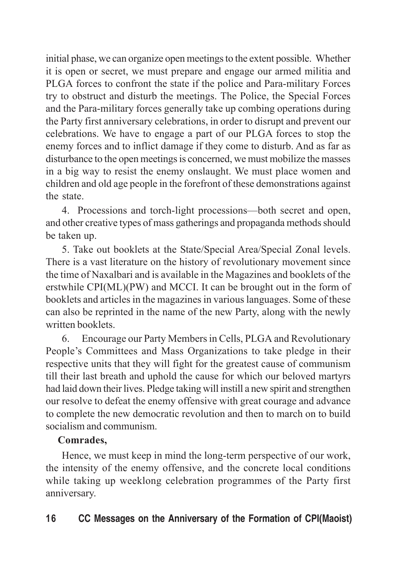initial phase, we can organize open meetings to the extent possible. Whether it is open or secret, we must prepare and engage our armed militia and PLGA forces to confront the state if the police and Para-military Forces try to obstruct and disturb the meetings. The Police, the Special Forces and the Para-military forces generally take up combing operations during the Party first anniversary celebrations, in order to disrupt and prevent our celebrations. We have to engage a part of our PLGA forces to stop the enemy forces and to inflict damage if they come to disturb. And as far as disturbance to the open meetings is concerned, we must mobilize the masses in a big way to resist the enemy onslaught. We must place women and children and old age people in the forefront of these demonstrations against the state.

4. Processions and torch-light processions—both secret and open, and other creative types of mass gatherings and propaganda methods should be taken up.

5. Take out booklets at the State/Special Area/Special Zonal levels. There is a vast literature on the history of revolutionary movement since the time of Naxalbari and is available in the Magazines and booklets of the erstwhile CPI(ML)(PW) and MCCI. It can be brought out in the form of booklets and articles in the magazines in various languages. Some of these can also be reprinted in the name of the new Party, along with the newly written booklets.

6. Encourage our Party Members in Cells, PLGA and Revolutionary People's Committees and Mass Organizations to take pledge in their respective units that they will fight for the greatest cause of communism till their last breath and uphold the cause for which our beloved martyrs had laid down their lives. Pledge taking will instill a new spirit and strengthen our resolve to defeat the enemy offensive with great courage and advance to complete the new democratic revolution and then to march on to build socialism and communism.

#### **Comrades,**

Hence, we must keep in mind the long-term perspective of our work, the intensity of the enemy offensive, and the concrete local conditions while taking up weeklong celebration programmes of the Party first anniversary.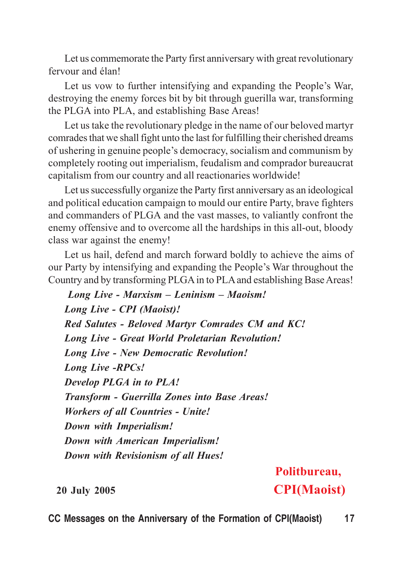Let us commemorate the Party first anniversary with great revolutionary fervour and élan!

Let us vow to further intensifying and expanding the People's War, destroying the enemy forces bit by bit through guerilla war, transforming the PLGA into PLA, and establishing Base Areas!

Let us take the revolutionary pledge in the name of our beloved martyr comrades that we shall fight unto the last for fulfilling their cherished dreams of ushering in genuine people's democracy, socialism and communism by completely rooting out imperialism, feudalism and comprador bureaucrat capitalism from our country and all reactionaries worldwide!

Let us successfully organize the Party first anniversary as an ideological and political education campaign to mould our entire Party, brave fighters and commanders of PLGA and the vast masses, to valiantly confront the enemy offensive and to overcome all the hardships in this all-out, bloody class war against the enemy!

Let us hail, defend and march forward boldly to achieve the aims of our Party by intensifying and expanding the People's War throughout the Country and by transforming PLGA in to PLA and establishing Base Areas!

*Long Live - Marxism – Leninism – Maoism! Long Live - CPI (Maoist)! Red Salutes - Beloved Martyr Comrades CM and KC! Long Live - Great World Proletarian Revolution! Long Live - New Democratic Revolution! Long Live -RPCs! Develop PLGA in to PLA! Transform - Guerrilla Zones into Base Areas! Workers of all Countries - Unite! Down with Imperialism! Down with American Imperialism! Down with Revisionism of all Hues!*

**Politbureau, 20 July 2005 CPI(Maoist)**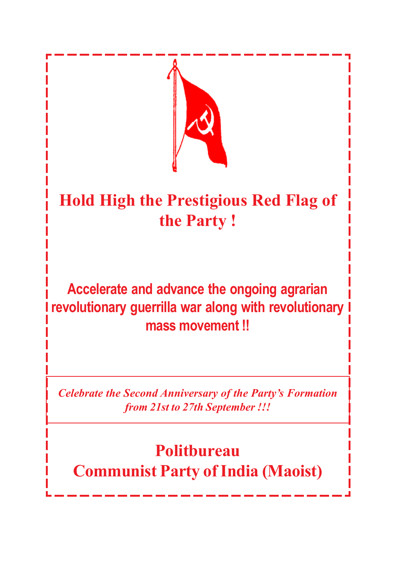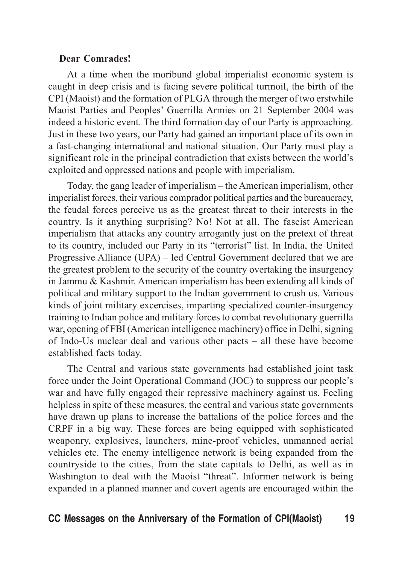#### **Dear Comrades!**

At a time when the moribund global imperialist economic system is caught in deep crisis and is facing severe political turmoil, the birth of the CPI (Maoist) and the formation of PLGA through the merger of two erstwhile Maoist Parties and Peoples' Guerrilla Armies on 21 September 2004 was indeed a historic event. The third formation day of our Party is approaching. Just in these two years, our Party had gained an important place of its own in a fast-changing international and national situation. Our Party must play a significant role in the principal contradiction that exists between the world's exploited and oppressed nations and people with imperialism.

Today, the gang leader of imperialism – the American imperialism, other imperialist forces, their various comprador political parties and the bureaucracy, the feudal forces perceive us as the greatest threat to their interests in the country. Is it anything surprising? No! Not at all. The fascist American imperialism that attacks any country arrogantly just on the pretext of threat to its country, included our Party in its "terrorist" list. In India, the United Progressive Alliance (UPA) – led Central Government declared that we are the greatest problem to the security of the country overtaking the insurgency in Jammu & Kashmir. American imperialism has been extending all kinds of political and military support to the Indian government to crush us. Various kinds of joint military excercises, imparting specialized counter-insurgency training to Indian police and military forces to combat revolutionary guerrilla war, opening of FBI (American intelligence machinery) office in Delhi, signing of Indo-Us nuclear deal and various other pacts – all these have become established facts today.

The Central and various state governments had established joint task force under the Joint Operational Command (JOC) to suppress our people's war and have fully engaged their repressive machinery against us. Feeling helpless in spite of these measures, the central and various state governments have drawn up plans to increase the battalions of the police forces and the CRPF in a big way. These forces are being equipped with sophisticated weaponry, explosives, launchers, mine-proof vehicles, unmanned aerial vehicles etc. The enemy intelligence network is being expanded from the countryside to the cities, from the state capitals to Delhi, as well as in Washington to deal with the Maoist "threat". Informer network is being expanded in a planned manner and covert agents are encouraged within the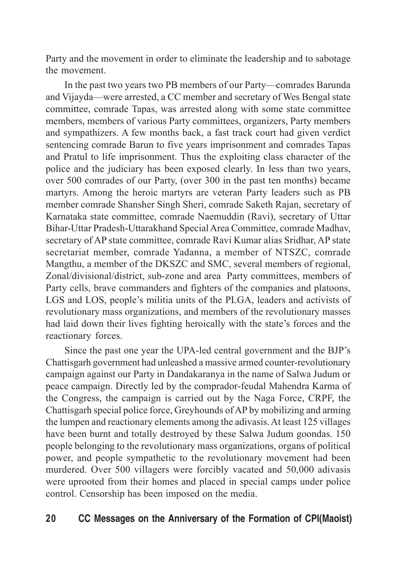Party and the movement in order to eliminate the leadership and to sabotage the movement.

In the past two years two PB members of our Party—comrades Barunda and Vijayda—were arrested, a CC member and secretary of Wes Bengal state committee, comrade Tapas, was arrested along with some state committee members, members of various Party committees, organizers, Party members and sympathizers. A few months back, a fast track court had given verdict sentencing comrade Barun to five years imprisonment and comrades Tapas and Pratul to life imprisonment. Thus the exploiting class character of the police and the judiciary has been exposed clearly. In less than two years, over 500 comrades of our Party, (over 300 in the past ten months) became martyrs. Among the heroic martyrs are veteran Party leaders such as PB member comrade Shansher Singh Sheri, comrade Saketh Rajan, secretary of Karnataka state committee, comrade Naemuddin (Ravi), secretary of Uttar Bihar-Uttar Pradesh-Uttarakhand Special Area Committee, comrade Madhav, secretary of AP state committee, comrade Ravi Kumar alias Sridhar, AP state secretariat member, comrade Yadanna, a member of NTSZC, comrade Mangthu, a member of the DKSZC and SMC, several members of regional, Zonal/divisional/district, sub-zone and area Party committees, members of Party cells, brave commanders and fighters of the companies and platoons, LGS and LOS, people's militia units of the PLGA, leaders and activists of revolutionary mass organizations, and members of the revolutionary masses had laid down their lives fighting heroically with the state's forces and the reactionary forces.

Since the past one year the UPA-led central government and the BJP's Chattisgarh government had unleashed a massive armed counter-revolutionary campaign against our Party in Dandakaranya in the name of Salwa Judum or peace campaign. Directly led by the comprador-feudal Mahendra Karma of the Congress, the campaign is carried out by the Naga Force, CRPF, the Chattisgarh special police force, Greyhounds of AP by mobilizing and arming the lumpen and reactionary elements among the adivasis. At least 125 villages have been burnt and totally destroyed by these Salwa Judum goondas. 150 people belonging to the revolutionary mass organizations, organs of political power, and people sympathetic to the revolutionary movement had been murdered. Over 500 villagers were forcibly vacated and 50,000 adivasis were uprooted from their homes and placed in special camps under police control. Censorship has been imposed on the media.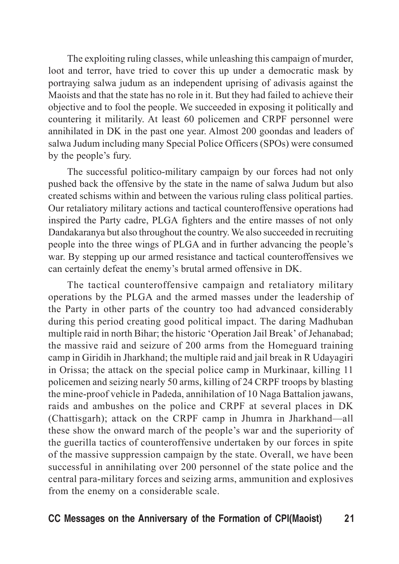The exploiting ruling classes, while unleashing this campaign of murder, loot and terror, have tried to cover this up under a democratic mask by portraying salwa judum as an independent uprising of adivasis against the Maoists and that the state has no role in it. But they had failed to achieve their objective and to fool the people. We succeeded in exposing it politically and countering it militarily. At least 60 policemen and CRPF personnel were annihilated in DK in the past one year. Almost 200 goondas and leaders of salwa Judum including many Special Police Officers (SPOs) were consumed by the people's fury.

The successful politico-military campaign by our forces had not only pushed back the offensive by the state in the name of salwa Judum but also created schisms within and between the various ruling class political parties. Our retaliatory military actions and tactical counteroffensive operations had inspired the Party cadre, PLGA fighters and the entire masses of not only Dandakaranya but also throughout the country. We also succeeded in recruiting people into the three wings of PLGA and in further advancing the people's war. By stepping up our armed resistance and tactical counteroffensives we can certainly defeat the enemy's brutal armed offensive in DK.

The tactical counteroffensive campaign and retaliatory military operations by the PLGA and the armed masses under the leadership of the Party in other parts of the country too had advanced considerably during this period creating good political impact. The daring Madhuban multiple raid in north Bihar; the historic 'Operation Jail Break' of Jehanabad; the massive raid and seizure of 200 arms from the Homeguard training camp in Giridih in Jharkhand; the multiple raid and jail break in R Udayagiri in Orissa; the attack on the special police camp in Murkinaar, killing 11 policemen and seizing nearly 50 arms, killing of 24 CRPF troops by blasting the mine-proof vehicle in Padeda, annihilation of 10 Naga Battalion jawans, raids and ambushes on the police and CRPF at several places in DK (Chattisgarh); attack on the CRPF camp in Jhumra in Jharkhand—all these show the onward march of the people's war and the superiority of the guerilla tactics of counteroffensive undertaken by our forces in spite of the massive suppression campaign by the state. Overall, we have been successful in annihilating over 200 personnel of the state police and the central para-military forces and seizing arms, ammunition and explosives from the enemy on a considerable scale.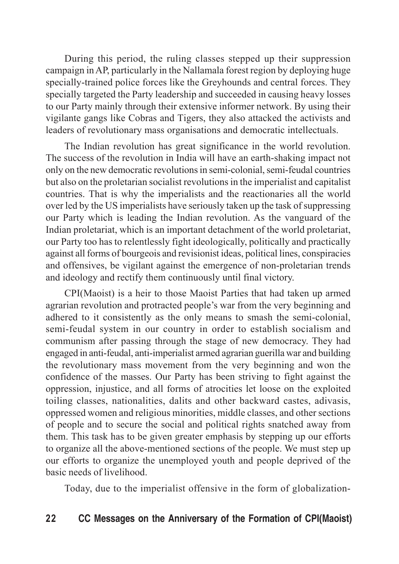During this period, the ruling classes stepped up their suppression campaign in AP, particularly in the Nallamala forest region by deploying huge specially-trained police forces like the Greyhounds and central forces. They specially targeted the Party leadership and succeeded in causing heavy losses to our Party mainly through their extensive informer network. By using their vigilante gangs like Cobras and Tigers, they also attacked the activists and leaders of revolutionary mass organisations and democratic intellectuals.

The Indian revolution has great significance in the world revolution. The success of the revolution in India will have an earth-shaking impact not only on the new democratic revolutions in semi-colonial, semi-feudal countries but also on the proletarian socialist revolutions in the imperialist and capitalist countries. That is why the imperialists and the reactionaries all the world over led by the US imperialists have seriously taken up the task of suppressing our Party which is leading the Indian revolution. As the vanguard of the Indian proletariat, which is an important detachment of the world proletariat, our Party too has to relentlessly fight ideologically, politically and practically against all forms of bourgeois and revisionist ideas, political lines, conspiracies and offensives, be vigilant against the emergence of non-proletarian trends and ideology and rectify them continuously until final victory.

CPI(Maoist) is a heir to those Maoist Parties that had taken up armed agrarian revolution and protracted people's war from the very beginning and adhered to it consistently as the only means to smash the semi-colonial, semi-feudal system in our country in order to establish socialism and communism after passing through the stage of new democracy. They had engaged in anti-feudal, anti-imperialist armed agrarian guerilla war and building the revolutionary mass movement from the very beginning and won the confidence of the masses. Our Party has been striving to fight against the oppression, injustice, and all forms of atrocities let loose on the exploited toiling classes, nationalities, dalits and other backward castes, adivasis, oppressed women and religious minorities, middle classes, and other sections of people and to secure the social and political rights snatched away from them. This task has to be given greater emphasis by stepping up our efforts to organize all the above-mentioned sections of the people. We must step up our efforts to organize the unemployed youth and people deprived of the basic needs of livelihood.

Today, due to the imperialist offensive in the form of globalization-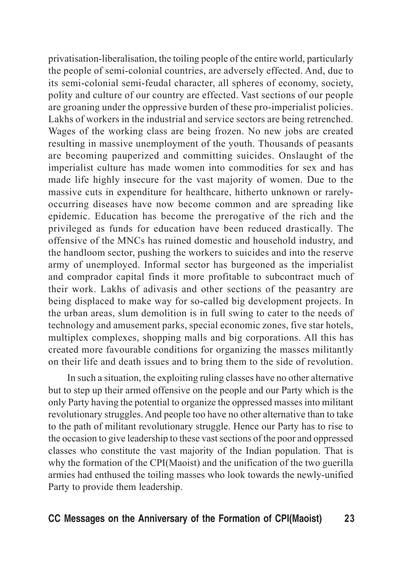privatisation-liberalisation, the toiling people of the entire world, particularly the people of semi-colonial countries, are adversely effected. And, due to its semi-colonial semi-feudal character, all spheres of economy, society, polity and culture of our country are effected. Vast sections of our people are groaning under the oppressive burden of these pro-imperialist policies. Lakhs of workers in the industrial and service sectors are being retrenched. Wages of the working class are being frozen. No new jobs are created resulting in massive unemployment of the youth. Thousands of peasants are becoming pauperized and committing suicides. Onslaught of the imperialist culture has made women into commodities for sex and has made life highly insecure for the vast majority of women. Due to the massive cuts in expenditure for healthcare, hitherto unknown or rarelyoccurring diseases have now become common and are spreading like epidemic. Education has become the prerogative of the rich and the privileged as funds for education have been reduced drastically. The offensive of the MNCs has ruined domestic and household industry, and the handloom sector, pushing the workers to suicides and into the reserve army of unemployed. Informal sector has burgeoned as the imperialist and comprador capital finds it more profitable to subcontract much of their work. Lakhs of adivasis and other sections of the peasantry are being displaced to make way for so-called big development projects. In the urban areas, slum demolition is in full swing to cater to the needs of technology and amusement parks, special economic zones, five star hotels, multiplex complexes, shopping malls and big corporations. All this has created more favourable conditions for organizing the masses militantly on their life and death issues and to bring them to the side of revolution.

In such a situation, the exploiting ruling classes have no other alternative but to step up their armed offensive on the people and our Party which is the only Party having the potential to organize the oppressed masses into militant revolutionary struggles. And people too have no other alternative than to take to the path of militant revolutionary struggle. Hence our Party has to rise to the occasion to give leadership to these vast sections of the poor and oppressed classes who constitute the vast majority of the Indian population. That is why the formation of the CPI(Maoist) and the unification of the two guerilla armies had enthused the toiling masses who look towards the newly-unified Party to provide them leadership.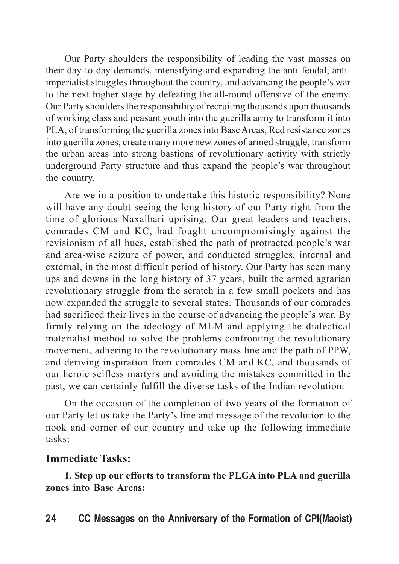Our Party shoulders the responsibility of leading the vast masses on their day-to-day demands, intensifying and expanding the anti-feudal, antiimperialist struggles throughout the country, and advancing the people's war to the next higher stage by defeating the all-round offensive of the enemy. Our Party shoulders the responsibility of recruiting thousands upon thousands of working class and peasant youth into the guerilla army to transform it into PLA, of transforming the guerilla zones into Base Areas, Red resistance zones into guerilla zones, create many more new zones of armed struggle, transform the urban areas into strong bastions of revolutionary activity with strictly underground Party structure and thus expand the people's war throughout the country.

Are we in a position to undertake this historic responsibility? None will have any doubt seeing the long history of our Party right from the time of glorious Naxalbari uprising. Our great leaders and teachers, comrades CM and KC, had fought uncompromisingly against the revisionism of all hues, established the path of protracted people's war and area-wise seizure of power, and conducted struggles, internal and external, in the most difficult period of history. Our Party has seen many ups and downs in the long history of 37 years, built the armed agrarian revolutionary struggle from the scratch in a few small pockets and has now expanded the struggle to several states. Thousands of our comrades had sacrificed their lives in the course of advancing the people's war. By firmly relying on the ideology of MLM and applying the dialectical materialist method to solve the problems confronting the revolutionary movement, adhering to the revolutionary mass line and the path of PPW, and deriving inspiration from comrades CM and KC, and thousands of our heroic selfless martyrs and avoiding the mistakes committed in the past, we can certainly fulfill the diverse tasks of the Indian revolution.

On the occasion of the completion of two years of the formation of our Party let us take the Party's line and message of the revolution to the nook and corner of our country and take up the following immediate tasks:

#### **Immediate Tasks:**

**1. Step up our efforts to transform the PLGA into PLA and guerilla zones into Base Areas:**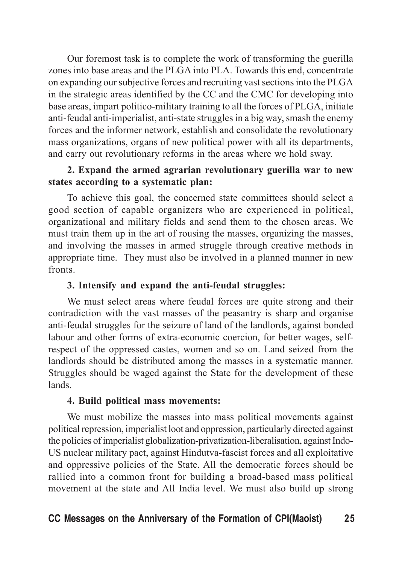Our foremost task is to complete the work of transforming the guerilla zones into base areas and the PLGA into PLA. Towards this end, concentrate on expanding our subjective forces and recruiting vast sections into the PLGA in the strategic areas identified by the CC and the CMC for developing into base areas, impart politico-military training to all the forces of PLGA, initiate anti-feudal anti-imperialist, anti-state struggles in a big way, smash the enemy forces and the informer network, establish and consolidate the revolutionary mass organizations, organs of new political power with all its departments, and carry out revolutionary reforms in the areas where we hold sway.

#### **2. Expand the armed agrarian revolutionary guerilla war to new states according to a systematic plan:**

To achieve this goal, the concerned state committees should select a good section of capable organizers who are experienced in political, organizational and military fields and send them to the chosen areas. We must train them up in the art of rousing the masses, organizing the masses, and involving the masses in armed struggle through creative methods in appropriate time. They must also be involved in a planned manner in new fronts.

#### **3. Intensify and expand the anti-feudal struggles:**

We must select areas where feudal forces are quite strong and their contradiction with the vast masses of the peasantry is sharp and organise anti-feudal struggles for the seizure of land of the landlords, against bonded labour and other forms of extra-economic coercion, for better wages, selfrespect of the oppressed castes, women and so on. Land seized from the landlords should be distributed among the masses in a systematic manner. Struggles should be waged against the State for the development of these lands.

#### **4. Build political mass movements:**

We must mobilize the masses into mass political movements against political repression, imperialist loot and oppression, particularly directed against the policies of imperialist globalization-privatization-liberalisation, against Indo-US nuclear military pact, against Hindutva-fascist forces and all exploitative and oppressive policies of the State. All the democratic forces should be rallied into a common front for building a broad-based mass political movement at the state and All India level. We must also build up strong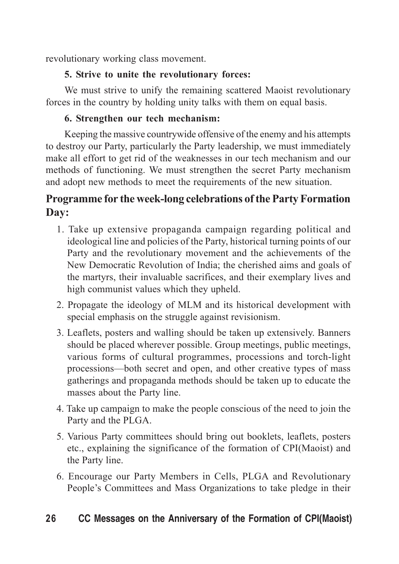revolutionary working class movement.

### **5. Strive to unite the revolutionary forces:**

We must strive to unify the remaining scattered Maoist revolutionary forces in the country by holding unity talks with them on equal basis.

### **6. Strengthen our tech mechanism:**

Keeping the massive countrywide offensive of the enemy and his attempts to destroy our Party, particularly the Party leadership, we must immediately make all effort to get rid of the weaknesses in our tech mechanism and our methods of functioning. We must strengthen the secret Party mechanism and adopt new methods to meet the requirements of the new situation.

## **Programme for the week-long celebrations of the Party Formation Day:**

- 1. Take up extensive propaganda campaign regarding political and ideological line and policies of the Party, historical turning points of our Party and the revolutionary movement and the achievements of the New Democratic Revolution of India; the cherished aims and goals of the martyrs, their invaluable sacrifices, and their exemplary lives and high communist values which they upheld.
- 2. Propagate the ideology of MLM and its historical development with special emphasis on the struggle against revisionism.
- 3. Leaflets, posters and walling should be taken up extensively. Banners should be placed wherever possible. Group meetings, public meetings, various forms of cultural programmes, processions and torch-light processions—both secret and open, and other creative types of mass gatherings and propaganda methods should be taken up to educate the masses about the Party line.
- 4. Take up campaign to make the people conscious of the need to join the Party and the PLGA.
- 5. Various Party committees should bring out booklets, leaflets, posters etc., explaining the significance of the formation of CPI(Maoist) and the Party line.
- 6. Encourage our Party Members in Cells, PLGA and Revolutionary People's Committees and Mass Organizations to take pledge in their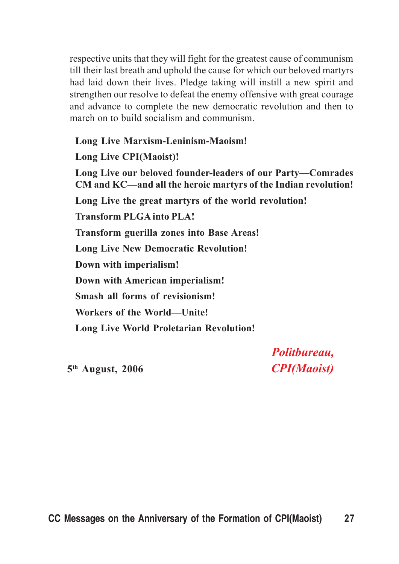respective units that they will fight for the greatest cause of communism till their last breath and uphold the cause for which our beloved martyrs had laid down their lives. Pledge taking will instill a new spirit and strengthen our resolve to defeat the enemy offensive with great courage and advance to complete the new democratic revolution and then to march on to build socialism and communism.

**Long Live Marxism-Leninism-Maoism! Long Live CPI(Maoist)! Long Live our beloved founder-leaders of our Party—Comrades CM and KC—and all the heroic martyrs of the Indian revolution! Long Live the great martyrs of the world revolution! Transform PLGA into PLA! Transform guerilla zones into Base Areas! Long Live New Democratic Revolution! Down with imperialism! Down with American imperialism! Smash all forms of revisionism! Workers of the World—Unite! Long Live World Proletarian Revolution!**

**5th August, 2006** *CPI(Maoist)*

*Politbureau,*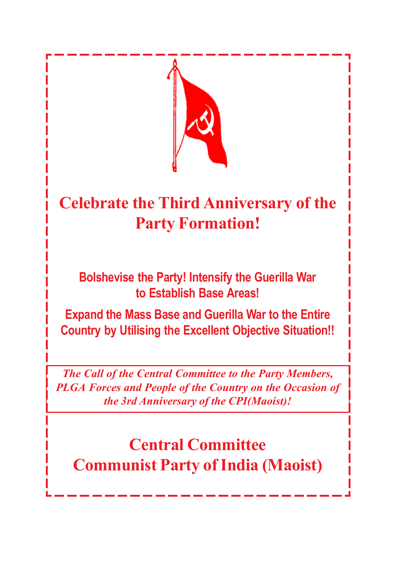

# **Celebrate the Third Anniversary of the Party Formation!**

# **Bolshevise the Party! Intensify the Guerilla War to Establish Base Areas!**

**Expand the Mass Base and Guerilla War to the Entire Country by Utilising the Excellent Objective Situation!!**

*The Call of the Central Committee to the Party Members, PLGA Forces and People of the Country on the Occasion of the 3rd Anniversary of the CPI(Maoist)!*

**Central Committee Communist Party of India (Maoist)**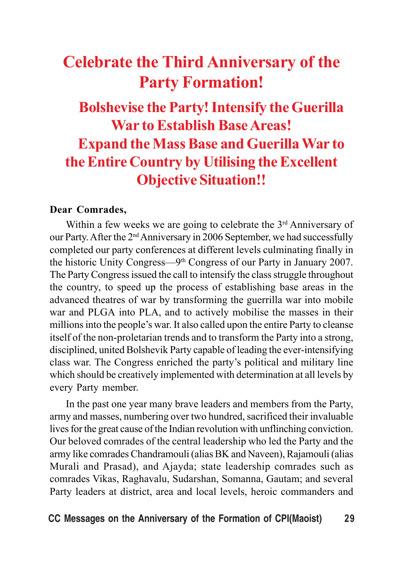# **Celebrate the Third Anniversary of the Party Formation!**

# **Bolshevise the Party! Intensify the Guerilla War to Establish Base Areas! Expand the Mass Base and Guerilla War to the Entire Country by Utilising the Excellent Objective Situation!!**

#### **Dear Comrades,**

Within a few weeks we are going to celebrate the 3<sup>rd</sup> Anniversary of our Party. After the 2nd Anniversary in 2006 September, we had successfully completed our party conferences at different levels culminating finally in the historic Unity Congress—9th Congress of our Party in January 2007. The Party Congress issued the call to intensify the class struggle throughout the country, to speed up the process of establishing base areas in the advanced theatres of war by transforming the guerrilla war into mobile war and PLGA into PLA, and to actively mobilise the masses in their millions into the people's war. It also called upon the entire Party to cleanse itself of the non-proletarian trends and to transform the Party into a strong, disciplined, united Bolshevik Party capable of leading the ever-intensifying class war. The Congress enriched the party's political and military line which should be creatively implemented with determination at all levels by every Party member.

In the past one year many brave leaders and members from the Party, army and masses, numbering over two hundred, sacrificed their invaluable lives for the great cause of the Indian revolution with unflinching conviction. Our beloved comrades of the central leadership who led the Party and the army like comrades Chandramouli (alias BK and Naveen), Rajamouli (alias Murali and Prasad), and Ajayda; state leadership comrades such as comrades Vikas, Raghavalu, Sudarshan, Somanna, Gautam; and several Party leaders at district, area and local levels, heroic commanders and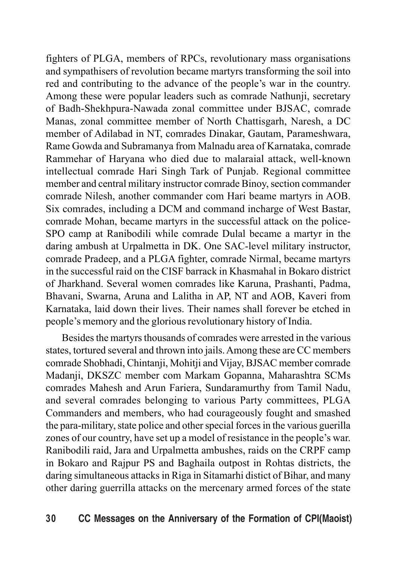fighters of PLGA, members of RPCs, revolutionary mass organisations and sympathisers of revolution became martyrs transforming the soil into red and contributing to the advance of the people's war in the country. Among these were popular leaders such as comrade Nathunji, secretary of Badh-Shekhpura-Nawada zonal committee under BJSAC, comrade Manas, zonal committee member of North Chattisgarh, Naresh, a DC member of Adilabad in NT, comrades Dinakar, Gautam, Parameshwara, Rame Gowda and Subramanya from Malnadu area of Karnataka, comrade Rammehar of Haryana who died due to malaraial attack, well-known intellectual comrade Hari Singh Tark of Punjab. Regional committee member and central military instructor comrade Binoy, section commander comrade Nilesh, another commander com Hari beame martyrs in AOB. Six comrades, including a DCM and command incharge of West Bastar, comrade Mohan, became martyrs in the successful attack on the police-SPO camp at Ranibodili while comrade Dulal became a martyr in the daring ambush at Urpalmetta in DK. One SAC-level military instructor, comrade Pradeep, and a PLGA fighter, comrade Nirmal, became martyrs in the successful raid on the CISF barrack in Khasmahal in Bokaro district of Jharkhand. Several women comrades like Karuna, Prashanti, Padma, Bhavani, Swarna, Aruna and Lalitha in AP, NT and AOB, Kaveri from Karnataka, laid down their lives. Their names shall forever be etched in people's memory and the glorious revolutionary history of India.

Besides the martyrs thousands of comrades were arrested in the various states, tortured several and thrown into jails. Among these are CC members comrade Shobhadi, Chintanji, Mohitji and Vijay, BJSAC member comrade Madanji, DKSZC member com Markam Gopanna, Maharashtra SCMs comrades Mahesh and Arun Fariera, Sundaramurthy from Tamil Nadu, and several comrades belonging to various Party committees, PLGA Commanders and members, who had courageously fought and smashed the para-military, state police and other special forces in the various guerilla zones of our country, have set up a model of resistance in the people's war. Ranibodili raid, Jara and Urpalmetta ambushes, raids on the CRPF camp in Bokaro and Rajpur PS and Baghaila outpost in Rohtas districts, the daring simultaneous attacks in Riga in Sitamarhi distict of Bihar, and many other daring guerrilla attacks on the mercenary armed forces of the state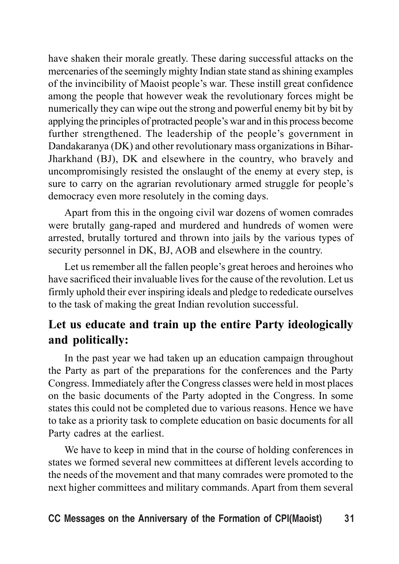have shaken their morale greatly. These daring successful attacks on the mercenaries of the seemingly mighty Indian state stand as shining examples of the invincibility of Maoist people's war. These instill great confidence among the people that however weak the revolutionary forces might be numerically they can wipe out the strong and powerful enemy bit by bit by applying the principles of protracted people's war and in this process become further strengthened. The leadership of the people's government in Dandakaranya (DK) and other revolutionary mass organizations in Bihar-Jharkhand (BJ), DK and elsewhere in the country, who bravely and uncompromisingly resisted the onslaught of the enemy at every step, is sure to carry on the agrarian revolutionary armed struggle for people's democracy even more resolutely in the coming days.

Apart from this in the ongoing civil war dozens of women comrades were brutally gang-raped and murdered and hundreds of women were arrested, brutally tortured and thrown into jails by the various types of security personnel in DK, BJ, AOB and elsewhere in the country.

Let us remember all the fallen people's great heroes and heroines who have sacrificed their invaluable lives for the cause of the revolution. Let us firmly uphold their ever inspiring ideals and pledge to rededicate ourselves to the task of making the great Indian revolution successful.

## **Let us educate and train up the entire Party ideologically and politically:**

In the past year we had taken up an education campaign throughout the Party as part of the preparations for the conferences and the Party Congress. Immediately after the Congress classes were held in most places on the basic documents of the Party adopted in the Congress. In some states this could not be completed due to various reasons. Hence we have to take as a priority task to complete education on basic documents for all Party cadres at the earliest.

We have to keep in mind that in the course of holding conferences in states we formed several new committees at different levels according to the needs of the movement and that many comrades were promoted to the next higher committees and military commands. Apart from them several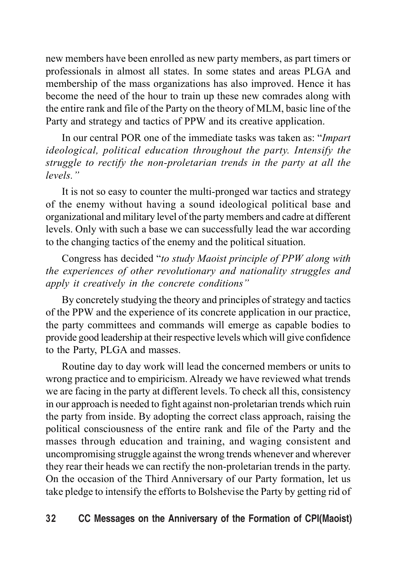new members have been enrolled as new party members, as part timers or professionals in almost all states. In some states and areas PLGA and membership of the mass organizations has also improved. Hence it has become the need of the hour to train up these new comrades along with the entire rank and file of the Party on the theory of MLM, basic line of the Party and strategy and tactics of PPW and its creative application.

In our central POR one of the immediate tasks was taken as: "*Impart ideological, political education throughout the party. Intensify the struggle to rectify the non-proletarian trends in the party at all the levels."*

It is not so easy to counter the multi-pronged war tactics and strategy of the enemy without having a sound ideological political base and organizational and military level of the party members and cadre at different levels. Only with such a base we can successfully lead the war according to the changing tactics of the enemy and the political situation.

Congress has decided "*to study Maoist principle of PPW along with the experiences of other revolutionary and nationality struggles and apply it creatively in the concrete conditions"*

By concretely studying the theory and principles of strategy and tactics of the PPW and the experience of its concrete application in our practice, the party committees and commands will emerge as capable bodies to provide good leadership at their respective levels which will give confidence to the Party, PLGA and masses.

Routine day to day work will lead the concerned members or units to wrong practice and to empiricism. Already we have reviewed what trends we are facing in the party at different levels. To check all this, consistency in our approach is needed to fight against non-proletarian trends which ruin the party from inside. By adopting the correct class approach, raising the political consciousness of the entire rank and file of the Party and the masses through education and training, and waging consistent and uncompromising struggle against the wrong trends whenever and wherever they rear their heads we can rectify the non-proletarian trends in the party. On the occasion of the Third Anniversary of our Party formation, let us take pledge to intensify the efforts to Bolshevise the Party by getting rid of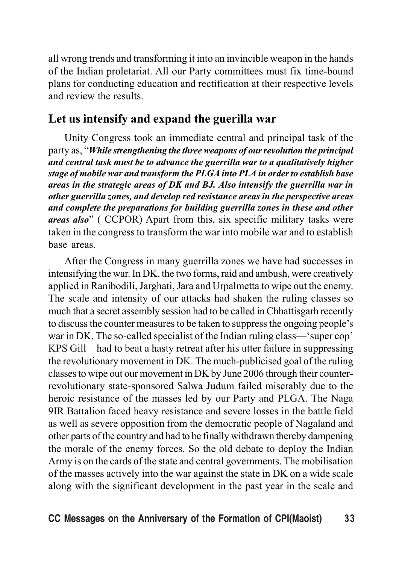all wrong trends and transforming it into an invincible weapon in the hands of the Indian proletariat. All our Party committees must fix time-bound plans for conducting education and rectification at their respective levels and review the results.

### **Let us intensify and expand the guerilla war**

Unity Congress took an immediate central and principal task of the party as, "*While strengthening the three weapons of our revolution the principal and central task must be to advance the guerrilla war to a qualitatively higher stage of mobile war and transform the PLGA into PLA in order to establish base areas in the strategic areas of DK and BJ. Also intensify the guerrilla war in other guerrilla zones, and develop red resistance areas in the perspective areas and complete the preparations for building guerrilla zones in these and other areas also*" ( CCPOR) Apart from this, six specific military tasks were taken in the congress to transform the war into mobile war and to establish base areas.

After the Congress in many guerrilla zones we have had successes in intensifying the war. In DK, the two forms, raid and ambush, were creatively applied in Ranibodili, Jarghati, Jara and Urpalmetta to wipe out the enemy. The scale and intensity of our attacks had shaken the ruling classes so much that a secret assembly session had to be called in Chhattisgarh recently to discuss the counter measures to be taken to suppress the ongoing people's war in DK. The so-called specialist of the Indian ruling class—'super cop' KPS Gill—had to beat a hasty retreat after his utter failure in suppressing the revolutionary movement in DK. The much-publicised goal of the ruling classes to wipe out our movement in DK by June 2006 through their counterrevolutionary state-sponsored Salwa Judum failed miserably due to the heroic resistance of the masses led by our Party and PLGA. The Naga 9IR Battalion faced heavy resistance and severe losses in the battle field as well as severe opposition from the democratic people of Nagaland and other parts of the country and had to be finally withdrawn thereby dampening the morale of the enemy forces. So the old debate to deploy the Indian Army is on the cards of the state and central governments. The mobilisation of the masses actively into the war against the state in DK on a wide scale along with the significant development in the past year in the scale and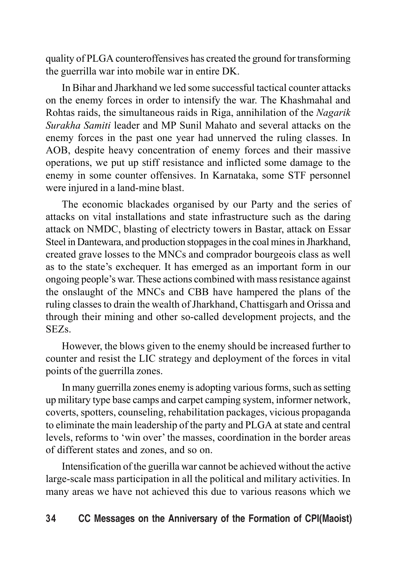quality of PLGA counteroffensives has created the ground for transforming the guerrilla war into mobile war in entire DK.

In Bihar and Jharkhand we led some successful tactical counter attacks on the enemy forces in order to intensify the war. The Khashmahal and Rohtas raids, the simultaneous raids in Riga, annihilation of the *Nagarik Surakha Samiti* leader and MP Sunil Mahato and several attacks on the enemy forces in the past one year had unnerved the ruling classes. In AOB, despite heavy concentration of enemy forces and their massive operations, we put up stiff resistance and inflicted some damage to the enemy in some counter offensives. In Karnataka, some STF personnel were injured in a land-mine blast.

The economic blackades organised by our Party and the series of attacks on vital installations and state infrastructure such as the daring attack on NMDC, blasting of electricty towers in Bastar, attack on Essar Steel in Dantewara, and production stoppages in the coal mines in Jharkhand, created grave losses to the MNCs and comprador bourgeois class as well as to the state's exchequer. It has emerged as an important form in our ongoing people's war. These actions combined with mass resistance against the onslaught of the MNCs and CBB have hampered the plans of the ruling classes to drain the wealth of Jharkhand, Chattisgarh and Orissa and through their mining and other so-called development projects, and the SEZs.

However, the blows given to the enemy should be increased further to counter and resist the LIC strategy and deployment of the forces in vital points of the guerrilla zones.

In many guerrilla zones enemy is adopting various forms, such as setting up military type base camps and carpet camping system, informer network, coverts, spotters, counseling, rehabilitation packages, vicious propaganda to eliminate the main leadership of the party and PLGA at state and central levels, reforms to 'win over' the masses, coordination in the border areas of different states and zones, and so on.

Intensification of the guerilla war cannot be achieved without the active large-scale mass participation in all the political and military activities. In many areas we have not achieved this due to various reasons which we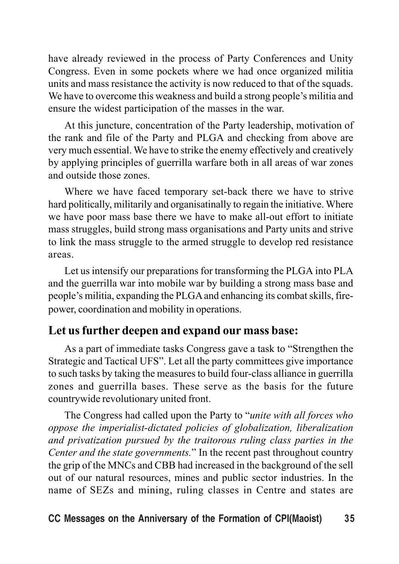have already reviewed in the process of Party Conferences and Unity Congress. Even in some pockets where we had once organized militia units and mass resistance the activity is now reduced to that of the squads. We have to overcome this weakness and build a strong people's militia and ensure the widest participation of the masses in the war.

At this juncture, concentration of the Party leadership, motivation of the rank and file of the Party and PLGA and checking from above are very much essential. We have to strike the enemy effectively and creatively by applying principles of guerrilla warfare both in all areas of war zones and outside those zones.

Where we have faced temporary set-back there we have to strive hard politically, militarily and organisatinally to regain the initiative. Where we have poor mass base there we have to make all-out effort to initiate mass struggles, build strong mass organisations and Party units and strive to link the mass struggle to the armed struggle to develop red resistance areas.

Let us intensify our preparations for transforming the PLGA into PLA and the guerrilla war into mobile war by building a strong mass base and people's militia, expanding the PLGA and enhancing its combat skills, firepower, coordination and mobility in operations.

## **Let us further deepen and expand our mass base:**

As a part of immediate tasks Congress gave a task to "Strengthen the Strategic and Tactical UFS". Let all the party committees give importance to such tasks by taking the measures to build four-class alliance in guerrilla zones and guerrilla bases. These serve as the basis for the future countrywide revolutionary united front.

The Congress had called upon the Party to "*unite with all forces who oppose the imperialist-dictated policies of globalization, liberalization and privatization pursued by the traitorous ruling class parties in the Center and the state governments.*" In the recent past throughout country the grip of the MNCs and CBB had increased in the background of the sell out of our natural resources, mines and public sector industries. In the name of SEZs and mining, ruling classes in Centre and states are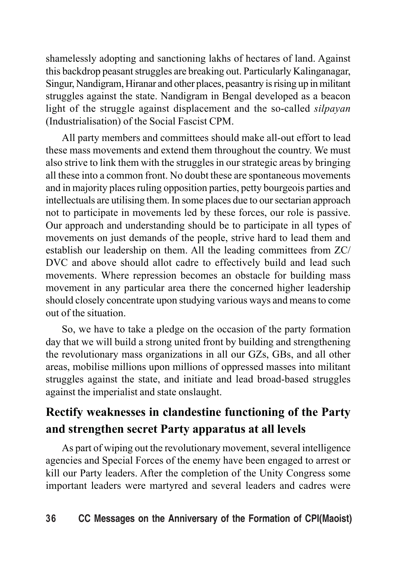shamelessly adopting and sanctioning lakhs of hectares of land. Against this backdrop peasant struggles are breaking out. Particularly Kalinganagar, Singur, Nandigram, Hiranar and other places, peasantry is rising up in militant struggles against the state. Nandigram in Bengal developed as a beacon light of the struggle against displacement and the so-called *silpayan* (Industrialisation) of the Social Fascist CPM.

All party members and committees should make all-out effort to lead these mass movements and extend them throughout the country. We must also strive to link them with the struggles in our strategic areas by bringing all these into a common front. No doubt these are spontaneous movements and in majority places ruling opposition parties, petty bourgeois parties and intellectuals are utilising them. In some places due to our sectarian approach not to participate in movements led by these forces, our role is passive. Our approach and understanding should be to participate in all types of movements on just demands of the people, strive hard to lead them and establish our leadership on them. All the leading committees from ZC/ DVC and above should allot cadre to effectively build and lead such movements. Where repression becomes an obstacle for building mass movement in any particular area there the concerned higher leadership should closely concentrate upon studying various ways and means to come out of the situation.

So, we have to take a pledge on the occasion of the party formation day that we will build a strong united front by building and strengthening the revolutionary mass organizations in all our GZs, GBs, and all other areas, mobilise millions upon millions of oppressed masses into militant struggles against the state, and initiate and lead broad-based struggles against the imperialist and state onslaught.

## **Rectify weaknesses in clandestine functioning of the Party and strengthen secret Party apparatus at all levels**

As part of wiping out the revolutionary movement, several intelligence agencies and Special Forces of the enemy have been engaged to arrest or kill our Party leaders. After the completion of the Unity Congress some important leaders were martyred and several leaders and cadres were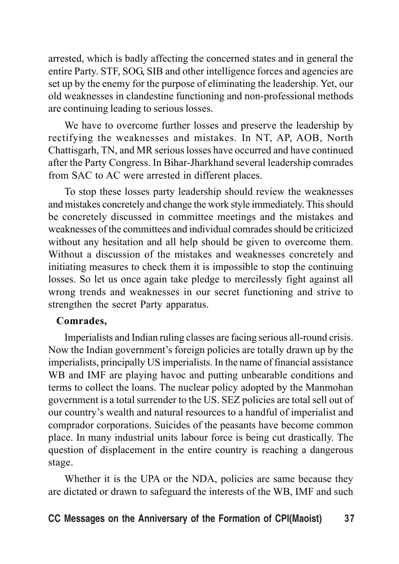arrested, which is badly affecting the concerned states and in general the entire Party. STF, SOG, SIB and other intelligence forces and agencies are set up by the enemy for the purpose of eliminating the leadership. Yet, our old weaknesses in clandestine functioning and non-professional methods are continuing leading to serious losses.

We have to overcome further losses and preserve the leadership by rectifying the weaknesses and mistakes. In NT, AP, AOB, North Chattisgarh, TN, and MR serious losses have occurred and have continued after the Party Congress. In Bihar-Jharkhand several leadership comrades from SAC to AC were arrested in different places.

To stop these losses party leadership should review the weaknesses and mistakes concretely and change the work style immediately. This should be concretely discussed in committee meetings and the mistakes and weaknesses of the committees and individual comrades should be criticized without any hesitation and all help should be given to overcome them. Without a discussion of the mistakes and weaknesses concretely and initiating measures to check them it is impossible to stop the continuing losses. So let us once again take pledge to mercilessly fight against all wrong trends and weaknesses in our secret functioning and strive to strengthen the secret Party apparatus.

### **Comrades,**

Imperialists and Indian ruling classes are facing serious all-round crisis. Now the Indian government's foreign policies are totally drawn up by the imperialists, principally US imperialists. In the name of financial assistance WB and IMF are playing havoc and putting unbearable conditions and terms to collect the loans. The nuclear policy adopted by the Manmohan government is a total surrender to the US. SEZ policies are total sell out of our country's wealth and natural resources to a handful of imperialist and comprador corporations. Suicides of the peasants have become common place. In many industrial units labour force is being cut drastically. The question of displacement in the entire country is reaching a dangerous stage.

Whether it is the UPA or the NDA, policies are same because they are dictated or drawn to safeguard the interests of the WB, IMF and such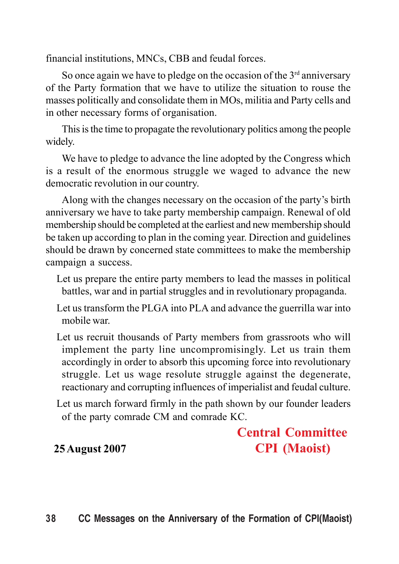financial institutions, MNCs, CBB and feudal forces.

So once again we have to pledge on the occasion of the  $3<sup>rd</sup>$  anniversary of the Party formation that we have to utilize the situation to rouse the masses politically and consolidate them in MOs, militia and Party cells and in other necessary forms of organisation.

This is the time to propagate the revolutionary politics among the people widely.

We have to pledge to advance the line adopted by the Congress which is a result of the enormous struggle we waged to advance the new democratic revolution in our country.

Along with the changes necessary on the occasion of the party's birth anniversary we have to take party membership campaign. Renewal of old membership should be completed at the earliest and new membership should be taken up according to plan in the coming year. Direction and guidelines should be drawn by concerned state committees to make the membership campaign a success.

- Let us prepare the entire party members to lead the masses in political battles, war and in partial struggles and in revolutionary propaganda.
- Let us transform the PLGA into PLA and advance the guerrilla war into mobile war.
- Let us recruit thousands of Party members from grassroots who will implement the party line uncompromisingly. Let us train them accordingly in order to absorb this upcoming force into revolutionary struggle. Let us wage resolute struggle against the degenerate, reactionary and corrupting influences of imperialist and feudal culture.
- Let us march forward firmly in the path shown by our founder leaders of the party comrade CM and comrade KC.

### **Central Committee 25 August 2007 CPI (Maoist)**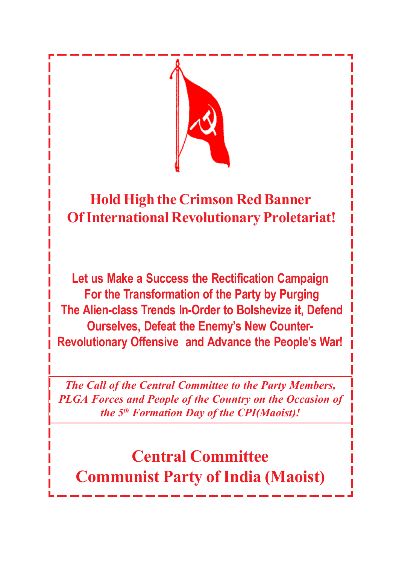

### **Hold High the Crimson Red Banner Of International Revolutionary Proletariat!**

**Let us Make a Success the Rectification Campaign For the Transformation of the Party by Purging The Alien-class Trends In-Order to Bolshevize it, Defend Ourselves, Defeat the Enemy's New Counter-Revolutionary Offensive and Advance the People's War!**

*The Call of the Central Committee to the Party Members, PLGA Forces and People of the Country on the Occasion of the 5th Formation Day of the CPI(Maoist)!*

# **Central Committee Communist Party of India (Maoist)**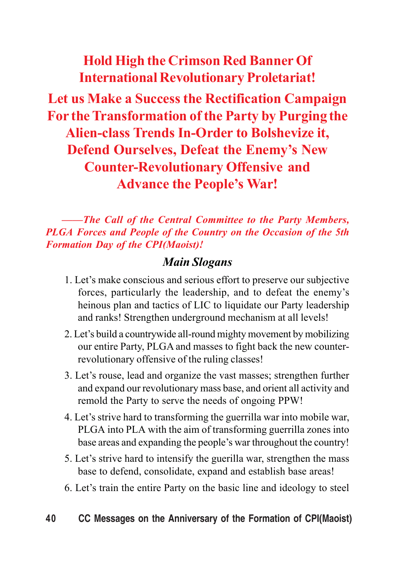**Hold High the Crimson Red Banner Of International Revolutionary Proletariat! Let us Make a Success the Rectification Campaign For the Transformation of the Party by Purging the Alien-class Trends In-Order to Bolshevize it, Defend Ourselves, Defeat the Enemy's New Counter-Revolutionary Offensive and Advance the People's War!**

*——The Call of the Central Committee to the Party Members, PLGA Forces and People of the Country on the Occasion of the 5th Formation Day of the CPI(Maoist)!*

### *Main Slogans*

- 1. Let's make conscious and serious effort to preserve our subjective forces, particularly the leadership, and to defeat the enemy's heinous plan and tactics of LIC to liquidate our Party leadership and ranks! Strengthen underground mechanism at all levels!
- 2. Let's build a countrywide all-round mighty movement by mobilizing our entire Party, PLGA and masses to fight back the new counterrevolutionary offensive of the ruling classes!
- 3. Let's rouse, lead and organize the vast masses; strengthen further and expand our revolutionary mass base, and orient all activity and remold the Party to serve the needs of ongoing PPW!
- 4. Let's strive hard to transforming the guerrilla war into mobile war, PLGA into PLA with the aim of transforming guerrilla zones into base areas and expanding the people's war throughout the country!
- 5. Let's strive hard to intensify the guerilla war, strengthen the mass base to defend, consolidate, expand and establish base areas!
- 6. Let's train the entire Party on the basic line and ideology to steel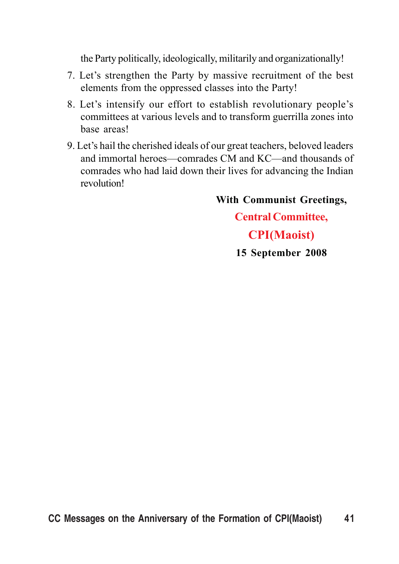the Party politically, ideologically, militarily and organizationally!

- 7. Let's strengthen the Party by massive recruitment of the best elements from the oppressed classes into the Party!
- 8. Let's intensify our effort to establish revolutionary people's committees at various levels and to transform guerrilla zones into base areas!
- 9. Let's hail the cherished ideals of our great teachers, beloved leaders and immortal heroes—comrades CM and KC—and thousands of comrades who had laid down their lives for advancing the Indian revolution!

**With Communist Greetings,**

**Central Committee, CPI(Maoist)**

**15 September 2008**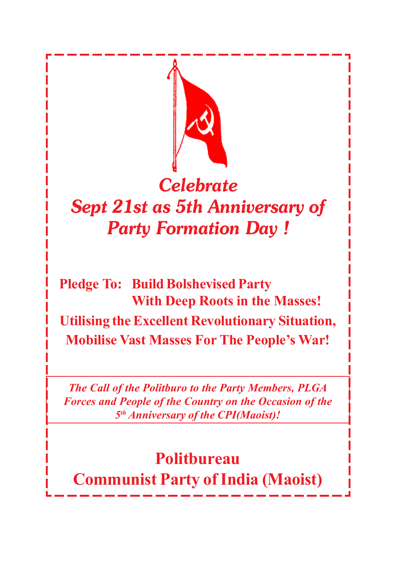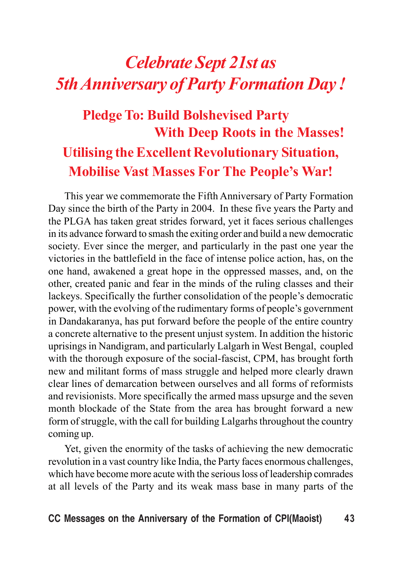# *Celebrate Sept 21st as 5th Anniversary of Party Formation Day !*

### **Pledge To: Build Bolshevised Party With Deep Roots in the Masses! Utilising the Excellent Revolutionary Situation, Mobilise Vast Masses For The People's War!**

This year we commemorate the Fifth Anniversary of Party Formation Day since the birth of the Party in 2004. In these five years the Party and the PLGA has taken great strides forward, yet it faces serious challenges in its advance forward to smash the exiting order and build a new democratic society. Ever since the merger, and particularly in the past one year the victories in the battlefield in the face of intense police action, has, on the one hand, awakened a great hope in the oppressed masses, and, on the other, created panic and fear in the minds of the ruling classes and their lackeys. Specifically the further consolidation of the people's democratic power, with the evolving of the rudimentary forms of people's government in Dandakaranya, has put forward before the people of the entire country a concrete alternative to the present unjust system. In addition the historic uprisings in Nandigram, and particularly Lalgarh in West Bengal, coupled with the thorough exposure of the social-fascist, CPM, has brought forth new and militant forms of mass struggle and helped more clearly drawn clear lines of demarcation between ourselves and all forms of reformists and revisionists. More specifically the armed mass upsurge and the seven month blockade of the State from the area has brought forward a new form of struggle, with the call for building Lalgarhs throughout the country coming up.

Yet, given the enormity of the tasks of achieving the new democratic revolution in a vast country like India, the Party faces enormous challenges, which have become more acute with the serious loss of leadership comrades at all levels of the Party and its weak mass base in many parts of the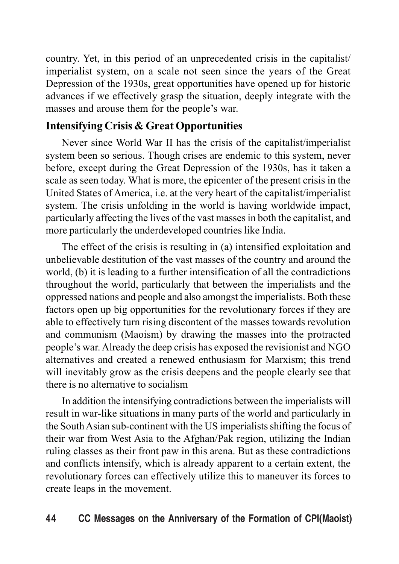country. Yet, in this period of an unprecedented crisis in the capitalist/ imperialist system, on a scale not seen since the years of the Great Depression of the 1930s, great opportunities have opened up for historic advances if we effectively grasp the situation, deeply integrate with the masses and arouse them for the people's war.

### **Intensifying Crisis & Great Opportunities**

Never since World War II has the crisis of the capitalist/imperialist system been so serious. Though crises are endemic to this system, never before, except during the Great Depression of the 1930s, has it taken a scale as seen today. What is more, the epicenter of the present crisis in the United States of America, i.e. at the very heart of the capitalist/imperialist system. The crisis unfolding in the world is having worldwide impact, particularly affecting the lives of the vast masses in both the capitalist, and more particularly the underdeveloped countries like India.

The effect of the crisis is resulting in (a) intensified exploitation and unbelievable destitution of the vast masses of the country and around the world, (b) it is leading to a further intensification of all the contradictions throughout the world, particularly that between the imperialists and the oppressed nations and people and also amongst the imperialists. Both these factors open up big opportunities for the revolutionary forces if they are able to effectively turn rising discontent of the masses towards revolution and communism (Maoism) by drawing the masses into the protracted people's war. Already the deep crisis has exposed the revisionist and NGO alternatives and created a renewed enthusiasm for Marxism; this trend will inevitably grow as the crisis deepens and the people clearly see that there is no alternative to socialism

In addition the intensifying contradictions between the imperialists will result in war-like situations in many parts of the world and particularly in the South Asian sub-continent with the US imperialists shifting the focus of their war from West Asia to the Afghan/Pak region, utilizing the Indian ruling classes as their front paw in this arena. But as these contradictions and conflicts intensify, which is already apparent to a certain extent, the revolutionary forces can effectively utilize this to maneuver its forces to create leaps in the movement.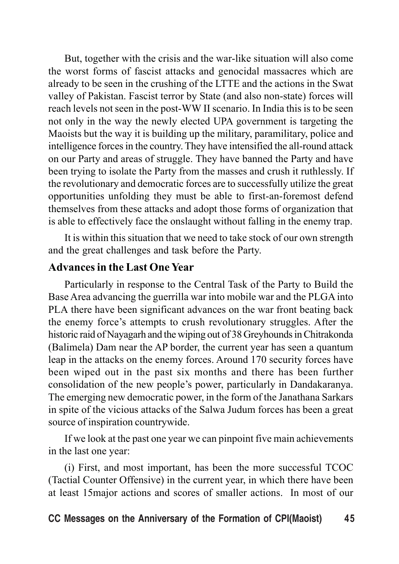But, together with the crisis and the war-like situation will also come the worst forms of fascist attacks and genocidal massacres which are already to be seen in the crushing of the LTTE and the actions in the Swat valley of Pakistan. Fascist terror by State (and also non-state) forces will reach levels not seen in the post-WW II scenario. In India this is to be seen not only in the way the newly elected UPA government is targeting the Maoists but the way it is building up the military, paramilitary, police and intelligence forces in the country. They have intensified the all-round attack on our Party and areas of struggle. They have banned the Party and have been trying to isolate the Party from the masses and crush it ruthlessly. If the revolutionary and democratic forces are to successfully utilize the great opportunities unfolding they must be able to first-an-foremost defend themselves from these attacks and adopt those forms of organization that is able to effectively face the onslaught without falling in the enemy trap.

It is within this situation that we need to take stock of our own strength and the great challenges and task before the Party.

### **Advances in the Last One Year**

Particularly in response to the Central Task of the Party to Build the Base Area advancing the guerrilla war into mobile war and the PLGA into PLA there have been significant advances on the war front beating back the enemy force's attempts to crush revolutionary struggles. After the historic raid of Nayagarh and the wiping out of 38 Greyhounds in Chitrakonda (Balimela) Dam near the AP border, the current year has seen a quantum leap in the attacks on the enemy forces. Around 170 security forces have been wiped out in the past six months and there has been further consolidation of the new people's power, particularly in Dandakaranya. The emerging new democratic power, in the form of the Janathana Sarkars in spite of the vicious attacks of the Salwa Judum forces has been a great source of inspiration countrywide.

If we look at the past one year we can pinpoint five main achievements in the last one year:

(i) First, and most important, has been the more successful TCOC (Tactial Counter Offensive) in the current year, in which there have been at least 15major actions and scores of smaller actions. In most of our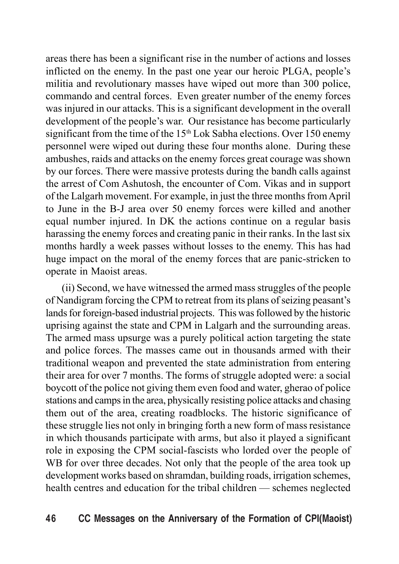areas there has been a significant rise in the number of actions and losses inflicted on the enemy. In the past one year our heroic PLGA, people's militia and revolutionary masses have wiped out more than 300 police, commando and central forces. Even greater number of the enemy forces was injured in our attacks. This is a significant development in the overall development of the people's war. Our resistance has become particularly significant from the time of the  $15<sup>th</sup>$  Lok Sabha elections. Over 150 enemy personnel were wiped out during these four months alone. During these ambushes, raids and attacks on the enemy forces great courage was shown by our forces. There were massive protests during the bandh calls against the arrest of Com Ashutosh, the encounter of Com. Vikas and in support of the Lalgarh movement. For example, in just the three months from April to June in the B-J area over 50 enemy forces were killed and another equal number injured. In DK the actions continue on a regular basis harassing the enemy forces and creating panic in their ranks. In the last six months hardly a week passes without losses to the enemy. This has had huge impact on the moral of the enemy forces that are panic-stricken to operate in Maoist areas.

(ii) Second, we have witnessed the armed mass struggles of the people of Nandigram forcing the CPM to retreat from its plans of seizing peasant's lands for foreign-based industrial projects. This was followed by the historic uprising against the state and CPM in Lalgarh and the surrounding areas. The armed mass upsurge was a purely political action targeting the state and police forces. The masses came out in thousands armed with their traditional weapon and prevented the state administration from entering their area for over 7 months. The forms of struggle adopted were: a social boycott of the police not giving them even food and water, gherao of police stations and camps in the area, physically resisting police attacks and chasing them out of the area, creating roadblocks. The historic significance of these struggle lies not only in bringing forth a new form of mass resistance in which thousands participate with arms, but also it played a significant role in exposing the CPM social-fascists who lorded over the people of WB for over three decades. Not only that the people of the area took up development works based on shramdan, building roads, irrigation schemes, health centres and education for the tribal children — schemes neglected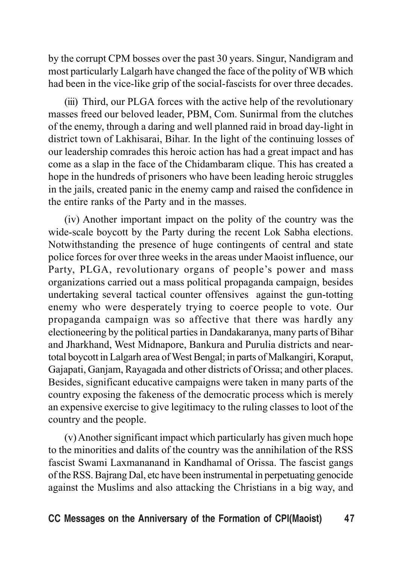by the corrupt CPM bosses over the past 30 years. Singur, Nandigram and most particularly Lalgarh have changed the face of the polity of WB which had been in the vice-like grip of the social-fascists for over three decades.

(iii) Third, our PLGA forces with the active help of the revolutionary masses freed our beloved leader, PBM, Com. Sunirmal from the clutches of the enemy, through a daring and well planned raid in broad day-light in district town of Lakhisarai, Bihar. In the light of the continuing losses of our leadership comrades this heroic action has had a great impact and has come as a slap in the face of the Chidambaram clique. This has created a hope in the hundreds of prisoners who have been leading heroic struggles in the jails, created panic in the enemy camp and raised the confidence in the entire ranks of the Party and in the masses.

(iv) Another important impact on the polity of the country was the wide-scale boycott by the Party during the recent Lok Sabha elections. Notwithstanding the presence of huge contingents of central and state police forces for over three weeks in the areas under Maoist influence, our Party, PLGA, revolutionary organs of people's power and mass organizations carried out a mass political propaganda campaign, besides undertaking several tactical counter offensives against the gun-totting enemy who were desperately trying to coerce people to vote. Our propaganda campaign was so affective that there was hardly any electioneering by the political parties in Dandakaranya, many parts of Bihar and Jharkhand, West Midnapore, Bankura and Purulia districts and neartotal boycott in Lalgarh area of West Bengal; in parts of Malkangiri, Koraput, Gajapati, Ganjam, Rayagada and other districts of Orissa; and other places. Besides, significant educative campaigns were taken in many parts of the country exposing the fakeness of the democratic process which is merely an expensive exercise to give legitimacy to the ruling classes to loot of the country and the people.

(v) Another significant impact which particularly has given much hope to the minorities and dalits of the country was the annihilation of the RSS fascist Swami Laxmananand in Kandhamal of Orissa. The fascist gangs of the RSS. Bajrang Dal, etc have been instrumental in perpetuating genocide against the Muslims and also attacking the Christians in a big way, and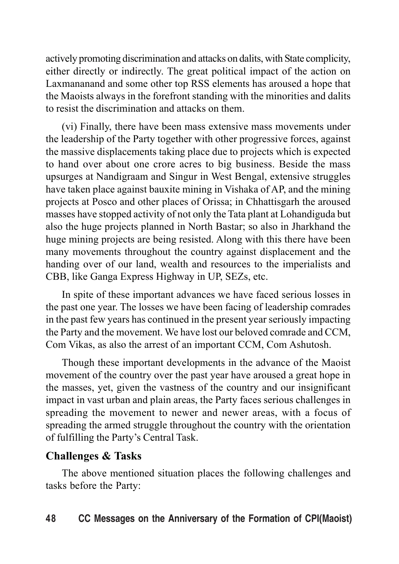actively promoting discrimination and attacks on dalits, with State complicity, either directly or indirectly. The great political impact of the action on Laxmananand and some other top RSS elements has aroused a hope that the Maoists always in the forefront standing with the minorities and dalits to resist the discrimination and attacks on them.

(vi) Finally, there have been mass extensive mass movements under the leadership of the Party together with other progressive forces, against the massive displacements taking place due to projects which is expected to hand over about one crore acres to big business. Beside the mass upsurges at Nandigraam and Singur in West Bengal, extensive struggles have taken place against bauxite mining in Vishaka of AP, and the mining projects at Posco and other places of Orissa; in Chhattisgarh the aroused masses have stopped activity of not only the Tata plant at Lohandiguda but also the huge projects planned in North Bastar; so also in Jharkhand the huge mining projects are being resisted. Along with this there have been many movements throughout the country against displacement and the handing over of our land, wealth and resources to the imperialists and CBB, like Ganga Express Highway in UP, SEZs, etc.

In spite of these important advances we have faced serious losses in the past one year. The losses we have been facing of leadership comrades in the past few years has continued in the present year seriously impacting the Party and the movement. We have lost our beloved comrade and CCM, Com Vikas, as also the arrest of an important CCM, Com Ashutosh.

Though these important developments in the advance of the Maoist movement of the country over the past year have aroused a great hope in the masses, yet, given the vastness of the country and our insignificant impact in vast urban and plain areas, the Party faces serious challenges in spreading the movement to newer and newer areas, with a focus of spreading the armed struggle throughout the country with the orientation of fulfilling the Party's Central Task.

### **Challenges & Tasks**

The above mentioned situation places the following challenges and tasks before the Party: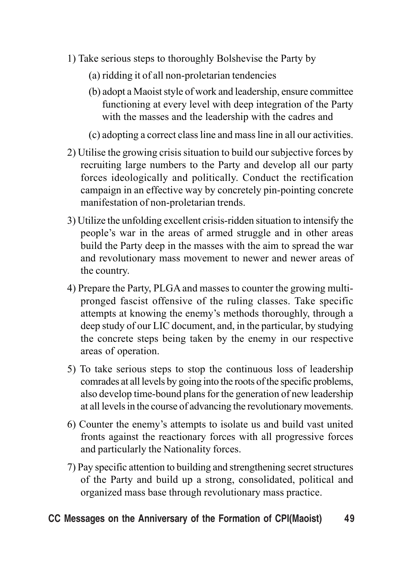- 1) Take serious steps to thoroughly Bolshevise the Party by
	- (a) ridding it of all non-proletarian tendencies
	- (b) adopt a Maoist style of work and leadership, ensure committee functioning at every level with deep integration of the Party with the masses and the leadership with the cadres and
	- (c) adopting a correct class line and mass line in all our activities.
- 2) Utilise the growing crisis situation to build our subjective forces by recruiting large numbers to the Party and develop all our party forces ideologically and politically. Conduct the rectification campaign in an effective way by concretely pin-pointing concrete manifestation of non-proletarian trends.
- 3) Utilize the unfolding excellent crisis-ridden situation to intensify the people's war in the areas of armed struggle and in other areas build the Party deep in the masses with the aim to spread the war and revolutionary mass movement to newer and newer areas of the country.
- 4) Prepare the Party, PLGA and masses to counter the growing multipronged fascist offensive of the ruling classes. Take specific attempts at knowing the enemy's methods thoroughly, through a deep study of our LIC document, and, in the particular, by studying the concrete steps being taken by the enemy in our respective areas of operation.
- 5) To take serious steps to stop the continuous loss of leadership comrades at all levels by going into the roots of the specific problems, also develop time-bound plans for the generation of new leadership at all levels in the course of advancing the revolutionary movements.
- 6) Counter the enemy's attempts to isolate us and build vast united fronts against the reactionary forces with all progressive forces and particularly the Nationality forces.
- 7) Pay specific attention to building and strengthening secret structures of the Party and build up a strong, consolidated, political and organized mass base through revolutionary mass practice.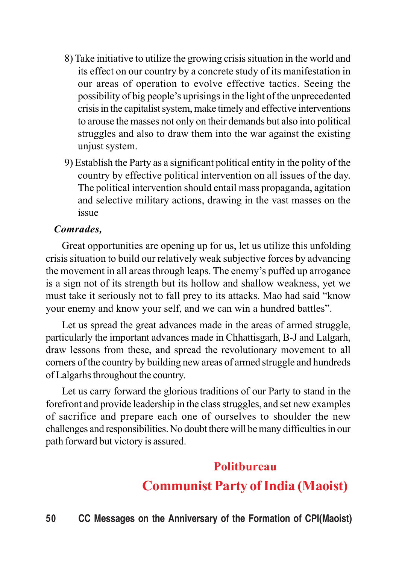- 8) Take initiative to utilize the growing crisis situation in the world and its effect on our country by a concrete study of its manifestation in our areas of operation to evolve effective tactics. Seeing the possibility of big people's uprisings in the light of the unprecedented crisis in the capitalist system, make timely and effective interventions to arouse the masses not only on their demands but also into political struggles and also to draw them into the war against the existing unjust system.
- 9) Establish the Party as a significant political entity in the polity of the country by effective political intervention on all issues of the day. The political intervention should entail mass propaganda, agitation and selective military actions, drawing in the vast masses on the issue

#### *Comrades,*

Great opportunities are opening up for us, let us utilize this unfolding crisis situation to build our relatively weak subjective forces by advancing the movement in all areas through leaps. The enemy's puffed up arrogance is a sign not of its strength but its hollow and shallow weakness, yet we must take it seriously not to fall prey to its attacks. Mao had said "know your enemy and know your self, and we can win a hundred battles".

Let us spread the great advances made in the areas of armed struggle, particularly the important advances made in Chhattisgarh, B-J and Lalgarh, draw lessons from these, and spread the revolutionary movement to all corners of the country by building new areas of armed struggle and hundreds of Lalgarhs throughout the country.

Let us carry forward the glorious traditions of our Party to stand in the forefront and provide leadership in the class struggles, and set new examples of sacrifice and prepare each one of ourselves to shoulder the new challenges and responsibilities. No doubt there will be many difficulties in our path forward but victory is assured.

### **Politbureau**

### **Communist Party of India (Maoist)**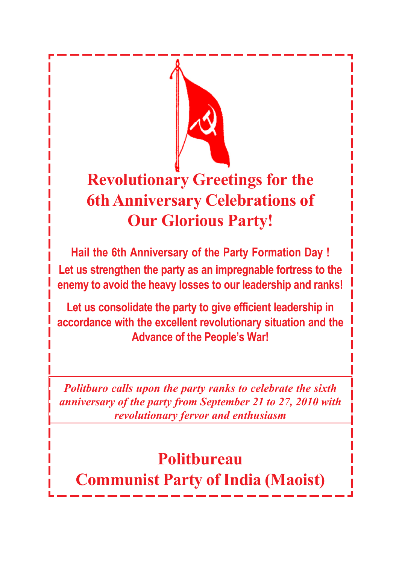# **Revolutionary Greetings for the 6th Anniversary Celebrations of Our Glorious Party!**

Hail the 6th Anniversary of the Party Formation Day ! Let us strengthen the party as an impregnable fortress to the enemy to avoid the heavy losses to our leadership and ranks!

Let us consolidate the party to give efficient leadership in accordance with the excellent revolutionary situation and the **Advance of the People's War!** 

*Politburo calls upon the party ranks to celebrate the sixth anniversary of the party from September 21 to 27, 2010 with revolutionary fervor and enthusiasm*

## **Politbureau**

**Communist Party of India (Maoist)**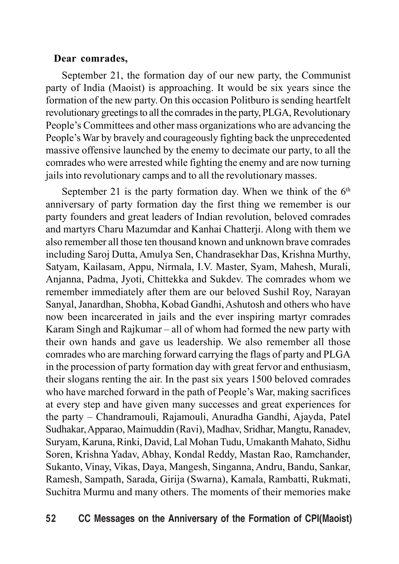#### **Dear comrades,**

September 21, the formation day of our new party, the Communist party of India (Maoist) is approaching. It would be six years since the formation of the new party. On this occasion Politburo is sending heartfelt revolutionary greetings to all the comrades in the party, PLGA, Revolutionary People's Committees and other mass organizations who are advancing the People's War by bravely and courageously fighting back the unprecedented massive offensive launched by the enemy to decimate our party, to all the comrades who were arrested while fighting the enemy and are now turning jails into revolutionary camps and to all the revolutionary masses.

September 21 is the party formation day. When we think of the  $6<sup>th</sup>$ anniversary of party formation day the first thing we remember is our party founders and great leaders of Indian revolution, beloved comrades and martyrs Charu Mazumdar and Kanhai Chatterji. Along with them we also remember all those ten thousand known and unknown brave comrades including Saroj Dutta, Amulya Sen, Chandrasekhar Das, Krishna Murthy, Satyam, Kailasam, Appu, Nirmala, I.V. Master, Syam, Mahesh, Murali, Anjanna, Padma, Jyoti, Chittekka and Sukdev. The comrades whom we remember immediately after them are our beloved Sushil Roy, Narayan Sanyal, Janardhan, Shobha, Kobad Gandhi, Ashutosh and others who have now been incarcerated in jails and the ever inspiring martyr comrades Karam Singh and Rajkumar – all of whom had formed the new party with their own hands and gave us leadership. We also remember all those comrades who are marching forward carrying the flags of party and PLGA in the procession of party formation day with great fervor and enthusiasm, their slogans renting the air. In the past six years 1500 beloved comrades who have marched forward in the path of People's War, making sacrifices at every step and have given many successes and great experiences for the party – Chandramouli, Rajamouli, Anuradha Gandhi, Ajayda, Patel Sudhakar, Apparao, Maimuddin (Ravi), Madhav, Sridhar, Mangtu, Ranadev, Suryam, Karuna, Rinki, David, Lal Mohan Tudu, Umakanth Mahato, Sidhu Soren, Krishna Yadav, Abhay, Kondal Reddy, Mastan Rao, Ramchander, Sukanto, Vinay, Vikas, Daya, Mangesh, Singanna, Andru, Bandu, Sankar, Ramesh, Sampath, Sarada, Girija (Swarna), Kamala, Rambatti, Rukmati, Suchitra Murmu and many others. The moments of their memories make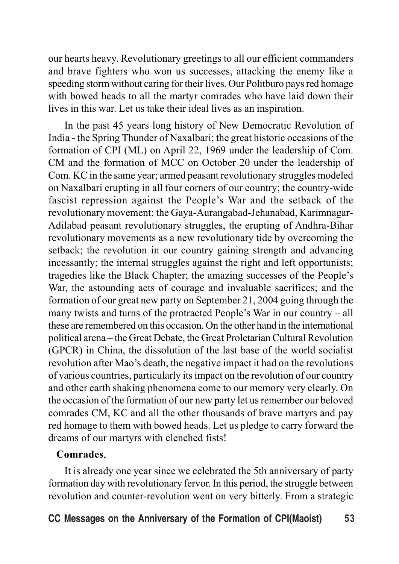our hearts heavy. Revolutionary greetings to all our efficient commanders and brave fighters who won us successes, attacking the enemy like a speeding storm without caring for their lives. Our Politburo pays red homage with bowed heads to all the martyr comrades who have laid down their lives in this war. Let us take their ideal lives as an inspiration.

In the past 45 years long history of New Democratic Revolution of India - the Spring Thunder of Naxalbari; the great historic occasions of the formation of CPI (ML) on April 22, 1969 under the leadership of Com. CM and the formation of MCC on October 20 under the leadership of Com. KC in the same year; armed peasant revolutionary struggles modeled on Naxalbari erupting in all four corners of our country; the country-wide fascist repression against the People's War and the setback of the revolutionary movement; the Gaya-Aurangabad-Jehanabad, Karimnagar-Adilabad peasant revolutionary struggles, the erupting of Andhra-Bihar revolutionary movements as a new revolutionary tide by overcoming the setback; the revolution in our country gaining strength and advancing incessantly; the internal struggles against the right and left opportunists; tragedies like the Black Chapter; the amazing successes of the People's War, the astounding acts of courage and invaluable sacrifices; and the formation of our great new party on September 21, 2004 going through the many twists and turns of the protracted People's War in our country – all these are remembered on this occasion. On the other hand in the international political arena – the Great Debate, the Great Proletarian Cultural Revolution (GPCR) in China, the dissolution of the last base of the world socialist revolution after Mao's death, the negative impact it had on the revolutions of various countries, particularly its impact on the revolution of our country and other earth shaking phenomena come to our memory very clearly. On the occasion of the formation of our new party let us remember our beloved comrades CM, KC and all the other thousands of brave martyrs and pay red homage to them with bowed heads. Let us pledge to carry forward the dreams of our martyrs with clenched fists!

### **Comrades**,

It is already one year since we celebrated the 5th anniversary of party formation day with revolutionary fervor. In this period, the struggle between revolution and counter-revolution went on very bitterly. From a strategic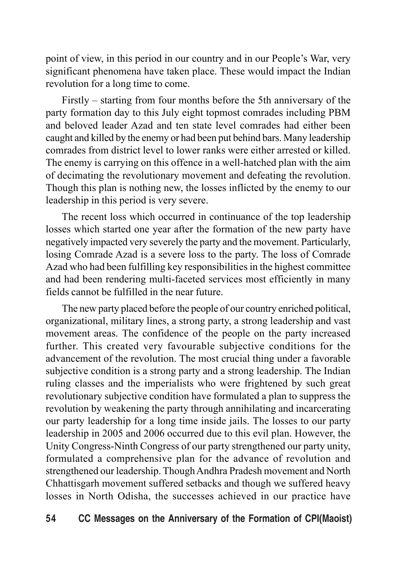point of view, in this period in our country and in our People's War, very significant phenomena have taken place. These would impact the Indian revolution for a long time to come.

Firstly – starting from four months before the 5th anniversary of the party formation day to this July eight topmost comrades including PBM and beloved leader Azad and ten state level comrades had either been caught and killed by the enemy or had been put behind bars. Many leadership comrades from district level to lower ranks were either arrested or killed. The enemy is carrying on this offence in a well-hatched plan with the aim of decimating the revolutionary movement and defeating the revolution. Though this plan is nothing new, the losses inflicted by the enemy to our leadership in this period is very severe.

The recent loss which occurred in continuance of the top leadership losses which started one year after the formation of the new party have negatively impacted very severely the party and the movement. Particularly, losing Comrade Azad is a severe loss to the party. The loss of Comrade Azad who had been fulfilling key responsibilities in the highest committee and had been rendering multi-faceted services most efficiently in many fields cannot be fulfilled in the near future.

The new party placed before the people of our country enriched political, organizational, military lines, a strong party, a strong leadership and vast movement areas. The confidence of the people on the party increased further. This created very favourable subjective conditions for the advancement of the revolution. The most crucial thing under a favorable subjective condition is a strong party and a strong leadership. The Indian ruling classes and the imperialists who were frightened by such great revolutionary subjective condition have formulated a plan to suppress the revolution by weakening the party through annihilating and incarcerating our party leadership for a long time inside jails. The losses to our party leadership in 2005 and 2006 occurred due to this evil plan. However, the Unity Congress-Ninth Congress of our party strengthened our party unity, formulated a comprehensive plan for the advance of revolution and strengthened our leadership. Though Andhra Pradesh movement and North Chhattisgarh movement suffered setbacks and though we suffered heavy losses in North Odisha, the successes achieved in our practice have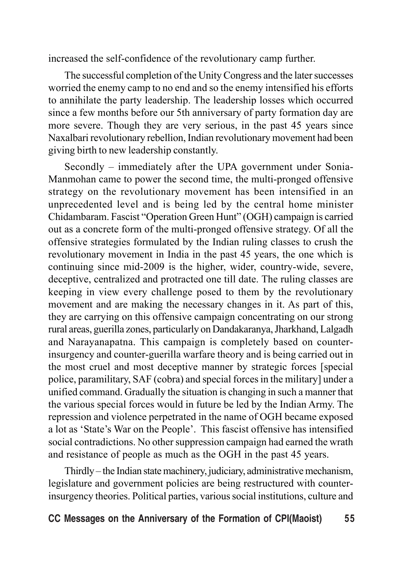increased the self-confidence of the revolutionary camp further.

The successful completion of the Unity Congress and the later successes worried the enemy camp to no end and so the enemy intensified his efforts to annihilate the party leadership. The leadership losses which occurred since a few months before our 5th anniversary of party formation day are more severe. Though they are very serious, in the past 45 years since Naxalbari revolutionary rebellion, Indian revolutionary movement had been giving birth to new leadership constantly.

Secondly – immediately after the UPA government under Sonia-Manmohan came to power the second time, the multi-pronged offensive strategy on the revolutionary movement has been intensified in an unprecedented level and is being led by the central home minister Chidambaram. Fascist "Operation Green Hunt" (OGH) campaign is carried out as a concrete form of the multi-pronged offensive strategy. Of all the offensive strategies formulated by the Indian ruling classes to crush the revolutionary movement in India in the past 45 years, the one which is continuing since mid-2009 is the higher, wider, country-wide, severe, deceptive, centralized and protracted one till date. The ruling classes are keeping in view every challenge posed to them by the revolutionary movement and are making the necessary changes in it. As part of this, they are carrying on this offensive campaign concentrating on our strong rural areas, guerilla zones, particularly on Dandakaranya, Jharkhand, Lalgadh and Narayanapatna. This campaign is completely based on counterinsurgency and counter-guerilla warfare theory and is being carried out in the most cruel and most deceptive manner by strategic forces [special police, paramilitary, SAF (cobra) and special forces in the military] under a unified command. Gradually the situation is changing in such a manner that the various special forces would in future be led by the Indian Army. The repression and violence perpetrated in the name of OGH became exposed a lot as 'State's War on the People'. This fascist offensive has intensified social contradictions. No other suppression campaign had earned the wrath and resistance of people as much as the OGH in the past 45 years.

Thirdly – the Indian state machinery, judiciary, administrative mechanism, legislature and government policies are being restructured with counterinsurgency theories. Political parties, various social institutions, culture and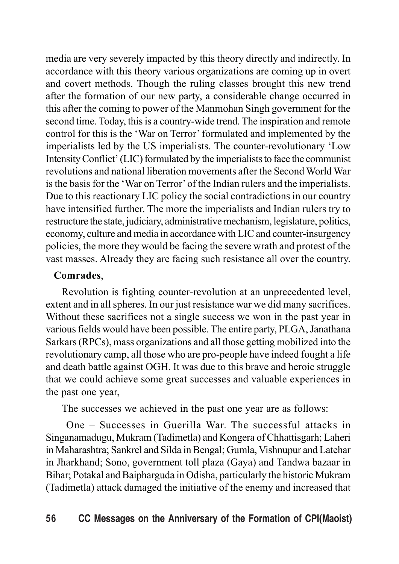media are very severely impacted by this theory directly and indirectly. In accordance with this theory various organizations are coming up in overt and covert methods. Though the ruling classes brought this new trend after the formation of our new party, a considerable change occurred in this after the coming to power of the Manmohan Singh government for the second time. Today, this is a country-wide trend. The inspiration and remote control for this is the 'War on Terror' formulated and implemented by the imperialists led by the US imperialists. The counter-revolutionary 'Low Intensity Conflict' (LIC) formulated by the imperialists to face the communist revolutions and national liberation movements after the Second World War is the basis for the 'War on Terror' of the Indian rulers and the imperialists. Due to this reactionary LIC policy the social contradictions in our country have intensified further. The more the imperialists and Indian rulers try to restructure the state, judiciary, administrative mechanism, legislature, politics, economy, culture and media in accordance with LIC and counter-insurgency policies, the more they would be facing the severe wrath and protest of the vast masses. Already they are facing such resistance all over the country.

### **Comrades**,

Revolution is fighting counter-revolution at an unprecedented level, extent and in all spheres. In our just resistance war we did many sacrifices. Without these sacrifices not a single success we won in the past year in various fields would have been possible. The entire party, PLGA, Janathana Sarkars (RPCs), mass organizations and all those getting mobilized into the revolutionary camp, all those who are pro-people have indeed fought a life and death battle against OGH. It was due to this brave and heroic struggle that we could achieve some great successes and valuable experiences in the past one year,

The successes we achieved in the past one year are as follows:

 One – Successes in Guerilla War. The successful attacks in Singanamadugu, Mukram (Tadimetla) and Kongera of Chhattisgarh; Laheri in Maharashtra; Sankrel and Silda in Bengal; Gumla, Vishnupur and Latehar in Jharkhand; Sono, government toll plaza (Gaya) and Tandwa bazaar in Bihar; Potakal and Baipharguda in Odisha, particularly the historic Mukram (Tadimetla) attack damaged the initiative of the enemy and increased that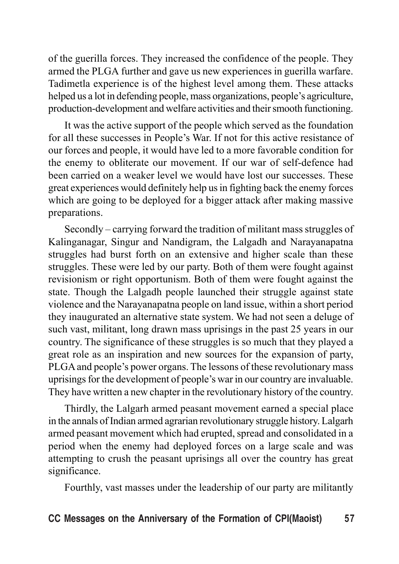of the guerilla forces. They increased the confidence of the people. They armed the PLGA further and gave us new experiences in guerilla warfare. Tadimetla experience is of the highest level among them. These attacks helped us a lot in defending people, mass organizations, people's agriculture, production-development and welfare activities and their smooth functioning.

It was the active support of the people which served as the foundation for all these successes in People's War. If not for this active resistance of our forces and people, it would have led to a more favorable condition for the enemy to obliterate our movement. If our war of self-defence had been carried on a weaker level we would have lost our successes. These great experiences would definitely help us in fighting back the enemy forces which are going to be deployed for a bigger attack after making massive preparations.

Secondly – carrying forward the tradition of militant mass struggles of Kalinganagar, Singur and Nandigram, the Lalgadh and Narayanapatna struggles had burst forth on an extensive and higher scale than these struggles. These were led by our party. Both of them were fought against revisionism or right opportunism. Both of them were fought against the state. Though the Lalgadh people launched their struggle against state violence and the Narayanapatna people on land issue, within a short period they inaugurated an alternative state system. We had not seen a deluge of such vast, militant, long drawn mass uprisings in the past 25 years in our country. The significance of these struggles is so much that they played a great role as an inspiration and new sources for the expansion of party, PLGA and people's power organs. The lessons of these revolutionary mass uprisings for the development of people's war in our country are invaluable. They have written a new chapter in the revolutionary history of the country.

Thirdly, the Lalgarh armed peasant movement earned a special place in the annals of Indian armed agrarian revolutionary struggle history. Lalgarh armed peasant movement which had erupted, spread and consolidated in a period when the enemy had deployed forces on a large scale and was attempting to crush the peasant uprisings all over the country has great significance.

Fourthly, vast masses under the leadership of our party are militantly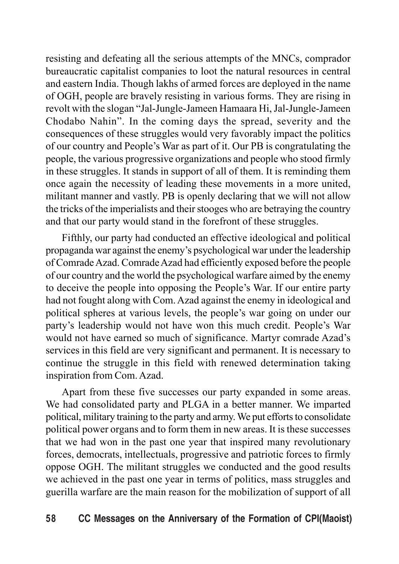resisting and defeating all the serious attempts of the MNCs, comprador bureaucratic capitalist companies to loot the natural resources in central and eastern India. Though lakhs of armed forces are deployed in the name of OGH, people are bravely resisting in various forms. They are rising in revolt with the slogan "Jal-Jungle-Jameen Hamaara Hi, Jal-Jungle-Jameen Chodabo Nahin". In the coming days the spread, severity and the consequences of these struggles would very favorably impact the politics of our country and People's War as part of it. Our PB is congratulating the people, the various progressive organizations and people who stood firmly in these struggles. It stands in support of all of them. It is reminding them once again the necessity of leading these movements in a more united, militant manner and vastly. PB is openly declaring that we will not allow the tricks of the imperialists and their stooges who are betraying the country and that our party would stand in the forefront of these struggles.

Fifthly, our party had conducted an effective ideological and political propaganda war against the enemy's psychological war under the leadership of Comrade Azad. Comrade Azad had efficiently exposed before the people of our country and the world the psychological warfare aimed by the enemy to deceive the people into opposing the People's War. If our entire party had not fought along with Com. Azad against the enemy in ideological and political spheres at various levels, the people's war going on under our party's leadership would not have won this much credit. People's War would not have earned so much of significance. Martyr comrade Azad's services in this field are very significant and permanent. It is necessary to continue the struggle in this field with renewed determination taking inspiration from Com. Azad.

Apart from these five successes our party expanded in some areas. We had consolidated party and PLGA in a better manner. We imparted political, military training to the party and army. We put efforts to consolidate political power organs and to form them in new areas. It is these successes that we had won in the past one year that inspired many revolutionary forces, democrats, intellectuals, progressive and patriotic forces to firmly oppose OGH. The militant struggles we conducted and the good results we achieved in the past one year in terms of politics, mass struggles and guerilla warfare are the main reason for the mobilization of support of all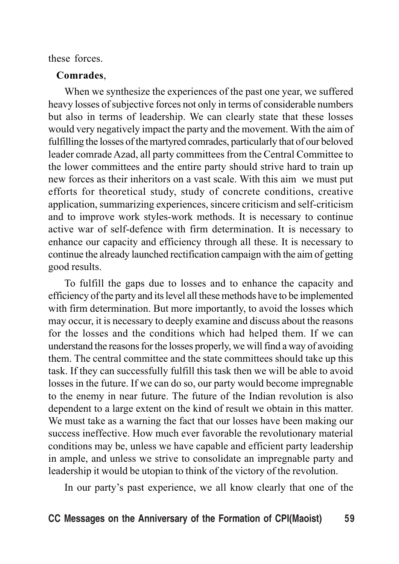these forces.

#### **Comrades**,

When we synthesize the experiences of the past one year, we suffered heavy losses of subjective forces not only in terms of considerable numbers but also in terms of leadership. We can clearly state that these losses would very negatively impact the party and the movement. With the aim of fulfilling the losses of the martyred comrades, particularly that of our beloved leader comrade Azad, all party committees from the Central Committee to the lower committees and the entire party should strive hard to train up new forces as their inheritors on a vast scale. With this aim we must put efforts for theoretical study, study of concrete conditions, creative application, summarizing experiences, sincere criticism and self-criticism and to improve work styles-work methods. It is necessary to continue active war of self-defence with firm determination. It is necessary to enhance our capacity and efficiency through all these. It is necessary to continue the already launched rectification campaign with the aim of getting good results.

To fulfill the gaps due to losses and to enhance the capacity and efficiency of the party and its level all these methods have to be implemented with firm determination. But more importantly, to avoid the losses which may occur, it is necessary to deeply examine and discuss about the reasons for the losses and the conditions which had helped them. If we can understand the reasons for the losses properly, we will find a way of avoiding them. The central committee and the state committees should take up this task. If they can successfully fulfill this task then we will be able to avoid losses in the future. If we can do so, our party would become impregnable to the enemy in near future. The future of the Indian revolution is also dependent to a large extent on the kind of result we obtain in this matter. We must take as a warning the fact that our losses have been making our success ineffective. How much ever favorable the revolutionary material conditions may be, unless we have capable and efficient party leadership in ample, and unless we strive to consolidate an impregnable party and leadership it would be utopian to think of the victory of the revolution.

In our party's past experience, we all know clearly that one of the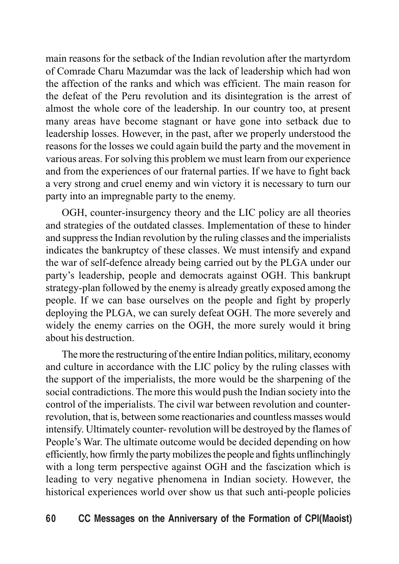main reasons for the setback of the Indian revolution after the martyrdom of Comrade Charu Mazumdar was the lack of leadership which had won the affection of the ranks and which was efficient. The main reason for the defeat of the Peru revolution and its disintegration is the arrest of almost the whole core of the leadership. In our country too, at present many areas have become stagnant or have gone into setback due to leadership losses. However, in the past, after we properly understood the reasons for the losses we could again build the party and the movement in various areas. For solving this problem we must learn from our experience and from the experiences of our fraternal parties. If we have to fight back a very strong and cruel enemy and win victory it is necessary to turn our party into an impregnable party to the enemy.

OGH, counter-insurgency theory and the LIC policy are all theories and strategies of the outdated classes. Implementation of these to hinder and suppress the Indian revolution by the ruling classes and the imperialists indicates the bankruptcy of these classes. We must intensify and expand the war of self-defence already being carried out by the PLGA under our party's leadership, people and democrats against OGH. This bankrupt strategy-plan followed by the enemy is already greatly exposed among the people. If we can base ourselves on the people and fight by properly deploying the PLGA, we can surely defeat OGH. The more severely and widely the enemy carries on the OGH, the more surely would it bring about his destruction.

The more the restructuring of the entire Indian politics, military, economy and culture in accordance with the LIC policy by the ruling classes with the support of the imperialists, the more would be the sharpening of the social contradictions. The more this would push the Indian society into the control of the imperialists. The civil war between revolution and counterrevolution, that is, between some reactionaries and countless masses would intensify. Ultimately counter- revolution will be destroyed by the flames of People's War. The ultimate outcome would be decided depending on how efficiently, how firmly the party mobilizes the people and fights unflinchingly with a long term perspective against OGH and the fascization which is leading to very negative phenomena in Indian society. However, the historical experiences world over show us that such anti-people policies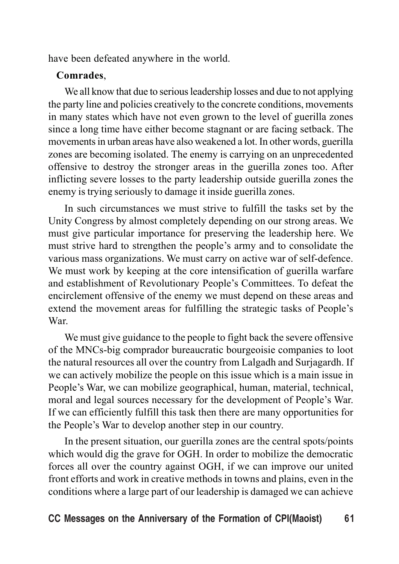have been defeated anywhere in the world.

#### **Comrades**,

We all know that due to serious leadership losses and due to not applying the party line and policies creatively to the concrete conditions, movements in many states which have not even grown to the level of guerilla zones since a long time have either become stagnant or are facing setback. The movements in urban areas have also weakened a lot. In other words, guerilla zones are becoming isolated. The enemy is carrying on an unprecedented offensive to destroy the stronger areas in the guerilla zones too. After inflicting severe losses to the party leadership outside guerilla zones the enemy is trying seriously to damage it inside guerilla zones.

In such circumstances we must strive to fulfill the tasks set by the Unity Congress by almost completely depending on our strong areas. We must give particular importance for preserving the leadership here. We must strive hard to strengthen the people's army and to consolidate the various mass organizations. We must carry on active war of self-defence. We must work by keeping at the core intensification of guerilla warfare and establishment of Revolutionary People's Committees. To defeat the encirclement offensive of the enemy we must depend on these areas and extend the movement areas for fulfilling the strategic tasks of People's War.

We must give guidance to the people to fight back the severe offensive of the MNCs-big comprador bureaucratic bourgeoisie companies to loot the natural resources all over the country from Lalgadh and Surjagardh. If we can actively mobilize the people on this issue which is a main issue in People's War, we can mobilize geographical, human, material, technical, moral and legal sources necessary for the development of People's War. If we can efficiently fulfill this task then there are many opportunities for the People's War to develop another step in our country.

In the present situation, our guerilla zones are the central spots/points which would dig the grave for OGH. In order to mobilize the democratic forces all over the country against OGH, if we can improve our united front efforts and work in creative methods in towns and plains, even in the conditions where a large part of our leadership is damaged we can achieve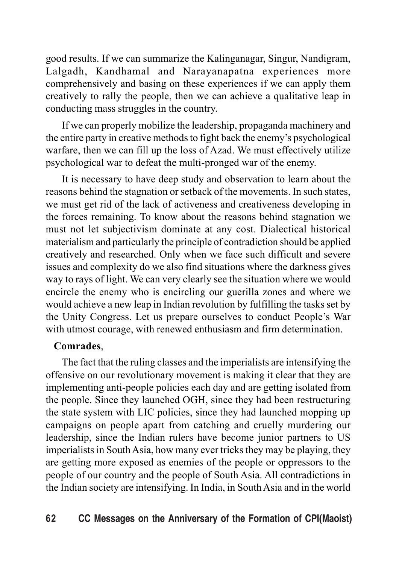good results. If we can summarize the Kalinganagar, Singur, Nandigram, Lalgadh, Kandhamal and Narayanapatna experiences more comprehensively and basing on these experiences if we can apply them creatively to rally the people, then we can achieve a qualitative leap in conducting mass struggles in the country.

If we can properly mobilize the leadership, propaganda machinery and the entire party in creative methods to fight back the enemy's psychological warfare, then we can fill up the loss of Azad. We must effectively utilize psychological war to defeat the multi-pronged war of the enemy.

It is necessary to have deep study and observation to learn about the reasons behind the stagnation or setback of the movements. In such states, we must get rid of the lack of activeness and creativeness developing in the forces remaining. To know about the reasons behind stagnation we must not let subjectivism dominate at any cost. Dialectical historical materialism and particularly the principle of contradiction should be applied creatively and researched. Only when we face such difficult and severe issues and complexity do we also find situations where the darkness gives way to rays of light. We can very clearly see the situation where we would encircle the enemy who is encircling our guerilla zones and where we would achieve a new leap in Indian revolution by fulfilling the tasks set by the Unity Congress. Let us prepare ourselves to conduct People's War with utmost courage, with renewed enthusiasm and firm determination.

### **Comrades**,

The fact that the ruling classes and the imperialists are intensifying the offensive on our revolutionary movement is making it clear that they are implementing anti-people policies each day and are getting isolated from the people. Since they launched OGH, since they had been restructuring the state system with LIC policies, since they had launched mopping up campaigns on people apart from catching and cruelly murdering our leadership, since the Indian rulers have become junior partners to US imperialists in South Asia, how many ever tricks they may be playing, they are getting more exposed as enemies of the people or oppressors to the people of our country and the people of South Asia. All contradictions in the Indian society are intensifying. In India, in South Asia and in the world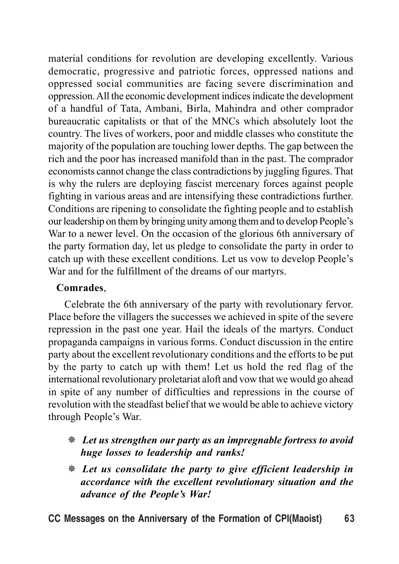material conditions for revolution are developing excellently. Various democratic, progressive and patriotic forces, oppressed nations and oppressed social communities are facing severe discrimination and oppression. All the economic development indices indicate the development of a handful of Tata, Ambani, Birla, Mahindra and other comprador bureaucratic capitalists or that of the MNCs which absolutely loot the country. The lives of workers, poor and middle classes who constitute the majority of the population are touching lower depths. The gap between the rich and the poor has increased manifold than in the past. The comprador economists cannot change the class contradictions by juggling figures. That is why the rulers are deploying fascist mercenary forces against people fighting in various areas and are intensifying these contradictions further. Conditions are ripening to consolidate the fighting people and to establish our leadership on them by bringing unity among them and to develop People's War to a newer level. On the occasion of the glorious 6th anniversary of the party formation day, let us pledge to consolidate the party in order to catch up with these excellent conditions. Let us vow to develop People's War and for the fulfillment of the dreams of our martyrs.

### **Comrades**,

Celebrate the 6th anniversary of the party with revolutionary fervor. Place before the villagers the successes we achieved in spite of the severe repression in the past one year. Hail the ideals of the martyrs. Conduct propaganda campaigns in various forms. Conduct discussion in the entire party about the excellent revolutionary conditions and the efforts to be put by the party to catch up with them! Let us hold the red flag of the international revolutionary proletariat aloft and vow that we would go ahead in spite of any number of difficulties and repressions in the course of revolution with the steadfast belief that we would be able to achieve victory through People's War.

- *Let us strengthen our party as an impregnable fortress to avoid huge losses to leadership and ranks!*
- *Let us consolidate the party to give efficient leadership in accordance with the excellent revolutionary situation and the advance of the People's War!*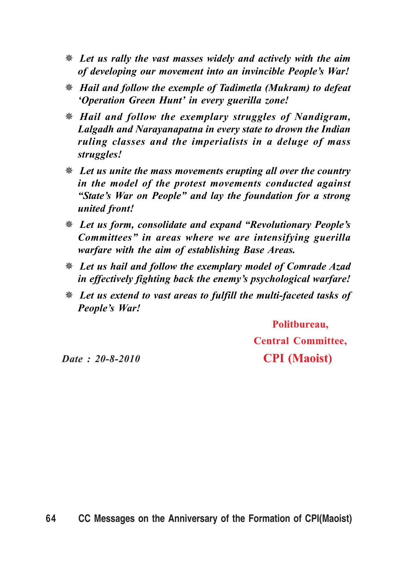- *Let us rally the vast masses widely and actively with the aim of developing our movement into an invincible People's War!*
- *Hail and follow the exemple of Tadimetla (Mukram) to defeat 'Operation Green Hunt' in every guerilla zone!*
- *Hail and follow the exemplary struggles of Nandigram, Lalgadh and Narayanapatna in every state to drown the Indian ruling classes and the imperialists in a deluge of mass struggles!*
- *Let us unite the mass movements erupting all over the country in the model of the protest movements conducted against "State's War on People" and lay the foundation for a strong united front!*
- *Let us form, consolidate and expand "Revolutionary People's Committees" in areas where we are intensifying guerilla warfare with the aim of establishing Base Areas.*
- *Let us hail and follow the exemplary model of Comrade Azad in effectively fighting back the enemy's psychological warfare!*
- *Let us extend to vast areas to fulfill the multi-faceted tasks of People's War!*

**Politbureau, Central Committee,** *Date : 20-8-2010* **CPI (Maoist)**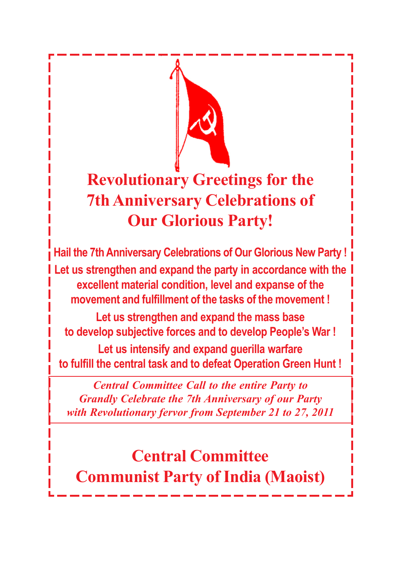# **Revolutionary Greetings for the 7th Anniversary Celebrations of Our Glorious Party!**

**Hail the 7th Anniversary Celebrations of Our Glorious New Party ! Let us strengthen and expand the party in accordance with the excellent material condition, level and expanse of the movement and fulfillment of the tasks of the movement !**

**Let us strengthen and expand the mass base to develop subjective forces and to develop People's War !**

**Let us intensify and expand guerilla warfare to fulfill the central task and to defeat Operation Green Hunt !**

*Central Committee Call to the entire Party to Grandly Celebrate the 7th Anniversary of our Party with Revolutionary fervor from September 21 to 27, 2011*

**Central Committee Communist Party of India (Maoist)**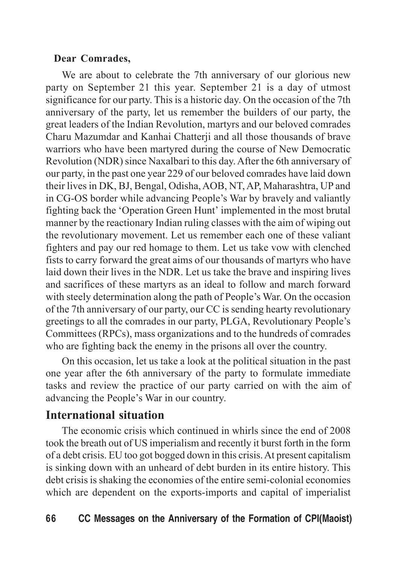### **Dear Comrades,**

We are about to celebrate the 7th anniversary of our glorious new party on September 21 this year. September 21 is a day of utmost significance for our party. This is a historic day. On the occasion of the 7th anniversary of the party, let us remember the builders of our party, the great leaders of the Indian Revolution, martyrs and our beloved comrades Charu Mazumdar and Kanhai Chatterji and all those thousands of brave warriors who have been martyred during the course of New Democratic Revolution (NDR) since Naxalbari to this day. After the 6th anniversary of our party, in the past one year 229 of our beloved comrades have laid down their lives in DK, BJ, Bengal, Odisha, AOB, NT, AP, Maharashtra, UP and in CG-OS border while advancing People's War by bravely and valiantly fighting back the 'Operation Green Hunt' implemented in the most brutal manner by the reactionary Indian ruling classes with the aim of wiping out the revolutionary movement. Let us remember each one of these valiant fighters and pay our red homage to them. Let us take vow with clenched fists to carry forward the great aims of our thousands of martyrs who have laid down their lives in the NDR. Let us take the brave and inspiring lives and sacrifices of these martyrs as an ideal to follow and march forward with steely determination along the path of People's War. On the occasion of the 7th anniversary of our party, our CC is sending hearty revolutionary greetings to all the comrades in our party, PLGA, Revolutionary People's Committees (RPCs), mass organizations and to the hundreds of comrades who are fighting back the enemy in the prisons all over the country.

On this occasion, let us take a look at the political situation in the past one year after the 6th anniversary of the party to formulate immediate tasks and review the practice of our party carried on with the aim of advancing the People's War in our country.

### **International situation**

The economic crisis which continued in whirls since the end of 2008 took the breath out of US imperialism and recently it burst forth in the form of a debt crisis. EU too got bogged down in this crisis. At present capitalism is sinking down with an unheard of debt burden in its entire history. This debt crisis is shaking the economies of the entire semi-colonial economies which are dependent on the exports-imports and capital of imperialist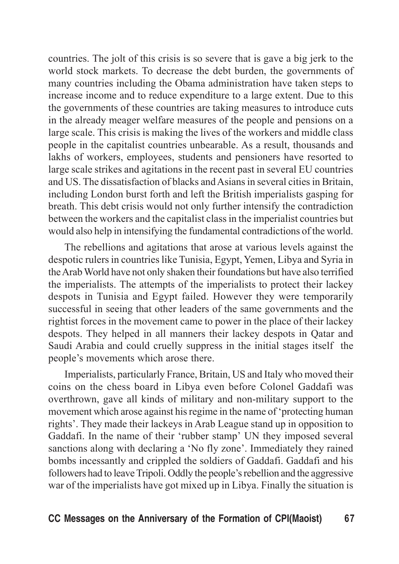countries. The jolt of this crisis is so severe that is gave a big jerk to the world stock markets. To decrease the debt burden, the governments of many countries including the Obama administration have taken steps to increase income and to reduce expenditure to a large extent. Due to this the governments of these countries are taking measures to introduce cuts in the already meager welfare measures of the people and pensions on a large scale. This crisis is making the lives of the workers and middle class people in the capitalist countries unbearable. As a result, thousands and lakhs of workers, employees, students and pensioners have resorted to large scale strikes and agitations in the recent past in several EU countries and US. The dissatisfaction of blacks and Asians in several cities in Britain, including London burst forth and left the British imperialists gasping for breath. This debt crisis would not only further intensify the contradiction between the workers and the capitalist class in the imperialist countries but would also help in intensifying the fundamental contradictions of the world.

The rebellions and agitations that arose at various levels against the despotic rulers in countries like Tunisia, Egypt, Yemen, Libya and Syria in the Arab World have not only shaken their foundations but have also terrified the imperialists. The attempts of the imperialists to protect their lackey despots in Tunisia and Egypt failed. However they were temporarily successful in seeing that other leaders of the same governments and the rightist forces in the movement came to power in the place of their lackey despots. They helped in all manners their lackey despots in Qatar and Saudi Arabia and could cruelly suppress in the initial stages itself the people's movements which arose there.

Imperialists, particularly France, Britain, US and Italy who moved their coins on the chess board in Libya even before Colonel Gaddafi was overthrown, gave all kinds of military and non-military support to the movement which arose against his regime in the name of 'protecting human rights'. They made their lackeys in Arab League stand up in opposition to Gaddafi. In the name of their 'rubber stamp' UN they imposed several sanctions along with declaring a 'No fly zone'. Immediately they rained bombs incessantly and crippled the soldiers of Gaddafi. Gaddafi and his followers had to leave Tripoli. Oddly the people's rebellion and the aggressive war of the imperialists have got mixed up in Libya. Finally the situation is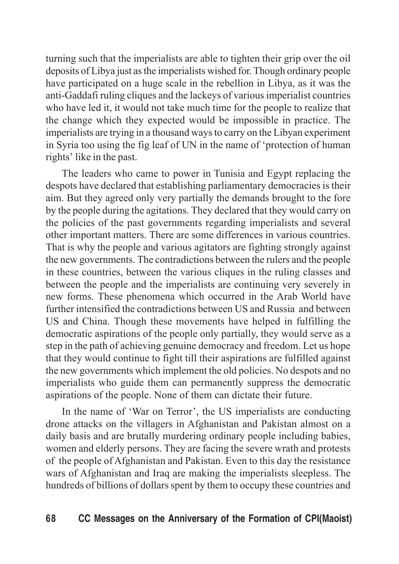turning such that the imperialists are able to tighten their grip over the oil deposits of Libya just as the imperialists wished for. Though ordinary people have participated on a huge scale in the rebellion in Libya, as it was the anti-Gaddafi ruling cliques and the lackeys of various imperialist countries who have led it, it would not take much time for the people to realize that the change which they expected would be impossible in practice. The imperialists are trying in a thousand ways to carry on the Libyan experiment in Syria too using the fig leaf of UN in the name of 'protection of human rights' like in the past.

The leaders who came to power in Tunisia and Egypt replacing the despots have declared that establishing parliamentary democracies is their aim. But they agreed only very partially the demands brought to the fore by the people during the agitations. They declared that they would carry on the policies of the past governments regarding imperialists and several other important matters. There are some differences in various countries. That is why the people and various agitators are fighting strongly against the new governments. The contradictions between the rulers and the people in these countries, between the various cliques in the ruling classes and between the people and the imperialists are continuing very severely in new forms. These phenomena which occurred in the Arab World have further intensified the contradictions between US and Russia and between US and China. Though these movements have helped in fulfilling the democratic aspirations of the people only partially, they would serve as a step in the path of achieving genuine democracy and freedom. Let us hope that they would continue to fight till their aspirations are fulfilled against the new governments which implement the old policies. No despots and no imperialists who guide them can permanently suppress the democratic aspirations of the people. None of them can dictate their future.

In the name of 'War on Terror', the US imperialists are conducting drone attacks on the villagers in Afghanistan and Pakistan almost on a daily basis and are brutally murdering ordinary people including babies, women and elderly persons. They are facing the severe wrath and protests of the people of Afghanistan and Pakistan. Even to this day the resistance wars of Afghanistan and Iraq are making the imperialists sleepless. The hundreds of billions of dollars spent by them to occupy these countries and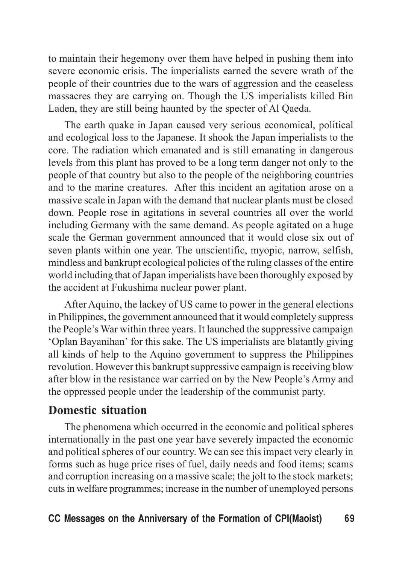to maintain their hegemony over them have helped in pushing them into severe economic crisis. The imperialists earned the severe wrath of the people of their countries due to the wars of aggression and the ceaseless massacres they are carrying on. Though the US imperialists killed Bin Laden, they are still being haunted by the specter of Al Qaeda.

The earth quake in Japan caused very serious economical, political and ecological loss to the Japanese. It shook the Japan imperialists to the core. The radiation which emanated and is still emanating in dangerous levels from this plant has proved to be a long term danger not only to the people of that country but also to the people of the neighboring countries and to the marine creatures. After this incident an agitation arose on a massive scale in Japan with the demand that nuclear plants must be closed down. People rose in agitations in several countries all over the world including Germany with the same demand. As people agitated on a huge scale the German government announced that it would close six out of seven plants within one year. The unscientific, myopic, narrow, selfish, mindless and bankrupt ecological policies of the ruling classes of the entire world including that of Japan imperialists have been thoroughly exposed by the accident at Fukushima nuclear power plant.

After Aquino, the lackey of US came to power in the general elections in Philippines, the government announced that it would completely suppress the People's War within three years. It launched the suppressive campaign 'Oplan Bayanihan' for this sake. The US imperialists are blatantly giving all kinds of help to the Aquino government to suppress the Philippines revolution. However this bankrupt suppressive campaign is receiving blow after blow in the resistance war carried on by the New People's Army and the oppressed people under the leadership of the communist party.

### **Domestic situation**

The phenomena which occurred in the economic and political spheres internationally in the past one year have severely impacted the economic and political spheres of our country. We can see this impact very clearly in forms such as huge price rises of fuel, daily needs and food items; scams and corruption increasing on a massive scale; the jolt to the stock markets; cuts in welfare programmes; increase in the number of unemployed persons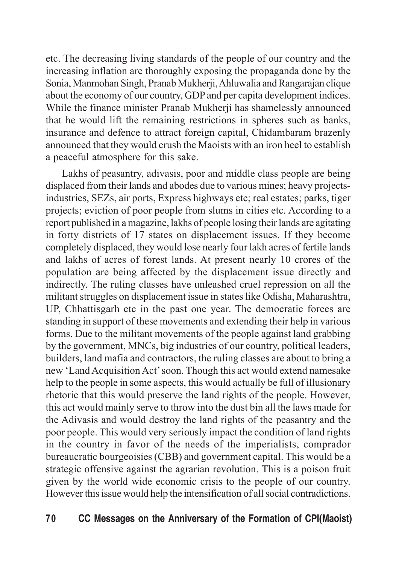etc. The decreasing living standards of the people of our country and the increasing inflation are thoroughly exposing the propaganda done by the Sonia, Manmohan Singh, Pranab Mukherji, Ahluwalia and Rangarajan clique about the economy of our country, GDP and per capita development indices. While the finance minister Pranab Mukherji has shamelessly announced that he would lift the remaining restrictions in spheres such as banks, insurance and defence to attract foreign capital, Chidambaram brazenly announced that they would crush the Maoists with an iron heel to establish a peaceful atmosphere for this sake.

Lakhs of peasantry, adivasis, poor and middle class people are being displaced from their lands and abodes due to various mines; heavy projectsindustries, SEZs, air ports, Express highways etc; real estates; parks, tiger projects; eviction of poor people from slums in cities etc. According to a report published in a magazine, lakhs of people losing their lands are agitating in forty districts of 17 states on displacement issues. If they become completely displaced, they would lose nearly four lakh acres of fertile lands and lakhs of acres of forest lands. At present nearly 10 crores of the population are being affected by the displacement issue directly and indirectly. The ruling classes have unleashed cruel repression on all the militant struggles on displacement issue in states like Odisha, Maharashtra, UP, Chhattisgarh etc in the past one year. The democratic forces are standing in support of these movements and extending their help in various forms. Due to the militant movements of the people against land grabbing by the government, MNCs, big industries of our country, political leaders, builders, land mafia and contractors, the ruling classes are about to bring a new 'Land Acquisition Act' soon. Though this act would extend namesake help to the people in some aspects, this would actually be full of illusionary rhetoric that this would preserve the land rights of the people. However, this act would mainly serve to throw into the dust bin all the laws made for the Adivasis and would destroy the land rights of the peasantry and the poor people. This would very seriously impact the condition of land rights in the country in favor of the needs of the imperialists, comprador bureaucratic bourgeoisies (CBB) and government capital. This would be a strategic offensive against the agrarian revolution. This is a poison fruit given by the world wide economic crisis to the people of our country. However this issue would help the intensification of all social contradictions.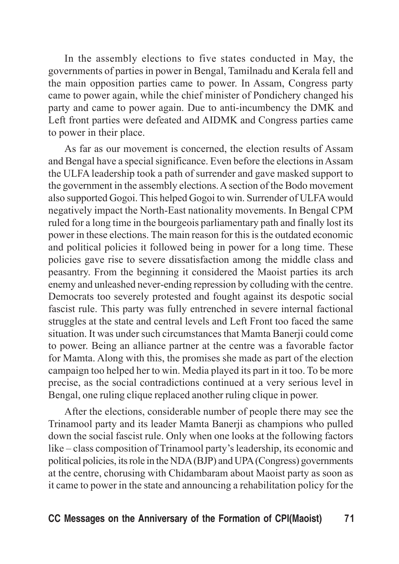In the assembly elections to five states conducted in May, the governments of parties in power in Bengal, Tamilnadu and Kerala fell and the main opposition parties came to power. In Assam, Congress party came to power again, while the chief minister of Pondichery changed his party and came to power again. Due to anti-incumbency the DMK and Left front parties were defeated and AIDMK and Congress parties came to power in their place.

As far as our movement is concerned, the election results of Assam and Bengal have a special significance. Even before the elections in Assam the ULFA leadership took a path of surrender and gave masked support to the government in the assembly elections. A section of the Bodo movement also supported Gogoi. This helped Gogoi to win. Surrender of ULFA would negatively impact the North-East nationality movements. In Bengal CPM ruled for a long time in the bourgeois parliamentary path and finally lost its power in these elections. The main reason for this is the outdated economic and political policies it followed being in power for a long time. These policies gave rise to severe dissatisfaction among the middle class and peasantry. From the beginning it considered the Maoist parties its arch enemy and unleashed never-ending repression by colluding with the centre. Democrats too severely protested and fought against its despotic social fascist rule. This party was fully entrenched in severe internal factional struggles at the state and central levels and Left Front too faced the same situation. It was under such circumstances that Mamta Banerji could come to power. Being an alliance partner at the centre was a favorable factor for Mamta. Along with this, the promises she made as part of the election campaign too helped her to win. Media played its part in it too. To be more precise, as the social contradictions continued at a very serious level in Bengal, one ruling clique replaced another ruling clique in power.

After the elections, considerable number of people there may see the Trinamool party and its leader Mamta Banerji as champions who pulled down the social fascist rule. Only when one looks at the following factors like – class composition of Trinamool party's leadership, its economic and political policies, its role in the NDA (BJP) and UPA (Congress) governments at the centre, chorusing with Chidambaram about Maoist party as soon as it came to power in the state and announcing a rehabilitation policy for the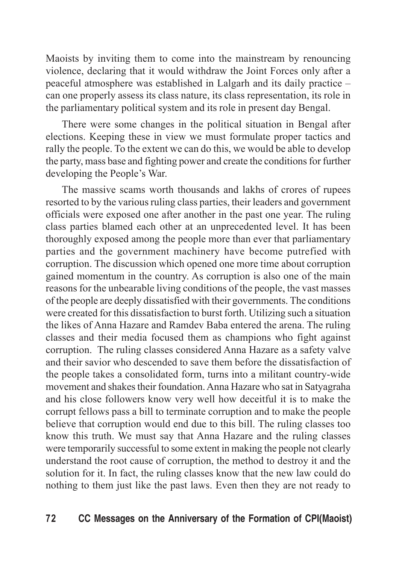Maoists by inviting them to come into the mainstream by renouncing violence, declaring that it would withdraw the Joint Forces only after a peaceful atmosphere was established in Lalgarh and its daily practice – can one properly assess its class nature, its class representation, its role in the parliamentary political system and its role in present day Bengal.

There were some changes in the political situation in Bengal after elections. Keeping these in view we must formulate proper tactics and rally the people. To the extent we can do this, we would be able to develop the party, mass base and fighting power and create the conditions for further developing the People's War.

The massive scams worth thousands and lakhs of crores of rupees resorted to by the various ruling class parties, their leaders and government officials were exposed one after another in the past one year. The ruling class parties blamed each other at an unprecedented level. It has been thoroughly exposed among the people more than ever that parliamentary parties and the government machinery have become putrefied with corruption. The discussion which opened one more time about corruption gained momentum in the country. As corruption is also one of the main reasons for the unbearable living conditions of the people, the vast masses of the people are deeply dissatisfied with their governments. The conditions were created for this dissatisfaction to burst forth. Utilizing such a situation the likes of Anna Hazare and Ramdev Baba entered the arena. The ruling classes and their media focused them as champions who fight against corruption. The ruling classes considered Anna Hazare as a safety valve and their savior who descended to save them before the dissatisfaction of the people takes a consolidated form, turns into a militant country-wide movement and shakes their foundation. Anna Hazare who sat in Satyagraha and his close followers know very well how deceitful it is to make the corrupt fellows pass a bill to terminate corruption and to make the people believe that corruption would end due to this bill. The ruling classes too know this truth. We must say that Anna Hazare and the ruling classes were temporarily successful to some extent in making the people not clearly understand the root cause of corruption, the method to destroy it and the solution for it. In fact, the ruling classes know that the new law could do nothing to them just like the past laws. Even then they are not ready to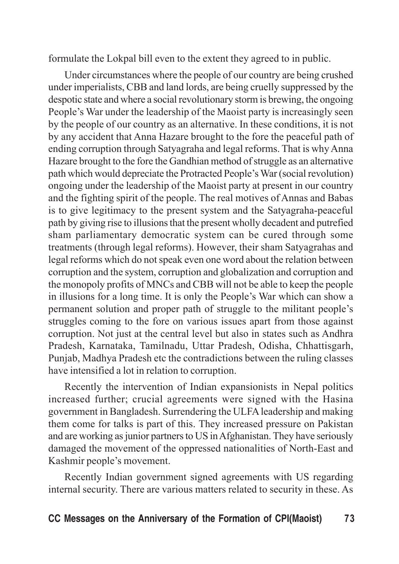formulate the Lokpal bill even to the extent they agreed to in public.

Under circumstances where the people of our country are being crushed under imperialists, CBB and land lords, are being cruelly suppressed by the despotic state and where a social revolutionary storm is brewing, the ongoing People's War under the leadership of the Maoist party is increasingly seen by the people of our country as an alternative. In these conditions, it is not by any accident that Anna Hazare brought to the fore the peaceful path of ending corruption through Satyagraha and legal reforms. That is why Anna Hazare brought to the fore the Gandhian method of struggle as an alternative path which would depreciate the Protracted People's War (social revolution) ongoing under the leadership of the Maoist party at present in our country and the fighting spirit of the people. The real motives of Annas and Babas is to give legitimacy to the present system and the Satyagraha-peaceful path by giving rise to illusions that the present wholly decadent and putrefied sham parliamentary democratic system can be cured through some treatments (through legal reforms). However, their sham Satyagrahas and legal reforms which do not speak even one word about the relation between corruption and the system, corruption and globalization and corruption and the monopoly profits of MNCs and CBB will not be able to keep the people in illusions for a long time. It is only the People's War which can show a permanent solution and proper path of struggle to the militant people's struggles coming to the fore on various issues apart from those against corruption. Not just at the central level but also in states such as Andhra Pradesh, Karnataka, Tamilnadu, Uttar Pradesh, Odisha, Chhattisgarh, Punjab, Madhya Pradesh etc the contradictions between the ruling classes have intensified a lot in relation to corruption.

Recently the intervention of Indian expansionists in Nepal politics increased further; crucial agreements were signed with the Hasina government in Bangladesh. Surrendering the ULFA leadership and making them come for talks is part of this. They increased pressure on Pakistan and are working as junior partners to US in Afghanistan. They have seriously damaged the movement of the oppressed nationalities of North-East and Kashmir people's movement.

Recently Indian government signed agreements with US regarding internal security. There are various matters related to security in these. As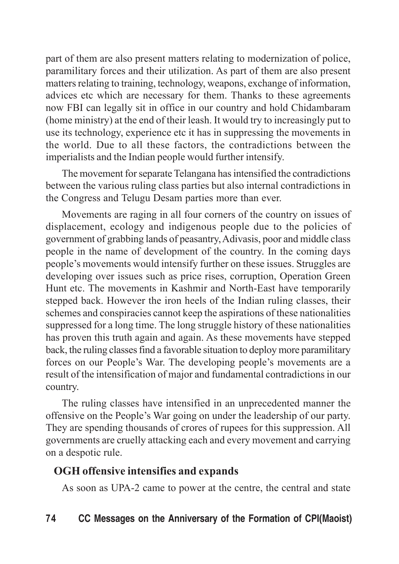part of them are also present matters relating to modernization of police, paramilitary forces and their utilization. As part of them are also present matters relating to training, technology, weapons, exchange of information, advices etc which are necessary for them. Thanks to these agreements now FBI can legally sit in office in our country and hold Chidambaram (home ministry) at the end of their leash. It would try to increasingly put to use its technology, experience etc it has in suppressing the movements in the world. Due to all these factors, the contradictions between the imperialists and the Indian people would further intensify.

The movement for separate Telangana has intensified the contradictions between the various ruling class parties but also internal contradictions in the Congress and Telugu Desam parties more than ever.

Movements are raging in all four corners of the country on issues of displacement, ecology and indigenous people due to the policies of government of grabbing lands of peasantry, Adivasis, poor and middle class people in the name of development of the country. In the coming days people's movements would intensify further on these issues. Struggles are developing over issues such as price rises, corruption, Operation Green Hunt etc. The movements in Kashmir and North-East have temporarily stepped back. However the iron heels of the Indian ruling classes, their schemes and conspiracies cannot keep the aspirations of these nationalities suppressed for a long time. The long struggle history of these nationalities has proven this truth again and again. As these movements have stepped back, the ruling classes find a favorable situation to deploy more paramilitary forces on our People's War. The developing people's movements are a result of the intensification of major and fundamental contradictions in our country.

The ruling classes have intensified in an unprecedented manner the offensive on the People's War going on under the leadership of our party. They are spending thousands of crores of rupees for this suppression. All governments are cruelly attacking each and every movement and carrying on a despotic rule.

#### **OGH offensive intensifies and expands**

As soon as UPA-2 came to power at the centre, the central and state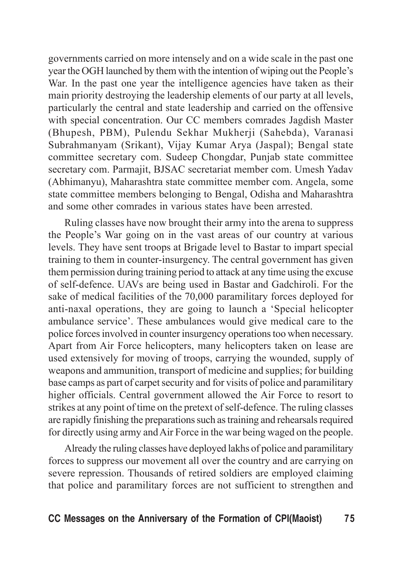governments carried on more intensely and on a wide scale in the past one year the OGH launched by them with the intention of wiping out the People's War. In the past one year the intelligence agencies have taken as their main priority destroying the leadership elements of our party at all levels, particularly the central and state leadership and carried on the offensive with special concentration. Our CC members comrades Jagdish Master (Bhupesh, PBM), Pulendu Sekhar Mukherji (Sahebda), Varanasi Subrahmanyam (Srikant), Vijay Kumar Arya (Jaspal); Bengal state committee secretary com. Sudeep Chongdar, Punjab state committee secretary com. Parmajit, BJSAC secretariat member com. Umesh Yadav (Abhimanyu), Maharashtra state committee member com. Angela, some state committee members belonging to Bengal, Odisha and Maharashtra and some other comrades in various states have been arrested.

Ruling classes have now brought their army into the arena to suppress the People's War going on in the vast areas of our country at various levels. They have sent troops at Brigade level to Bastar to impart special training to them in counter-insurgency. The central government has given them permission during training period to attack at any time using the excuse of self-defence. UAVs are being used in Bastar and Gadchiroli. For the sake of medical facilities of the 70,000 paramilitary forces deployed for anti-naxal operations, they are going to launch a 'Special helicopter ambulance service'. These ambulances would give medical care to the police forces involved in counter insurgency operations too when necessary. Apart from Air Force helicopters, many helicopters taken on lease are used extensively for moving of troops, carrying the wounded, supply of weapons and ammunition, transport of medicine and supplies; for building base camps as part of carpet security and for visits of police and paramilitary higher officials. Central government allowed the Air Force to resort to strikes at any point of time on the pretext of self-defence. The ruling classes are rapidly finishing the preparations such as training and rehearsals required for directly using army and Air Force in the war being waged on the people.

Already the ruling classes have deployed lakhs of police and paramilitary forces to suppress our movement all over the country and are carrying on severe repression. Thousands of retired soldiers are employed claiming that police and paramilitary forces are not sufficient to strengthen and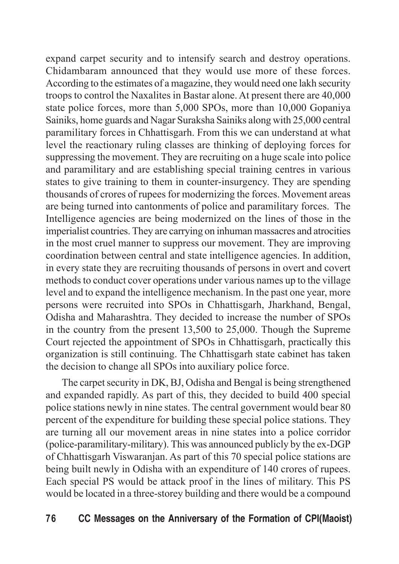expand carpet security and to intensify search and destroy operations. Chidambaram announced that they would use more of these forces. According to the estimates of a magazine, they would need one lakh security troops to control the Naxalites in Bastar alone. At present there are 40,000 state police forces, more than 5,000 SPOs, more than 10,000 Gopaniya Sainiks, home guards and Nagar Suraksha Sainiks along with 25,000 central paramilitary forces in Chhattisgarh. From this we can understand at what level the reactionary ruling classes are thinking of deploying forces for suppressing the movement. They are recruiting on a huge scale into police and paramilitary and are establishing special training centres in various states to give training to them in counter-insurgency. They are spending thousands of crores of rupees for modernizing the forces. Movement areas are being turned into cantonments of police and paramilitary forces. The Intelligence agencies are being modernized on the lines of those in the imperialist countries. They are carrying on inhuman massacres and atrocities in the most cruel manner to suppress our movement. They are improving coordination between central and state intelligence agencies. In addition, in every state they are recruiting thousands of persons in overt and covert methods to conduct cover operations under various names up to the village level and to expand the intelligence mechanism. In the past one year, more persons were recruited into SPOs in Chhattisgarh, Jharkhand, Bengal, Odisha and Maharashtra. They decided to increase the number of SPOs in the country from the present 13,500 to 25,000. Though the Supreme Court rejected the appointment of SPOs in Chhattisgarh, practically this organization is still continuing. The Chhattisgarh state cabinet has taken the decision to change all SPOs into auxiliary police force.

The carpet security in DK, BJ, Odisha and Bengal is being strengthened and expanded rapidly. As part of this, they decided to build 400 special police stations newly in nine states. The central government would bear 80 percent of the expenditure for building these special police stations. They are turning all our movement areas in nine states into a police corridor (police-paramilitary-military). This was announced publicly by the ex-DGP of Chhattisgarh Viswaranjan. As part of this 70 special police stations are being built newly in Odisha with an expenditure of 140 crores of rupees. Each special PS would be attack proof in the lines of military. This PS would be located in a three-storey building and there would be a compound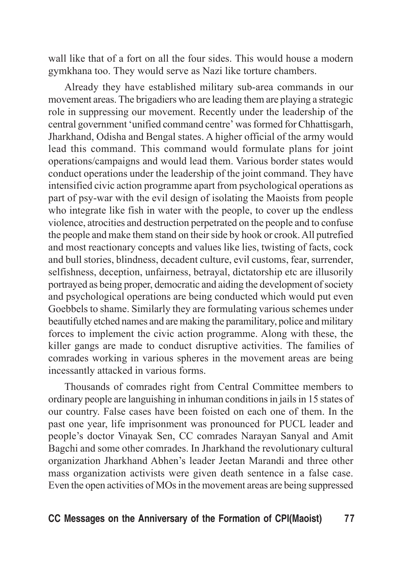wall like that of a fort on all the four sides. This would house a modern gymkhana too. They would serve as Nazi like torture chambers.

Already they have established military sub-area commands in our movement areas. The brigadiers who are leading them are playing a strategic role in suppressing our movement. Recently under the leadership of the central government 'unified command centre' was formed for Chhattisgarh, Jharkhand, Odisha and Bengal states. A higher official of the army would lead this command. This command would formulate plans for joint operations/campaigns and would lead them. Various border states would conduct operations under the leadership of the joint command. They have intensified civic action programme apart from psychological operations as part of psy-war with the evil design of isolating the Maoists from people who integrate like fish in water with the people, to cover up the endless violence, atrocities and destruction perpetrated on the people and to confuse the people and make them stand on their side by hook or crook. All putrefied and most reactionary concepts and values like lies, twisting of facts, cock and bull stories, blindness, decadent culture, evil customs, fear, surrender, selfishness, deception, unfairness, betrayal, dictatorship etc are illusorily portrayed as being proper, democratic and aiding the development of society and psychological operations are being conducted which would put even Goebbels to shame. Similarly they are formulating various schemes under beautifully etched names and are making the paramilitary, police and military forces to implement the civic action programme. Along with these, the killer gangs are made to conduct disruptive activities. The families of comrades working in various spheres in the movement areas are being incessantly attacked in various forms.

Thousands of comrades right from Central Committee members to ordinary people are languishing in inhuman conditions in jails in 15 states of our country. False cases have been foisted on each one of them. In the past one year, life imprisonment was pronounced for PUCL leader and people's doctor Vinayak Sen, CC comrades Narayan Sanyal and Amit Bagchi and some other comrades. In Jharkhand the revolutionary cultural organization Jharkhand Abhen's leader Jeetan Marandi and three other mass organization activists were given death sentence in a false case. Even the open activities of MOs in the movement areas are being suppressed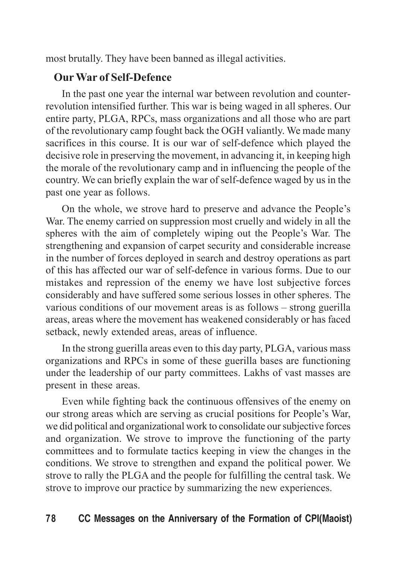most brutally. They have been banned as illegal activities.

# **Our War of Self-Defence**

In the past one year the internal war between revolution and counterrevolution intensified further. This war is being waged in all spheres. Our entire party, PLGA, RPCs, mass organizations and all those who are part of the revolutionary camp fought back the OGH valiantly. We made many sacrifices in this course. It is our war of self-defence which played the decisive role in preserving the movement, in advancing it, in keeping high the morale of the revolutionary camp and in influencing the people of the country. We can briefly explain the war of self-defence waged by us in the past one year as follows.

On the whole, we strove hard to preserve and advance the People's War. The enemy carried on suppression most cruelly and widely in all the spheres with the aim of completely wiping out the People's War. The strengthening and expansion of carpet security and considerable increase in the number of forces deployed in search and destroy operations as part of this has affected our war of self-defence in various forms. Due to our mistakes and repression of the enemy we have lost subjective forces considerably and have suffered some serious losses in other spheres. The various conditions of our movement areas is as follows – strong guerilla areas, areas where the movement has weakened considerably or has faced setback, newly extended areas, areas of influence.

In the strong guerilla areas even to this day party, PLGA, various mass organizations and RPCs in some of these guerilla bases are functioning under the leadership of our party committees. Lakhs of vast masses are present in these areas.

Even while fighting back the continuous offensives of the enemy on our strong areas which are serving as crucial positions for People's War, we did political and organizational work to consolidate our subjective forces and organization. We strove to improve the functioning of the party committees and to formulate tactics keeping in view the changes in the conditions. We strove to strengthen and expand the political power. We strove to rally the PLGA and the people for fulfilling the central task. We strove to improve our practice by summarizing the new experiences.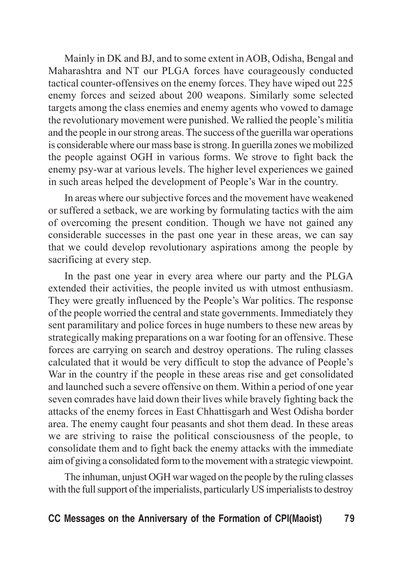Mainly in DK and BJ, and to some extent in AOB, Odisha, Bengal and Maharashtra and NT our PLGA forces have courageously conducted tactical counter-offensives on the enemy forces. They have wiped out 225 enemy forces and seized about 200 weapons. Similarly some selected targets among the class enemies and enemy agents who vowed to damage the revolutionary movement were punished. We rallied the people's militia and the people in our strong areas. The success of the guerilla war operations is considerable where our mass base is strong. In guerilla zones we mobilized the people against OGH in various forms. We strove to fight back the enemy psy-war at various levels. The higher level experiences we gained in such areas helped the development of People's War in the country.

In areas where our subjective forces and the movement have weakened or suffered a setback, we are working by formulating tactics with the aim of overcoming the present condition. Though we have not gained any considerable successes in the past one year in these areas, we can say that we could develop revolutionary aspirations among the people by sacrificing at every step.

In the past one year in every area where our party and the PLGA extended their activities, the people invited us with utmost enthusiasm. They were greatly influenced by the People's War politics. The response of the people worried the central and state governments. Immediately they sent paramilitary and police forces in huge numbers to these new areas by strategically making preparations on a war footing for an offensive. These forces are carrying on search and destroy operations. The ruling classes calculated that it would be very difficult to stop the advance of People's War in the country if the people in these areas rise and get consolidated and launched such a severe offensive on them. Within a period of one year seven comrades have laid down their lives while bravely fighting back the attacks of the enemy forces in East Chhattisgarh and West Odisha border area. The enemy caught four peasants and shot them dead. In these areas we are striving to raise the political consciousness of the people, to consolidate them and to fight back the enemy attacks with the immediate aim of giving a consolidated form to the movement with a strategic viewpoint.

The inhuman, unjust OGH war waged on the people by the ruling classes with the full support of the imperialists, particularly US imperialists to destroy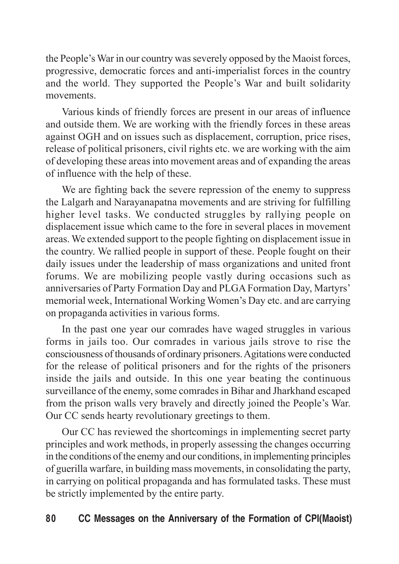the People's War in our country was severely opposed by the Maoist forces, progressive, democratic forces and anti-imperialist forces in the country and the world. They supported the People's War and built solidarity movements.

Various kinds of friendly forces are present in our areas of influence and outside them. We are working with the friendly forces in these areas against OGH and on issues such as displacement, corruption, price rises, release of political prisoners, civil rights etc. we are working with the aim of developing these areas into movement areas and of expanding the areas of influence with the help of these.

We are fighting back the severe repression of the enemy to suppress the Lalgarh and Narayanapatna movements and are striving for fulfilling higher level tasks. We conducted struggles by rallying people on displacement issue which came to the fore in several places in movement areas. We extended support to the people fighting on displacement issue in the country. We rallied people in support of these. People fought on their daily issues under the leadership of mass organizations and united front forums. We are mobilizing people vastly during occasions such as anniversaries of Party Formation Day and PLGA Formation Day, Martyrs' memorial week, International Working Women's Day etc. and are carrying on propaganda activities in various forms.

In the past one year our comrades have waged struggles in various forms in jails too. Our comrades in various jails strove to rise the consciousness of thousands of ordinary prisoners. Agitations were conducted for the release of political prisoners and for the rights of the prisoners inside the jails and outside. In this one year beating the continuous surveillance of the enemy, some comrades in Bihar and Jharkhand escaped from the prison walls very bravely and directly joined the People's War. Our CC sends hearty revolutionary greetings to them.

Our CC has reviewed the shortcomings in implementing secret party principles and work methods, in properly assessing the changes occurring in the conditions of the enemy and our conditions, in implementing principles of guerilla warfare, in building mass movements, in consolidating the party, in carrying on political propaganda and has formulated tasks. These must be strictly implemented by the entire party.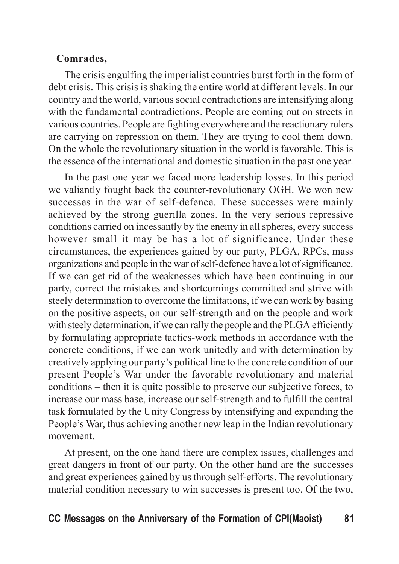#### **Comrades,**

The crisis engulfing the imperialist countries burst forth in the form of debt crisis. This crisis is shaking the entire world at different levels. In our country and the world, various social contradictions are intensifying along with the fundamental contradictions. People are coming out on streets in various countries. People are fighting everywhere and the reactionary rulers are carrying on repression on them. They are trying to cool them down. On the whole the revolutionary situation in the world is favorable. This is the essence of the international and domestic situation in the past one year.

In the past one year we faced more leadership losses. In this period we valiantly fought back the counter-revolutionary OGH. We won new successes in the war of self-defence. These successes were mainly achieved by the strong guerilla zones. In the very serious repressive conditions carried on incessantly by the enemy in all spheres, every success however small it may be has a lot of significance. Under these circumstances, the experiences gained by our party, PLGA, RPCs, mass organizations and people in the war of self-defence have a lot of significance. If we can get rid of the weaknesses which have been continuing in our party, correct the mistakes and shortcomings committed and strive with steely determination to overcome the limitations, if we can work by basing on the positive aspects, on our self-strength and on the people and work with steely determination, if we can rally the people and the PLGA efficiently by formulating appropriate tactics-work methods in accordance with the concrete conditions, if we can work unitedly and with determination by creatively applying our party's political line to the concrete condition of our present People's War under the favorable revolutionary and material conditions – then it is quite possible to preserve our subjective forces, to increase our mass base, increase our self-strength and to fulfill the central task formulated by the Unity Congress by intensifying and expanding the People's War, thus achieving another new leap in the Indian revolutionary movement.

At present, on the one hand there are complex issues, challenges and great dangers in front of our party. On the other hand are the successes and great experiences gained by us through self-efforts. The revolutionary material condition necessary to win successes is present too. Of the two,

## **CC Messages on the Anniversary of the Formation of CPI(Maoist)**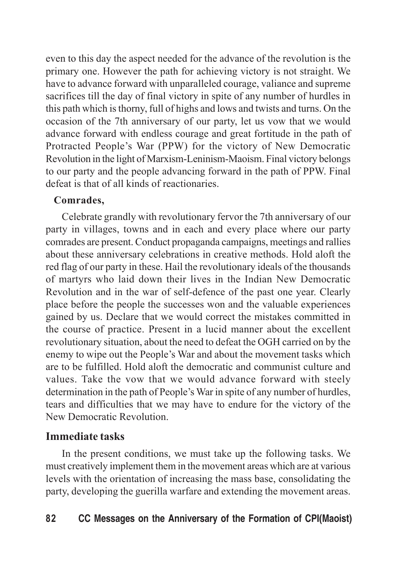even to this day the aspect needed for the advance of the revolution is the primary one. However the path for achieving victory is not straight. We have to advance forward with unparalleled courage, valiance and supreme sacrifices till the day of final victory in spite of any number of hurdles in this path which is thorny, full of highs and lows and twists and turns. On the occasion of the 7th anniversary of our party, let us vow that we would advance forward with endless courage and great fortitude in the path of Protracted People's War (PPW) for the victory of New Democratic Revolution in the light of Marxism-Leninism-Maoism. Final victory belongs to our party and the people advancing forward in the path of PPW. Final defeat is that of all kinds of reactionaries.

## **Comrades,**

Celebrate grandly with revolutionary fervor the 7th anniversary of our party in villages, towns and in each and every place where our party comrades are present. Conduct propaganda campaigns, meetings and rallies about these anniversary celebrations in creative methods. Hold aloft the red flag of our party in these. Hail the revolutionary ideals of the thousands of martyrs who laid down their lives in the Indian New Democratic Revolution and in the war of self-defence of the past one year. Clearly place before the people the successes won and the valuable experiences gained by us. Declare that we would correct the mistakes committed in the course of practice. Present in a lucid manner about the excellent revolutionary situation, about the need to defeat the OGH carried on by the enemy to wipe out the People's War and about the movement tasks which are to be fulfilled. Hold aloft the democratic and communist culture and values. Take the vow that we would advance forward with steely determination in the path of People's War in spite of any number of hurdles, tears and difficulties that we may have to endure for the victory of the New Democratic Revolution.

# **Immediate tasks**

In the present conditions, we must take up the following tasks. We must creatively implement them in the movement areas which are at various levels with the orientation of increasing the mass base, consolidating the party, developing the guerilla warfare and extending the movement areas.

# **CC Messages on the Anniversary of the Formation of CPI(Maoist)**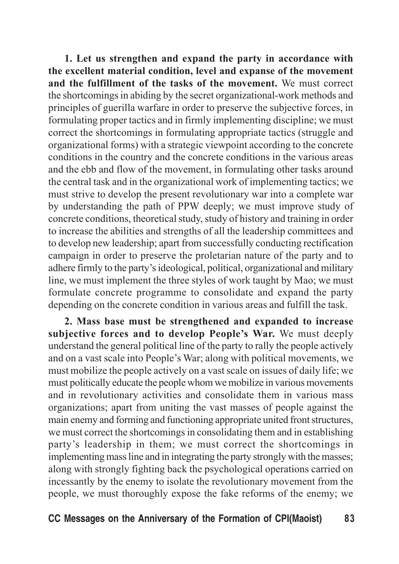**1. Let us strengthen and expand the party in accordance with the excellent material condition, level and expanse of the movement and the fulfillment of the tasks of the movement.** We must correct the shortcomings in abiding by the secret organizational-work methods and principles of guerilla warfare in order to preserve the subjective forces, in formulating proper tactics and in firmly implementing discipline; we must correct the shortcomings in formulating appropriate tactics (struggle and organizational forms) with a strategic viewpoint according to the concrete conditions in the country and the concrete conditions in the various areas and the ebb and flow of the movement, in formulating other tasks around the central task and in the organizational work of implementing tactics; we must strive to develop the present revolutionary war into a complete war by understanding the path of PPW deeply; we must improve study of concrete conditions, theoretical study, study of history and training in order to increase the abilities and strengths of all the leadership committees and to develop new leadership; apart from successfully conducting rectification campaign in order to preserve the proletarian nature of the party and to adhere firmly to the party's ideological, political, organizational and military line, we must implement the three styles of work taught by Mao; we must formulate concrete programme to consolidate and expand the party depending on the concrete condition in various areas and fulfill the task.

**2. Mass base must be strengthened and expanded to increase subjective forces and to develop People's War.** We must deeply understand the general political line of the party to rally the people actively and on a vast scale into People's War; along with political movements, we must mobilize the people actively on a vast scale on issues of daily life; we must politically educate the people whom we mobilize in various movements and in revolutionary activities and consolidate them in various mass organizations; apart from uniting the vast masses of people against the main enemy and forming and functioning appropriate united front structures, we must correct the shortcomings in consolidating them and in establishing party's leadership in them; we must correct the shortcomings in implementing mass line and in integrating the party strongly with the masses; along with strongly fighting back the psychological operations carried on incessantly by the enemy to isolate the revolutionary movement from the people, we must thoroughly expose the fake reforms of the enemy; we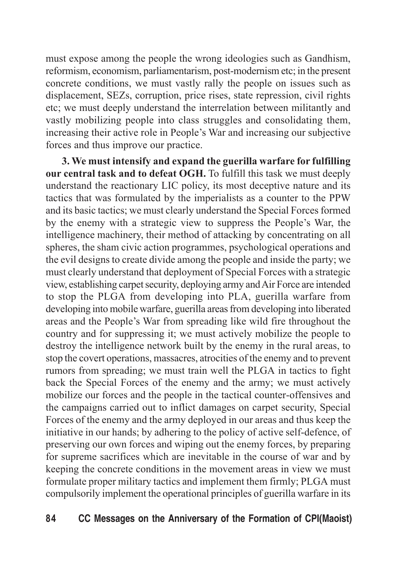must expose among the people the wrong ideologies such as Gandhism, reformism, economism, parliamentarism, post-modernism etc; in the present concrete conditions, we must vastly rally the people on issues such as displacement, SEZs, corruption, price rises, state repression, civil rights etc; we must deeply understand the interrelation between militantly and vastly mobilizing people into class struggles and consolidating them, increasing their active role in People's War and increasing our subjective forces and thus improve our practice.

**3. We must intensify and expand the guerilla warfare for fulfilling our central task and to defeat OGH.** To fulfill this task we must deeply understand the reactionary LIC policy, its most deceptive nature and its tactics that was formulated by the imperialists as a counter to the PPW and its basic tactics; we must clearly understand the Special Forces formed by the enemy with a strategic view to suppress the People's War, the intelligence machinery, their method of attacking by concentrating on all spheres, the sham civic action programmes, psychological operations and the evil designs to create divide among the people and inside the party; we must clearly understand that deployment of Special Forces with a strategic view, establishing carpet security, deploying army and Air Force are intended to stop the PLGA from developing into PLA, guerilla warfare from developing into mobile warfare, guerilla areas from developing into liberated areas and the People's War from spreading like wild fire throughout the country and for suppressing it; we must actively mobilize the people to destroy the intelligence network built by the enemy in the rural areas, to stop the covert operations, massacres, atrocities of the enemy and to prevent rumors from spreading; we must train well the PLGA in tactics to fight back the Special Forces of the enemy and the army; we must actively mobilize our forces and the people in the tactical counter-offensives and the campaigns carried out to inflict damages on carpet security, Special Forces of the enemy and the army deployed in our areas and thus keep the initiative in our hands; by adhering to the policy of active self-defence, of preserving our own forces and wiping out the enemy forces, by preparing for supreme sacrifices which are inevitable in the course of war and by keeping the concrete conditions in the movement areas in view we must formulate proper military tactics and implement them firmly; PLGA must compulsorily implement the operational principles of guerilla warfare in its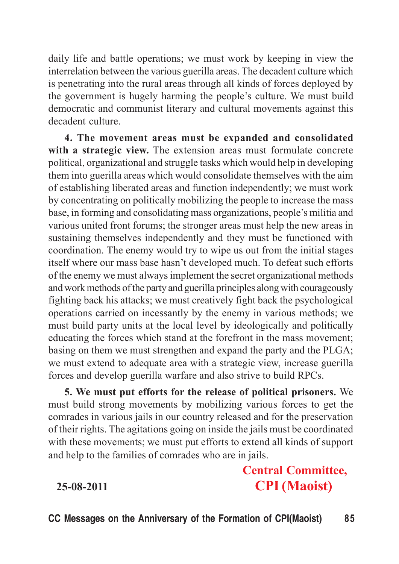daily life and battle operations; we must work by keeping in view the interrelation between the various guerilla areas. The decadent culture which is penetrating into the rural areas through all kinds of forces deployed by the government is hugely harming the people's culture. We must build democratic and communist literary and cultural movements against this decadent culture.

**4. The movement areas must be expanded and consolidated with a strategic view.** The extension areas must formulate concrete political, organizational and struggle tasks which would help in developing them into guerilla areas which would consolidate themselves with the aim of establishing liberated areas and function independently; we must work by concentrating on politically mobilizing the people to increase the mass base, in forming and consolidating mass organizations, people's militia and various united front forums; the stronger areas must help the new areas in sustaining themselves independently and they must be functioned with coordination. The enemy would try to wipe us out from the initial stages itself where our mass base hasn't developed much. To defeat such efforts of the enemy we must always implement the secret organizational methods and work methods of the party and guerilla principles along with courageously fighting back his attacks; we must creatively fight back the psychological operations carried on incessantly by the enemy in various methods; we must build party units at the local level by ideologically and politically educating the forces which stand at the forefront in the mass movement; basing on them we must strengthen and expand the party and the PLGA; we must extend to adequate area with a strategic view, increase guerilla forces and develop guerilla warfare and also strive to build RPCs.

**5. We must put efforts for the release of political prisoners.** We must build strong movements by mobilizing various forces to get the comrades in various jails in our country released and for the preservation of their rights. The agitations going on inside the jails must be coordinated with these movements; we must put efforts to extend all kinds of support and help to the families of comrades who are in jails.

**Central Committee, 25-08-2011 CPI (Maoist)**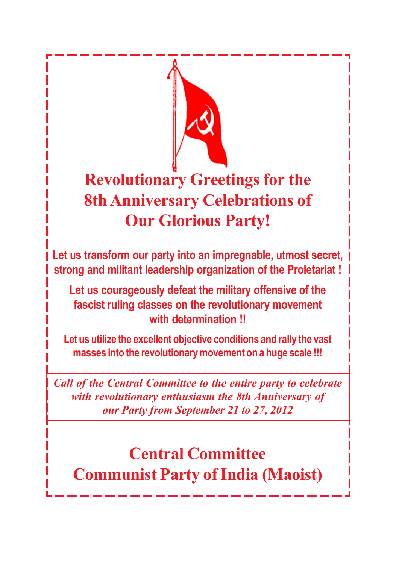

**Let us transform our party into an impregnable, utmost secret, strong and militant leadership organization of the Proletariat !**

**Let us courageously defeat the military offensive of the fascist ruling classes on the revolutionary movement with determination !!**

**Let us utilize the excellent objective conditions and rally the vast masses into the revolutionary movement on a huge scale !!!**

*Call of the Central Committee to the entire party to celebrate with revolutionary enthusiasm the 8th Anniversary of our Party from September 21 to 27, 2012*

**Central Committee Communist Party of India (Maoist)**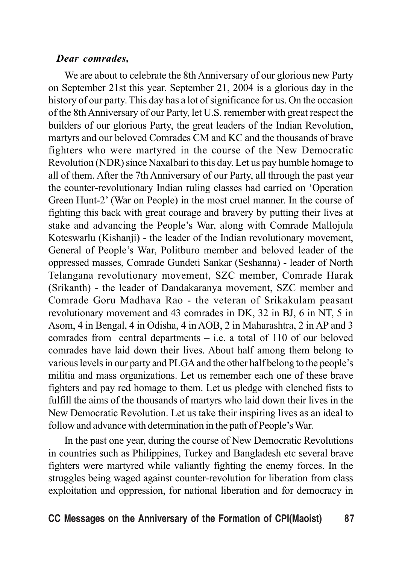#### *Dear comrades,*

We are about to celebrate the 8th Anniversary of our glorious new Party on September 21st this year. September 21, 2004 is a glorious day in the history of our party. This day has a lot of significance for us. On the occasion of the 8th Anniversary of our Party, let U.S. remember with great respect the builders of our glorious Party, the great leaders of the Indian Revolution, martyrs and our beloved Comrades CM and KC and the thousands of brave fighters who were martyred in the course of the New Democratic Revolution (NDR) since Naxalbari to this day. Let us pay humble homage to all of them. After the 7th Anniversary of our Party, all through the past year the counter-revolutionary Indian ruling classes had carried on 'Operation Green Hunt-2' (War on People) in the most cruel manner. In the course of fighting this back with great courage and bravery by putting their lives at stake and advancing the People's War, along with Comrade Mallojula Koteswarlu (Kishanji) - the leader of the Indian revolutionary movement, General of People's War, Politburo member and beloved leader of the oppressed masses, Comrade Gundeti Sankar (Seshanna) - leader of North Telangana revolutionary movement, SZC member, Comrade Harak (Srikanth) - the leader of Dandakaranya movement, SZC member and Comrade Goru Madhava Rao - the veteran of Srikakulam peasant revolutionary movement and 43 comrades in DK, 32 in BJ, 6 in NT, 5 in Asom, 4 in Bengal, 4 in Odisha, 4 in AOB, 2 in Maharashtra, 2 in AP and 3 comrades from central departments  $-$  i.e. a total of 110 of our beloved comrades have laid down their lives. About half among them belong to various levels in our party and PLGA and the other half belong to the people's militia and mass organizations. Let us remember each one of these brave fighters and pay red homage to them. Let us pledge with clenched fists to fulfill the aims of the thousands of martyrs who laid down their lives in the New Democratic Revolution. Let us take their inspiring lives as an ideal to follow and advance with determination in the path of People's War.

In the past one year, during the course of New Democratic Revolutions in countries such as Philippines, Turkey and Bangladesh etc several brave fighters were martyred while valiantly fighting the enemy forces. In the struggles being waged against counter-revolution for liberation from class exploitation and oppression, for national liberation and for democracy in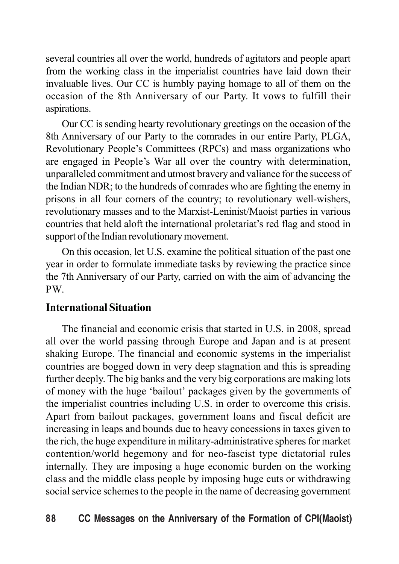several countries all over the world, hundreds of agitators and people apart from the working class in the imperialist countries have laid down their invaluable lives. Our CC is humbly paying homage to all of them on the occasion of the 8th Anniversary of our Party. It vows to fulfill their aspirations.

Our CC is sending hearty revolutionary greetings on the occasion of the 8th Anniversary of our Party to the comrades in our entire Party, PLGA, Revolutionary People's Committees (RPCs) and mass organizations who are engaged in People's War all over the country with determination, unparalleled commitment and utmost bravery and valiance for the success of the Indian NDR; to the hundreds of comrades who are fighting the enemy in prisons in all four corners of the country; to revolutionary well-wishers, revolutionary masses and to the Marxist-Leninist/Maoist parties in various countries that held aloft the international proletariat's red flag and stood in support of the Indian revolutionary movement.

On this occasion, let U.S. examine the political situation of the past one year in order to formulate immediate tasks by reviewing the practice since the 7th Anniversary of our Party, carried on with the aim of advancing the PW.

#### **International Situation**

The financial and economic crisis that started in U.S. in 2008, spread all over the world passing through Europe and Japan and is at present shaking Europe. The financial and economic systems in the imperialist countries are bogged down in very deep stagnation and this is spreading further deeply. The big banks and the very big corporations are making lots of money with the huge 'bailout' packages given by the governments of the imperialist countries including U.S. in order to overcome this crisis. Apart from bailout packages, government loans and fiscal deficit are increasing in leaps and bounds due to heavy concessions in taxes given to the rich, the huge expenditure in military-administrative spheres for market contention/world hegemony and for neo-fascist type dictatorial rules internally. They are imposing a huge economic burden on the working class and the middle class people by imposing huge cuts or withdrawing social service schemes to the people in the name of decreasing government

#### **CC Messages on the Anniversary of the Formation of CPI(Maoist)**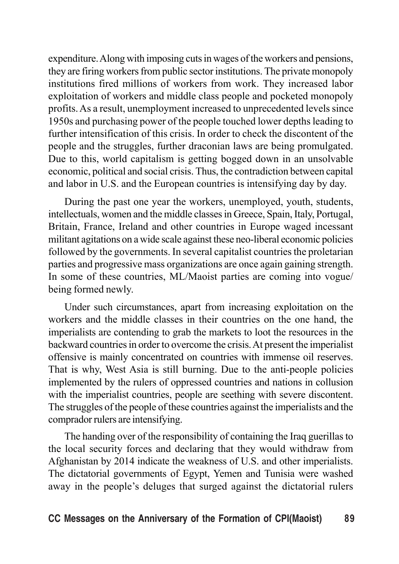expenditure. Along with imposing cuts in wages of the workers and pensions, they are firing workers from public sector institutions. The private monopoly institutions fired millions of workers from work. They increased labor exploitation of workers and middle class people and pocketed monopoly profits. As a result, unemployment increased to unprecedented levels since 1950s and purchasing power of the people touched lower depths leading to further intensification of this crisis. In order to check the discontent of the people and the struggles, further draconian laws are being promulgated. Due to this, world capitalism is getting bogged down in an unsolvable economic, political and social crisis. Thus, the contradiction between capital and labor in U.S. and the European countries is intensifying day by day.

During the past one year the workers, unemployed, youth, students, intellectuals, women and the middle classes in Greece, Spain, Italy, Portugal, Britain, France, Ireland and other countries in Europe waged incessant militant agitations on a wide scale against these neo-liberal economic policies followed by the governments. In several capitalist countries the proletarian parties and progressive mass organizations are once again gaining strength. In some of these countries, ML/Maoist parties are coming into vogue/ being formed newly.

Under such circumstances, apart from increasing exploitation on the workers and the middle classes in their countries on the one hand, the imperialists are contending to grab the markets to loot the resources in the backward countries in order to overcome the crisis. At present the imperialist offensive is mainly concentrated on countries with immense oil reserves. That is why, West Asia is still burning. Due to the anti-people policies implemented by the rulers of oppressed countries and nations in collusion with the imperialist countries, people are seething with severe discontent. The struggles of the people of these countries against the imperialists and the comprador rulers are intensifying.

The handing over of the responsibility of containing the Iraq guerillas to the local security forces and declaring that they would withdraw from Afghanistan by 2014 indicate the weakness of U.S. and other imperialists. The dictatorial governments of Egypt, Yemen and Tunisia were washed away in the people's deluges that surged against the dictatorial rulers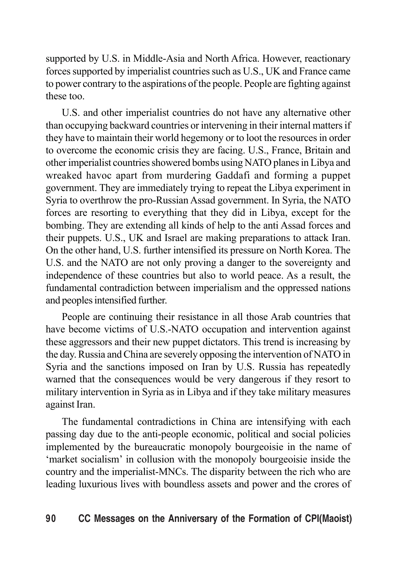supported by U.S. in Middle-Asia and North Africa. However, reactionary forces supported by imperialist countries such as U.S., UK and France came to power contrary to the aspirations of the people. People are fighting against these too.

U.S. and other imperialist countries do not have any alternative other than occupying backward countries or intervening in their internal matters if they have to maintain their world hegemony or to loot the resources in order to overcome the economic crisis they are facing. U.S., France, Britain and other imperialist countries showered bombs using NATO planes in Libya and wreaked havoc apart from murdering Gaddafi and forming a puppet government. They are immediately trying to repeat the Libya experiment in Syria to overthrow the pro-Russian Assad government. In Syria, the NATO forces are resorting to everything that they did in Libya, except for the bombing. They are extending all kinds of help to the anti Assad forces and their puppets. U.S., UK and Israel are making preparations to attack Iran. On the other hand, U.S. further intensified its pressure on North Korea. The U.S. and the NATO are not only proving a danger to the sovereignty and independence of these countries but also to world peace. As a result, the fundamental contradiction between imperialism and the oppressed nations and peoples intensified further.

People are continuing their resistance in all those Arab countries that have become victims of U.S.-NATO occupation and intervention against these aggressors and their new puppet dictators. This trend is increasing by the day. Russia and China are severely opposing the intervention of NATO in Syria and the sanctions imposed on Iran by U.S. Russia has repeatedly warned that the consequences would be very dangerous if they resort to military intervention in Syria as in Libya and if they take military measures against Iran.

The fundamental contradictions in China are intensifying with each passing day due to the anti-people economic, political and social policies implemented by the bureaucratic monopoly bourgeoisie in the name of 'market socialism' in collusion with the monopoly bourgeoisie inside the country and the imperialist-MNCs. The disparity between the rich who are leading luxurious lives with boundless assets and power and the crores of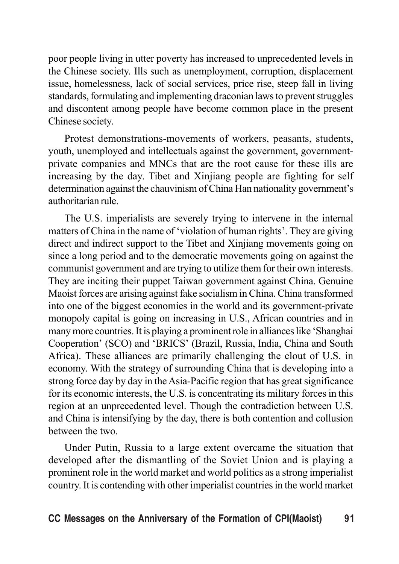poor people living in utter poverty has increased to unprecedented levels in the Chinese society. Ills such as unemployment, corruption, displacement issue, homelessness, lack of social services, price rise, steep fall in living standards, formulating and implementing draconian laws to prevent struggles and discontent among people have become common place in the present Chinese society.

Protest demonstrations-movements of workers, peasants, students, youth, unemployed and intellectuals against the government, governmentprivate companies and MNCs that are the root cause for these ills are increasing by the day. Tibet and Xinjiang people are fighting for self determination against the chauvinism of China Han nationality government's authoritarian rule.

The U.S. imperialists are severely trying to intervene in the internal matters of China in the name of 'violation of human rights'. They are giving direct and indirect support to the Tibet and Xinjiang movements going on since a long period and to the democratic movements going on against the communist government and are trying to utilize them for their own interests. They are inciting their puppet Taiwan government against China. Genuine Maoist forces are arising against fake socialism in China. China transformed into one of the biggest economies in the world and its government-private monopoly capital is going on increasing in U.S., African countries and in many more countries. It is playing a prominent role in alliances like 'Shanghai Cooperation' (SCO) and 'BRICS' (Brazil, Russia, India, China and South Africa). These alliances are primarily challenging the clout of U.S. in economy. With the strategy of surrounding China that is developing into a strong force day by day in the Asia-Pacific region that has great significance for its economic interests, the U.S. is concentrating its military forces in this region at an unprecedented level. Though the contradiction between U.S. and China is intensifying by the day, there is both contention and collusion between the two.

Under Putin, Russia to a large extent overcame the situation that developed after the dismantling of the Soviet Union and is playing a prominent role in the world market and world politics as a strong imperialist country. It is contending with other imperialist countries in the world market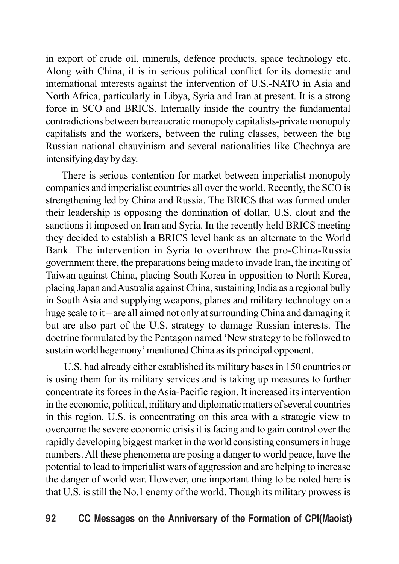in export of crude oil, minerals, defence products, space technology etc. Along with China, it is in serious political conflict for its domestic and international interests against the intervention of U.S.-NATO in Asia and North Africa, particularly in Libya, Syria and Iran at present. It is a strong force in SCO and BRICS. Internally inside the country the fundamental contradictions between bureaucratic monopoly capitalists-private monopoly capitalists and the workers, between the ruling classes, between the big Russian national chauvinism and several nationalities like Chechnya are intensifying day by day.

There is serious contention for market between imperialist monopoly companies and imperialist countries all over the world. Recently, the SCO is strengthening led by China and Russia. The BRICS that was formed under their leadership is opposing the domination of dollar, U.S. clout and the sanctions it imposed on Iran and Syria. In the recently held BRICS meeting they decided to establish a BRICS level bank as an alternate to the World Bank. The intervention in Syria to overthrow the pro-China-Russia government there, the preparations being made to invade Iran, the inciting of Taiwan against China, placing South Korea in opposition to North Korea, placing Japan and Australia against China, sustaining India as a regional bully in South Asia and supplying weapons, planes and military technology on a huge scale to it – are all aimed not only at surrounding China and damaging it but are also part of the U.S. strategy to damage Russian interests. The doctrine formulated by the Pentagon named 'New strategy to be followed to sustain world hegemony' mentioned China as its principal opponent.

 U.S. had already either established its military bases in 150 countries or is using them for its military services and is taking up measures to further concentrate its forces in the Asia-Pacific region. It increased its intervention in the economic, political, military and diplomatic matters of several countries in this region. U.S. is concentrating on this area with a strategic view to overcome the severe economic crisis it is facing and to gain control over the rapidly developing biggest market in the world consisting consumers in huge numbers. All these phenomena are posing a danger to world peace, have the potential to lead to imperialist wars of aggression and are helping to increase the danger of world war. However, one important thing to be noted here is that U.S. is still the No.1 enemy of the world. Though its military prowess is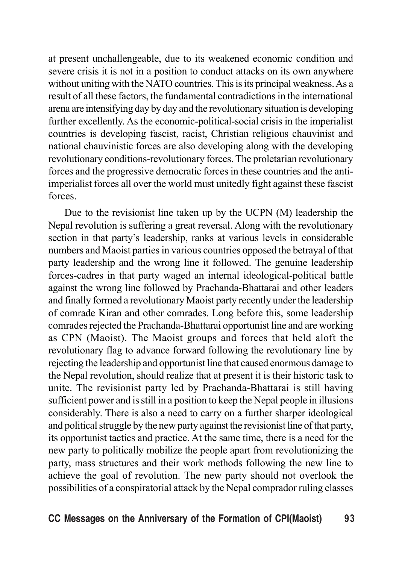at present unchallengeable, due to its weakened economic condition and severe crisis it is not in a position to conduct attacks on its own anywhere without uniting with the NATO countries. This is its principal weakness. As a result of all these factors, the fundamental contradictions in the international arena are intensifying day by day and the revolutionary situation is developing further excellently. As the economic-political-social crisis in the imperialist countries is developing fascist, racist, Christian religious chauvinist and national chauvinistic forces are also developing along with the developing revolutionary conditions-revolutionary forces. The proletarian revolutionary forces and the progressive democratic forces in these countries and the antiimperialist forces all over the world must unitedly fight against these fascist forces.

Due to the revisionist line taken up by the UCPN (M) leadership the Nepal revolution is suffering a great reversal. Along with the revolutionary section in that party's leadership, ranks at various levels in considerable numbers and Maoist parties in various countries opposed the betrayal of that party leadership and the wrong line it followed. The genuine leadership forces-cadres in that party waged an internal ideological-political battle against the wrong line followed by Prachanda-Bhattarai and other leaders and finally formed a revolutionary Maoist party recently under the leadership of comrade Kiran and other comrades. Long before this, some leadership comrades rejected the Prachanda-Bhattarai opportunist line and are working as CPN (Maoist). The Maoist groups and forces that held aloft the revolutionary flag to advance forward following the revolutionary line by rejecting the leadership and opportunist line that caused enormous damage to the Nepal revolution, should realize that at present it is their historic task to unite. The revisionist party led by Prachanda-Bhattarai is still having sufficient power and is still in a position to keep the Nepal people in illusions considerably. There is also a need to carry on a further sharper ideological and political struggle by the new party against the revisionist line of that party, its opportunist tactics and practice. At the same time, there is a need for the new party to politically mobilize the people apart from revolutionizing the party, mass structures and their work methods following the new line to achieve the goal of revolution. The new party should not overlook the possibilities of a conspiratorial attack by the Nepal comprador ruling classes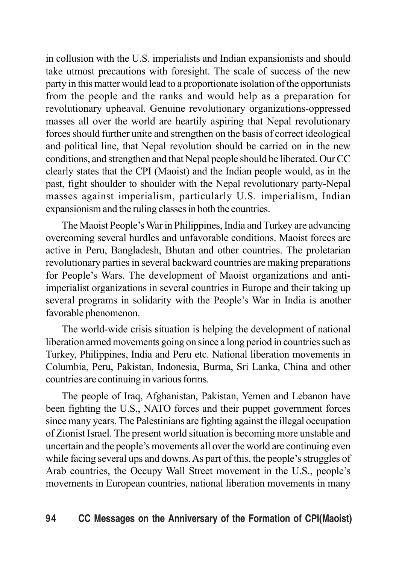in collusion with the U.S. imperialists and Indian expansionists and should take utmost precautions with foresight. The scale of success of the new party in this matter would lead to a proportionate isolation of the opportunists from the people and the ranks and would help as a preparation for revolutionary upheaval. Genuine revolutionary organizations-oppressed masses all over the world are heartily aspiring that Nepal revolutionary forces should further unite and strengthen on the basis of correct ideological and political line, that Nepal revolution should be carried on in the new conditions, and strengthen and that Nepal people should be liberated. Our CC clearly states that the CPI (Maoist) and the Indian people would, as in the past, fight shoulder to shoulder with the Nepal revolutionary party-Nepal masses against imperialism, particularly U.S. imperialism, Indian expansionism and the ruling classes in both the countries.

The Maoist People's War in Philippines, India and Turkey are advancing overcoming several hurdles and unfavorable conditions. Maoist forces are active in Peru, Bangladesh, Bhutan and other countries. The proletarian revolutionary parties in several backward countries are making preparations for People's Wars. The development of Maoist organizations and antiimperialist organizations in several countries in Europe and their taking up several programs in solidarity with the People's War in India is another favorable phenomenon.

The world-wide crisis situation is helping the development of national liberation armed movements going on since a long period in countries such as Turkey, Philippines, India and Peru etc. National liberation movements in Columbia, Peru, Pakistan, Indonesia, Burma, Sri Lanka, China and other countries are continuing in various forms.

The people of Iraq, Afghanistan, Pakistan, Yemen and Lebanon have been fighting the U.S., NATO forces and their puppet government forces since many years. The Palestinians are fighting against the illegal occupation of Zionist Israel. The present world situation is becoming more unstable and uncertain and the people's movements all over the world are continuing even while facing several ups and downs. As part of this, the people's struggles of Arab countries, the Occupy Wall Street movement in the U.S., people's movements in European countries, national liberation movements in many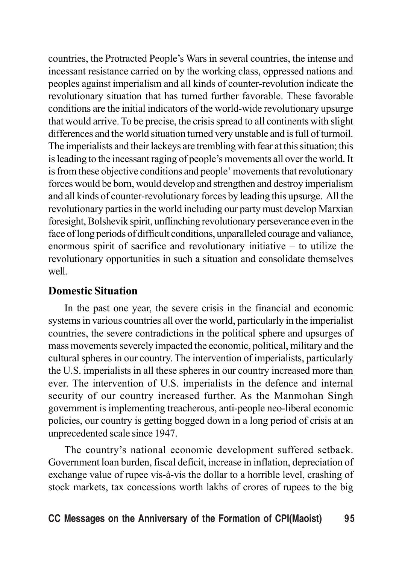countries, the Protracted People's Wars in several countries, the intense and incessant resistance carried on by the working class, oppressed nations and peoples against imperialism and all kinds of counter-revolution indicate the revolutionary situation that has turned further favorable. These favorable conditions are the initial indicators of the world-wide revolutionary upsurge that would arrive. To be precise, the crisis spread to all continents with slight differences and the world situation turned very unstable and is full of turmoil. The imperialists and their lackeys are trembling with fear at this situation; this is leading to the incessant raging of people's movements all over the world. It is from these objective conditions and people' movements that revolutionary forces would be born, would develop and strengthen and destroy imperialism and all kinds of counter-revolutionary forces by leading this upsurge. All the revolutionary parties in the world including our party must develop Marxian foresight, Bolshevik spirit, unflinching revolutionary perseverance even in the face of long periods of difficult conditions, unparalleled courage and valiance, enormous spirit of sacrifice and revolutionary initiative – to utilize the revolutionary opportunities in such a situation and consolidate themselves well.

# **Domestic Situation**

In the past one year, the severe crisis in the financial and economic systems in various countries all over the world, particularly in the imperialist countries, the severe contradictions in the political sphere and upsurges of mass movements severely impacted the economic, political, military and the cultural spheres in our country. The intervention of imperialists, particularly the U.S. imperialists in all these spheres in our country increased more than ever. The intervention of U.S. imperialists in the defence and internal security of our country increased further. As the Manmohan Singh government is implementing treacherous, anti-people neo-liberal economic policies, our country is getting bogged down in a long period of crisis at an unprecedented scale since 1947.

The country's national economic development suffered setback. Government loan burden, fiscal deficit, increase in inflation, depreciation of exchange value of rupee vis-à-vis the dollar to a horrible level, crashing of stock markets, tax concessions worth lakhs of crores of rupees to the big

## **CC Messages on the Anniversary of the Formation of CPI(Maoist)**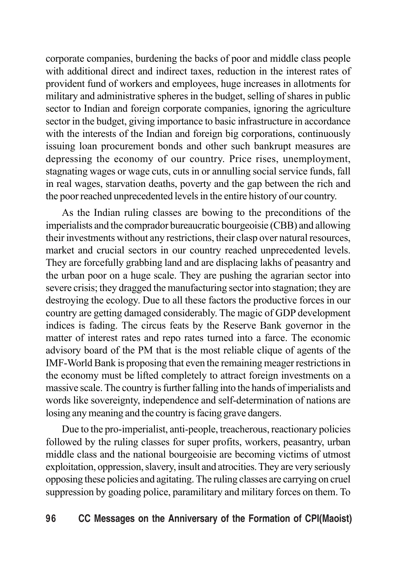corporate companies, burdening the backs of poor and middle class people with additional direct and indirect taxes, reduction in the interest rates of provident fund of workers and employees, huge increases in allotments for military and administrative spheres in the budget, selling of shares in public sector to Indian and foreign corporate companies, ignoring the agriculture sector in the budget, giving importance to basic infrastructure in accordance with the interests of the Indian and foreign big corporations, continuously issuing loan procurement bonds and other such bankrupt measures are depressing the economy of our country. Price rises, unemployment, stagnating wages or wage cuts, cuts in or annulling social service funds, fall in real wages, starvation deaths, poverty and the gap between the rich and the poor reached unprecedented levels in the entire history of our country.

As the Indian ruling classes are bowing to the preconditions of the imperialists and the comprador bureaucratic bourgeoisie (CBB) and allowing their investments without any restrictions, their clasp over natural resources, market and crucial sectors in our country reached unprecedented levels. They are forcefully grabbing land and are displacing lakhs of peasantry and the urban poor on a huge scale. They are pushing the agrarian sector into severe crisis; they dragged the manufacturing sector into stagnation; they are destroying the ecology. Due to all these factors the productive forces in our country are getting damaged considerably. The magic of GDP development indices is fading. The circus feats by the Reserve Bank governor in the matter of interest rates and repo rates turned into a farce. The economic advisory board of the PM that is the most reliable clique of agents of the IMF-World Bank is proposing that even the remaining meager restrictions in the economy must be lifted completely to attract foreign investments on a massive scale. The country is further falling into the hands of imperialists and words like sovereignty, independence and self-determination of nations are losing any meaning and the country is facing grave dangers.

Due to the pro-imperialist, anti-people, treacherous, reactionary policies followed by the ruling classes for super profits, workers, peasantry, urban middle class and the national bourgeoisie are becoming victims of utmost exploitation, oppression, slavery, insult and atrocities. They are very seriously opposing these policies and agitating. The ruling classes are carrying on cruel suppression by goading police, paramilitary and military forces on them. To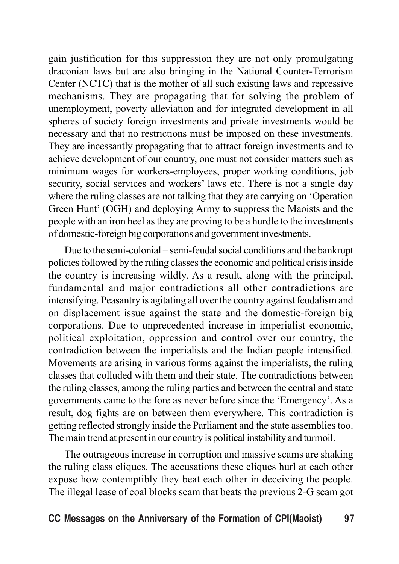gain justification for this suppression they are not only promulgating draconian laws but are also bringing in the National Counter-Terrorism Center (NCTC) that is the mother of all such existing laws and repressive mechanisms. They are propagating that for solving the problem of unemployment, poverty alleviation and for integrated development in all spheres of society foreign investments and private investments would be necessary and that no restrictions must be imposed on these investments. They are incessantly propagating that to attract foreign investments and to achieve development of our country, one must not consider matters such as minimum wages for workers-employees, proper working conditions, job security, social services and workers' laws etc. There is not a single day where the ruling classes are not talking that they are carrying on 'Operation Green Hunt' (OGH) and deploying Army to suppress the Maoists and the people with an iron heel as they are proving to be a hurdle to the investments of domestic-foreign big corporations and government investments.

Due to the semi-colonial – semi-feudal social conditions and the bankrupt policies followed by the ruling classes the economic and political crisis inside the country is increasing wildly. As a result, along with the principal, fundamental and major contradictions all other contradictions are intensifying. Peasantry is agitating all over the country against feudalism and on displacement issue against the state and the domestic-foreign big corporations. Due to unprecedented increase in imperialist economic, political exploitation, oppression and control over our country, the contradiction between the imperialists and the Indian people intensified. Movements are arising in various forms against the imperialists, the ruling classes that colluded with them and their state. The contradictions between the ruling classes, among the ruling parties and between the central and state governments came to the fore as never before since the 'Emergency'. As a result, dog fights are on between them everywhere. This contradiction is getting reflected strongly inside the Parliament and the state assemblies too. The main trend at present in our country is political instability and turmoil.

The outrageous increase in corruption and massive scams are shaking the ruling class cliques. The accusations these cliques hurl at each other expose how contemptibly they beat each other in deceiving the people. The illegal lease of coal blocks scam that beats the previous 2-G scam got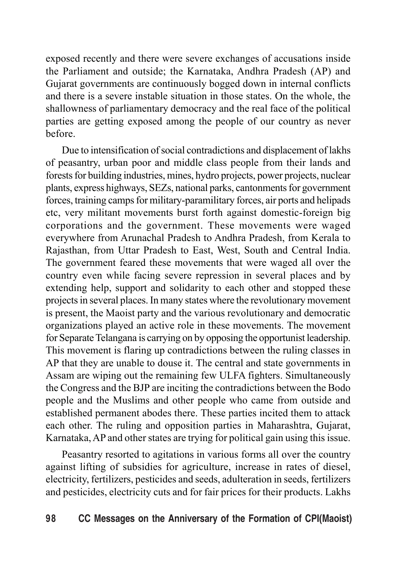exposed recently and there were severe exchanges of accusations inside the Parliament and outside; the Karnataka, Andhra Pradesh (AP) and Gujarat governments are continuously bogged down in internal conflicts and there is a severe instable situation in those states. On the whole, the shallowness of parliamentary democracy and the real face of the political parties are getting exposed among the people of our country as never before.

Due to intensification of social contradictions and displacement of lakhs of peasantry, urban poor and middle class people from their lands and forests for building industries, mines, hydro projects, power projects, nuclear plants, express highways, SEZs, national parks, cantonments for government forces, training camps for military-paramilitary forces, air ports and helipads etc, very militant movements burst forth against domestic-foreign big corporations and the government. These movements were waged everywhere from Arunachal Pradesh to Andhra Pradesh, from Kerala to Rajasthan, from Uttar Pradesh to East, West, South and Central India. The government feared these movements that were waged all over the country even while facing severe repression in several places and by extending help, support and solidarity to each other and stopped these projects in several places. In many states where the revolutionary movement is present, the Maoist party and the various revolutionary and democratic organizations played an active role in these movements. The movement for Separate Telangana is carrying on by opposing the opportunist leadership. This movement is flaring up contradictions between the ruling classes in AP that they are unable to douse it. The central and state governments in Assam are wiping out the remaining few ULFA fighters. Simultaneously the Congress and the BJP are inciting the contradictions between the Bodo people and the Muslims and other people who came from outside and established permanent abodes there. These parties incited them to attack each other. The ruling and opposition parties in Maharashtra, Gujarat, Karnataka, AP and other states are trying for political gain using this issue.

Peasantry resorted to agitations in various forms all over the country against lifting of subsidies for agriculture, increase in rates of diesel, electricity, fertilizers, pesticides and seeds, adulteration in seeds, fertilizers and pesticides, electricity cuts and for fair prices for their products. Lakhs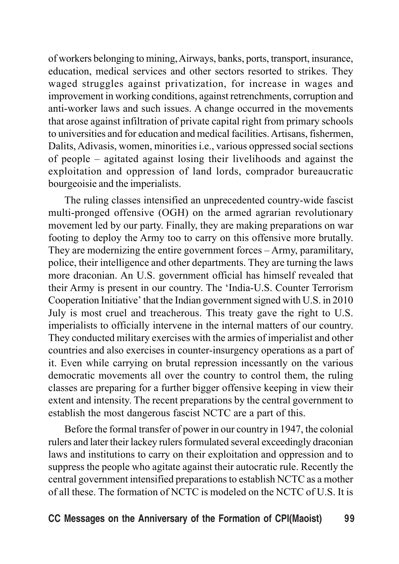of workers belonging to mining, Airways, banks, ports, transport, insurance, education, medical services and other sectors resorted to strikes. They waged struggles against privatization, for increase in wages and improvement in working conditions, against retrenchments, corruption and anti-worker laws and such issues. A change occurred in the movements that arose against infiltration of private capital right from primary schools to universities and for education and medical facilities. Artisans, fishermen, Dalits, Adivasis, women, minorities i.e., various oppressed social sections of people – agitated against losing their livelihoods and against the exploitation and oppression of land lords, comprador bureaucratic bourgeoisie and the imperialists.

The ruling classes intensified an unprecedented country-wide fascist multi-pronged offensive (OGH) on the armed agrarian revolutionary movement led by our party. Finally, they are making preparations on war footing to deploy the Army too to carry on this offensive more brutally. They are modernizing the entire government forces – Army, paramilitary, police, their intelligence and other departments. They are turning the laws more draconian. An U.S. government official has himself revealed that their Army is present in our country. The 'India-U.S. Counter Terrorism Cooperation Initiative' that the Indian government signed with U.S. in 2010 July is most cruel and treacherous. This treaty gave the right to U.S. imperialists to officially intervene in the internal matters of our country. They conducted military exercises with the armies of imperialist and other countries and also exercises in counter-insurgency operations as a part of it. Even while carrying on brutal repression incessantly on the various democratic movements all over the country to control them, the ruling classes are preparing for a further bigger offensive keeping in view their extent and intensity. The recent preparations by the central government to establish the most dangerous fascist NCTC are a part of this.

Before the formal transfer of power in our country in 1947, the colonial rulers and later their lackey rulers formulated several exceedingly draconian laws and institutions to carry on their exploitation and oppression and to suppress the people who agitate against their autocratic rule. Recently the central government intensified preparations to establish NCTC as a mother of all these. The formation of NCTC is modeled on the NCTC of U.S. It is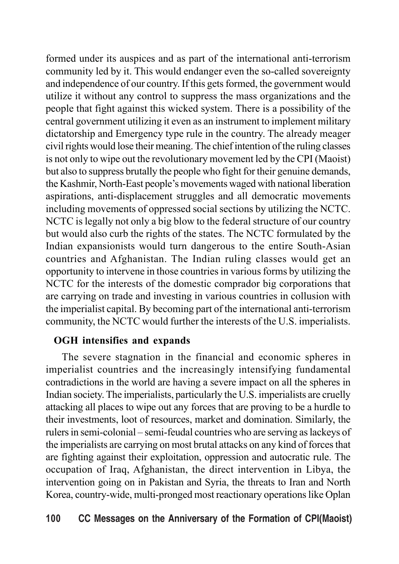formed under its auspices and as part of the international anti-terrorism community led by it. This would endanger even the so-called sovereignty and independence of our country. If this gets formed, the government would utilize it without any control to suppress the mass organizations and the people that fight against this wicked system. There is a possibility of the central government utilizing it even as an instrument to implement military dictatorship and Emergency type rule in the country. The already meager civil rights would lose their meaning. The chief intention of the ruling classes is not only to wipe out the revolutionary movement led by the CPI (Maoist) but also to suppress brutally the people who fight for their genuine demands, the Kashmir, North-East people's movements waged with national liberation aspirations, anti-displacement struggles and all democratic movements including movements of oppressed social sections by utilizing the NCTC. NCTC is legally not only a big blow to the federal structure of our country but would also curb the rights of the states. The NCTC formulated by the Indian expansionists would turn dangerous to the entire South-Asian countries and Afghanistan. The Indian ruling classes would get an opportunity to intervene in those countries in various forms by utilizing the NCTC for the interests of the domestic comprador big corporations that are carrying on trade and investing in various countries in collusion with the imperialist capital. By becoming part of the international anti-terrorism community, the NCTC would further the interests of the U.S. imperialists.

#### **OGH intensifies and expands**

The severe stagnation in the financial and economic spheres in imperialist countries and the increasingly intensifying fundamental contradictions in the world are having a severe impact on all the spheres in Indian society. The imperialists, particularly the U.S. imperialists are cruelly attacking all places to wipe out any forces that are proving to be a hurdle to their investments, loot of resources, market and domination. Similarly, the rulers in semi-colonial – semi-feudal countries who are serving as lackeys of the imperialists are carrying on most brutal attacks on any kind of forces that are fighting against their exploitation, oppression and autocratic rule. The occupation of Iraq, Afghanistan, the direct intervention in Libya, the intervention going on in Pakistan and Syria, the threats to Iran and North Korea, country-wide, multi-pronged most reactionary operations like Oplan

#### **CC Messages on the Anniversary of the Formation of CPI(Maoist)**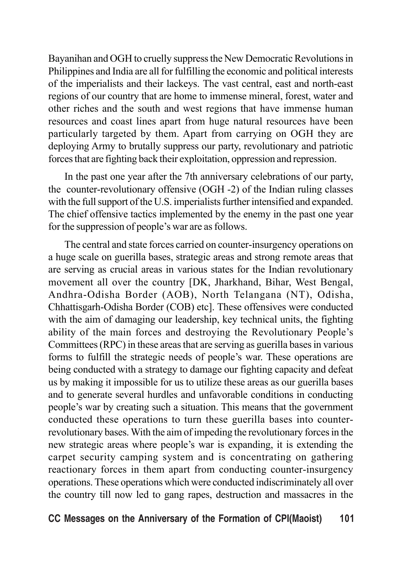Bayanihan and OGH to cruelly suppress the New Democratic Revolutions in Philippines and India are all for fulfilling the economic and political interests of the imperialists and their lackeys. The vast central, east and north-east regions of our country that are home to immense mineral, forest, water and other riches and the south and west regions that have immense human resources and coast lines apart from huge natural resources have been particularly targeted by them. Apart from carrying on OGH they are deploying Army to brutally suppress our party, revolutionary and patriotic forces that are fighting back their exploitation, oppression and repression.

In the past one year after the 7th anniversary celebrations of our party, the counter-revolutionary offensive (OGH -2) of the Indian ruling classes with the full support of the U.S. imperialists further intensified and expanded. The chief offensive tactics implemented by the enemy in the past one year for the suppression of people's war are as follows.

The central and state forces carried on counter-insurgency operations on a huge scale on guerilla bases, strategic areas and strong remote areas that are serving as crucial areas in various states for the Indian revolutionary movement all over the country [DK, Jharkhand, Bihar, West Bengal, Andhra-Odisha Border (AOB), North Telangana (NT), Odisha, Chhattisgarh-Odisha Border (COB) etc]. These offensives were conducted with the aim of damaging our leadership, key technical units, the fighting ability of the main forces and destroying the Revolutionary People's Committees (RPC) in these areas that are serving as guerilla bases in various forms to fulfill the strategic needs of people's war. These operations are being conducted with a strategy to damage our fighting capacity and defeat us by making it impossible for us to utilize these areas as our guerilla bases and to generate several hurdles and unfavorable conditions in conducting people's war by creating such a situation. This means that the government conducted these operations to turn these guerilla bases into counterrevolutionary bases. With the aim of impeding the revolutionary forces in the new strategic areas where people's war is expanding, it is extending the carpet security camping system and is concentrating on gathering reactionary forces in them apart from conducting counter-insurgency operations. These operations which were conducted indiscriminately all over the country till now led to gang rapes, destruction and massacres in the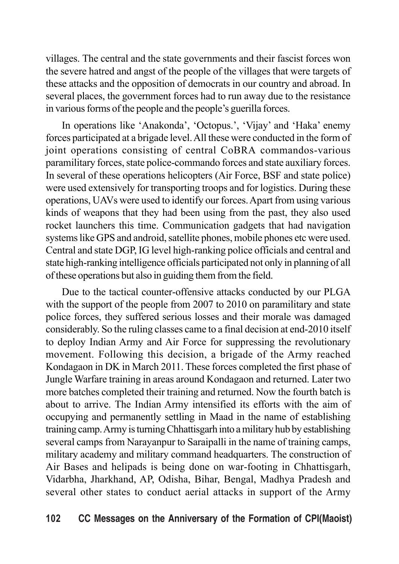villages. The central and the state governments and their fascist forces won the severe hatred and angst of the people of the villages that were targets of these attacks and the opposition of democrats in our country and abroad. In several places, the government forces had to run away due to the resistance in various forms of the people and the people's guerilla forces.

In operations like 'Anakonda', 'Octopus.', 'Vijay' and 'Haka' enemy forces participated at a brigade level. All these were conducted in the form of joint operations consisting of central CoBRA commandos-various paramilitary forces, state police-commando forces and state auxiliary forces. In several of these operations helicopters (Air Force, BSF and state police) were used extensively for transporting troops and for logistics. During these operations, UAVs were used to identify our forces. Apart from using various kinds of weapons that they had been using from the past, they also used rocket launchers this time. Communication gadgets that had navigation systems like GPS and android, satellite phones, mobile phones etc were used. Central and state DGP, IG level high-ranking police officials and central and state high-ranking intelligence officials participated not only in planning of all of these operations but also in guiding them from the field.

Due to the tactical counter-offensive attacks conducted by our PLGA with the support of the people from 2007 to 2010 on paramilitary and state police forces, they suffered serious losses and their morale was damaged considerably. So the ruling classes came to a final decision at end-2010 itself to deploy Indian Army and Air Force for suppressing the revolutionary movement. Following this decision, a brigade of the Army reached Kondagaon in DK in March 2011. These forces completed the first phase of Jungle Warfare training in areas around Kondagaon and returned. Later two more batches completed their training and returned. Now the fourth batch is about to arrive. The Indian Army intensified its efforts with the aim of occupying and permanently settling in Maad in the name of establishing training camp. Army is turning Chhattisgarh into a military hub by establishing several camps from Narayanpur to Saraipalli in the name of training camps, military academy and military command headquarters. The construction of Air Bases and helipads is being done on war-footing in Chhattisgarh, Vidarbha, Jharkhand, AP, Odisha, Bihar, Bengal, Madhya Pradesh and several other states to conduct aerial attacks in support of the Army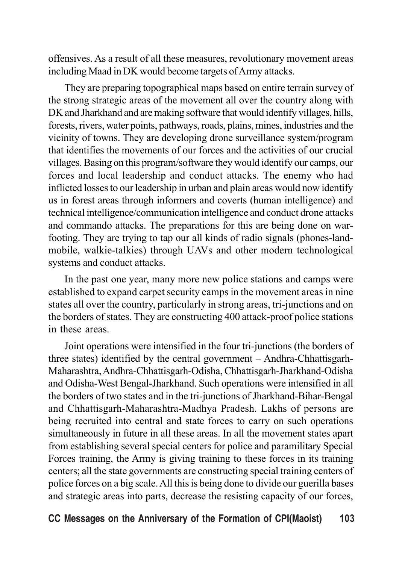offensives. As a result of all these measures, revolutionary movement areas including Maad in DK would become targets of Army attacks.

They are preparing topographical maps based on entire terrain survey of the strong strategic areas of the movement all over the country along with DK and Jharkhand and are making software that would identify villages, hills, forests, rivers, water points, pathways, roads, plains, mines, industries and the vicinity of towns. They are developing drone surveillance system/program that identifies the movements of our forces and the activities of our crucial villages. Basing on this program/software they would identify our camps, our forces and local leadership and conduct attacks. The enemy who had inflicted losses to our leadership in urban and plain areas would now identify us in forest areas through informers and coverts (human intelligence) and technical intelligence/communication intelligence and conduct drone attacks and commando attacks. The preparations for this are being done on warfooting. They are trying to tap our all kinds of radio signals (phones-landmobile, walkie-talkies) through UAVs and other modern technological systems and conduct attacks.

In the past one year, many more new police stations and camps were established to expand carpet security camps in the movement areas in nine states all over the country, particularly in strong areas, tri-junctions and on the borders of states. They are constructing 400 attack-proof police stations in these areas.

Joint operations were intensified in the four tri-junctions (the borders of three states) identified by the central government – Andhra-Chhattisgarh-Maharashtra, Andhra-Chhattisgarh-Odisha, Chhattisgarh-Jharkhand-Odisha and Odisha-West Bengal-Jharkhand. Such operations were intensified in all the borders of two states and in the tri-junctions of Jharkhand-Bihar-Bengal and Chhattisgarh-Maharashtra-Madhya Pradesh. Lakhs of persons are being recruited into central and state forces to carry on such operations simultaneously in future in all these areas. In all the movement states apart from establishing several special centers for police and paramilitary Special Forces training, the Army is giving training to these forces in its training centers; all the state governments are constructing special training centers of police forces on a big scale. All this is being done to divide our guerilla bases and strategic areas into parts, decrease the resisting capacity of our forces,

## **CC Messages on the Anniversary of the Formation of CPI(Maoist)**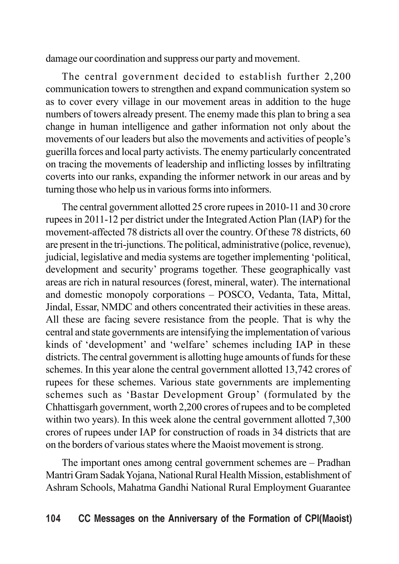damage our coordination and suppress our party and movement.

The central government decided to establish further 2,200 communication towers to strengthen and expand communication system so as to cover every village in our movement areas in addition to the huge numbers of towers already present. The enemy made this plan to bring a sea change in human intelligence and gather information not only about the movements of our leaders but also the movements and activities of people's guerilla forces and local party activists. The enemy particularly concentrated on tracing the movements of leadership and inflicting losses by infiltrating coverts into our ranks, expanding the informer network in our areas and by turning those who help us in various forms into informers.

The central government allotted 25 crore rupees in 2010-11 and 30 crore rupees in 2011-12 per district under the Integrated Action Plan (IAP) for the movement-affected 78 districts all over the country. Of these 78 districts, 60 are present in the tri-junctions. The political, administrative (police, revenue), judicial, legislative and media systems are together implementing 'political, development and security' programs together. These geographically vast areas are rich in natural resources (forest, mineral, water). The international and domestic monopoly corporations – POSCO, Vedanta, Tata, Mittal, Jindal, Essar, NMDC and others concentrated their activities in these areas. All these are facing severe resistance from the people. That is why the central and state governments are intensifying the implementation of various kinds of 'development' and 'welfare' schemes including IAP in these districts. The central government is allotting huge amounts of funds for these schemes. In this year alone the central government allotted 13,742 crores of rupees for these schemes. Various state governments are implementing schemes such as 'Bastar Development Group' (formulated by the Chhattisgarh government, worth 2,200 crores of rupees and to be completed within two years). In this week alone the central government allotted 7.300 crores of rupees under IAP for construction of roads in 34 districts that are on the borders of various states where the Maoist movement is strong.

The important ones among central government schemes are – Pradhan Mantri Gram Sadak Yojana, National Rural Health Mission, establishment of Ashram Schools, Mahatma Gandhi National Rural Employment Guarantee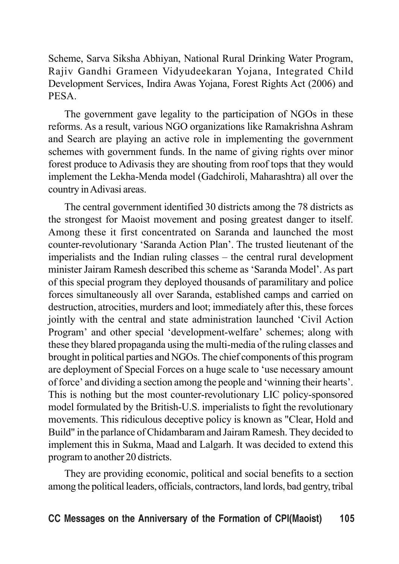Scheme, Sarva Siksha Abhiyan, National Rural Drinking Water Program, Rajiv Gandhi Grameen Vidyudeekaran Yojana, Integrated Child Development Services, Indira Awas Yojana, Forest Rights Act (2006) and **PESA** 

The government gave legality to the participation of NGOs in these reforms. As a result, various NGO organizations like Ramakrishna Ashram and Search are playing an active role in implementing the government schemes with government funds. In the name of giving rights over minor forest produce to Adivasis they are shouting from roof tops that they would implement the Lekha-Menda model (Gadchiroli, Maharashtra) all over the country in Adivasi areas.

The central government identified 30 districts among the 78 districts as the strongest for Maoist movement and posing greatest danger to itself. Among these it first concentrated on Saranda and launched the most counter-revolutionary 'Saranda Action Plan'. The trusted lieutenant of the imperialists and the Indian ruling classes – the central rural development minister Jairam Ramesh described this scheme as 'Saranda Model'. As part of this special program they deployed thousands of paramilitary and police forces simultaneously all over Saranda, established camps and carried on destruction, atrocities, murders and loot; immediately after this, these forces jointly with the central and state administration launched 'Civil Action Program' and other special 'development-welfare' schemes; along with these they blared propaganda using the multi-media of the ruling classes and brought in political parties and NGOs. The chief components of this program are deployment of Special Forces on a huge scale to 'use necessary amount of force' and dividing a section among the people and 'winning their hearts'. This is nothing but the most counter-revolutionary LIC policy-sponsored model formulated by the British-U.S. imperialists to fight the revolutionary movements. This ridiculous deceptive policy is known as "Clear, Hold and Build" in the parlance of Chidambaram and Jairam Ramesh. They decided to implement this in Sukma, Maad and Lalgarh. It was decided to extend this program to another 20 districts.

They are providing economic, political and social benefits to a section among the political leaders, officials, contractors, land lords, bad gentry, tribal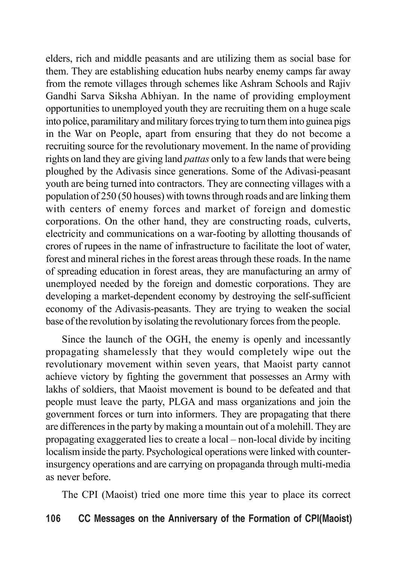elders, rich and middle peasants and are utilizing them as social base for them. They are establishing education hubs nearby enemy camps far away from the remote villages through schemes like Ashram Schools and Rajiv Gandhi Sarva Siksha Abhiyan. In the name of providing employment opportunities to unemployed youth they are recruiting them on a huge scale into police, paramilitary and military forces trying to turn them into guinea pigs in the War on People, apart from ensuring that they do not become a recruiting source for the revolutionary movement. In the name of providing rights on land they are giving land *pattas* only to a few lands that were being ploughed by the Adivasis since generations. Some of the Adivasi-peasant youth are being turned into contractors. They are connecting villages with a population of 250 (50 houses) with towns through roads and are linking them with centers of enemy forces and market of foreign and domestic corporations. On the other hand, they are constructing roads, culverts, electricity and communications on a war-footing by allotting thousands of crores of rupees in the name of infrastructure to facilitate the loot of water, forest and mineral riches in the forest areas through these roads. In the name of spreading education in forest areas, they are manufacturing an army of unemployed needed by the foreign and domestic corporations. They are developing a market-dependent economy by destroying the self-sufficient economy of the Adivasis-peasants. They are trying to weaken the social base of the revolution by isolating the revolutionary forces from the people.

Since the launch of the OGH, the enemy is openly and incessantly propagating shamelessly that they would completely wipe out the revolutionary movement within seven years, that Maoist party cannot achieve victory by fighting the government that possesses an Army with lakhs of soldiers, that Maoist movement is bound to be defeated and that people must leave the party, PLGA and mass organizations and join the government forces or turn into informers. They are propagating that there are differences in the party by making a mountain out of a molehill. They are propagating exaggerated lies to create a local – non-local divide by inciting localism inside the party. Psychological operations were linked with counterinsurgency operations and are carrying on propaganda through multi-media as never before.

The CPI (Maoist) tried one more time this year to place its correct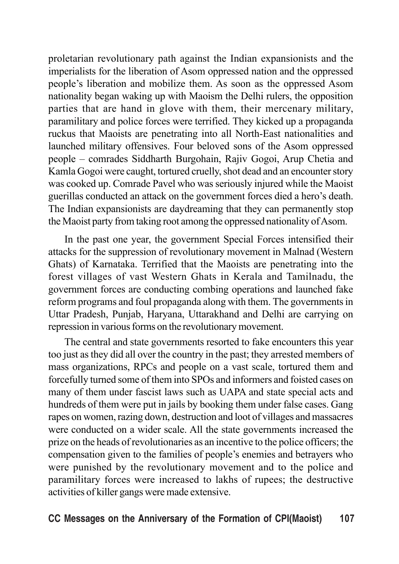proletarian revolutionary path against the Indian expansionists and the imperialists for the liberation of Asom oppressed nation and the oppressed people's liberation and mobilize them. As soon as the oppressed Asom nationality began waking up with Maoism the Delhi rulers, the opposition parties that are hand in glove with them, their mercenary military, paramilitary and police forces were terrified. They kicked up a propaganda ruckus that Maoists are penetrating into all North-East nationalities and launched military offensives. Four beloved sons of the Asom oppressed people – comrades Siddharth Burgohain, Rajiv Gogoi, Arup Chetia and Kamla Gogoi were caught, tortured cruelly, shot dead and an encounter story was cooked up. Comrade Pavel who was seriously injured while the Maoist guerillas conducted an attack on the government forces died a hero's death. The Indian expansionists are daydreaming that they can permanently stop the Maoist party from taking root among the oppressed nationality of Asom.

In the past one year, the government Special Forces intensified their attacks for the suppression of revolutionary movement in Malnad (Western Ghats) of Karnataka. Terrified that the Maoists are penetrating into the forest villages of vast Western Ghats in Kerala and Tamilnadu, the government forces are conducting combing operations and launched fake reform programs and foul propaganda along with them. The governments in Uttar Pradesh, Punjab, Haryana, Uttarakhand and Delhi are carrying on repression in various forms on the revolutionary movement.

The central and state governments resorted to fake encounters this year too just as they did all over the country in the past; they arrested members of mass organizations, RPCs and people on a vast scale, tortured them and forcefully turned some of them into SPOs and informers and foisted cases on many of them under fascist laws such as UAPA and state special acts and hundreds of them were put in jails by booking them under false cases. Gang rapes on women, razing down, destruction and loot of villages and massacres were conducted on a wider scale. All the state governments increased the prize on the heads of revolutionaries as an incentive to the police officers; the compensation given to the families of people's enemies and betrayers who were punished by the revolutionary movement and to the police and paramilitary forces were increased to lakhs of rupees; the destructive activities of killer gangs were made extensive.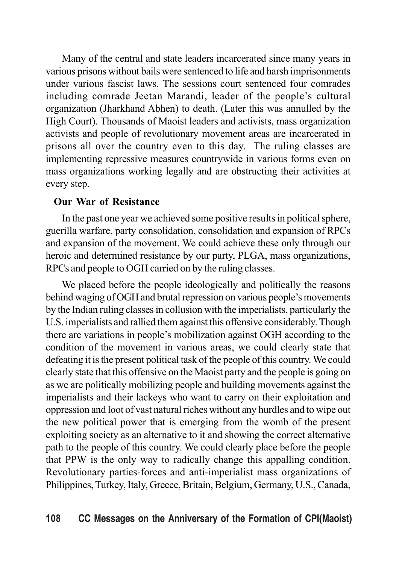Many of the central and state leaders incarcerated since many years in various prisons without bails were sentenced to life and harsh imprisonments under various fascist laws. The sessions court sentenced four comrades including comrade Jeetan Marandi, leader of the people's cultural organization (Jharkhand Abhen) to death. (Later this was annulled by the High Court). Thousands of Maoist leaders and activists, mass organization activists and people of revolutionary movement areas are incarcerated in prisons all over the country even to this day. The ruling classes are implementing repressive measures countrywide in various forms even on mass organizations working legally and are obstructing their activities at every step.

#### **Our War of Resistance**

In the past one year we achieved some positive results in political sphere, guerilla warfare, party consolidation, consolidation and expansion of RPCs and expansion of the movement. We could achieve these only through our heroic and determined resistance by our party, PLGA, mass organizations, RPCs and people to OGH carried on by the ruling classes.

We placed before the people ideologically and politically the reasons behind waging of OGH and brutal repression on various people's movements by the Indian ruling classes in collusion with the imperialists, particularly the U.S. imperialists and rallied them against this offensive considerably. Though there are variations in people's mobilization against OGH according to the condition of the movement in various areas, we could clearly state that defeating it is the present political task of the people of this country. We could clearly state that this offensive on the Maoist party and the people is going on as we are politically mobilizing people and building movements against the imperialists and their lackeys who want to carry on their exploitation and oppression and loot of vast natural riches without any hurdles and to wipe out the new political power that is emerging from the womb of the present exploiting society as an alternative to it and showing the correct alternative path to the people of this country. We could clearly place before the people that PPW is the only way to radically change this appalling condition. Revolutionary parties-forces and anti-imperialist mass organizations of Philippines, Turkey, Italy, Greece, Britain, Belgium, Germany, U.S., Canada,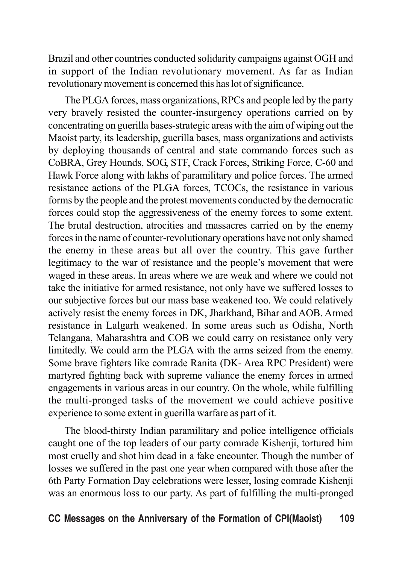Brazil and other countries conducted solidarity campaigns against OGH and in support of the Indian revolutionary movement. As far as Indian revolutionary movement is concerned this has lot of significance.

The PLGA forces, mass organizations, RPCs and people led by the party very bravely resisted the counter-insurgency operations carried on by concentrating on guerilla bases-strategic areas with the aim of wiping out the Maoist party, its leadership, guerilla bases, mass organizations and activists by deploying thousands of central and state commando forces such as CoBRA, Grey Hounds, SOG, STF, Crack Forces, Striking Force, C-60 and Hawk Force along with lakhs of paramilitary and police forces. The armed resistance actions of the PLGA forces, TCOCs, the resistance in various forms by the people and the protest movements conducted by the democratic forces could stop the aggressiveness of the enemy forces to some extent. The brutal destruction, atrocities and massacres carried on by the enemy forces in the name of counter-revolutionary operations have not only shamed the enemy in these areas but all over the country. This gave further legitimacy to the war of resistance and the people's movement that were waged in these areas. In areas where we are weak and where we could not take the initiative for armed resistance, not only have we suffered losses to our subjective forces but our mass base weakened too. We could relatively actively resist the enemy forces in DK, Jharkhand, Bihar and AOB. Armed resistance in Lalgarh weakened. In some areas such as Odisha, North Telangana, Maharashtra and COB we could carry on resistance only very limitedly. We could arm the PLGA with the arms seized from the enemy. Some brave fighters like comrade Ranita (DK- Area RPC President) were martyred fighting back with supreme valiance the enemy forces in armed engagements in various areas in our country. On the whole, while fulfilling the multi-pronged tasks of the movement we could achieve positive experience to some extent in guerilla warfare as part of it.

The blood-thirsty Indian paramilitary and police intelligence officials caught one of the top leaders of our party comrade Kishenji, tortured him most cruelly and shot him dead in a fake encounter. Though the number of losses we suffered in the past one year when compared with those after the 6th Party Formation Day celebrations were lesser, losing comrade Kishenji was an enormous loss to our party. As part of fulfilling the multi-pronged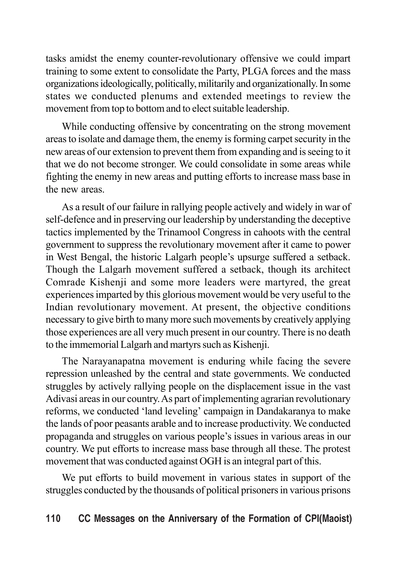tasks amidst the enemy counter-revolutionary offensive we could impart training to some extent to consolidate the Party, PLGA forces and the mass organizations ideologically, politically, militarily and organizationally. In some states we conducted plenums and extended meetings to review the movement from top to bottom and to elect suitable leadership.

While conducting offensive by concentrating on the strong movement areas to isolate and damage them, the enemy is forming carpet security in the new areas of our extension to prevent them from expanding and is seeing to it that we do not become stronger. We could consolidate in some areas while fighting the enemy in new areas and putting efforts to increase mass base in the new areas.

As a result of our failure in rallying people actively and widely in war of self-defence and in preserving our leadership by understanding the deceptive tactics implemented by the Trinamool Congress in cahoots with the central government to suppress the revolutionary movement after it came to power in West Bengal, the historic Lalgarh people's upsurge suffered a setback. Though the Lalgarh movement suffered a setback, though its architect Comrade Kishenji and some more leaders were martyred, the great experiences imparted by this glorious movement would be very useful to the Indian revolutionary movement. At present, the objective conditions necessary to give birth to many more such movements by creatively applying those experiences are all very much present in our country. There is no death to the immemorial Lalgarh and martyrs such as Kishenji.

The Narayanapatna movement is enduring while facing the severe repression unleashed by the central and state governments. We conducted struggles by actively rallying people on the displacement issue in the vast Adivasi areas in our country. As part of implementing agrarian revolutionary reforms, we conducted 'land leveling' campaign in Dandakaranya to make the lands of poor peasants arable and to increase productivity. We conducted propaganda and struggles on various people's issues in various areas in our country. We put efforts to increase mass base through all these. The protest movement that was conducted against OGH is an integral part of this.

We put efforts to build movement in various states in support of the struggles conducted by the thousands of political prisoners in various prisons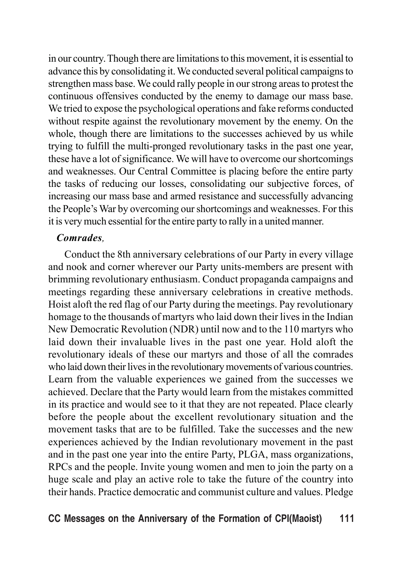in our country. Though there are limitations to this movement, it is essential to advance this by consolidating it. We conducted several political campaigns to strengthen mass base. We could rally people in our strong areas to protest the continuous offensives conducted by the enemy to damage our mass base. We tried to expose the psychological operations and fake reforms conducted without respite against the revolutionary movement by the enemy. On the whole, though there are limitations to the successes achieved by us while trying to fulfill the multi-pronged revolutionary tasks in the past one year, these have a lot of significance. We will have to overcome our shortcomings and weaknesses. Our Central Committee is placing before the entire party the tasks of reducing our losses, consolidating our subjective forces, of increasing our mass base and armed resistance and successfully advancing the People's War by overcoming our shortcomings and weaknesses. For this it is very much essential for the entire party to rally in a united manner.

#### *Comrades,*

Conduct the 8th anniversary celebrations of our Party in every village and nook and corner wherever our Party units-members are present with brimming revolutionary enthusiasm. Conduct propaganda campaigns and meetings regarding these anniversary celebrations in creative methods. Hoist aloft the red flag of our Party during the meetings. Pay revolutionary homage to the thousands of martyrs who laid down their lives in the Indian New Democratic Revolution (NDR) until now and to the 110 martyrs who laid down their invaluable lives in the past one year. Hold aloft the revolutionary ideals of these our martyrs and those of all the comrades who laid down their lives in the revolutionary movements of various countries. Learn from the valuable experiences we gained from the successes we achieved. Declare that the Party would learn from the mistakes committed in its practice and would see to it that they are not repeated. Place clearly before the people about the excellent revolutionary situation and the movement tasks that are to be fulfilled. Take the successes and the new experiences achieved by the Indian revolutionary movement in the past and in the past one year into the entire Party, PLGA, mass organizations, RPCs and the people. Invite young women and men to join the party on a huge scale and play an active role to take the future of the country into their hands. Practice democratic and communist culture and values. Pledge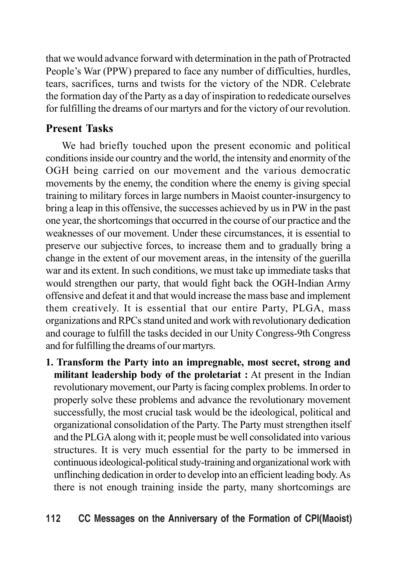that we would advance forward with determination in the path of Protracted People's War (PPW) prepared to face any number of difficulties, hurdles, tears, sacrifices, turns and twists for the victory of the NDR. Celebrate the formation day of the Party as a day of inspiration to rededicate ourselves for fulfilling the dreams of our martyrs and for the victory of our revolution.

# **Present Tasks**

We had briefly touched upon the present economic and political conditions inside our country and the world, the intensity and enormity of the OGH being carried on our movement and the various democratic movements by the enemy, the condition where the enemy is giving special training to military forces in large numbers in Maoist counter-insurgency to bring a leap in this offensive, the successes achieved by us in PW in the past one year, the shortcomings that occurred in the course of our practice and the weaknesses of our movement. Under these circumstances, it is essential to preserve our subjective forces, to increase them and to gradually bring a change in the extent of our movement areas, in the intensity of the guerilla war and its extent. In such conditions, we must take up immediate tasks that would strengthen our party, that would fight back the OGH-Indian Army offensive and defeat it and that would increase the mass base and implement them creatively. It is essential that our entire Party, PLGA, mass organizations and RPCs stand united and work with revolutionary dedication and courage to fulfill the tasks decided in our Unity Congress-9th Congress and for fulfilling the dreams of our martyrs.

**1. Transform the Party into an impregnable, most secret, strong and militant leadership body of the proletariat :** At present in the Indian revolutionary movement, our Party is facing complex problems. In order to properly solve these problems and advance the revolutionary movement successfully, the most crucial task would be the ideological, political and organizational consolidation of the Party. The Party must strengthen itself and the PLGA along with it; people must be well consolidated into various structures. It is very much essential for the party to be immersed in continuous ideological-political study-training and organizational work with unflinching dedication in order to develop into an efficient leading body. As there is not enough training inside the party, many shortcomings are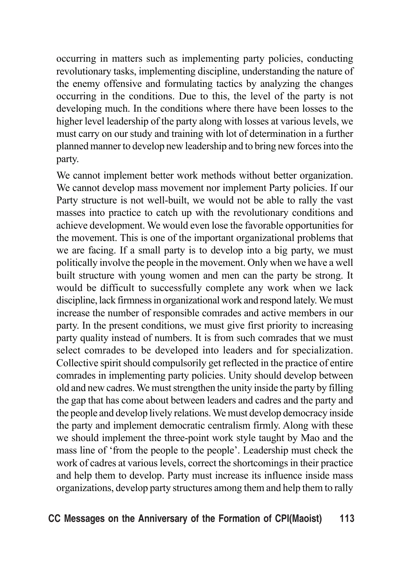occurring in matters such as implementing party policies, conducting revolutionary tasks, implementing discipline, understanding the nature of the enemy offensive and formulating tactics by analyzing the changes occurring in the conditions. Due to this, the level of the party is not developing much. In the conditions where there have been losses to the higher level leadership of the party along with losses at various levels, we must carry on our study and training with lot of determination in a further planned manner to develop new leadership and to bring new forces into the party.

We cannot implement better work methods without better organization. We cannot develop mass movement nor implement Party policies. If our Party structure is not well-built, we would not be able to rally the vast masses into practice to catch up with the revolutionary conditions and achieve development. We would even lose the favorable opportunities for the movement. This is one of the important organizational problems that we are facing. If a small party is to develop into a big party, we must politically involve the people in the movement. Only when we have a well built structure with young women and men can the party be strong. It would be difficult to successfully complete any work when we lack discipline, lack firmness in organizational work and respond lately. We must increase the number of responsible comrades and active members in our party. In the present conditions, we must give first priority to increasing party quality instead of numbers. It is from such comrades that we must select comrades to be developed into leaders and for specialization. Collective spirit should compulsorily get reflected in the practice of entire comrades in implementing party policies. Unity should develop between old and new cadres. We must strengthen the unity inside the party by filling the gap that has come about between leaders and cadres and the party and the people and develop lively relations. We must develop democracy inside the party and implement democratic centralism firmly. Along with these we should implement the three-point work style taught by Mao and the mass line of 'from the people to the people'. Leadership must check the work of cadres at various levels, correct the shortcomings in their practice and help them to develop. Party must increase its influence inside mass organizations, develop party structures among them and help them to rally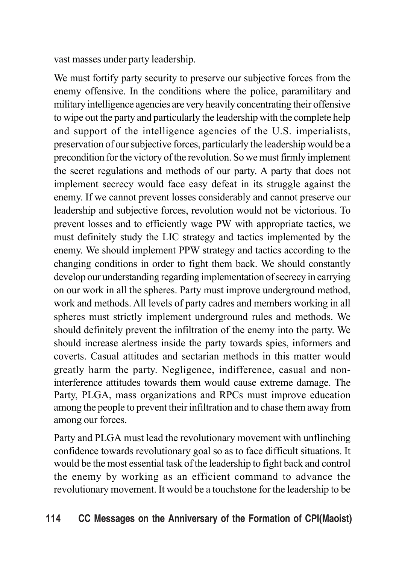vast masses under party leadership.

We must fortify party security to preserve our subjective forces from the enemy offensive. In the conditions where the police, paramilitary and military intelligence agencies are very heavily concentrating their offensive to wipe out the party and particularly the leadership with the complete help and support of the intelligence agencies of the U.S. imperialists, preservation of our subjective forces, particularly the leadership would be a precondition for the victory of the revolution. So we must firmly implement the secret regulations and methods of our party. A party that does not implement secrecy would face easy defeat in its struggle against the enemy. If we cannot prevent losses considerably and cannot preserve our leadership and subjective forces, revolution would not be victorious. To prevent losses and to efficiently wage PW with appropriate tactics, we must definitely study the LIC strategy and tactics implemented by the enemy. We should implement PPW strategy and tactics according to the changing conditions in order to fight them back. We should constantly develop our understanding regarding implementation of secrecy in carrying on our work in all the spheres. Party must improve underground method, work and methods. All levels of party cadres and members working in all spheres must strictly implement underground rules and methods. We should definitely prevent the infiltration of the enemy into the party. We should increase alertness inside the party towards spies, informers and coverts. Casual attitudes and sectarian methods in this matter would greatly harm the party. Negligence, indifference, casual and noninterference attitudes towards them would cause extreme damage. The Party, PLGA, mass organizations and RPCs must improve education among the people to prevent their infiltration and to chase them away from among our forces.

Party and PLGA must lead the revolutionary movement with unflinching confidence towards revolutionary goal so as to face difficult situations. It would be the most essential task of the leadership to fight back and control the enemy by working as an efficient command to advance the revolutionary movement. It would be a touchstone for the leadership to be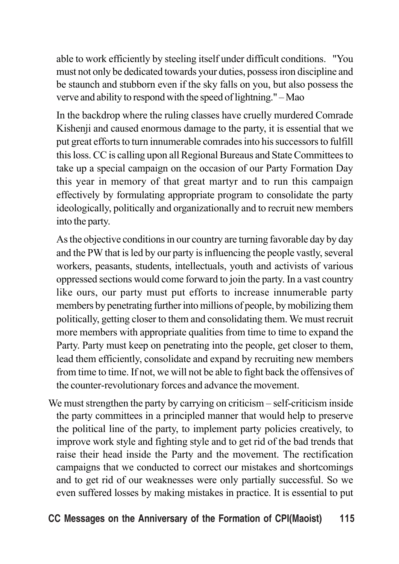able to work efficiently by steeling itself under difficult conditions. "You must not only be dedicated towards your duties, possess iron discipline and be staunch and stubborn even if the sky falls on you, but also possess the verve and ability to respond with the speed of lightning." – Mao

In the backdrop where the ruling classes have cruelly murdered Comrade Kishenji and caused enormous damage to the party, it is essential that we put great efforts to turn innumerable comrades into his successors to fulfill this loss. CC is calling upon all Regional Bureaus and State Committees to take up a special campaign on the occasion of our Party Formation Day this year in memory of that great martyr and to run this campaign effectively by formulating appropriate program to consolidate the party ideologically, politically and organizationally and to recruit new members into the party.

As the objective conditions in our country are turning favorable day by day and the PW that is led by our party is influencing the people vastly, several workers, peasants, students, intellectuals, youth and activists of various oppressed sections would come forward to join the party. In a vast country like ours, our party must put efforts to increase innumerable party members by penetrating further into millions of people, by mobilizing them politically, getting closer to them and consolidating them. We must recruit more members with appropriate qualities from time to time to expand the Party. Party must keep on penetrating into the people, get closer to them, lead them efficiently, consolidate and expand by recruiting new members from time to time. If not, we will not be able to fight back the offensives of the counter-revolutionary forces and advance the movement.

We must strengthen the party by carrying on criticism – self-criticism inside the party committees in a principled manner that would help to preserve the political line of the party, to implement party policies creatively, to improve work style and fighting style and to get rid of the bad trends that raise their head inside the Party and the movement. The rectification campaigns that we conducted to correct our mistakes and shortcomings and to get rid of our weaknesses were only partially successful. So we even suffered losses by making mistakes in practice. It is essential to put

# **CC Messages on the Anniversary of the Formation of CPI(Maoist)**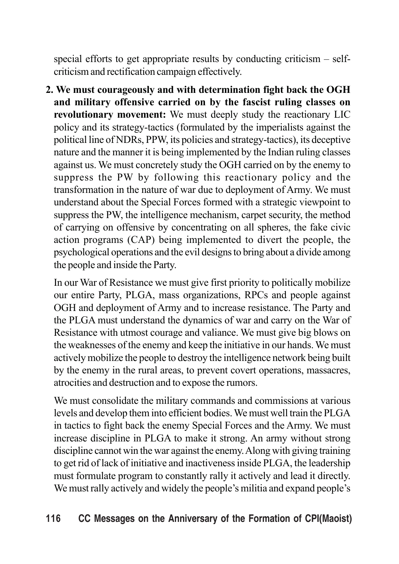special efforts to get appropriate results by conducting criticism – selfcriticism and rectification campaign effectively.

**2. We must courageously and with determination fight back the OGH and military offensive carried on by the fascist ruling classes on revolutionary movement:** We must deeply study the reactionary LIC policy and its strategy-tactics (formulated by the imperialists against the political line of NDRs, PPW, its policies and strategy-tactics), its deceptive nature and the manner it is being implemented by the Indian ruling classes against us. We must concretely study the OGH carried on by the enemy to suppress the PW by following this reactionary policy and the transformation in the nature of war due to deployment of Army. We must understand about the Special Forces formed with a strategic viewpoint to suppress the PW, the intelligence mechanism, carpet security, the method of carrying on offensive by concentrating on all spheres, the fake civic action programs (CAP) being implemented to divert the people, the psychological operations and the evil designs to bring about a divide among the people and inside the Party.

In our War of Resistance we must give first priority to politically mobilize our entire Party, PLGA, mass organizations, RPCs and people against OGH and deployment of Army and to increase resistance. The Party and the PLGA must understand the dynamics of war and carry on the War of Resistance with utmost courage and valiance. We must give big blows on the weaknesses of the enemy and keep the initiative in our hands. We must actively mobilize the people to destroy the intelligence network being built by the enemy in the rural areas, to prevent covert operations, massacres, atrocities and destruction and to expose the rumors.

We must consolidate the military commands and commissions at various levels and develop them into efficient bodies. We must well train the PLGA in tactics to fight back the enemy Special Forces and the Army. We must increase discipline in PLGA to make it strong. An army without strong discipline cannot win the war against the enemy. Along with giving training to get rid of lack of initiative and inactiveness inside PLGA, the leadership must formulate program to constantly rally it actively and lead it directly. We must rally actively and widely the people's militia and expand people's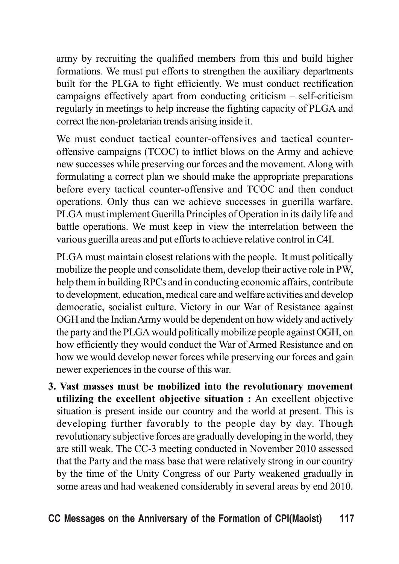army by recruiting the qualified members from this and build higher formations. We must put efforts to strengthen the auxiliary departments built for the PLGA to fight efficiently. We must conduct rectification campaigns effectively apart from conducting criticism – self-criticism regularly in meetings to help increase the fighting capacity of PLGA and correct the non-proletarian trends arising inside it.

We must conduct tactical counter-offensives and tactical counteroffensive campaigns (TCOC) to inflict blows on the Army and achieve new successes while preserving our forces and the movement. Along with formulating a correct plan we should make the appropriate preparations before every tactical counter-offensive and TCOC and then conduct operations. Only thus can we achieve successes in guerilla warfare. PLGA must implement Guerilla Principles of Operation in its daily life and battle operations. We must keep in view the interrelation between the various guerilla areas and put efforts to achieve relative control in C4I.

PLGA must maintain closest relations with the people. It must politically mobilize the people and consolidate them, develop their active role in PW, help them in building RPCs and in conducting economic affairs, contribute to development, education, medical care and welfare activities and develop democratic, socialist culture. Victory in our War of Resistance against OGH and the Indian Army would be dependent on how widely and actively the party and the PLGA would politically mobilize people against OGH, on how efficiently they would conduct the War of Armed Resistance and on how we would develop newer forces while preserving our forces and gain newer experiences in the course of this war.

**3. Vast masses must be mobilized into the revolutionary movement utilizing the excellent objective situation :** An excellent objective situation is present inside our country and the world at present. This is developing further favorably to the people day by day. Though revolutionary subjective forces are gradually developing in the world, they are still weak. The CC-3 meeting conducted in November 2010 assessed that the Party and the mass base that were relatively strong in our country by the time of the Unity Congress of our Party weakened gradually in some areas and had weakened considerably in several areas by end 2010.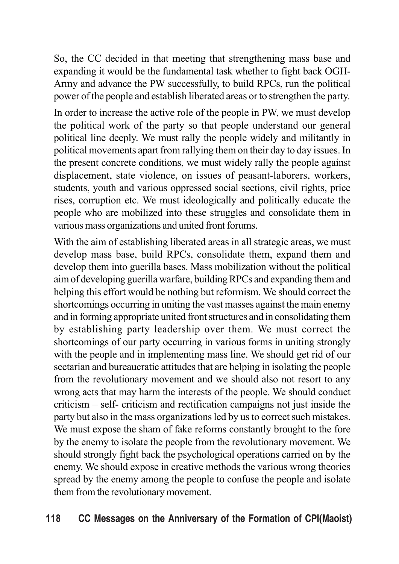So, the CC decided in that meeting that strengthening mass base and expanding it would be the fundamental task whether to fight back OGH-Army and advance the PW successfully, to build RPCs, run the political power of the people and establish liberated areas or to strengthen the party.

In order to increase the active role of the people in PW, we must develop the political work of the party so that people understand our general political line deeply. We must rally the people widely and militantly in political movements apart from rallying them on their day to day issues. In the present concrete conditions, we must widely rally the people against displacement, state violence, on issues of peasant-laborers, workers, students, youth and various oppressed social sections, civil rights, price rises, corruption etc. We must ideologically and politically educate the people who are mobilized into these struggles and consolidate them in various mass organizations and united front forums.

With the aim of establishing liberated areas in all strategic areas, we must develop mass base, build RPCs, consolidate them, expand them and develop them into guerilla bases. Mass mobilization without the political aim of developing guerilla warfare, building RPCs and expanding them and helping this effort would be nothing but reformism. We should correct the shortcomings occurring in uniting the vast masses against the main enemy and in forming appropriate united front structures and in consolidating them by establishing party leadership over them. We must correct the shortcomings of our party occurring in various forms in uniting strongly with the people and in implementing mass line. We should get rid of our sectarian and bureaucratic attitudes that are helping in isolating the people from the revolutionary movement and we should also not resort to any wrong acts that may harm the interests of the people. We should conduct criticism – self- criticism and rectification campaigns not just inside the party but also in the mass organizations led by us to correct such mistakes. We must expose the sham of fake reforms constantly brought to the fore by the enemy to isolate the people from the revolutionary movement. We should strongly fight back the psychological operations carried on by the enemy. We should expose in creative methods the various wrong theories spread by the enemy among the people to confuse the people and isolate them from the revolutionary movement.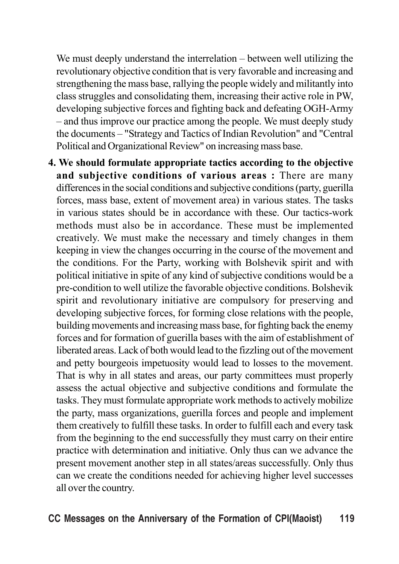We must deeply understand the interrelation – between well utilizing the revolutionary objective condition that is very favorable and increasing and strengthening the mass base, rallying the people widely and militantly into class struggles and consolidating them, increasing their active role in PW, developing subjective forces and fighting back and defeating OGH-Army – and thus improve our practice among the people. We must deeply study the documents – "Strategy and Tactics of Indian Revolution" and "Central Political and Organizational Review" on increasing mass base.

**4. We should formulate appropriate tactics according to the objective and subjective conditions of various areas :** There are many differences in the social conditions and subjective conditions (party, guerilla forces, mass base, extent of movement area) in various states. The tasks in various states should be in accordance with these. Our tactics-work methods must also be in accordance. These must be implemented creatively. We must make the necessary and timely changes in them keeping in view the changes occurring in the course of the movement and the conditions. For the Party, working with Bolshevik spirit and with political initiative in spite of any kind of subjective conditions would be a pre-condition to well utilize the favorable objective conditions. Bolshevik spirit and revolutionary initiative are compulsory for preserving and developing subjective forces, for forming close relations with the people, building movements and increasing mass base, for fighting back the enemy forces and for formation of guerilla bases with the aim of establishment of liberated areas. Lack of both would lead to the fizzling out of the movement and petty bourgeois impetuosity would lead to losses to the movement. That is why in all states and areas, our party committees must properly assess the actual objective and subjective conditions and formulate the tasks. They must formulate appropriate work methods to actively mobilize the party, mass organizations, guerilla forces and people and implement them creatively to fulfill these tasks. In order to fulfill each and every task from the beginning to the end successfully they must carry on their entire practice with determination and initiative. Only thus can we advance the present movement another step in all states/areas successfully. Only thus can we create the conditions needed for achieving higher level successes all over the country.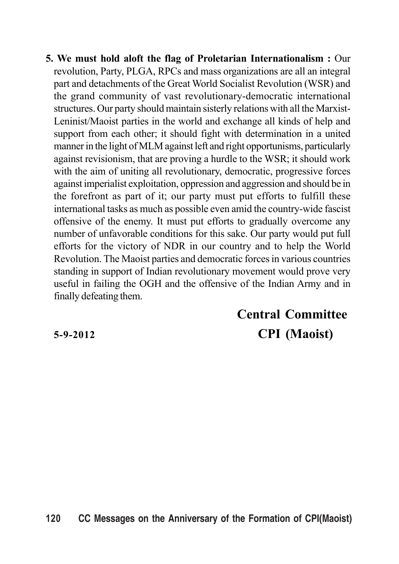**5. We must hold aloft the flag of Proletarian Internationalism :** Our revolution, Party, PLGA, RPCs and mass organizations are all an integral part and detachments of the Great World Socialist Revolution (WSR) and the grand community of vast revolutionary-democratic international structures. Our party should maintain sisterly relations with all the Marxist-Leninist/Maoist parties in the world and exchange all kinds of help and support from each other; it should fight with determination in a united manner in the light of MLM against left and right opportunisms, particularly against revisionism, that are proving a hurdle to the WSR; it should work with the aim of uniting all revolutionary, democratic, progressive forces against imperialist exploitation, oppression and aggression and should be in the forefront as part of it; our party must put efforts to fulfill these international tasks as much as possible even amid the country-wide fascist offensive of the enemy. It must put efforts to gradually overcome any number of unfavorable conditions for this sake. Our party would put full efforts for the victory of NDR in our country and to help the World Revolution. The Maoist parties and democratic forces in various countries standing in support of Indian revolutionary movement would prove very useful in failing the OGH and the offensive of the Indian Army and in finally defeating them.

# **Central Committee 5-9-2012 CPI (Maoist)**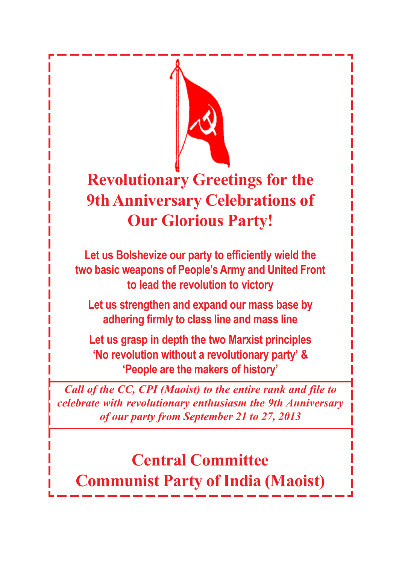

**Let us Bolshevize our party to efficiently wield the two basic weapons of People's Army and United Front to lead the revolution to victory**

**Let us strengthen and expand our mass base by adhering firmly to class line and mass line**

**Let us grasp in depth the two Marxist principles 'No revolution without a revolutionary party' & 'People are the makers of history'**

*Call of the CC, CPI (Maoist) to the entire rank and file to celebrate with revolutionary enthusiasm the 9th Anniversary of our party from September 21 to 27, 2013*

**Central Committee Communist Party of India (Maoist)**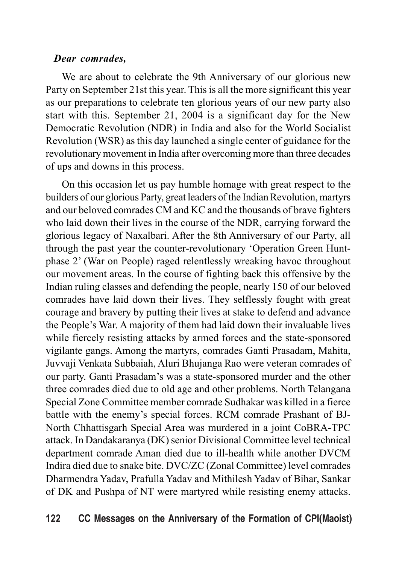#### *Dear comrades,*

We are about to celebrate the 9th Anniversary of our glorious new Party on September 21st this year. This is all the more significant this year as our preparations to celebrate ten glorious years of our new party also start with this. September 21, 2004 is a significant day for the New Democratic Revolution (NDR) in India and also for the World Socialist Revolution (WSR) as this day launched a single center of guidance for the revolutionary movement in India after overcoming more than three decades of ups and downs in this process.

On this occasion let us pay humble homage with great respect to the builders of our glorious Party, great leaders of the Indian Revolution, martyrs and our beloved comrades CM and KC and the thousands of brave fighters who laid down their lives in the course of the NDR, carrying forward the glorious legacy of Naxalbari. After the 8th Anniversary of our Party, all through the past year the counter-revolutionary 'Operation Green Huntphase 2' (War on People) raged relentlessly wreaking havoc throughout our movement areas. In the course of fighting back this offensive by the Indian ruling classes and defending the people, nearly 150 of our beloved comrades have laid down their lives. They selflessly fought with great courage and bravery by putting their lives at stake to defend and advance the People's War. A majority of them had laid down their invaluable lives while fiercely resisting attacks by armed forces and the state-sponsored vigilante gangs. Among the martyrs, comrades Ganti Prasadam, Mahita, Juvvaji Venkata Subbaiah, Aluri Bhujanga Rao were veteran comrades of our party. Ganti Prasadam's was a state-sponsored murder and the other three comrades died due to old age and other problems. North Telangana Special Zone Committee member comrade Sudhakar was killed in a fierce battle with the enemy's special forces. RCM comrade Prashant of BJ-North Chhattisgarh Special Area was murdered in a joint CoBRA-TPC attack. In Dandakaranya (DK) senior Divisional Committee level technical department comrade Aman died due to ill-health while another DVCM Indira died due to snake bite. DVC/ZC (Zonal Committee) level comrades Dharmendra Yadav, Prafulla Yadav and Mithilesh Yadav of Bihar, Sankar of DK and Pushpa of NT were martyred while resisting enemy attacks.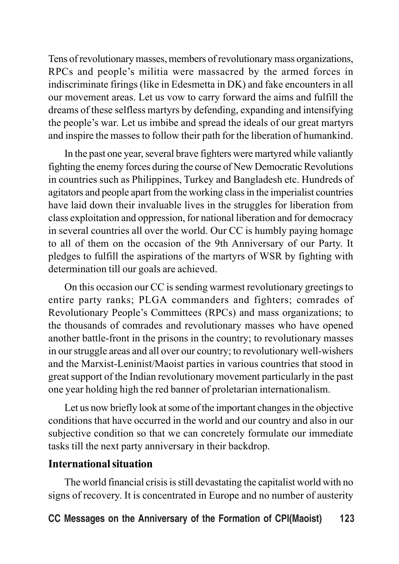Tens of revolutionary masses, members of revolutionary mass organizations, RPCs and people's militia were massacred by the armed forces in indiscriminate firings (like in Edesmetta in DK) and fake encounters in all our movement areas. Let us vow to carry forward the aims and fulfill the dreams of these selfless martyrs by defending, expanding and intensifying the people's war. Let us imbibe and spread the ideals of our great martyrs and inspire the masses to follow their path for the liberation of humankind.

In the past one year, several brave fighters were martyred while valiantly fighting the enemy forces during the course of New Democratic Revolutions in countries such as Philippines, Turkey and Bangladesh etc. Hundreds of agitators and people apart from the working class in the imperialist countries have laid down their invaluable lives in the struggles for liberation from class exploitation and oppression, for national liberation and for democracy in several countries all over the world. Our CC is humbly paying homage to all of them on the occasion of the 9th Anniversary of our Party. It pledges to fulfill the aspirations of the martyrs of WSR by fighting with determination till our goals are achieved.

On this occasion our CC is sending warmest revolutionary greetings to entire party ranks; PLGA commanders and fighters; comrades of Revolutionary People's Committees (RPCs) and mass organizations; to the thousands of comrades and revolutionary masses who have opened another battle-front in the prisons in the country; to revolutionary masses in our struggle areas and all over our country; to revolutionary well-wishers and the Marxist-Leninist/Maoist parties in various countries that stood in great support of the Indian revolutionary movement particularly in the past one year holding high the red banner of proletarian internationalism.

Let us now briefly look at some of the important changes in the objective conditions that have occurred in the world and our country and also in our subjective condition so that we can concretely formulate our immediate tasks till the next party anniversary in their backdrop.

#### **International situation**

The world financial crisis is still devastating the capitalist world with no signs of recovery. It is concentrated in Europe and no number of austerity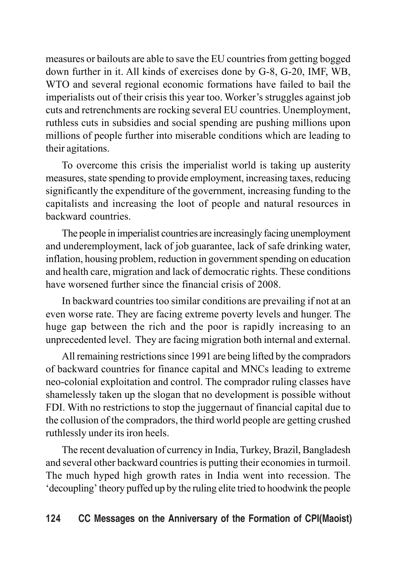measures or bailouts are able to save the EU countries from getting bogged down further in it. All kinds of exercises done by G-8, G-20, IMF, WB, WTO and several regional economic formations have failed to bail the imperialists out of their crisis this year too. Worker's struggles against job cuts and retrenchments are rocking several EU countries. Unemployment, ruthless cuts in subsidies and social spending are pushing millions upon millions of people further into miserable conditions which are leading to their agitations.

To overcome this crisis the imperialist world is taking up austerity measures, state spending to provide employment, increasing taxes, reducing significantly the expenditure of the government, increasing funding to the capitalists and increasing the loot of people and natural resources in backward countries.

The people in imperialist countries are increasingly facing unemployment and underemployment, lack of job guarantee, lack of safe drinking water, inflation, housing problem, reduction in government spending on education and health care, migration and lack of democratic rights. These conditions have worsened further since the financial crisis of 2008.

In backward countries too similar conditions are prevailing if not at an even worse rate. They are facing extreme poverty levels and hunger. The huge gap between the rich and the poor is rapidly increasing to an unprecedented level. They are facing migration both internal and external.

All remaining restrictions since 1991 are being lifted by the compradors of backward countries for finance capital and MNCs leading to extreme neo-colonial exploitation and control. The comprador ruling classes have shamelessly taken up the slogan that no development is possible without FDI. With no restrictions to stop the juggernaut of financial capital due to the collusion of the compradors, the third world people are getting crushed ruthlessly under its iron heels.

The recent devaluation of currency in India, Turkey, Brazil, Bangladesh and several other backward countries is putting their economies in turmoil. The much hyped high growth rates in India went into recession. The 'decoupling' theory puffed up by the ruling elite tried to hoodwink the people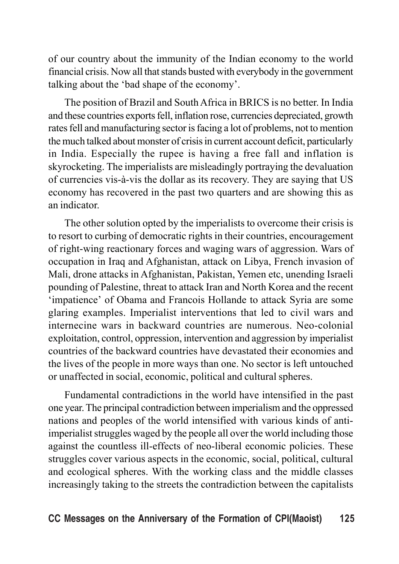of our country about the immunity of the Indian economy to the world financial crisis. Now all that stands busted with everybody in the government talking about the 'bad shape of the economy'.

The position of Brazil and South Africa in BRICS is no better. In India and these countries exports fell, inflation rose, currencies depreciated, growth rates fell and manufacturing sector is facing a lot of problems, not to mention the much talked about monster of crisis in current account deficit, particularly in India. Especially the rupee is having a free fall and inflation is skyrocketing. The imperialists are misleadingly portraying the devaluation of currencies vis-à-vis the dollar as its recovery. They are saying that US economy has recovered in the past two quarters and are showing this as an indicator.

The other solution opted by the imperialists to overcome their crisis is to resort to curbing of democratic rights in their countries, encouragement of right-wing reactionary forces and waging wars of aggression. Wars of occupation in Iraq and Afghanistan, attack on Libya, French invasion of Mali, drone attacks in Afghanistan, Pakistan, Yemen etc, unending Israeli pounding of Palestine, threat to attack Iran and North Korea and the recent 'impatience' of Obama and Francois Hollande to attack Syria are some glaring examples. Imperialist interventions that led to civil wars and internecine wars in backward countries are numerous. Neo-colonial exploitation, control, oppression, intervention and aggression by imperialist countries of the backward countries have devastated their economies and the lives of the people in more ways than one. No sector is left untouched or unaffected in social, economic, political and cultural spheres.

Fundamental contradictions in the world have intensified in the past one year. The principal contradiction between imperialism and the oppressed nations and peoples of the world intensified with various kinds of antiimperialist struggles waged by the people all over the world including those against the countless ill-effects of neo-liberal economic policies. These struggles cover various aspects in the economic, social, political, cultural and ecological spheres. With the working class and the middle classes increasingly taking to the streets the contradiction between the capitalists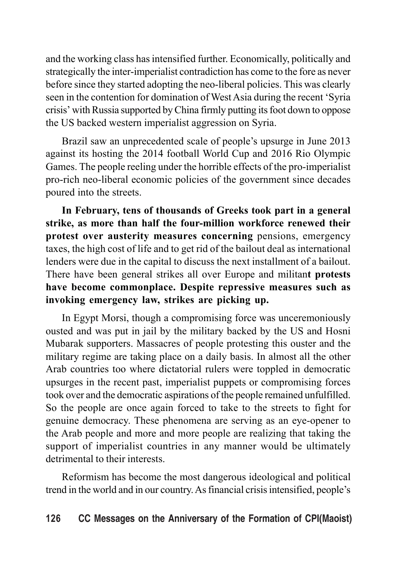and the working class has intensified further. Economically, politically and strategically the inter-imperialist contradiction has come to the fore as never before since they started adopting the neo-liberal policies. This was clearly seen in the contention for domination of West Asia during the recent 'Syria crisis' with Russia supported by China firmly putting its foot down to oppose the US backed western imperialist aggression on Syria.

Brazil saw an unprecedented scale of people's upsurge in June 2013 against its hosting the 2014 football World Cup and 2016 Rio Olympic Games. The people reeling under the horrible effects of the pro-imperialist pro-rich neo-liberal economic policies of the government since decades poured into the streets.

**In February, tens of thousands of Greeks took part in a general strike, as more than half the four-million workforce renewed their protest over austerity measures concerning** pensions, emergency taxes, the high cost of life and to get rid of the bailout deal as international lenders were due in the capital to discuss the next installment of a bailout. There have been general strikes all over Europe and militan**t protests have become commonplace. Despite repressive measures such as invoking emergency law, strikes are picking up.**

In Egypt Morsi, though a compromising force was unceremoniously ousted and was put in jail by the military backed by the US and Hosni Mubarak supporters. Massacres of people protesting this ouster and the military regime are taking place on a daily basis. In almost all the other Arab countries too where dictatorial rulers were toppled in democratic upsurges in the recent past, imperialist puppets or compromising forces took over and the democratic aspirations of the people remained unfulfilled. So the people are once again forced to take to the streets to fight for genuine democracy. These phenomena are serving as an eye-opener to the Arab people and more and more people are realizing that taking the support of imperialist countries in any manner would be ultimately detrimental to their interests.

Reformism has become the most dangerous ideological and political trend in the world and in our country. As financial crisis intensified, people's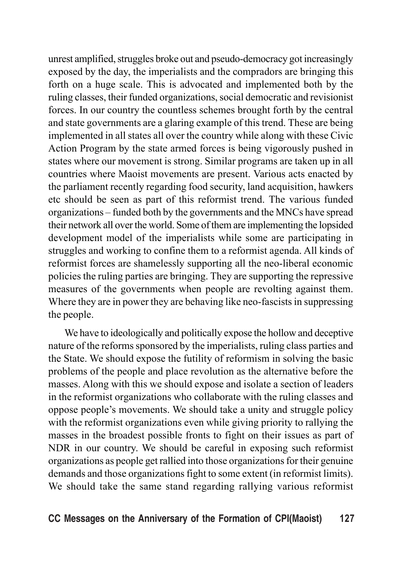unrest amplified, struggles broke out and pseudo-democracy got increasingly exposed by the day, the imperialists and the compradors are bringing this forth on a huge scale. This is advocated and implemented both by the ruling classes, their funded organizations, social democratic and revisionist forces. In our country the countless schemes brought forth by the central and state governments are a glaring example of this trend. These are being implemented in all states all over the country while along with these Civic Action Program by the state armed forces is being vigorously pushed in states where our movement is strong. Similar programs are taken up in all countries where Maoist movements are present. Various acts enacted by the parliament recently regarding food security, land acquisition, hawkers etc should be seen as part of this reformist trend. The various funded organizations – funded both by the governments and the MNCs have spread their network all over the world. Some of them are implementing the lopsided development model of the imperialists while some are participating in struggles and working to confine them to a reformist agenda. All kinds of reformist forces are shamelessly supporting all the neo-liberal economic policies the ruling parties are bringing. They are supporting the repressive measures of the governments when people are revolting against them. Where they are in power they are behaving like neo-fascists in suppressing the people.

We have to ideologically and politically expose the hollow and deceptive nature of the reforms sponsored by the imperialists, ruling class parties and the State. We should expose the futility of reformism in solving the basic problems of the people and place revolution as the alternative before the masses. Along with this we should expose and isolate a section of leaders in the reformist organizations who collaborate with the ruling classes and oppose people's movements. We should take a unity and struggle policy with the reformist organizations even while giving priority to rallying the masses in the broadest possible fronts to fight on their issues as part of NDR in our country. We should be careful in exposing such reformist organizations as people get rallied into those organizations for their genuine demands and those organizations fight to some extent (in reformist limits). We should take the same stand regarding rallying various reformist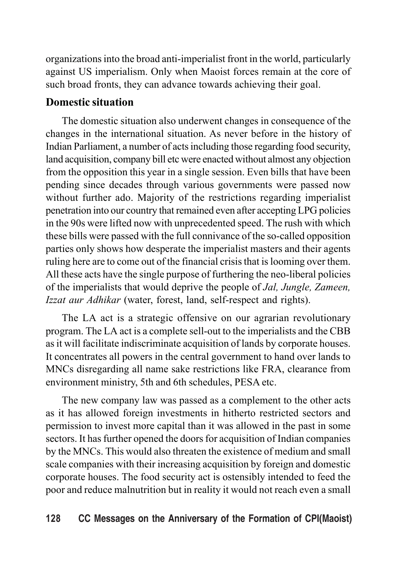organizations into the broad anti-imperialist front in the world, particularly against US imperialism. Only when Maoist forces remain at the core of such broad fronts, they can advance towards achieving their goal.

#### **Domestic situation**

The domestic situation also underwent changes in consequence of the changes in the international situation. As never before in the history of Indian Parliament, a number of acts including those regarding food security, land acquisition, company bill etc were enacted without almost any objection from the opposition this year in a single session. Even bills that have been pending since decades through various governments were passed now without further ado. Majority of the restrictions regarding imperialist penetration into our country that remained even after accepting LPG policies in the 90s were lifted now with unprecedented speed. The rush with which these bills were passed with the full connivance of the so-called opposition parties only shows how desperate the imperialist masters and their agents ruling here are to come out of the financial crisis that is looming over them. All these acts have the single purpose of furthering the neo-liberal policies of the imperialists that would deprive the people of *Jal, Jungle, Zameen, Izzat aur Adhikar* (water, forest, land, self-respect and rights).

The LA act is a strategic offensive on our agrarian revolutionary program. The LA act is a complete sell-out to the imperialists and the CBB as it will facilitate indiscriminate acquisition of lands by corporate houses. It concentrates all powers in the central government to hand over lands to MNCs disregarding all name sake restrictions like FRA, clearance from environment ministry, 5th and 6th schedules, PESA etc.

The new company law was passed as a complement to the other acts as it has allowed foreign investments in hitherto restricted sectors and permission to invest more capital than it was allowed in the past in some sectors. It has further opened the doors for acquisition of Indian companies by the MNCs. This would also threaten the existence of medium and small scale companies with their increasing acquisition by foreign and domestic corporate houses. The food security act is ostensibly intended to feed the poor and reduce malnutrition but in reality it would not reach even a small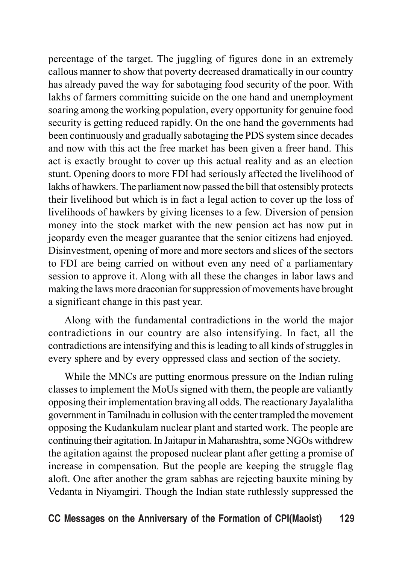percentage of the target. The juggling of figures done in an extremely callous manner to show that poverty decreased dramatically in our country has already paved the way for sabotaging food security of the poor. With lakhs of farmers committing suicide on the one hand and unemployment soaring among the working population, every opportunity for genuine food security is getting reduced rapidly. On the one hand the governments had been continuously and gradually sabotaging the PDS system since decades and now with this act the free market has been given a freer hand. This act is exactly brought to cover up this actual reality and as an election stunt. Opening doors to more FDI had seriously affected the livelihood of lakhs of hawkers. The parliament now passed the bill that ostensibly protects their livelihood but which is in fact a legal action to cover up the loss of livelihoods of hawkers by giving licenses to a few. Diversion of pension money into the stock market with the new pension act has now put in jeopardy even the meager guarantee that the senior citizens had enjoyed. Disinvestment, opening of more and more sectors and slices of the sectors to FDI are being carried on without even any need of a parliamentary session to approve it. Along with all these the changes in labor laws and making the laws more draconian for suppression of movements have brought a significant change in this past year.

Along with the fundamental contradictions in the world the major contradictions in our country are also intensifying. In fact, all the contradictions are intensifying and this is leading to all kinds of struggles in every sphere and by every oppressed class and section of the society.

While the MNCs are putting enormous pressure on the Indian ruling classes to implement the MoUs signed with them, the people are valiantly opposing their implementation braving all odds. The reactionary Jayalalitha government in Tamilnadu in collusion with the center trampled the movement opposing the Kudankulam nuclear plant and started work. The people are continuing their agitation. In Jaitapur in Maharashtra, some NGOs withdrew the agitation against the proposed nuclear plant after getting a promise of increase in compensation. But the people are keeping the struggle flag aloft. One after another the gram sabhas are rejecting bauxite mining by Vedanta in Niyamgiri. Though the Indian state ruthlessly suppressed the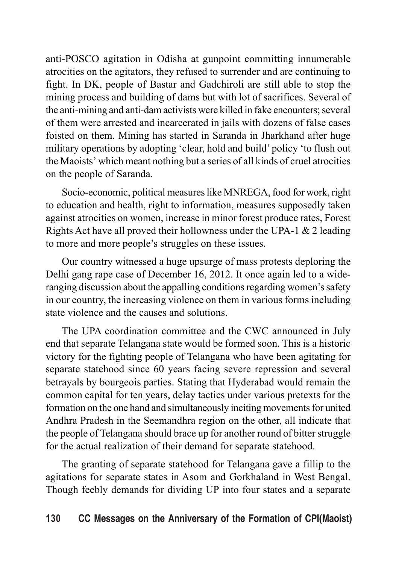anti-POSCO agitation in Odisha at gunpoint committing innumerable atrocities on the agitators, they refused to surrender and are continuing to fight. In DK, people of Bastar and Gadchiroli are still able to stop the mining process and building of dams but with lot of sacrifices. Several of the anti-mining and anti-dam activists were killed in fake encounters; several of them were arrested and incarcerated in jails with dozens of false cases foisted on them. Mining has started in Saranda in Jharkhand after huge military operations by adopting 'clear, hold and build' policy 'to flush out the Maoists' which meant nothing but a series of all kinds of cruel atrocities on the people of Saranda.

Socio-economic, political measures like MNREGA, food for work, right to education and health, right to information, measures supposedly taken against atrocities on women, increase in minor forest produce rates, Forest Rights Act have all proved their hollowness under the UPA-1 & 2 leading to more and more people's struggles on these issues.

Our country witnessed a huge upsurge of mass protests deploring the Delhi gang rape case of December 16, 2012. It once again led to a wideranging discussion about the appalling conditions regarding women's safety in our country, the increasing violence on them in various forms including state violence and the causes and solutions.

The UPA coordination committee and the CWC announced in July end that separate Telangana state would be formed soon. This is a historic victory for the fighting people of Telangana who have been agitating for separate statehood since 60 years facing severe repression and several betrayals by bourgeois parties. Stating that Hyderabad would remain the common capital for ten years, delay tactics under various pretexts for the formation on the one hand and simultaneously inciting movements for united Andhra Pradesh in the Seemandhra region on the other, all indicate that the people of Telangana should brace up for another round of bitter struggle for the actual realization of their demand for separate statehood.

The granting of separate statehood for Telangana gave a fillip to the agitations for separate states in Asom and Gorkhaland in West Bengal. Though feebly demands for dividing UP into four states and a separate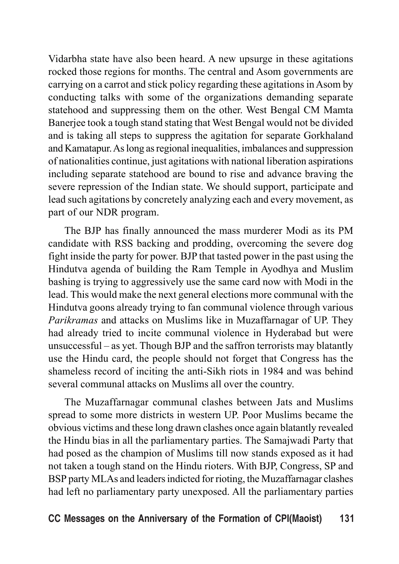Vidarbha state have also been heard. A new upsurge in these agitations rocked those regions for months. The central and Asom governments are carrying on a carrot and stick policy regarding these agitations in Asom by conducting talks with some of the organizations demanding separate statehood and suppressing them on the other. West Bengal CM Mamta Banerjee took a tough stand stating that West Bengal would not be divided and is taking all steps to suppress the agitation for separate Gorkhaland and Kamatapur. As long as regional inequalities, imbalances and suppression of nationalities continue, just agitations with national liberation aspirations including separate statehood are bound to rise and advance braving the severe repression of the Indian state. We should support, participate and lead such agitations by concretely analyzing each and every movement, as part of our NDR program.

The BJP has finally announced the mass murderer Modi as its PM candidate with RSS backing and prodding, overcoming the severe dog fight inside the party for power. BJP that tasted power in the past using the Hindutva agenda of building the Ram Temple in Ayodhya and Muslim bashing is trying to aggressively use the same card now with Modi in the lead. This would make the next general elections more communal with the Hindutva goons already trying to fan communal violence through various *Parikramas* and attacks on Muslims like in Muzaffarnagar of UP. They had already tried to incite communal violence in Hyderabad but were unsuccessful – as yet. Though BJP and the saffron terrorists may blatantly use the Hindu card, the people should not forget that Congress has the shameless record of inciting the anti-Sikh riots in 1984 and was behind several communal attacks on Muslims all over the country.

The Muzaffarnagar communal clashes between Jats and Muslims spread to some more districts in western UP. Poor Muslims became the obvious victims and these long drawn clashes once again blatantly revealed the Hindu bias in all the parliamentary parties. The Samajwadi Party that had posed as the champion of Muslims till now stands exposed as it had not taken a tough stand on the Hindu rioters. With BJP, Congress, SP and BSP party MLAs and leaders indicted for rioting, the Muzaffarnagar clashes had left no parliamentary party unexposed. All the parliamentary parties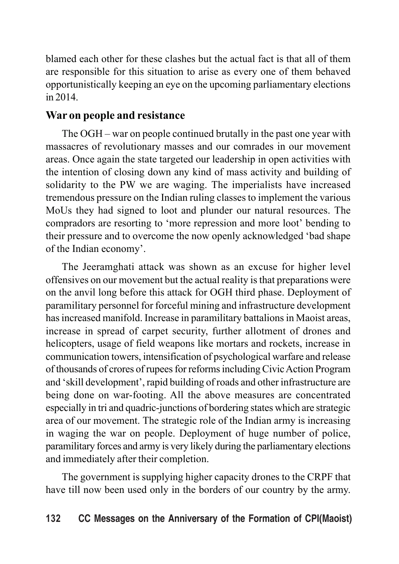blamed each other for these clashes but the actual fact is that all of them are responsible for this situation to arise as every one of them behaved opportunistically keeping an eye on the upcoming parliamentary elections in 2014.

### **War on people and resistance**

The OGH – war on people continued brutally in the past one year with massacres of revolutionary masses and our comrades in our movement areas. Once again the state targeted our leadership in open activities with the intention of closing down any kind of mass activity and building of solidarity to the PW we are waging. The imperialists have increased tremendous pressure on the Indian ruling classes to implement the various MoUs they had signed to loot and plunder our natural resources. The compradors are resorting to 'more repression and more loot' bending to their pressure and to overcome the now openly acknowledged 'bad shape of the Indian economy'.

The Jeeramghati attack was shown as an excuse for higher level offensives on our movement but the actual reality is that preparations were on the anvil long before this attack for OGH third phase. Deployment of paramilitary personnel for forceful mining and infrastructure development has increased manifold. Increase in paramilitary battalions in Maoist areas, increase in spread of carpet security, further allotment of drones and helicopters, usage of field weapons like mortars and rockets, increase in communication towers, intensification of psychological warfare and release of thousands of crores of rupees for reforms including Civic Action Program and 'skill development', rapid building of roads and other infrastructure are being done on war-footing. All the above measures are concentrated especially in tri and quadric-junctions of bordering states which are strategic area of our movement. The strategic role of the Indian army is increasing in waging the war on people. Deployment of huge number of police, paramilitary forces and army is very likely during the parliamentary elections and immediately after their completion.

The government is supplying higher capacity drones to the CRPF that have till now been used only in the borders of our country by the army.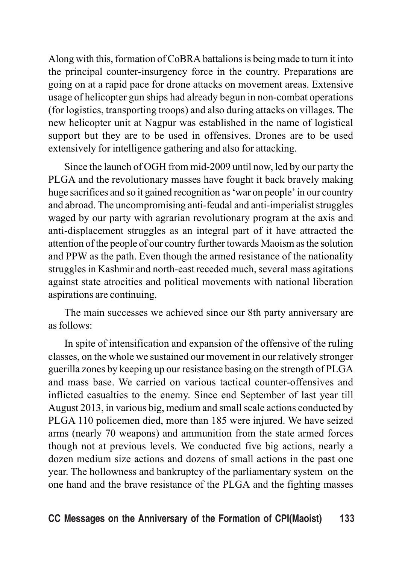Along with this, formation of CoBRA battalions is being made to turn it into the principal counter-insurgency force in the country. Preparations are going on at a rapid pace for drone attacks on movement areas. Extensive usage of helicopter gun ships had already begun in non-combat operations (for logistics, transporting troops) and also during attacks on villages. The new helicopter unit at Nagpur was established in the name of logistical support but they are to be used in offensives. Drones are to be used extensively for intelligence gathering and also for attacking.

Since the launch of OGH from mid-2009 until now, led by our party the PLGA and the revolutionary masses have fought it back bravely making huge sacrifices and so it gained recognition as 'war on people' in our country and abroad. The uncompromising anti-feudal and anti-imperialist struggles waged by our party with agrarian revolutionary program at the axis and anti-displacement struggles as an integral part of it have attracted the attention of the people of our country further towards Maoism as the solution and PPW as the path. Even though the armed resistance of the nationality struggles in Kashmir and north-east receded much, several mass agitations against state atrocities and political movements with national liberation aspirations are continuing.

The main successes we achieved since our 8th party anniversary are as follows:

In spite of intensification and expansion of the offensive of the ruling classes, on the whole we sustained our movement in our relatively stronger guerilla zones by keeping up our resistance basing on the strength of PLGA and mass base. We carried on various tactical counter-offensives and inflicted casualties to the enemy. Since end September of last year till August 2013, in various big, medium and small scale actions conducted by PLGA 110 policemen died, more than 185 were injured. We have seized arms (nearly 70 weapons) and ammunition from the state armed forces though not at previous levels. We conducted five big actions, nearly a dozen medium size actions and dozens of small actions in the past one year. The hollowness and bankruptcy of the parliamentary system on the one hand and the brave resistance of the PLGA and the fighting masses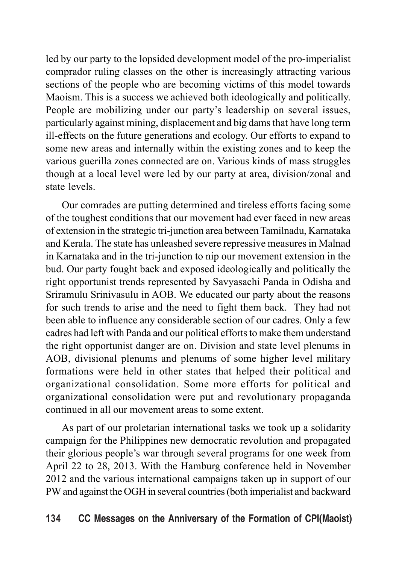led by our party to the lopsided development model of the pro-imperialist comprador ruling classes on the other is increasingly attracting various sections of the people who are becoming victims of this model towards Maoism. This is a success we achieved both ideologically and politically. People are mobilizing under our party's leadership on several issues, particularly against mining, displacement and big dams that have long term ill-effects on the future generations and ecology. Our efforts to expand to some new areas and internally within the existing zones and to keep the various guerilla zones connected are on. Various kinds of mass struggles though at a local level were led by our party at area, division/zonal and state levels.

Our comrades are putting determined and tireless efforts facing some of the toughest conditions that our movement had ever faced in new areas of extension in the strategic tri-junction area between Tamilnadu, Karnataka and Kerala. The state has unleashed severe repressive measures in Malnad in Karnataka and in the tri-junction to nip our movement extension in the bud. Our party fought back and exposed ideologically and politically the right opportunist trends represented by Savyasachi Panda in Odisha and Sriramulu Srinivasulu in AOB. We educated our party about the reasons for such trends to arise and the need to fight them back. They had not been able to influence any considerable section of our cadres. Only a few cadres had left with Panda and our political efforts to make them understand the right opportunist danger are on. Division and state level plenums in AOB, divisional plenums and plenums of some higher level military formations were held in other states that helped their political and organizational consolidation. Some more efforts for political and organizational consolidation were put and revolutionary propaganda continued in all our movement areas to some extent.

As part of our proletarian international tasks we took up a solidarity campaign for the Philippines new democratic revolution and propagated their glorious people's war through several programs for one week from April 22 to 28, 2013. With the Hamburg conference held in November 2012 and the various international campaigns taken up in support of our PW and against the OGH in several countries (both imperialist and backward

#### **CC Messages on the Anniversary of the Formation of CPI(Maoist)**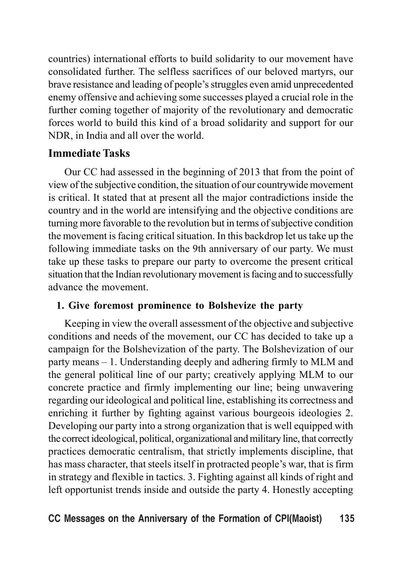countries) international efforts to build solidarity to our movement have consolidated further. The selfless sacrifices of our beloved martyrs, our brave resistance and leading of people's struggles even amid unprecedented enemy offensive and achieving some successes played a crucial role in the further coming together of majority of the revolutionary and democratic forces world to build this kind of a broad solidarity and support for our NDR, in India and all over the world.

# **Immediate Tasks**

Our CC had assessed in the beginning of 2013 that from the point of view of the subjective condition, the situation of our countrywide movement is critical. It stated that at present all the major contradictions inside the country and in the world are intensifying and the objective conditions are turning more favorable to the revolution but in terms of subjective condition the movement is facing critical situation. In this backdrop let us take up the following immediate tasks on the 9th anniversary of our party. We must take up these tasks to prepare our party to overcome the present critical situation that the Indian revolutionary movement is facing and to successfully advance the movement.

# **1. Give foremost prominence to Bolshevize the party**

Keeping in view the overall assessment of the objective and subjective conditions and needs of the movement, our CC has decided to take up a campaign for the Bolshevization of the party. The Bolshevization of our party means – 1. Understanding deeply and adhering firmly to MLM and the general political line of our party; creatively applying MLM to our concrete practice and firmly implementing our line; being unwavering regarding our ideological and political line, establishing its correctness and enriching it further by fighting against various bourgeois ideologies 2. Developing our party into a strong organization that is well equipped with the correct ideological, political, organizational and military line, that correctly practices democratic centralism, that strictly implements discipline, that has mass character, that steels itself in protracted people's war, that is firm in strategy and flexible in tactics. 3. Fighting against all kinds of right and left opportunist trends inside and outside the party 4. Honestly accepting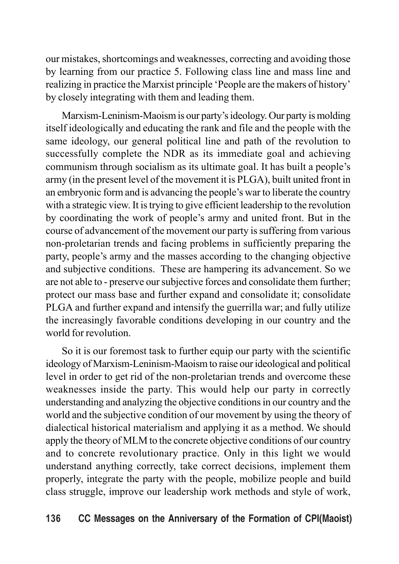our mistakes, shortcomings and weaknesses, correcting and avoiding those by learning from our practice 5. Following class line and mass line and realizing in practice the Marxist principle 'People are the makers of history' by closely integrating with them and leading them.

Marxism-Leninism-Maoism is our party's ideology. Our party is molding itself ideologically and educating the rank and file and the people with the same ideology, our general political line and path of the revolution to successfully complete the NDR as its immediate goal and achieving communism through socialism as its ultimate goal. It has built a people's army (in the present level of the movement it is PLGA), built united front in an embryonic form and is advancing the people's war to liberate the country with a strategic view. It is trying to give efficient leadership to the revolution by coordinating the work of people's army and united front. But in the course of advancement of the movement our party is suffering from various non-proletarian trends and facing problems in sufficiently preparing the party, people's army and the masses according to the changing objective and subjective conditions. These are hampering its advancement. So we are not able to - preserve our subjective forces and consolidate them further; protect our mass base and further expand and consolidate it; consolidate PLGA and further expand and intensify the guerrilla war; and fully utilize the increasingly favorable conditions developing in our country and the world for revolution.

So it is our foremost task to further equip our party with the scientific ideology of Marxism-Leninism-Maoism to raise our ideological and political level in order to get rid of the non-proletarian trends and overcome these weaknesses inside the party. This would help our party in correctly understanding and analyzing the objective conditions in our country and the world and the subjective condition of our movement by using the theory of dialectical historical materialism and applying it as a method. We should apply the theory of MLM to the concrete objective conditions of our country and to concrete revolutionary practice. Only in this light we would understand anything correctly, take correct decisions, implement them properly, integrate the party with the people, mobilize people and build class struggle, improve our leadership work methods and style of work,

#### **CC Messages on the Anniversary of the Formation of CPI(Maoist)**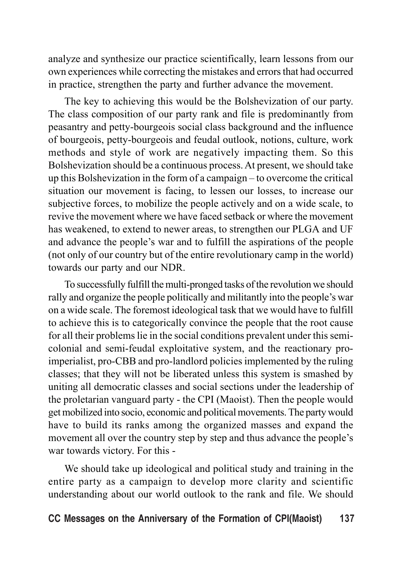analyze and synthesize our practice scientifically, learn lessons from our own experiences while correcting the mistakes and errors that had occurred in practice, strengthen the party and further advance the movement.

The key to achieving this would be the Bolshevization of our party. The class composition of our party rank and file is predominantly from peasantry and petty-bourgeois social class background and the influence of bourgeois, petty-bourgeois and feudal outlook, notions, culture, work methods and style of work are negatively impacting them. So this Bolshevization should be a continuous process. At present, we should take up this Bolshevization in the form of a campaign – to overcome the critical situation our movement is facing, to lessen our losses, to increase our subjective forces, to mobilize the people actively and on a wide scale, to revive the movement where we have faced setback or where the movement has weakened, to extend to newer areas, to strengthen our PLGA and UF and advance the people's war and to fulfill the aspirations of the people (not only of our country but of the entire revolutionary camp in the world) towards our party and our NDR.

To successfully fulfill the multi-pronged tasks of the revolution we should rally and organize the people politically and militantly into the people's war on a wide scale. The foremost ideological task that we would have to fulfill to achieve this is to categorically convince the people that the root cause for all their problems lie in the social conditions prevalent under this semicolonial and semi-feudal exploitative system, and the reactionary proimperialist, pro-CBB and pro-landlord policies implemented by the ruling classes; that they will not be liberated unless this system is smashed by uniting all democratic classes and social sections under the leadership of the proletarian vanguard party - the CPI (Maoist). Then the people would get mobilized into socio, economic and political movements. The party would have to build its ranks among the organized masses and expand the movement all over the country step by step and thus advance the people's war towards victory. For this -

We should take up ideological and political study and training in the entire party as a campaign to develop more clarity and scientific understanding about our world outlook to the rank and file. We should

#### **CC Messages on the Anniversary of the Formation of CPI(Maoist)**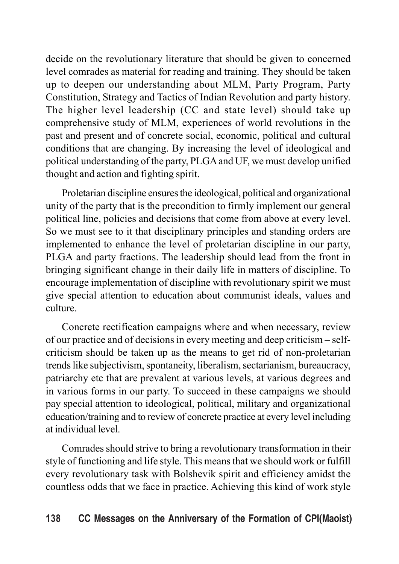decide on the revolutionary literature that should be given to concerned level comrades as material for reading and training. They should be taken up to deepen our understanding about MLM, Party Program, Party Constitution, Strategy and Tactics of Indian Revolution and party history. The higher level leadership (CC and state level) should take up comprehensive study of MLM, experiences of world revolutions in the past and present and of concrete social, economic, political and cultural conditions that are changing. By increasing the level of ideological and political understanding of the party, PLGA and UF, we must develop unified thought and action and fighting spirit.

Proletarian discipline ensures the ideological, political and organizational unity of the party that is the precondition to firmly implement our general political line, policies and decisions that come from above at every level. So we must see to it that disciplinary principles and standing orders are implemented to enhance the level of proletarian discipline in our party, PLGA and party fractions. The leadership should lead from the front in bringing significant change in their daily life in matters of discipline. To encourage implementation of discipline with revolutionary spirit we must give special attention to education about communist ideals, values and culture.

Concrete rectification campaigns where and when necessary, review of our practice and of decisions in every meeting and deep criticism – selfcriticism should be taken up as the means to get rid of non-proletarian trends like subjectivism, spontaneity, liberalism, sectarianism, bureaucracy, patriarchy etc that are prevalent at various levels, at various degrees and in various forms in our party. To succeed in these campaigns we should pay special attention to ideological, political, military and organizational education/training and to review of concrete practice at every level including at individual level.

Comrades should strive to bring a revolutionary transformation in their style of functioning and life style. This means that we should work or fulfill every revolutionary task with Bolshevik spirit and efficiency amidst the countless odds that we face in practice. Achieving this kind of work style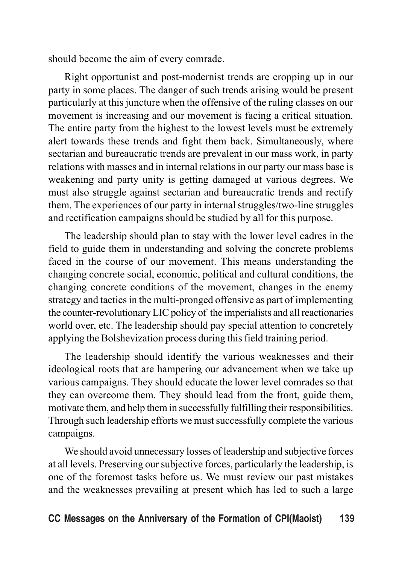should become the aim of every comrade.

Right opportunist and post-modernist trends are cropping up in our party in some places. The danger of such trends arising would be present particularly at this juncture when the offensive of the ruling classes on our movement is increasing and our movement is facing a critical situation. The entire party from the highest to the lowest levels must be extremely alert towards these trends and fight them back. Simultaneously, where sectarian and bureaucratic trends are prevalent in our mass work, in party relations with masses and in internal relations in our party our mass base is weakening and party unity is getting damaged at various degrees. We must also struggle against sectarian and bureaucratic trends and rectify them. The experiences of our party in internal struggles/two-line struggles and rectification campaigns should be studied by all for this purpose.

The leadership should plan to stay with the lower level cadres in the field to guide them in understanding and solving the concrete problems faced in the course of our movement. This means understanding the changing concrete social, economic, political and cultural conditions, the changing concrete conditions of the movement, changes in the enemy strategy and tactics in the multi-pronged offensive as part of implementing the counter-revolutionary LIC policy of the imperialists and all reactionaries world over, etc. The leadership should pay special attention to concretely applying the Bolshevization process during this field training period.

The leadership should identify the various weaknesses and their ideological roots that are hampering our advancement when we take up various campaigns. They should educate the lower level comrades so that they can overcome them. They should lead from the front, guide them, motivate them, and help them in successfully fulfilling their responsibilities. Through such leadership efforts we must successfully complete the various campaigns.

We should avoid unnecessary losses of leadership and subjective forces at all levels. Preserving our subjective forces, particularly the leadership, is one of the foremost tasks before us. We must review our past mistakes and the weaknesses prevailing at present which has led to such a large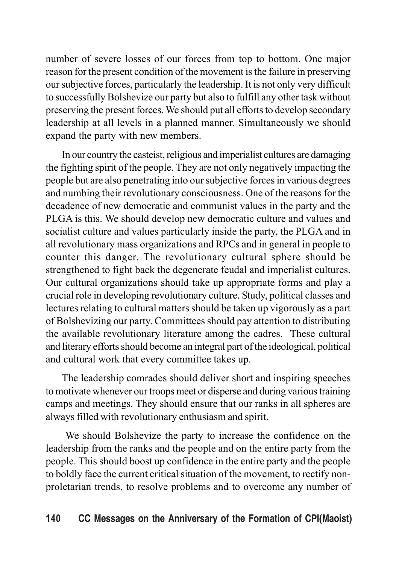number of severe losses of our forces from top to bottom. One major reason for the present condition of the movement is the failure in preserving our subjective forces, particularly the leadership. It is not only very difficult to successfully Bolshevize our party but also to fulfill any other task without preserving the present forces. We should put all efforts to develop secondary leadership at all levels in a planned manner. Simultaneously we should expand the party with new members.

In our country the casteist, religious and imperialist cultures are damaging the fighting spirit of the people. They are not only negatively impacting the people but are also penetrating into our subjective forces in various degrees and numbing their revolutionary consciousness. One of the reasons for the decadence of new democratic and communist values in the party and the PLGA is this. We should develop new democratic culture and values and socialist culture and values particularly inside the party, the PLGA and in all revolutionary mass organizations and RPCs and in general in people to counter this danger. The revolutionary cultural sphere should be strengthened to fight back the degenerate feudal and imperialist cultures. Our cultural organizations should take up appropriate forms and play a crucial role in developing revolutionary culture. Study, political classes and lectures relating to cultural matters should be taken up vigorously as a part of Bolshevizing our party. Committees should pay attention to distributing the available revolutionary literature among the cadres. These cultural and literary efforts should become an integral part of the ideological, political and cultural work that every committee takes up.

The leadership comrades should deliver short and inspiring speeches to motivate whenever our troops meet or disperse and during various training camps and meetings. They should ensure that our ranks in all spheres are always filled with revolutionary enthusiasm and spirit.

 We should Bolshevize the party to increase the confidence on the leadership from the ranks and the people and on the entire party from the people. This should boost up confidence in the entire party and the people to boldly face the current critical situation of the movement, to rectify nonproletarian trends, to resolve problems and to overcome any number of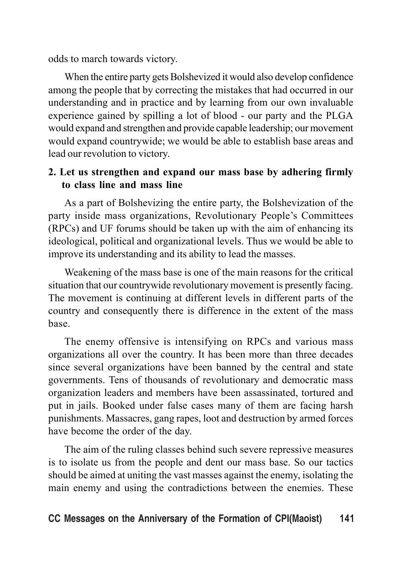odds to march towards victory.

When the entire party gets Bolshevized it would also develop confidence among the people that by correcting the mistakes that had occurred in our understanding and in practice and by learning from our own invaluable experience gained by spilling a lot of blood - our party and the PLGA would expand and strengthen and provide capable leadership; our movement would expand countrywide; we would be able to establish base areas and lead our revolution to victory.

# **2. Let us strengthen and expand our mass base by adhering firmly to class line and mass line**

As a part of Bolshevizing the entire party, the Bolshevization of the party inside mass organizations, Revolutionary People's Committees (RPCs) and UF forums should be taken up with the aim of enhancing its ideological, political and organizational levels. Thus we would be able to improve its understanding and its ability to lead the masses.

Weakening of the mass base is one of the main reasons for the critical situation that our countrywide revolutionary movement is presently facing. The movement is continuing at different levels in different parts of the country and consequently there is difference in the extent of the mass base.

The enemy offensive is intensifying on RPCs and various mass organizations all over the country. It has been more than three decades since several organizations have been banned by the central and state governments. Tens of thousands of revolutionary and democratic mass organization leaders and members have been assassinated, tortured and put in jails. Booked under false cases many of them are facing harsh punishments. Massacres, gang rapes, loot and destruction by armed forces have become the order of the day.

The aim of the ruling classes behind such severe repressive measures is to isolate us from the people and dent our mass base. So our tactics should be aimed at uniting the vast masses against the enemy, isolating the main enemy and using the contradictions between the enemies. These

# **CC Messages on the Anniversary of the Formation of CPI(Maoist)**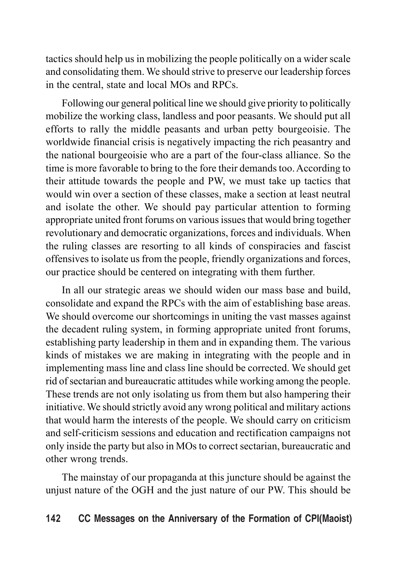tactics should help us in mobilizing the people politically on a wider scale and consolidating them. We should strive to preserve our leadership forces in the central, state and local MOs and RPCs.

Following our general political line we should give priority to politically mobilize the working class, landless and poor peasants. We should put all efforts to rally the middle peasants and urban petty bourgeoisie. The worldwide financial crisis is negatively impacting the rich peasantry and the national bourgeoisie who are a part of the four-class alliance. So the time is more favorable to bring to the fore their demands too. According to their attitude towards the people and PW, we must take up tactics that would win over a section of these classes, make a section at least neutral and isolate the other. We should pay particular attention to forming appropriate united front forums on various issues that would bring together revolutionary and democratic organizations, forces and individuals. When the ruling classes are resorting to all kinds of conspiracies and fascist offensives to isolate us from the people, friendly organizations and forces, our practice should be centered on integrating with them further.

In all our strategic areas we should widen our mass base and build, consolidate and expand the RPCs with the aim of establishing base areas. We should overcome our shortcomings in uniting the vast masses against the decadent ruling system, in forming appropriate united front forums, establishing party leadership in them and in expanding them. The various kinds of mistakes we are making in integrating with the people and in implementing mass line and class line should be corrected. We should get rid of sectarian and bureaucratic attitudes while working among the people. These trends are not only isolating us from them but also hampering their initiative. We should strictly avoid any wrong political and military actions that would harm the interests of the people. We should carry on criticism and self-criticism sessions and education and rectification campaigns not only inside the party but also in MOs to correct sectarian, bureaucratic and other wrong trends.

The mainstay of our propaganda at this juncture should be against the unjust nature of the OGH and the just nature of our PW. This should be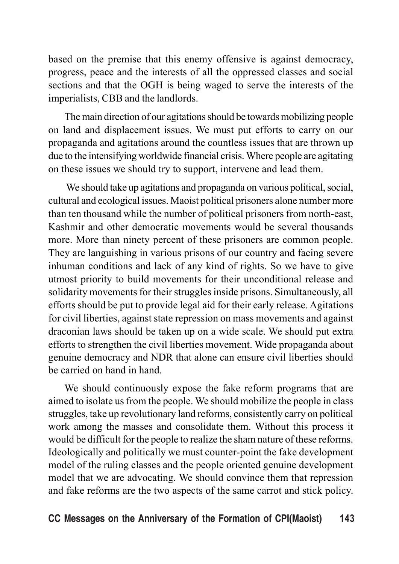based on the premise that this enemy offensive is against democracy, progress, peace and the interests of all the oppressed classes and social sections and that the OGH is being waged to serve the interests of the imperialists, CBB and the landlords.

The main direction of our agitations should be towards mobilizing people on land and displacement issues. We must put efforts to carry on our propaganda and agitations around the countless issues that are thrown up due to the intensifying worldwide financial crisis. Where people are agitating on these issues we should try to support, intervene and lead them.

We should take up agitations and propaganda on various political, social, cultural and ecological issues. Maoist political prisoners alone number more than ten thousand while the number of political prisoners from north-east, Kashmir and other democratic movements would be several thousands more. More than ninety percent of these prisoners are common people. They are languishing in various prisons of our country and facing severe inhuman conditions and lack of any kind of rights. So we have to give utmost priority to build movements for their unconditional release and solidarity movements for their struggles inside prisons. Simultaneously, all efforts should be put to provide legal aid for their early release. Agitations for civil liberties, against state repression on mass movements and against draconian laws should be taken up on a wide scale. We should put extra efforts to strengthen the civil liberties movement. Wide propaganda about genuine democracy and NDR that alone can ensure civil liberties should be carried on hand in hand.

We should continuously expose the fake reform programs that are aimed to isolate us from the people. We should mobilize the people in class struggles, take up revolutionary land reforms, consistently carry on political work among the masses and consolidate them. Without this process it would be difficult for the people to realize the sham nature of these reforms. Ideologically and politically we must counter-point the fake development model of the ruling classes and the people oriented genuine development model that we are advocating. We should convince them that repression and fake reforms are the two aspects of the same carrot and stick policy.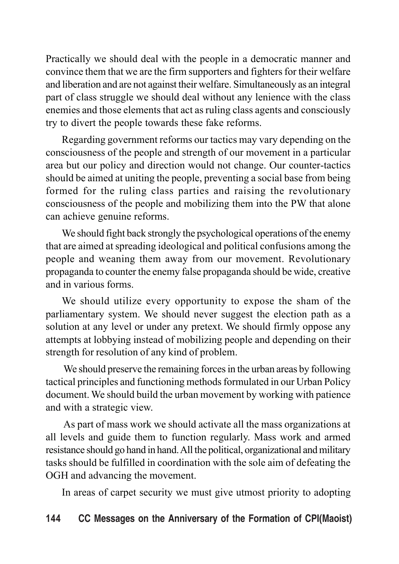Practically we should deal with the people in a democratic manner and convince them that we are the firm supporters and fighters for their welfare and liberation and are not against their welfare. Simultaneously as an integral part of class struggle we should deal without any lenience with the class enemies and those elements that act as ruling class agents and consciously try to divert the people towards these fake reforms.

Regarding government reforms our tactics may vary depending on the consciousness of the people and strength of our movement in a particular area but our policy and direction would not change. Our counter-tactics should be aimed at uniting the people, preventing a social base from being formed for the ruling class parties and raising the revolutionary consciousness of the people and mobilizing them into the PW that alone can achieve genuine reforms.

We should fight back strongly the psychological operations of the enemy that are aimed at spreading ideological and political confusions among the people and weaning them away from our movement. Revolutionary propaganda to counter the enemy false propaganda should be wide, creative and in various forms.

We should utilize every opportunity to expose the sham of the parliamentary system. We should never suggest the election path as a solution at any level or under any pretext. We should firmly oppose any attempts at lobbying instead of mobilizing people and depending on their strength for resolution of any kind of problem.

 We should preserve the remaining forces in the urban areas by following tactical principles and functioning methods formulated in our Urban Policy document. We should build the urban movement by working with patience and with a strategic view.

 As part of mass work we should activate all the mass organizations at all levels and guide them to function regularly. Mass work and armed resistance should go hand in hand. All the political, organizational and military tasks should be fulfilled in coordination with the sole aim of defeating the OGH and advancing the movement.

In areas of carpet security we must give utmost priority to adopting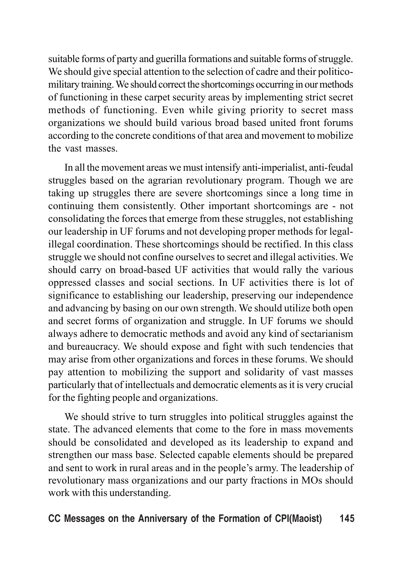suitable forms of party and guerilla formations and suitable forms of struggle. We should give special attention to the selection of cadre and their politicomilitary training. We should correct the shortcomings occurring in our methods of functioning in these carpet security areas by implementing strict secret methods of functioning. Even while giving priority to secret mass organizations we should build various broad based united front forums according to the concrete conditions of that area and movement to mobilize the vast masses.

In all the movement areas we must intensify anti-imperialist, anti-feudal struggles based on the agrarian revolutionary program. Though we are taking up struggles there are severe shortcomings since a long time in continuing them consistently. Other important shortcomings are - not consolidating the forces that emerge from these struggles, not establishing our leadership in UF forums and not developing proper methods for legalillegal coordination. These shortcomings should be rectified. In this class struggle we should not confine ourselves to secret and illegal activities. We should carry on broad-based UF activities that would rally the various oppressed classes and social sections. In UF activities there is lot of significance to establishing our leadership, preserving our independence and advancing by basing on our own strength. We should utilize both open and secret forms of organization and struggle. In UF forums we should always adhere to democratic methods and avoid any kind of sectarianism and bureaucracy. We should expose and fight with such tendencies that may arise from other organizations and forces in these forums. We should pay attention to mobilizing the support and solidarity of vast masses particularly that of intellectuals and democratic elements as it is very crucial for the fighting people and organizations.

We should strive to turn struggles into political struggles against the state. The advanced elements that come to the fore in mass movements should be consolidated and developed as its leadership to expand and strengthen our mass base. Selected capable elements should be prepared and sent to work in rural areas and in the people's army. The leadership of revolutionary mass organizations and our party fractions in MOs should work with this understanding.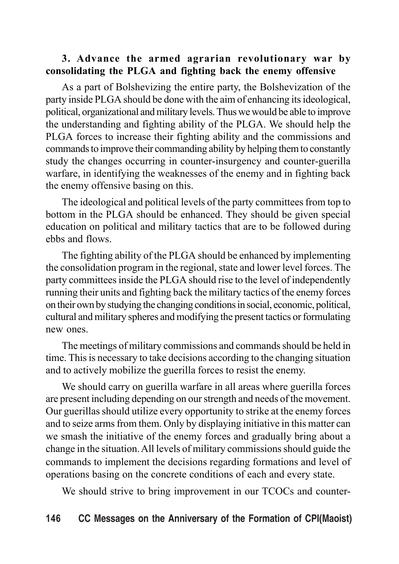#### **3. Advance the armed agrarian revolutionary war by consolidating the PLGA and fighting back the enemy offensive**

As a part of Bolshevizing the entire party, the Bolshevization of the party inside PLGA should be done with the aim of enhancing its ideological, political, organizational and military levels. Thus we would be able to improve the understanding and fighting ability of the PLGA. We should help the PLGA forces to increase their fighting ability and the commissions and commands to improve their commanding ability by helping them to constantly study the changes occurring in counter-insurgency and counter-guerilla warfare, in identifying the weaknesses of the enemy and in fighting back the enemy offensive basing on this.

The ideological and political levels of the party committees from top to bottom in the PLGA should be enhanced. They should be given special education on political and military tactics that are to be followed during ebbs and flows.

The fighting ability of the PLGA should be enhanced by implementing the consolidation program in the regional, state and lower level forces. The party committees inside the PLGA should rise to the level of independently running their units and fighting back the military tactics of the enemy forces on their own by studying the changing conditions in social, economic, political, cultural and military spheres and modifying the present tactics or formulating new ones.

The meetings of military commissions and commands should be held in time. This is necessary to take decisions according to the changing situation and to actively mobilize the guerilla forces to resist the enemy.

We should carry on guerilla warfare in all areas where guerilla forces are present including depending on our strength and needs of the movement. Our guerillas should utilize every opportunity to strike at the enemy forces and to seize arms from them. Only by displaying initiative in this matter can we smash the initiative of the enemy forces and gradually bring about a change in the situation. All levels of military commissions should guide the commands to implement the decisions regarding formations and level of operations basing on the concrete conditions of each and every state.

We should strive to bring improvement in our TCOCs and counter-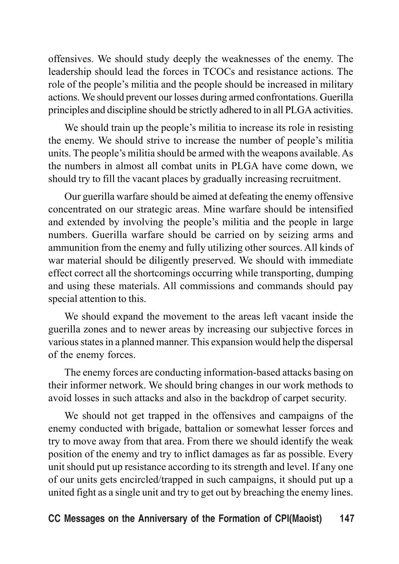offensives. We should study deeply the weaknesses of the enemy. The leadership should lead the forces in TCOCs and resistance actions. The role of the people's militia and the people should be increased in military actions. We should prevent our losses during armed confrontations. Guerilla principles and discipline should be strictly adhered to in all PLGA activities.

We should train up the people's militia to increase its role in resisting the enemy. We should strive to increase the number of people's militia units. The people's militia should be armed with the weapons available. As the numbers in almost all combat units in PLGA have come down, we should try to fill the vacant places by gradually increasing recruitment.

Our guerilla warfare should be aimed at defeating the enemy offensive concentrated on our strategic areas. Mine warfare should be intensified and extended by involving the people's militia and the people in large numbers. Guerilla warfare should be carried on by seizing arms and ammunition from the enemy and fully utilizing other sources. All kinds of war material should be diligently preserved. We should with immediate effect correct all the shortcomings occurring while transporting, dumping and using these materials. All commissions and commands should pay special attention to this.

We should expand the movement to the areas left vacant inside the guerilla zones and to newer areas by increasing our subjective forces in various states in a planned manner. This expansion would help the dispersal of the enemy forces.

The enemy forces are conducting information-based attacks basing on their informer network. We should bring changes in our work methods to avoid losses in such attacks and also in the backdrop of carpet security.

We should not get trapped in the offensives and campaigns of the enemy conducted with brigade, battalion or somewhat lesser forces and try to move away from that area. From there we should identify the weak position of the enemy and try to inflict damages as far as possible. Every unit should put up resistance according to its strength and level. If any one of our units gets encircled/trapped in such campaigns, it should put up a united fight as a single unit and try to get out by breaching the enemy lines.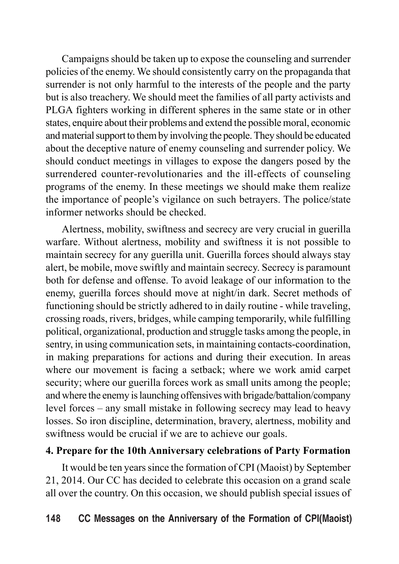Campaigns should be taken up to expose the counseling and surrender policies of the enemy. We should consistently carry on the propaganda that surrender is not only harmful to the interests of the people and the party but is also treachery. We should meet the families of all party activists and PLGA fighters working in different spheres in the same state or in other states, enquire about their problems and extend the possible moral, economic and material support to them by involving the people. They should be educated about the deceptive nature of enemy counseling and surrender policy. We should conduct meetings in villages to expose the dangers posed by the surrendered counter-revolutionaries and the ill-effects of counseling programs of the enemy. In these meetings we should make them realize the importance of people's vigilance on such betrayers. The police/state informer networks should be checked.

Alertness, mobility, swiftness and secrecy are very crucial in guerilla warfare. Without alertness, mobility and swiftness it is not possible to maintain secrecy for any guerilla unit. Guerilla forces should always stay alert, be mobile, move swiftly and maintain secrecy. Secrecy is paramount both for defense and offense. To avoid leakage of our information to the enemy, guerilla forces should move at night/in dark. Secret methods of functioning should be strictly adhered to in daily routine - while traveling, crossing roads, rivers, bridges, while camping temporarily, while fulfilling political, organizational, production and struggle tasks among the people, in sentry, in using communication sets, in maintaining contacts-coordination, in making preparations for actions and during their execution. In areas where our movement is facing a setback; where we work amid carpet security; where our guerilla forces work as small units among the people; and where the enemy is launching offensives with brigade/battalion/company level forces – any small mistake in following secrecy may lead to heavy losses. So iron discipline, determination, bravery, alertness, mobility and swiftness would be crucial if we are to achieve our goals.

#### **4. Prepare for the 10th Anniversary celebrations of Party Formation**

It would be ten years since the formation of CPI (Maoist) by September 21, 2014. Our CC has decided to celebrate this occasion on a grand scale all over the country. On this occasion, we should publish special issues of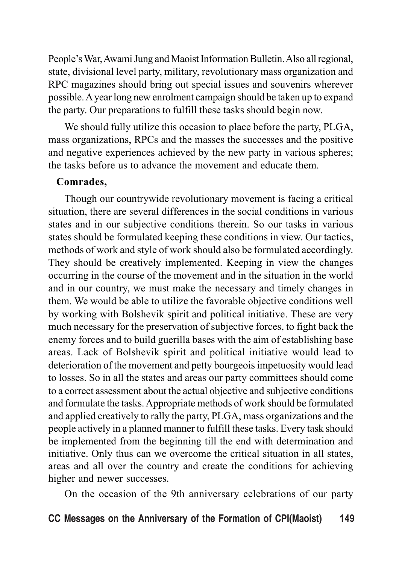People's War, Awami Jung and Maoist Information Bulletin. Also all regional, state, divisional level party, military, revolutionary mass organization and RPC magazines should bring out special issues and souvenirs wherever possible. A year long new enrolment campaign should be taken up to expand the party. Our preparations to fulfill these tasks should begin now.

We should fully utilize this occasion to place before the party, PLGA, mass organizations, RPCs and the masses the successes and the positive and negative experiences achieved by the new party in various spheres; the tasks before us to advance the movement and educate them.

#### **Comrades,**

Though our countrywide revolutionary movement is facing a critical situation, there are several differences in the social conditions in various states and in our subjective conditions therein. So our tasks in various states should be formulated keeping these conditions in view. Our tactics, methods of work and style of work should also be formulated accordingly. They should be creatively implemented. Keeping in view the changes occurring in the course of the movement and in the situation in the world and in our country, we must make the necessary and timely changes in them. We would be able to utilize the favorable objective conditions well by working with Bolshevik spirit and political initiative. These are very much necessary for the preservation of subjective forces, to fight back the enemy forces and to build guerilla bases with the aim of establishing base areas. Lack of Bolshevik spirit and political initiative would lead to deterioration of the movement and petty bourgeois impetuosity would lead to losses. So in all the states and areas our party committees should come to a correct assessment about the actual objective and subjective conditions and formulate the tasks. Appropriate methods of work should be formulated and applied creatively to rally the party, PLGA, mass organizations and the people actively in a planned manner to fulfill these tasks. Every task should be implemented from the beginning till the end with determination and initiative. Only thus can we overcome the critical situation in all states, areas and all over the country and create the conditions for achieving higher and newer successes.

On the occasion of the 9th anniversary celebrations of our party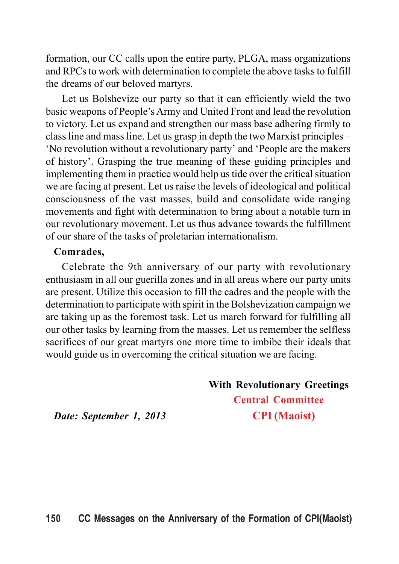formation, our CC calls upon the entire party, PLGA, mass organizations and RPCs to work with determination to complete the above tasks to fulfill the dreams of our beloved martyrs.

Let us Bolshevize our party so that it can efficiently wield the two basic weapons of People's Army and United Front and lead the revolution to victory. Let us expand and strengthen our mass base adhering firmly to class line and mass line. Let us grasp in depth the two Marxist principles – 'No revolution without a revolutionary party' and 'People are the makers of history'. Grasping the true meaning of these guiding principles and implementing them in practice would help us tide over the critical situation we are facing at present. Let us raise the levels of ideological and political consciousness of the vast masses, build and consolidate wide ranging movements and fight with determination to bring about a notable turn in our revolutionary movement. Let us thus advance towards the fulfillment of our share of the tasks of proletarian internationalism.

#### **Comrades,**

Celebrate the 9th anniversary of our party with revolutionary enthusiasm in all our guerilla zones and in all areas where our party units are present. Utilize this occasion to fill the cadres and the people with the determination to participate with spirit in the Bolshevization campaign we are taking up as the foremost task. Let us march forward for fulfilling all our other tasks by learning from the masses. Let us remember the selfless sacrifices of our great martyrs one more time to imbibe their ideals that would guide us in overcoming the critical situation we are facing.

> **With Revolutionary Greetings Central Committee**

*Date: September 1, 2013* **CPI (Maoist)**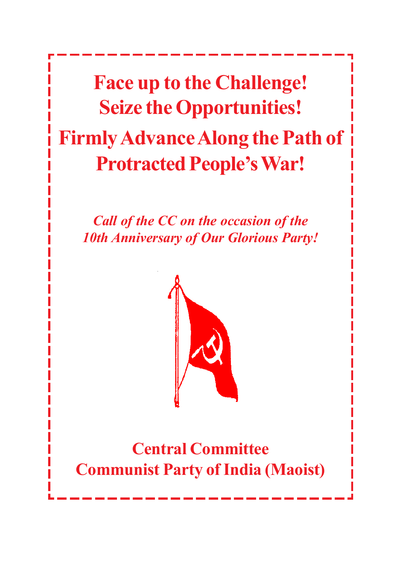**Face up to the Challenge! Seize the Opportunities! Firmly Advance Along the Path of Protracted People's War!**

*Call of the CC on the occasion of the 10th Anniversary of Our Glorious Party!*



**Central Committee Communist Party of India (Maoist)**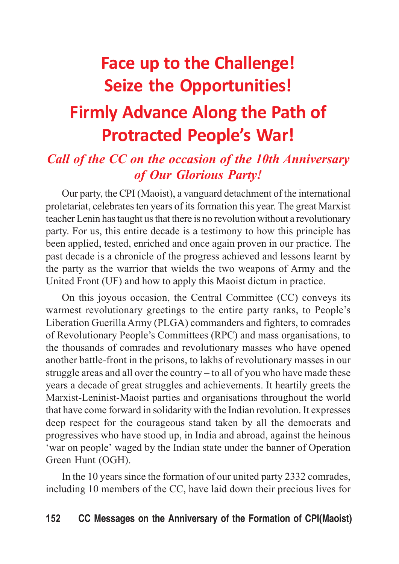## **Face up to the Challenge! Seize the Opportunities! Firmly Advance Along the Path of**

# **Protracted People's War!**

### *Call of the CC on the occasion of the 10th Anniversary of Our Glorious Party!*

Our party, the CPI (Maoist), a vanguard detachment of the international proletariat, celebrates ten years of its formation this year. The great Marxist teacher Lenin has taught us that there is no revolution without a revolutionary party. For us, this entire decade is a testimony to how this principle has been applied, tested, enriched and once again proven in our practice. The past decade is a chronicle of the progress achieved and lessons learnt by the party as the warrior that wields the two weapons of Army and the United Front (UF) and how to apply this Maoist dictum in practice.

On this joyous occasion, the Central Committee (CC) conveys its warmest revolutionary greetings to the entire party ranks, to People's Liberation Guerilla Army (PLGA) commanders and fighters, to comrades of Revolutionary People's Committees (RPC) and mass organisations, to the thousands of comrades and revolutionary masses who have opened another battle-front in the prisons, to lakhs of revolutionary masses in our struggle areas and all over the country – to all of you who have made these years a decade of great struggles and achievements. It heartily greets the Marxist-Leninist-Maoist parties and organisations throughout the world that have come forward in solidarity with the Indian revolution. It expresses deep respect for the courageous stand taken by all the democrats and progressives who have stood up, in India and abroad, against the heinous 'war on people' waged by the Indian state under the banner of Operation Green Hunt (OGH).

In the 10 years since the formation of our united party 2332 comrades, including 10 members of the CC, have laid down their precious lives for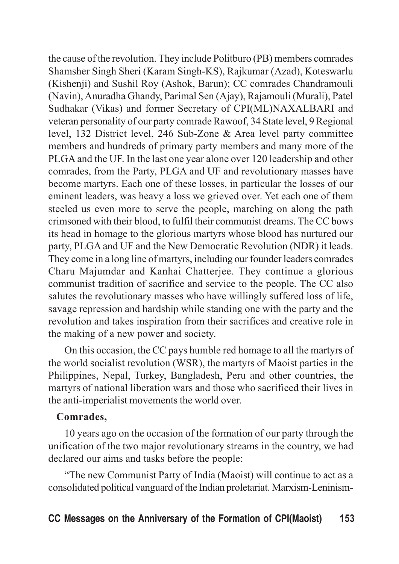the cause of the revolution. They include Politburo (PB) members comrades Shamsher Singh Sheri (Karam Singh-KS), Rajkumar (Azad), Koteswarlu (Kishenji) and Sushil Roy (Ashok, Barun); CC comrades Chandramouli (Navin), Anuradha Ghandy, Parimal Sen (Ajay), Rajamouli (Murali), Patel Sudhakar (Vikas) and former Secretary of CPI(ML)NAXALBARI and veteran personality of our party comrade Rawoof, 34 State level, 9 Regional level, 132 District level, 246 Sub-Zone & Area level party committee members and hundreds of primary party members and many more of the PLGA and the UF. In the last one year alone over 120 leadership and other comrades, from the Party, PLGA and UF and revolutionary masses have become martyrs. Each one of these losses, in particular the losses of our eminent leaders, was heavy a loss we grieved over. Yet each one of them steeled us even more to serve the people, marching on along the path crimsoned with their blood, to fulfil their communist dreams. The CC bows its head in homage to the glorious martyrs whose blood has nurtured our party, PLGA and UF and the New Democratic Revolution (NDR) it leads. They come in a long line of martyrs, including our founder leaders comrades Charu Majumdar and Kanhai Chatterjee. They continue a glorious communist tradition of sacrifice and service to the people. The CC also salutes the revolutionary masses who have willingly suffered loss of life, savage repression and hardship while standing one with the party and the revolution and takes inspiration from their sacrifices and creative role in the making of a new power and society.

On this occasion, the CC pays humble red homage to all the martyrs of the world socialist revolution (WSR), the martyrs of Maoist parties in the Philippines, Nepal, Turkey, Bangladesh, Peru and other countries, the martyrs of national liberation wars and those who sacrificed their lives in the anti-imperialist movements the world over.

#### **Comrades,**

10 years ago on the occasion of the formation of our party through the unification of the two major revolutionary streams in the country, we had declared our aims and tasks before the people:

"The new Communist Party of India (Maoist) will continue to act as a consolidated political vanguard of the Indian proletariat. Marxism-Leninism-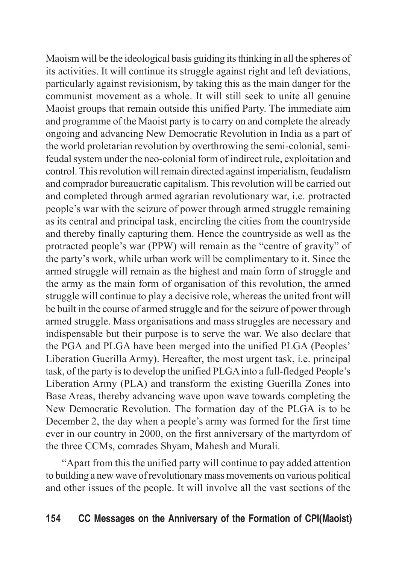Maoism will be the ideological basis guiding its thinking in all the spheres of its activities. It will continue its struggle against right and left deviations, particularly against revisionism, by taking this as the main danger for the communist movement as a whole. It will still seek to unite all genuine Maoist groups that remain outside this unified Party. The immediate aim and programme of the Maoist party is to carry on and complete the already ongoing and advancing New Democratic Revolution in India as a part of the world proletarian revolution by overthrowing the semi-colonial, semifeudal system under the neo-colonial form of indirect rule, exploitation and control. This revolution will remain directed against imperialism, feudalism and comprador bureaucratic capitalism. This revolution will be carried out and completed through armed agrarian revolutionary war, i.e. protracted people's war with the seizure of power through armed struggle remaining as its central and principal task, encircling the cities from the countryside and thereby finally capturing them. Hence the countryside as well as the protracted people's war (PPW) will remain as the "centre of gravity" of the party's work, while urban work will be complimentary to it. Since the armed struggle will remain as the highest and main form of struggle and the army as the main form of organisation of this revolution, the armed struggle will continue to play a decisive role, whereas the united front will be built in the course of armed struggle and for the seizure of power through armed struggle. Mass organisations and mass struggles are necessary and indispensable but their purpose is to serve the war. We also declare that the PGA and PLGA have been merged into the unified PLGA (Peoples' Liberation Guerilla Army). Hereafter, the most urgent task, i.e. principal task, of the party is to develop the unified PLGA into a full-fledged People's Liberation Army (PLA) and transform the existing Guerilla Zones into Base Areas, thereby advancing wave upon wave towards completing the New Democratic Revolution. The formation day of the PLGA is to be December 2, the day when a people's army was formed for the first time ever in our country in 2000, on the first anniversary of the martyrdom of the three CCMs, comrades Shyam, Mahesh and Murali.

"Apart from this the unified party will continue to pay added attention to building a new wave of revolutionary mass movements on various political and other issues of the people. It will involve all the vast sections of the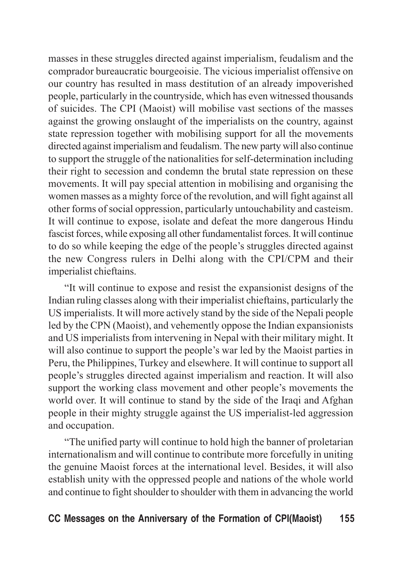masses in these struggles directed against imperialism, feudalism and the comprador bureaucratic bourgeoisie. The vicious imperialist offensive on our country has resulted in mass destitution of an already impoverished people, particularly in the countryside, which has even witnessed thousands of suicides. The CPI (Maoist) will mobilise vast sections of the masses against the growing onslaught of the imperialists on the country, against state repression together with mobilising support for all the movements directed against imperialism and feudalism. The new party will also continue to support the struggle of the nationalities for self-determination including their right to secession and condemn the brutal state repression on these movements. It will pay special attention in mobilising and organising the women masses as a mighty force of the revolution, and will fight against all other forms of social oppression, particularly untouchability and casteism. It will continue to expose, isolate and defeat the more dangerous Hindu fascist forces, while exposing all other fundamentalist forces. It will continue to do so while keeping the edge of the people's struggles directed against the new Congress rulers in Delhi along with the CPI/CPM and their imperialist chieftains.

"It will continue to expose and resist the expansionist designs of the Indian ruling classes along with their imperialist chieftains, particularly the US imperialists. It will more actively stand by the side of the Nepali people led by the CPN (Maoist), and vehemently oppose the Indian expansionists and US imperialists from intervening in Nepal with their military might. It will also continue to support the people's war led by the Maoist parties in Peru, the Philippines, Turkey and elsewhere. It will continue to support all people's struggles directed against imperialism and reaction. It will also support the working class movement and other people's movements the world over. It will continue to stand by the side of the Iraqi and Afghan people in their mighty struggle against the US imperialist-led aggression and occupation.

"The unified party will continue to hold high the banner of proletarian internationalism and will continue to contribute more forcefully in uniting the genuine Maoist forces at the international level. Besides, it will also establish unity with the oppressed people and nations of the whole world and continue to fight shoulder to shoulder with them in advancing the world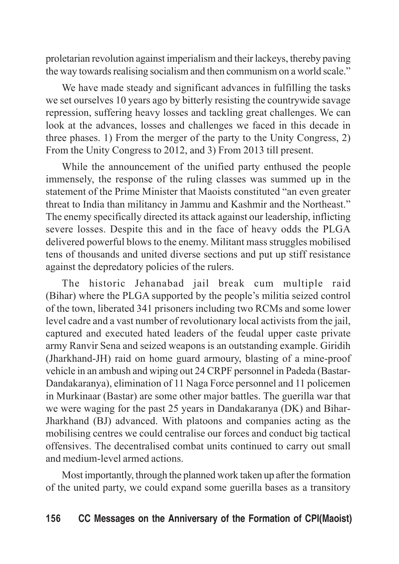proletarian revolution against imperialism and their lackeys, thereby paving the way towards realising socialism and then communism on a world scale."

We have made steady and significant advances in fulfilling the tasks we set ourselves 10 years ago by bitterly resisting the countrywide savage repression, suffering heavy losses and tackling great challenges. We can look at the advances, losses and challenges we faced in this decade in three phases. 1) From the merger of the party to the Unity Congress, 2) From the Unity Congress to 2012, and 3) From 2013 till present.

While the announcement of the unified party enthused the people immensely, the response of the ruling classes was summed up in the statement of the Prime Minister that Maoists constituted "an even greater threat to India than militancy in Jammu and Kashmir and the Northeast." The enemy specifically directed its attack against our leadership, inflicting severe losses. Despite this and in the face of heavy odds the PLGA delivered powerful blows to the enemy. Militant mass struggles mobilised tens of thousands and united diverse sections and put up stiff resistance against the depredatory policies of the rulers.

The historic Jehanabad jail break cum multiple raid (Bihar) where the PLGA supported by the people's militia seized control of the town, liberated 341 prisoners including two RCMs and some lower level cadre and a vast number of revolutionary local activists from the jail, captured and executed hated leaders of the feudal upper caste private army Ranvir Sena and seized weapons is an outstanding example. Giridih (Jharkhand-JH) raid on home guard armoury, blasting of a mine-proof vehicle in an ambush and wiping out 24 CRPF personnel in Padeda (Bastar-Dandakaranya), elimination of 11 Naga Force personnel and 11 policemen in Murkinaar (Bastar) are some other major battles. The guerilla war that we were waging for the past 25 years in Dandakaranya (DK) and Bihar-Jharkhand (BJ) advanced. With platoons and companies acting as the mobilising centres we could centralise our forces and conduct big tactical offensives. The decentralised combat units continued to carry out small and medium-level armed actions.

Most importantly, through the planned work taken up after the formation of the united party, we could expand some guerilla bases as a transitory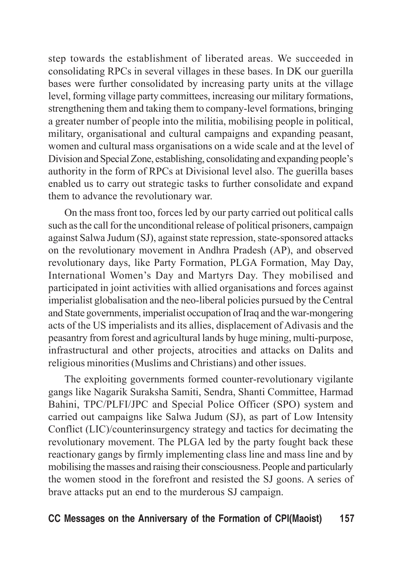step towards the establishment of liberated areas. We succeeded in consolidating RPCs in several villages in these bases. In DK our guerilla bases were further consolidated by increasing party units at the village level, forming village party committees, increasing our military formations, strengthening them and taking them to company-level formations, bringing a greater number of people into the militia, mobilising people in political, military, organisational and cultural campaigns and expanding peasant, women and cultural mass organisations on a wide scale and at the level of Division and Special Zone, establishing, consolidating and expanding people's authority in the form of RPCs at Divisional level also. The guerilla bases enabled us to carry out strategic tasks to further consolidate and expand them to advance the revolutionary war.

On the mass front too, forces led by our party carried out political calls such as the call for the unconditional release of political prisoners, campaign against Salwa Judum (SJ), against state repression, state-sponsored attacks on the revolutionary movement in Andhra Pradesh (AP), and observed revolutionary days, like Party Formation, PLGA Formation, May Day, International Women's Day and Martyrs Day. They mobilised and participated in joint activities with allied organisations and forces against imperialist globalisation and the neo-liberal policies pursued by the Central and State governments, imperialist occupation of Iraq and the war-mongering acts of the US imperialists and its allies, displacement of Adivasis and the peasantry from forest and agricultural lands by huge mining, multi-purpose, infrastructural and other projects, atrocities and attacks on Dalits and religious minorities (Muslims and Christians) and other issues.

The exploiting governments formed counter-revolutionary vigilante gangs like Nagarik Suraksha Samiti, Sendra, Shanti Committee, Harmad Bahini, TPC/PLFI/JPC and Special Police Officer (SPO) system and carried out campaigns like Salwa Judum (SJ), as part of Low Intensity Conflict (LIC)/counterinsurgency strategy and tactics for decimating the revolutionary movement. The PLGA led by the party fought back these reactionary gangs by firmly implementing class line and mass line and by mobilising the masses and raising their consciousness. People and particularly the women stood in the forefront and resisted the SJ goons. A series of brave attacks put an end to the murderous SJ campaign.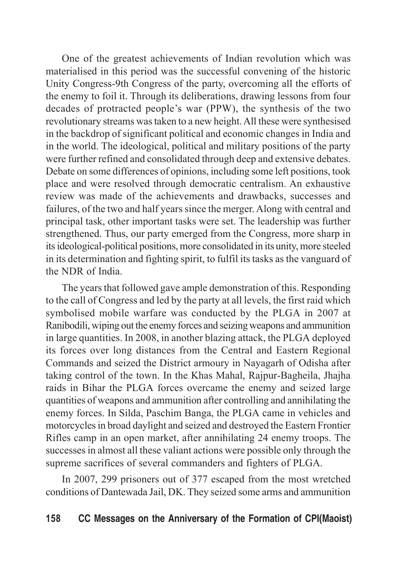One of the greatest achievements of Indian revolution which was materialised in this period was the successful convening of the historic Unity Congress-9th Congress of the party, overcoming all the efforts of the enemy to foil it. Through its deliberations, drawing lessons from four decades of protracted people's war (PPW), the synthesis of the two revolutionary streams was taken to a new height. All these were synthesised in the backdrop of significant political and economic changes in India and in the world. The ideological, political and military positions of the party were further refined and consolidated through deep and extensive debates. Debate on some differences of opinions, including some left positions, took place and were resolved through democratic centralism. An exhaustive review was made of the achievements and drawbacks, successes and failures, of the two and half years since the merger. Along with central and principal task, other important tasks were set. The leadership was further strengthened. Thus, our party emerged from the Congress, more sharp in its ideological-political positions, more consolidated in its unity, more steeled in its determination and fighting spirit, to fulfil its tasks as the vanguard of the NDR of India.

The years that followed gave ample demonstration of this. Responding to the call of Congress and led by the party at all levels, the first raid which symbolised mobile warfare was conducted by the PLGA in 2007 at Ranibodili, wiping out the enemy forces and seizing weapons and ammunition in large quantities. In 2008, in another blazing attack, the PLGA deployed its forces over long distances from the Central and Eastern Regional Commands and seized the District armoury in Nayagarh of Odisha after taking control of the town. In the Khas Mahal, Rajpur-Bagheila, Jhajha raids in Bihar the PLGA forces overcame the enemy and seized large quantities of weapons and ammunition after controlling and annihilating the enemy forces. In Silda, Paschim Banga, the PLGA came in vehicles and motorcycles in broad daylight and seized and destroyed the Eastern Frontier Rifles camp in an open market, after annihilating 24 enemy troops. The successes in almost all these valiant actions were possible only through the supreme sacrifices of several commanders and fighters of PLGA.

In 2007, 299 prisoners out of 377 escaped from the most wretched conditions of Dantewada Jail, DK. They seized some arms and ammunition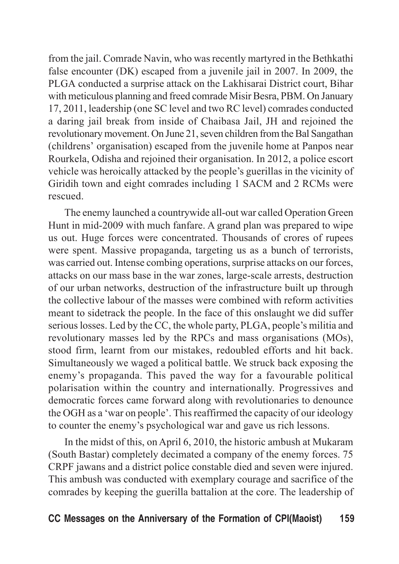from the jail. Comrade Navin, who was recently martyred in the Bethkathi false encounter (DK) escaped from a juvenile jail in 2007. In 2009, the PLGA conducted a surprise attack on the Lakhisarai District court, Bihar with meticulous planning and freed comrade Misir Besra, PBM. On January 17, 2011, leadership (one SC level and two RC level) comrades conducted a daring jail break from inside of Chaibasa Jail, JH and rejoined the revolutionary movement. On June 21, seven children from the Bal Sangathan (childrens' organisation) escaped from the juvenile home at Panpos near Rourkela, Odisha and rejoined their organisation. In 2012, a police escort vehicle was heroically attacked by the people's guerillas in the vicinity of Giridih town and eight comrades including 1 SACM and 2 RCMs were rescued.

The enemy launched a countrywide all-out war called Operation Green Hunt in mid-2009 with much fanfare. A grand plan was prepared to wipe us out. Huge forces were concentrated. Thousands of crores of rupees were spent. Massive propaganda, targeting us as a bunch of terrorists, was carried out. Intense combing operations, surprise attacks on our forces, attacks on our mass base in the war zones, large-scale arrests, destruction of our urban networks, destruction of the infrastructure built up through the collective labour of the masses were combined with reform activities meant to sidetrack the people. In the face of this onslaught we did suffer serious losses. Led by the CC, the whole party, PLGA, people's militia and revolutionary masses led by the RPCs and mass organisations (MOs), stood firm, learnt from our mistakes, redoubled efforts and hit back. Simultaneously we waged a political battle. We struck back exposing the enemy's propaganda. This paved the way for a favourable political polarisation within the country and internationally. Progressives and democratic forces came forward along with revolutionaries to denounce the OGH as a 'war on people'. This reaffirmed the capacity of our ideology to counter the enemy's psychological war and gave us rich lessons.

In the midst of this, on April 6, 2010, the historic ambush at Mukaram (South Bastar) completely decimated a company of the enemy forces. 75 CRPF jawans and a district police constable died and seven were injured. This ambush was conducted with exemplary courage and sacrifice of the comrades by keeping the guerilla battalion at the core. The leadership of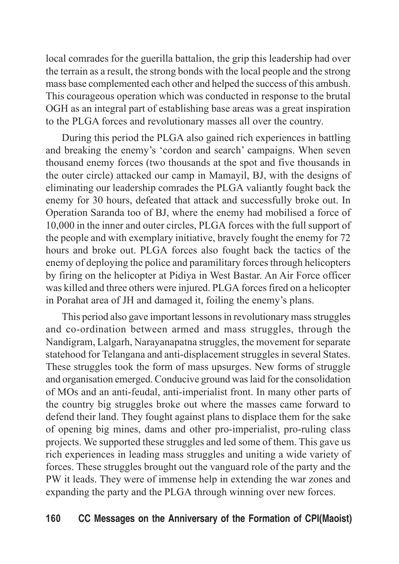local comrades for the guerilla battalion, the grip this leadership had over the terrain as a result, the strong bonds with the local people and the strong mass base complemented each other and helped the success of this ambush. This courageous operation which was conducted in response to the brutal OGH as an integral part of establishing base areas was a great inspiration to the PLGA forces and revolutionary masses all over the country.

During this period the PLGA also gained rich experiences in battling and breaking the enemy's 'cordon and search' campaigns. When seven thousand enemy forces (two thousands at the spot and five thousands in the outer circle) attacked our camp in Mamayil, BJ, with the designs of eliminating our leadership comrades the PLGA valiantly fought back the enemy for 30 hours, defeated that attack and successfully broke out. In Operation Saranda too of BJ, where the enemy had mobilised a force of 10,000 in the inner and outer circles, PLGA forces with the full support of the people and with exemplary initiative, bravely fought the enemy for 72 hours and broke out. PLGA forces also fought back the tactics of the enemy of deploying the police and paramilitary forces through helicopters by firing on the helicopter at Pidiya in West Bastar. An Air Force officer was killed and three others were injured. PLGA forces fired on a helicopter in Porahat area of JH and damaged it, foiling the enemy's plans.

This period also gave important lessons in revolutionary mass struggles and co-ordination between armed and mass struggles, through the Nandigram, Lalgarh, Narayanapatna struggles, the movement for separate statehood for Telangana and anti-displacement struggles in several States. These struggles took the form of mass upsurges. New forms of struggle and organisation emerged. Conducive ground was laid for the consolidation of MOs and an anti-feudal, anti-imperialist front. In many other parts of the country big struggles broke out where the masses came forward to defend their land. They fought against plans to displace them for the sake of opening big mines, dams and other pro-imperialist, pro-ruling class projects. We supported these struggles and led some of them. This gave us rich experiences in leading mass struggles and uniting a wide variety of forces. These struggles brought out the vanguard role of the party and the PW it leads. They were of immense help in extending the war zones and expanding the party and the PLGA through winning over new forces.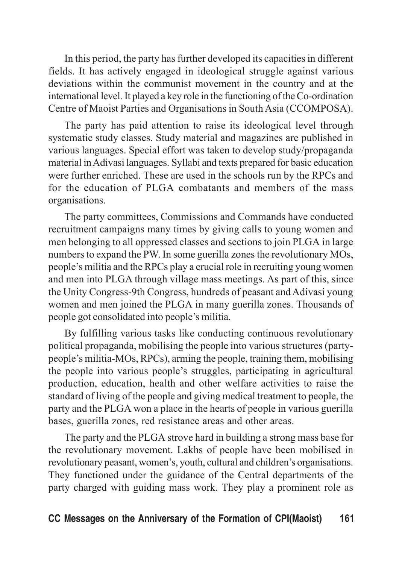In this period, the party has further developed its capacities in different fields. It has actively engaged in ideological struggle against various deviations within the communist movement in the country and at the international level. It played a key role in the functioning of the Co-ordination Centre of Maoist Parties and Organisations in South Asia (CCOMPOSA).

The party has paid attention to raise its ideological level through systematic study classes. Study material and magazines are published in various languages. Special effort was taken to develop study/propaganda material in Adivasi languages. Syllabi and texts prepared for basic education were further enriched. These are used in the schools run by the RPCs and for the education of PLGA combatants and members of the mass organisations.

The party committees, Commissions and Commands have conducted recruitment campaigns many times by giving calls to young women and men belonging to all oppressed classes and sections to join PLGA in large numbers to expand the PW. In some guerilla zones the revolutionary MOs, people's militia and the RPCs play a crucial role in recruiting young women and men into PLGA through village mass meetings. As part of this, since the Unity Congress-9th Congress, hundreds of peasant and Adivasi young women and men joined the PLGA in many guerilla zones. Thousands of people got consolidated into people's militia.

By fulfilling various tasks like conducting continuous revolutionary political propaganda, mobilising the people into various structures (partypeople's militia-MOs, RPCs), arming the people, training them, mobilising the people into various people's struggles, participating in agricultural production, education, health and other welfare activities to raise the standard of living of the people and giving medical treatment to people, the party and the PLGA won a place in the hearts of people in various guerilla bases, guerilla zones, red resistance areas and other areas.

The party and the PLGA strove hard in building a strong mass base for the revolutionary movement. Lakhs of people have been mobilised in revolutionary peasant, women's, youth, cultural and children's organisations. They functioned under the guidance of the Central departments of the party charged with guiding mass work. They play a prominent role as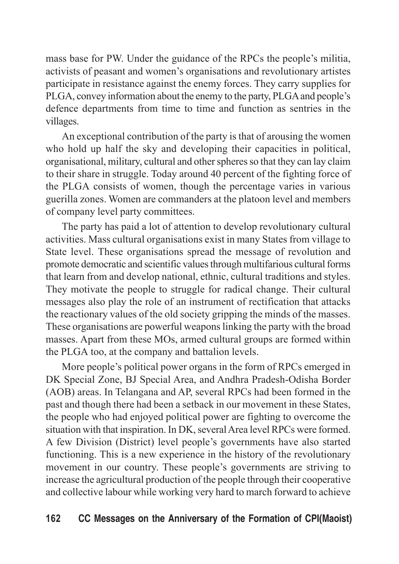mass base for PW. Under the guidance of the RPCs the people's militia, activists of peasant and women's organisations and revolutionary artistes participate in resistance against the enemy forces. They carry supplies for PLGA, convey information about the enemy to the party, PLGA and people's defence departments from time to time and function as sentries in the villages.

An exceptional contribution of the party is that of arousing the women who hold up half the sky and developing their capacities in political. organisational, military, cultural and other spheres so that they can lay claim to their share in struggle. Today around 40 percent of the fighting force of the PLGA consists of women, though the percentage varies in various guerilla zones. Women are commanders at the platoon level and members of company level party committees.

The party has paid a lot of attention to develop revolutionary cultural activities. Mass cultural organisations exist in many States from village to State level. These organisations spread the message of revolution and promote democratic and scientific values through multifarious cultural forms that learn from and develop national, ethnic, cultural traditions and styles. They motivate the people to struggle for radical change. Their cultural messages also play the role of an instrument of rectification that attacks the reactionary values of the old society gripping the minds of the masses. These organisations are powerful weapons linking the party with the broad masses. Apart from these MOs, armed cultural groups are formed within the PLGA too, at the company and battalion levels.

More people's political power organs in the form of RPCs emerged in DK Special Zone, BJ Special Area, and Andhra Pradesh-Odisha Border (AOB) areas. In Telangana and AP, several RPCs had been formed in the past and though there had been a setback in our movement in these States, the people who had enjoyed political power are fighting to overcome the situation with that inspiration. In DK, several Area level RPCs were formed. A few Division (District) level people's governments have also started functioning. This is a new experience in the history of the revolutionary movement in our country. These people's governments are striving to increase the agricultural production of the people through their cooperative and collective labour while working very hard to march forward to achieve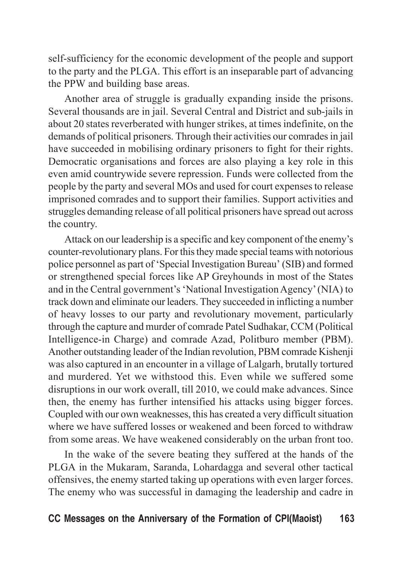self-sufficiency for the economic development of the people and support to the party and the PLGA. This effort is an inseparable part of advancing the PPW and building base areas.

Another area of struggle is gradually expanding inside the prisons. Several thousands are in jail. Several Central and District and sub-jails in about 20 states reverberated with hunger strikes, at times indefinite, on the demands of political prisoners. Through their activities our comrades in jail have succeeded in mobilising ordinary prisoners to fight for their rights. Democratic organisations and forces are also playing a key role in this even amid countrywide severe repression. Funds were collected from the people by the party and several MOs and used for court expenses to release imprisoned comrades and to support their families. Support activities and struggles demanding release of all political prisoners have spread out across the country.

Attack on our leadership is a specific and key component of the enemy's counter-revolutionary plans. For this they made special teams with notorious police personnel as part of 'Special Investigation Bureau' (SIB) and formed or strengthened special forces like AP Greyhounds in most of the States and in the Central government's 'National Investigation Agency' (NIA) to track down and eliminate our leaders. They succeeded in inflicting a number of heavy losses to our party and revolutionary movement, particularly through the capture and murder of comrade Patel Sudhakar, CCM (Political Intelligence-in Charge) and comrade Azad, Politburo member (PBM). Another outstanding leader of the Indian revolution, PBM comrade Kishenji was also captured in an encounter in a village of Lalgarh, brutally tortured and murdered. Yet we withstood this. Even while we suffered some disruptions in our work overall, till 2010, we could make advances. Since then, the enemy has further intensified his attacks using bigger forces. Coupled with our own weaknesses, this has created a very difficult situation where we have suffered losses or weakened and been forced to withdraw from some areas. We have weakened considerably on the urban front too.

In the wake of the severe beating they suffered at the hands of the PLGA in the Mukaram, Saranda, Lohardagga and several other tactical offensives, the enemy started taking up operations with even larger forces. The enemy who was successful in damaging the leadership and cadre in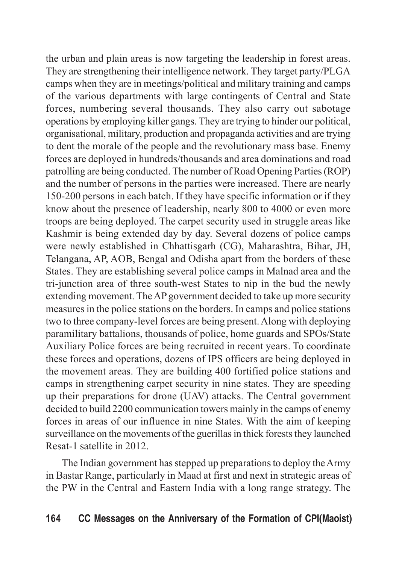the urban and plain areas is now targeting the leadership in forest areas. They are strengthening their intelligence network. They target party/PLGA camps when they are in meetings/political and military training and camps of the various departments with large contingents of Central and State forces, numbering several thousands. They also carry out sabotage operations by employing killer gangs. They are trying to hinder our political, organisational, military, production and propaganda activities and are trying to dent the morale of the people and the revolutionary mass base. Enemy forces are deployed in hundreds/thousands and area dominations and road patrolling are being conducted. The number of Road Opening Parties (ROP) and the number of persons in the parties were increased. There are nearly 150-200 persons in each batch. If they have specific information or if they know about the presence of leadership, nearly 800 to 4000 or even more troops are being deployed. The carpet security used in struggle areas like Kashmir is being extended day by day. Several dozens of police camps were newly established in Chhattisgarh (CG), Maharashtra, Bihar, JH, Telangana, AP, AOB, Bengal and Odisha apart from the borders of these States. They are establishing several police camps in Malnad area and the tri-junction area of three south-west States to nip in the bud the newly extending movement. The AP government decided to take up more security measures in the police stations on the borders. In camps and police stations two to three company-level forces are being present. Along with deploying paramilitary battalions, thousands of police, home guards and SPOs/State Auxiliary Police forces are being recruited in recent years. To coordinate these forces and operations, dozens of IPS officers are being deployed in the movement areas. They are building 400 fortified police stations and camps in strengthening carpet security in nine states. They are speeding up their preparations for drone (UAV) attacks. The Central government decided to build 2200 communication towers mainly in the camps of enemy forces in areas of our influence in nine States. With the aim of keeping surveillance on the movements of the guerillas in thick forests they launched Resat-1 satellite in 2012.

The Indian government has stepped up preparations to deploy the Army in Bastar Range, particularly in Maad at first and next in strategic areas of the PW in the Central and Eastern India with a long range strategy. The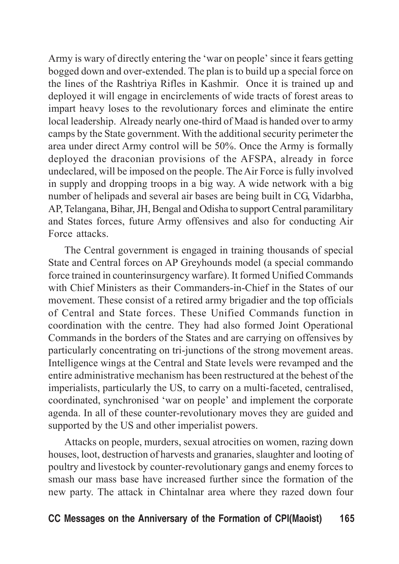Army is wary of directly entering the 'war on people' since it fears getting bogged down and over-extended. The plan is to build up a special force on the lines of the Rashtriya Rifles in Kashmir. Once it is trained up and deployed it will engage in encirclements of wide tracts of forest areas to impart heavy loses to the revolutionary forces and eliminate the entire local leadership. Already nearly one-third of Maad is handed over to army camps by the State government. With the additional security perimeter the area under direct Army control will be 50%. Once the Army is formally deployed the draconian provisions of the AFSPA, already in force undeclared, will be imposed on the people. The Air Force is fully involved in supply and dropping troops in a big way. A wide network with a big number of helipads and several air bases are being built in CG, Vidarbha, AP, Telangana, Bihar, JH, Bengal and Odisha to support Central paramilitary and States forces, future Army offensives and also for conducting Air Force attacks.

The Central government is engaged in training thousands of special State and Central forces on AP Greyhounds model (a special commando force trained in counterinsurgency warfare). It formed Unified Commands with Chief Ministers as their Commanders-in-Chief in the States of our movement. These consist of a retired army brigadier and the top officials of Central and State forces. These Unified Commands function in coordination with the centre. They had also formed Joint Operational Commands in the borders of the States and are carrying on offensives by particularly concentrating on tri-junctions of the strong movement areas. Intelligence wings at the Central and State levels were revamped and the entire administrative mechanism has been restructured at the behest of the imperialists, particularly the US, to carry on a multi-faceted, centralised, coordinated, synchronised 'war on people' and implement the corporate agenda. In all of these counter-revolutionary moves they are guided and supported by the US and other imperialist powers.

Attacks on people, murders, sexual atrocities on women, razing down houses, loot, destruction of harvests and granaries, slaughter and looting of poultry and livestock by counter-revolutionary gangs and enemy forces to smash our mass base have increased further since the formation of the new party. The attack in Chintalnar area where they razed down four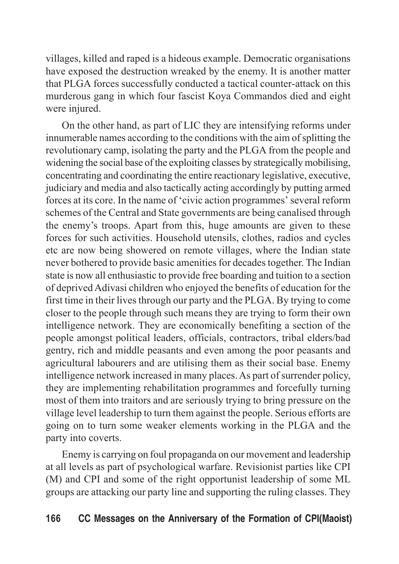villages, killed and raped is a hideous example. Democratic organisations have exposed the destruction wreaked by the enemy. It is another matter that PLGA forces successfully conducted a tactical counter-attack on this murderous gang in which four fascist Koya Commandos died and eight were injured.

On the other hand, as part of LIC they are intensifying reforms under innumerable names according to the conditions with the aim of splitting the revolutionary camp, isolating the party and the PLGA from the people and widening the social base of the exploiting classes by strategically mobilising, concentrating and coordinating the entire reactionary legislative, executive, judiciary and media and also tactically acting accordingly by putting armed forces at its core. In the name of 'civic action programmes' several reform schemes of the Central and State governments are being canalised through the enemy's troops. Apart from this, huge amounts are given to these forces for such activities. Household utensils, clothes, radios and cycles etc are now being showered on remote villages, where the Indian state never bothered to provide basic amenities for decades together. The Indian state is now all enthusiastic to provide free boarding and tuition to a section of deprived Adivasi children who enjoyed the benefits of education for the first time in their lives through our party and the PLGA. By trying to come closer to the people through such means they are trying to form their own intelligence network. They are economically benefiting a section of the people amongst political leaders, officials, contractors, tribal elders/bad gentry, rich and middle peasants and even among the poor peasants and agricultural labourers and are utilising them as their social base. Enemy intelligence network increased in many places. As part of surrender policy, they are implementing rehabilitation programmes and forcefully turning most of them into traitors and are seriously trying to bring pressure on the village level leadership to turn them against the people. Serious efforts are going on to turn some weaker elements working in the PLGA and the party into coverts.

Enemy is carrying on foul propaganda on our movement and leadership at all levels as part of psychological warfare. Revisionist parties like CPI (M) and CPI and some of the right opportunist leadership of some ML groups are attacking our party line and supporting the ruling classes. They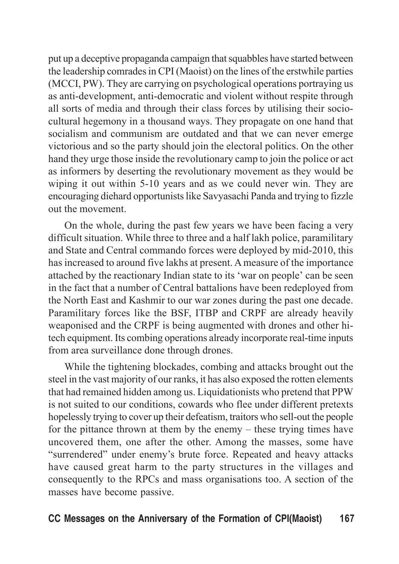put up a deceptive propaganda campaign that squabbles have started between the leadership comrades in CPI (Maoist) on the lines of the erstwhile parties (MCCI, PW). They are carrying on psychological operations portraying us as anti-development, anti-democratic and violent without respite through all sorts of media and through their class forces by utilising their sociocultural hegemony in a thousand ways. They propagate on one hand that socialism and communism are outdated and that we can never emerge victorious and so the party should join the electoral politics. On the other hand they urge those inside the revolutionary camp to join the police or act as informers by deserting the revolutionary movement as they would be wiping it out within 5-10 years and as we could never win. They are encouraging diehard opportunists like Savyasachi Panda and trying to fizzle out the movement.

On the whole, during the past few years we have been facing a very difficult situation. While three to three and a half lakh police, paramilitary and State and Central commando forces were deployed by mid-2010, this has increased to around five lakhs at present. A measure of the importance attached by the reactionary Indian state to its 'war on people' can be seen in the fact that a number of Central battalions have been redeployed from the North East and Kashmir to our war zones during the past one decade. Paramilitary forces like the BSF, ITBP and CRPF are already heavily weaponised and the CRPF is being augmented with drones and other hitech equipment. Its combing operations already incorporate real-time inputs from area surveillance done through drones.

While the tightening blockades, combing and attacks brought out the steel in the vast majority of our ranks, it has also exposed the rotten elements that had remained hidden among us. Liquidationists who pretend that PPW is not suited to our conditions, cowards who flee under different pretexts hopelessly trying to cover up their defeatism, traitors who sell-out the people for the pittance thrown at them by the enemy – these trying times have uncovered them, one after the other. Among the masses, some have "surrendered" under enemy's brute force. Repeated and heavy attacks have caused great harm to the party structures in the villages and consequently to the RPCs and mass organisations too. A section of the masses have become passive.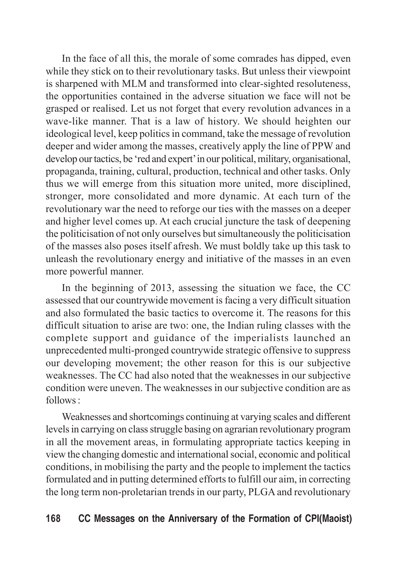In the face of all this, the morale of some comrades has dipped, even while they stick on to their revolutionary tasks. But unless their viewpoint is sharpened with MLM and transformed into clear-sighted resoluteness, the opportunities contained in the adverse situation we face will not be grasped or realised. Let us not forget that every revolution advances in a wave-like manner. That is a law of history. We should heighten our ideological level, keep politics in command, take the message of revolution deeper and wider among the masses, creatively apply the line of PPW and develop our tactics, be 'red and expert' in our political, military, organisational, propaganda, training, cultural, production, technical and other tasks. Only thus we will emerge from this situation more united, more disciplined, stronger, more consolidated and more dynamic. At each turn of the revolutionary war the need to reforge our ties with the masses on a deeper and higher level comes up. At each crucial juncture the task of deepening the politicisation of not only ourselves but simultaneously the politicisation of the masses also poses itself afresh. We must boldly take up this task to unleash the revolutionary energy and initiative of the masses in an even more powerful manner.

In the beginning of 2013, assessing the situation we face, the CC assessed that our countrywide movement is facing a very difficult situation and also formulated the basic tactics to overcome it. The reasons for this difficult situation to arise are two: one, the Indian ruling classes with the complete support and guidance of the imperialists launched an unprecedented multi-pronged countrywide strategic offensive to suppress our developing movement; the other reason for this is our subjective weaknesses. The CC had also noted that the weaknesses in our subjective condition were uneven. The weaknesses in our subjective condition are as follows :

Weaknesses and shortcomings continuing at varying scales and different levels in carrying on class struggle basing on agrarian revolutionary program in all the movement areas, in formulating appropriate tactics keeping in view the changing domestic and international social, economic and political conditions, in mobilising the party and the people to implement the tactics formulated and in putting determined efforts to fulfill our aim, in correcting the long term non-proletarian trends in our party, PLGA and revolutionary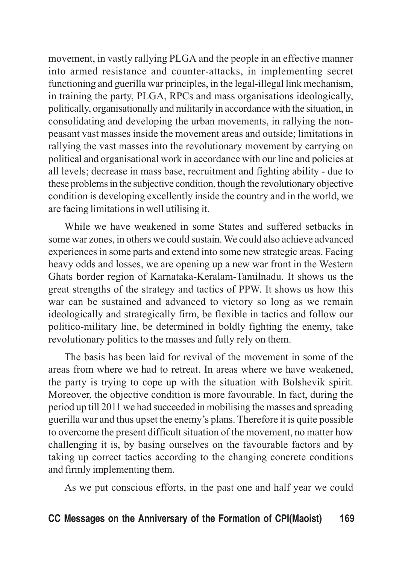movement, in vastly rallying PLGA and the people in an effective manner into armed resistance and counter-attacks, in implementing secret functioning and guerilla war principles, in the legal-illegal link mechanism, in training the party, PLGA, RPCs and mass organisations ideologically, politically, organisationally and militarily in accordance with the situation, in consolidating and developing the urban movements, in rallying the nonpeasant vast masses inside the movement areas and outside; limitations in rallying the vast masses into the revolutionary movement by carrying on political and organisational work in accordance with our line and policies at all levels; decrease in mass base, recruitment and fighting ability - due to these problems in the subjective condition, though the revolutionary objective condition is developing excellently inside the country and in the world, we are facing limitations in well utilising it.

While we have weakened in some States and suffered setbacks in some war zones, in others we could sustain. We could also achieve advanced experiences in some parts and extend into some new strategic areas. Facing heavy odds and losses, we are opening up a new war front in the Western Ghats border region of Karnataka-Keralam-Tamilnadu. It shows us the great strengths of the strategy and tactics of PPW. It shows us how this war can be sustained and advanced to victory so long as we remain ideologically and strategically firm, be flexible in tactics and follow our politico-military line, be determined in boldly fighting the enemy, take revolutionary politics to the masses and fully rely on them.

The basis has been laid for revival of the movement in some of the areas from where we had to retreat. In areas where we have weakened, the party is trying to cope up with the situation with Bolshevik spirit. Moreover, the objective condition is more favourable. In fact, during the period up till 2011 we had succeeded in mobilising the masses and spreading guerilla war and thus upset the enemy's plans. Therefore it is quite possible to overcome the present difficult situation of the movement, no matter how challenging it is, by basing ourselves on the favourable factors and by taking up correct tactics according to the changing concrete conditions and firmly implementing them.

As we put conscious efforts, in the past one and half year we could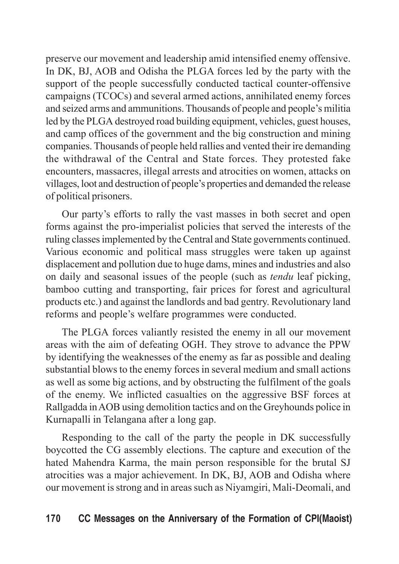preserve our movement and leadership amid intensified enemy offensive. In DK, BJ, AOB and Odisha the PLGA forces led by the party with the support of the people successfully conducted tactical counter-offensive campaigns (TCOCs) and several armed actions, annihilated enemy forces and seized arms and ammunitions. Thousands of people and people's militia led by the PLGA destroyed road building equipment, vehicles, guest houses, and camp offices of the government and the big construction and mining companies. Thousands of people held rallies and vented their ire demanding the withdrawal of the Central and State forces. They protested fake encounters, massacres, illegal arrests and atrocities on women, attacks on villages, loot and destruction of people's properties and demanded the release of political prisoners.

Our party's efforts to rally the vast masses in both secret and open forms against the pro-imperialist policies that served the interests of the ruling classes implemented by the Central and State governments continued. Various economic and political mass struggles were taken up against displacement and pollution due to huge dams, mines and industries and also on daily and seasonal issues of the people (such as *tendu* leaf picking, bamboo cutting and transporting, fair prices for forest and agricultural products etc.) and against the landlords and bad gentry. Revolutionary land reforms and people's welfare programmes were conducted.

The PLGA forces valiantly resisted the enemy in all our movement areas with the aim of defeating OGH. They strove to advance the PPW by identifying the weaknesses of the enemy as far as possible and dealing substantial blows to the enemy forces in several medium and small actions as well as some big actions, and by obstructing the fulfilment of the goals of the enemy. We inflicted casualties on the aggressive BSF forces at Rallgadda in AOB using demolition tactics and on the Greyhounds police in Kurnapalli in Telangana after a long gap.

Responding to the call of the party the people in DK successfully boycotted the CG assembly elections. The capture and execution of the hated Mahendra Karma, the main person responsible for the brutal SJ atrocities was a major achievement. In DK, BJ, AOB and Odisha where our movement is strong and in areas such as Niyamgiri, Mali-Deomali, and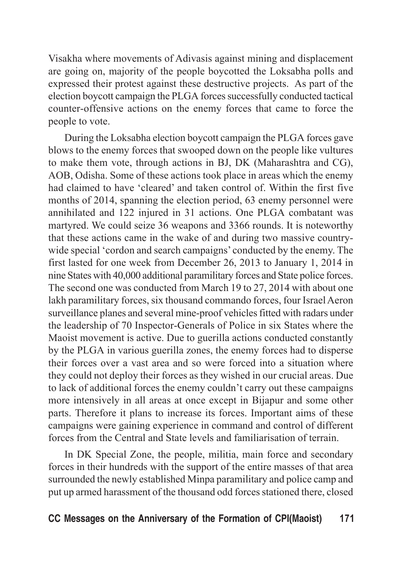Visakha where movements of Adivasis against mining and displacement are going on, majority of the people boycotted the Loksabha polls and expressed their protest against these destructive projects. As part of the election boycott campaign the PLGA forces successfully conducted tactical counter-offensive actions on the enemy forces that came to force the people to vote.

During the Loksabha election boycott campaign the PLGA forces gave blows to the enemy forces that swooped down on the people like vultures to make them vote, through actions in BJ, DK (Maharashtra and CG), AOB, Odisha. Some of these actions took place in areas which the enemy had claimed to have 'cleared' and taken control of. Within the first five months of 2014, spanning the election period, 63 enemy personnel were annihilated and 122 injured in 31 actions. One PLGA combatant was martyred. We could seize 36 weapons and 3366 rounds. It is noteworthy that these actions came in the wake of and during two massive countrywide special 'cordon and search campaigns' conducted by the enemy. The first lasted for one week from December 26, 2013 to January 1, 2014 in nine States with 40,000 additional paramilitary forces and State police forces. The second one was conducted from March 19 to 27, 2014 with about one lakh paramilitary forces, six thousand commando forces, four Israel Aeron surveillance planes and several mine-proof vehicles fitted with radars under the leadership of 70 Inspector-Generals of Police in six States where the Maoist movement is active. Due to guerilla actions conducted constantly by the PLGA in various guerilla zones, the enemy forces had to disperse their forces over a vast area and so were forced into a situation where they could not deploy their forces as they wished in our crucial areas. Due to lack of additional forces the enemy couldn't carry out these campaigns more intensively in all areas at once except in Bijapur and some other parts. Therefore it plans to increase its forces. Important aims of these campaigns were gaining experience in command and control of different forces from the Central and State levels and familiarisation of terrain.

In DK Special Zone, the people, militia, main force and secondary forces in their hundreds with the support of the entire masses of that area surrounded the newly established Minpa paramilitary and police camp and put up armed harassment of the thousand odd forces stationed there, closed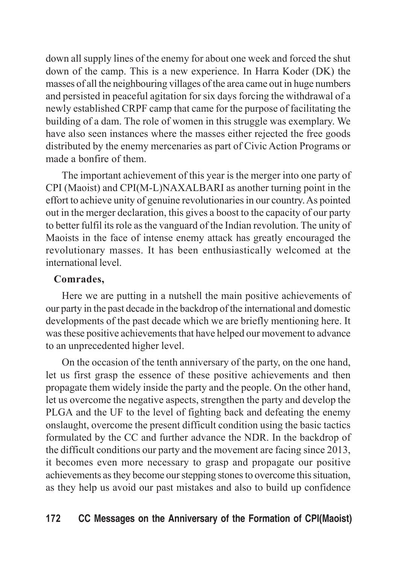down all supply lines of the enemy for about one week and forced the shut down of the camp. This is a new experience. In Harra Koder (DK) the masses of all the neighbouring villages of the area came out in huge numbers and persisted in peaceful agitation for six days forcing the withdrawal of a newly established CRPF camp that came for the purpose of facilitating the building of a dam. The role of women in this struggle was exemplary. We have also seen instances where the masses either rejected the free goods distributed by the enemy mercenaries as part of Civic Action Programs or made a bonfire of them.

The important achievement of this year is the merger into one party of CPI (Maoist) and CPI(M-L)NAXALBARI as another turning point in the effort to achieve unity of genuine revolutionaries in our country. As pointed out in the merger declaration, this gives a boost to the capacity of our party to better fulfil its role as the vanguard of the Indian revolution. The unity of Maoists in the face of intense enemy attack has greatly encouraged the revolutionary masses. It has been enthusiastically welcomed at the international level.

#### **Comrades,**

Here we are putting in a nutshell the main positive achievements of our party in the past decade in the backdrop of the international and domestic developments of the past decade which we are briefly mentioning here. It was these positive achievements that have helped our movement to advance to an unprecedented higher level.

On the occasion of the tenth anniversary of the party, on the one hand, let us first grasp the essence of these positive achievements and then propagate them widely inside the party and the people. On the other hand, let us overcome the negative aspects, strengthen the party and develop the PLGA and the UF to the level of fighting back and defeating the enemy onslaught, overcome the present difficult condition using the basic tactics formulated by the CC and further advance the NDR. In the backdrop of the difficult conditions our party and the movement are facing since 2013, it becomes even more necessary to grasp and propagate our positive achievements as they become our stepping stones to overcome this situation, as they help us avoid our past mistakes and also to build up confidence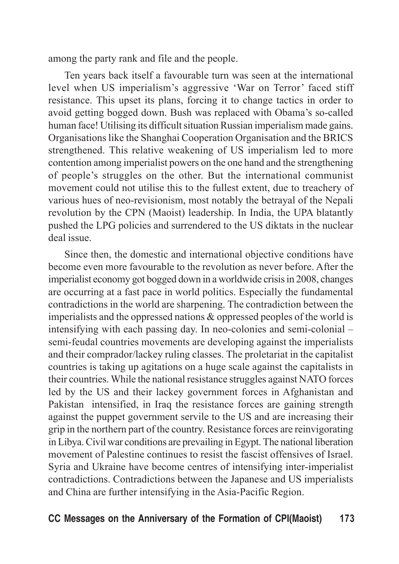among the party rank and file and the people.

Ten years back itself a favourable turn was seen at the international level when US imperialism's aggressive 'War on Terror' faced stiff resistance. This upset its plans, forcing it to change tactics in order to avoid getting bogged down. Bush was replaced with Obama's so-called human face! Utilising its difficult situation Russian imperialism made gains. Organisations like the Shanghai Cooperation Organisation and the BRICS strengthened. This relative weakening of US imperialism led to more contention among imperialist powers on the one hand and the strengthening of people's struggles on the other. But the international communist movement could not utilise this to the fullest extent, due to treachery of various hues of neo-revisionism, most notably the betrayal of the Nepali revolution by the CPN (Maoist) leadership. In India, the UPA blatantly pushed the LPG policies and surrendered to the US diktats in the nuclear deal issue.

Since then, the domestic and international objective conditions have become even more favourable to the revolution as never before. After the imperialist economy got bogged down in a worldwide crisis in 2008, changes are occurring at a fast pace in world politics. Especially the fundamental contradictions in the world are sharpening. The contradiction between the imperialists and the oppressed nations & oppressed peoples of the world is intensifying with each passing day. In neo-colonies and semi-colonial – semi-feudal countries movements are developing against the imperialists and their comprador/lackey ruling classes. The proletariat in the capitalist countries is taking up agitations on a huge scale against the capitalists in their countries. While the national resistance struggles against NATO forces led by the US and their lackey government forces in Afghanistan and Pakistan intensified, in Iraq the resistance forces are gaining strength against the puppet government servile to the US and are increasing their grip in the northern part of the country. Resistance forces are reinvigorating in Libya. Civil war conditions are prevailing in Egypt. The national liberation movement of Palestine continues to resist the fascist offensives of Israel. Syria and Ukraine have become centres of intensifying inter-imperialist contradictions. Contradictions between the Japanese and US imperialists and China are further intensifying in the Asia-Pacific Region.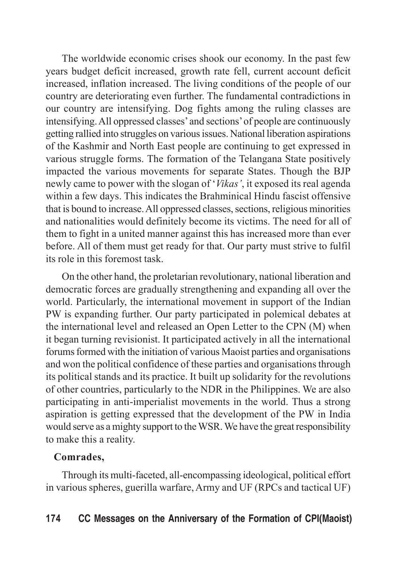The worldwide economic crises shook our economy. In the past few years budget deficit increased, growth rate fell, current account deficit increased, inflation increased. The living conditions of the people of our country are deteriorating even further. The fundamental contradictions in our country are intensifying. Dog fights among the ruling classes are intensifying. All oppressed classes' and sections' of people are continuously getting rallied into struggles on various issues. National liberation aspirations of the Kashmir and North East people are continuing to get expressed in various struggle forms. The formation of the Telangana State positively impacted the various movements for separate States. Though the BJP newly came to power with the slogan of '*Vikas'*, it exposed its real agenda within a few days. This indicates the Brahminical Hindu fascist offensive that is bound to increase. All oppressed classes, sections, religious minorities and nationalities would definitely become its victims. The need for all of them to fight in a united manner against this has increased more than ever before. All of them must get ready for that. Our party must strive to fulfil its role in this foremost task.

On the other hand, the proletarian revolutionary, national liberation and democratic forces are gradually strengthening and expanding all over the world. Particularly, the international movement in support of the Indian PW is expanding further. Our party participated in polemical debates at the international level and released an Open Letter to the CPN (M) when it began turning revisionist. It participated actively in all the international forums formed with the initiation of various Maoist parties and organisations and won the political confidence of these parties and organisations through its political stands and its practice. It built up solidarity for the revolutions of other countries, particularly to the NDR in the Philippines. We are also participating in anti-imperialist movements in the world. Thus a strong aspiration is getting expressed that the development of the PW in India would serve as a mighty support to the WSR. We have the great responsibility to make this a reality.

#### **Comrades,**

Through its multi-faceted, all-encompassing ideological, political effort in various spheres, guerilla warfare, Army and UF (RPCs and tactical UF)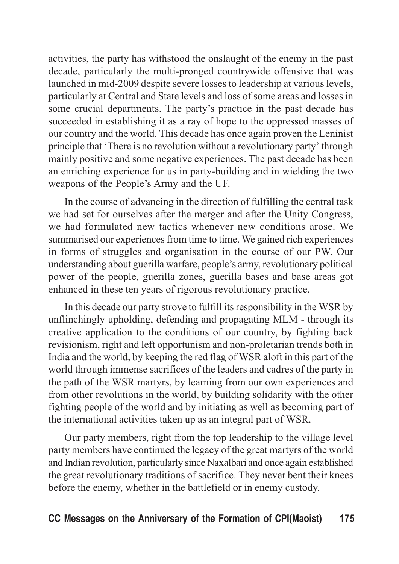activities, the party has withstood the onslaught of the enemy in the past decade, particularly the multi-pronged countrywide offensive that was launched in mid-2009 despite severe losses to leadership at various levels, particularly at Central and State levels and loss of some areas and losses in some crucial departments. The party's practice in the past decade has succeeded in establishing it as a ray of hope to the oppressed masses of our country and the world. This decade has once again proven the Leninist principle that 'There is no revolution without a revolutionary party' through mainly positive and some negative experiences. The past decade has been an enriching experience for us in party-building and in wielding the two weapons of the People's Army and the UF.

In the course of advancing in the direction of fulfilling the central task we had set for ourselves after the merger and after the Unity Congress, we had formulated new tactics whenever new conditions arose. We summarised our experiences from time to time. We gained rich experiences in forms of struggles and organisation in the course of our PW. Our understanding about guerilla warfare, people's army, revolutionary political power of the people, guerilla zones, guerilla bases and base areas got enhanced in these ten years of rigorous revolutionary practice.

In this decade our party strove to fulfill its responsibility in the WSR by unflinchingly upholding, defending and propagating MLM - through its creative application to the conditions of our country, by fighting back revisionism, right and left opportunism and non-proletarian trends both in India and the world, by keeping the red flag of WSR aloft in this part of the world through immense sacrifices of the leaders and cadres of the party in the path of the WSR martyrs, by learning from our own experiences and from other revolutions in the world, by building solidarity with the other fighting people of the world and by initiating as well as becoming part of the international activities taken up as an integral part of WSR.

Our party members, right from the top leadership to the village level party members have continued the legacy of the great martyrs of the world and Indian revolution, particularly since Naxalbari and once again established the great revolutionary traditions of sacrifice. They never bent their knees before the enemy, whether in the battlefield or in enemy custody.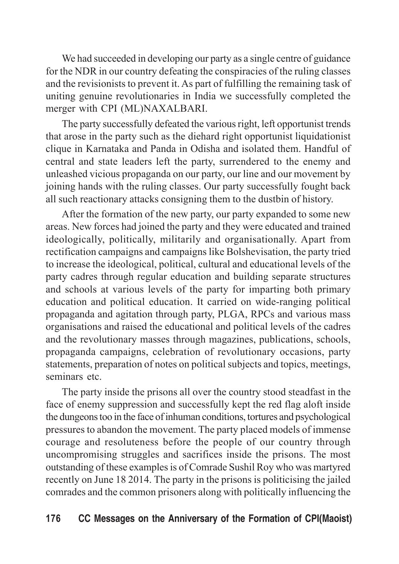We had succeeded in developing our party as a single centre of guidance for the NDR in our country defeating the conspiracies of the ruling classes and the revisionists to prevent it. As part of fulfilling the remaining task of uniting genuine revolutionaries in India we successfully completed the merger with CPI (ML)NAXALBARI.

The party successfully defeated the various right, left opportunist trends that arose in the party such as the diehard right opportunist liquidationist clique in Karnataka and Panda in Odisha and isolated them. Handful of central and state leaders left the party, surrendered to the enemy and unleashed vicious propaganda on our party, our line and our movement by joining hands with the ruling classes. Our party successfully fought back all such reactionary attacks consigning them to the dustbin of history.

After the formation of the new party, our party expanded to some new areas. New forces had joined the party and they were educated and trained ideologically, politically, militarily and organisationally. Apart from rectification campaigns and campaigns like Bolshevisation, the party tried to increase the ideological, political, cultural and educational levels of the party cadres through regular education and building separate structures and schools at various levels of the party for imparting both primary education and political education. It carried on wide-ranging political propaganda and agitation through party, PLGA, RPCs and various mass organisations and raised the educational and political levels of the cadres and the revolutionary masses through magazines, publications, schools, propaganda campaigns, celebration of revolutionary occasions, party statements, preparation of notes on political subjects and topics, meetings, seminars etc.

The party inside the prisons all over the country stood steadfast in the face of enemy suppression and successfully kept the red flag aloft inside the dungeons too in the face of inhuman conditions, tortures and psychological pressures to abandon the movement. The party placed models of immense courage and resoluteness before the people of our country through uncompromising struggles and sacrifices inside the prisons. The most outstanding of these examples is of Comrade Sushil Roy who was martyred recently on June 18 2014. The party in the prisons is politicising the jailed comrades and the common prisoners along with politically influencing the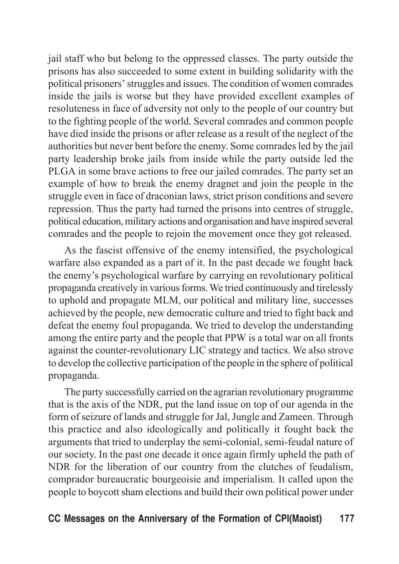jail staff who but belong to the oppressed classes. The party outside the prisons has also succeeded to some extent in building solidarity with the political prisoners' struggles and issues. The condition of women comrades inside the jails is worse but they have provided excellent examples of resoluteness in face of adversity not only to the people of our country but to the fighting people of the world. Several comrades and common people have died inside the prisons or after release as a result of the neglect of the authorities but never bent before the enemy. Some comrades led by the jail party leadership broke jails from inside while the party outside led the PLGA in some brave actions to free our jailed comrades. The party set an example of how to break the enemy dragnet and join the people in the struggle even in face of draconian laws, strict prison conditions and severe repression. Thus the party had turned the prisons into centres of struggle, political education, military actions and organisation and have inspired several comrades and the people to rejoin the movement once they got released.

As the fascist offensive of the enemy intensified, the psychological warfare also expanded as a part of it. In the past decade we fought back the enemy's psychological warfare by carrying on revolutionary political propaganda creatively in various forms. We tried continuously and tirelessly to uphold and propagate MLM, our political and military line, successes achieved by the people, new democratic culture and tried to fight back and defeat the enemy foul propaganda. We tried to develop the understanding among the entire party and the people that PPW is a total war on all fronts against the counter-revolutionary LIC strategy and tactics. We also strove to develop the collective participation of the people in the sphere of political propaganda.

The party successfully carried on the agrarian revolutionary programme that is the axis of the NDR, put the land issue on top of our agenda in the form of seizure of lands and struggle for Jal, Jungle and Zameen. Through this practice and also ideologically and politically it fought back the arguments that tried to underplay the semi-colonial, semi-feudal nature of our society. In the past one decade it once again firmly upheld the path of NDR for the liberation of our country from the clutches of feudalism, comprador bureaucratic bourgeoisie and imperialism. It called upon the people to boycott sham elections and build their own political power under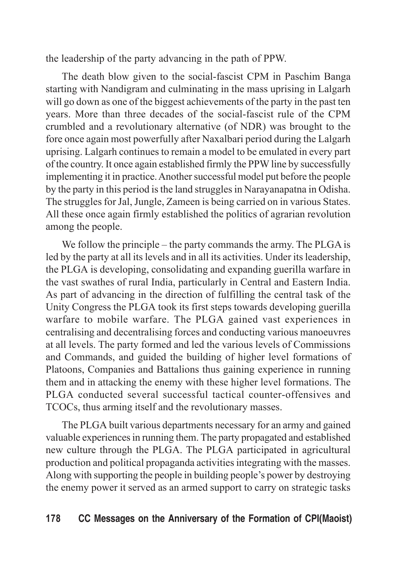the leadership of the party advancing in the path of PPW.

The death blow given to the social-fascist CPM in Paschim Banga starting with Nandigram and culminating in the mass uprising in Lalgarh will go down as one of the biggest achievements of the party in the past ten years. More than three decades of the social-fascist rule of the CPM crumbled and a revolutionary alternative (of NDR) was brought to the fore once again most powerfully after Naxalbari period during the Lalgarh uprising. Lalgarh continues to remain a model to be emulated in every part of the country. It once again established firmly the PPW line by successfully implementing it in practice. Another successful model put before the people by the party in this period is the land struggles in Narayanapatna in Odisha. The struggles for Jal, Jungle, Zameen is being carried on in various States. All these once again firmly established the politics of agrarian revolution among the people.

We follow the principle – the party commands the army. The PLGA is led by the party at all its levels and in all its activities. Under its leadership, the PLGA is developing, consolidating and expanding guerilla warfare in the vast swathes of rural India, particularly in Central and Eastern India. As part of advancing in the direction of fulfilling the central task of the Unity Congress the PLGA took its first steps towards developing guerilla warfare to mobile warfare. The PLGA gained vast experiences in centralising and decentralising forces and conducting various manoeuvres at all levels. The party formed and led the various levels of Commissions and Commands, and guided the building of higher level formations of Platoons, Companies and Battalions thus gaining experience in running them and in attacking the enemy with these higher level formations. The PLGA conducted several successful tactical counter-offensives and TCOCs, thus arming itself and the revolutionary masses.

The PLGA built various departments necessary for an army and gained valuable experiences in running them. The party propagated and established new culture through the PLGA. The PLGA participated in agricultural production and political propaganda activities integrating with the masses. Along with supporting the people in building people's power by destroying the enemy power it served as an armed support to carry on strategic tasks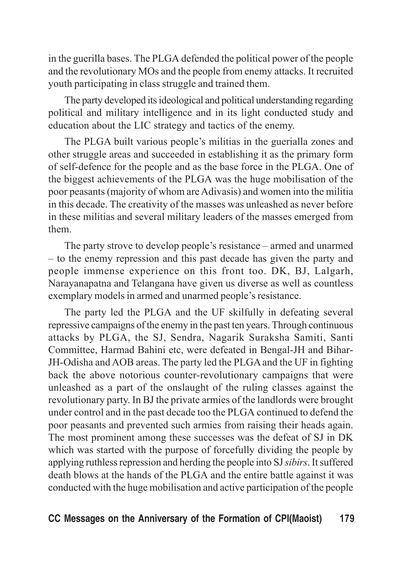in the guerilla bases. The PLGA defended the political power of the people and the revolutionary MOs and the people from enemy attacks. It recruited youth participating in class struggle and trained them.

The party developed its ideological and political understanding regarding political and military intelligence and in its light conducted study and education about the LIC strategy and tactics of the enemy.

The PLGA built various people's militias in the guerialla zones and other struggle areas and succeeded in establishing it as the primary form of self-defence for the people and as the base force in the PLGA. One of the biggest achievements of the PLGA was the huge mobilisation of the poor peasants (majority of whom are Adivasis) and women into the militia in this decade. The creativity of the masses was unleashed as never before in these militias and several military leaders of the masses emerged from them.

The party strove to develop people's resistance – armed and unarmed – to the enemy repression and this past decade has given the party and people immense experience on this front too. DK, BJ, Lalgarh, Narayanapatna and Telangana have given us diverse as well as countless exemplary models in armed and unarmed people's resistance.

The party led the PLGA and the UF skilfully in defeating several repressive campaigns of the enemy in the past ten years. Through continuous attacks by PLGA, the SJ, Sendra, Nagarik Suraksha Samiti, Santi Committee, Harmad Bahini etc, were defeated in Bengal-JH and Bihar-JH-Odisha and AOB areas. The party led the PLGA and the UF in fighting back the above notorious counter-revolutionary campaigns that were unleashed as a part of the onslaught of the ruling classes against the revolutionary party. In BJ the private armies of the landlords were brought under control and in the past decade too the PLGA continued to defend the poor peasants and prevented such armies from raising their heads again. The most prominent among these successes was the defeat of SJ in DK which was started with the purpose of forcefully dividing the people by applying ruthless repression and herding the people into SJ *sibirs*. It suffered death blows at the hands of the PLGA and the entire battle against it was conducted with the huge mobilisation and active participation of the people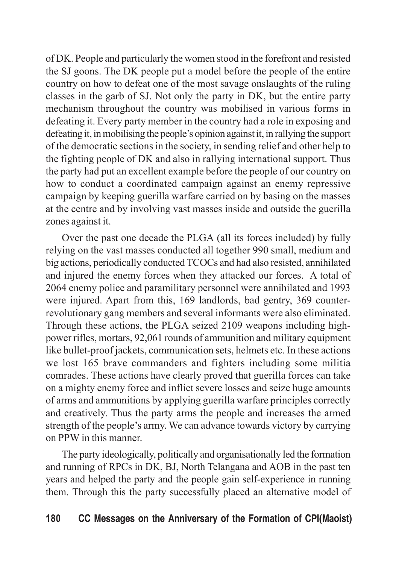of DK. People and particularly the women stood in the forefront and resisted the SJ goons. The DK people put a model before the people of the entire country on how to defeat one of the most savage onslaughts of the ruling classes in the garb of SJ. Not only the party in DK, but the entire party mechanism throughout the country was mobilised in various forms in defeating it. Every party member in the country had a role in exposing and defeating it, in mobilising the people's opinion against it, in rallying the support of the democratic sections in the society, in sending relief and other help to the fighting people of DK and also in rallying international support. Thus the party had put an excellent example before the people of our country on how to conduct a coordinated campaign against an enemy repressive campaign by keeping guerilla warfare carried on by basing on the masses at the centre and by involving vast masses inside and outside the guerilla zones against it.

Over the past one decade the PLGA (all its forces included) by fully relying on the vast masses conducted all together 990 small, medium and big actions, periodically conducted TCOCs and had also resisted, annihilated and injured the enemy forces when they attacked our forces. A total of 2064 enemy police and paramilitary personnel were annihilated and 1993 were injured. Apart from this, 169 landlords, bad gentry, 369 counterrevolutionary gang members and several informants were also eliminated. Through these actions, the PLGA seized 2109 weapons including highpower rifles, mortars, 92,061 rounds of ammunition and military equipment like bullet-proof jackets, communication sets, helmets etc. In these actions we lost 165 brave commanders and fighters including some militia comrades. These actions have clearly proved that guerilla forces can take on a mighty enemy force and inflict severe losses and seize huge amounts of arms and ammunitions by applying guerilla warfare principles correctly and creatively. Thus the party arms the people and increases the armed strength of the people's army. We can advance towards victory by carrying on PPW in this manner.

The party ideologically, politically and organisationally led the formation and running of RPCs in DK, BJ, North Telangana and AOB in the past ten years and helped the party and the people gain self-experience in running them. Through this the party successfully placed an alternative model of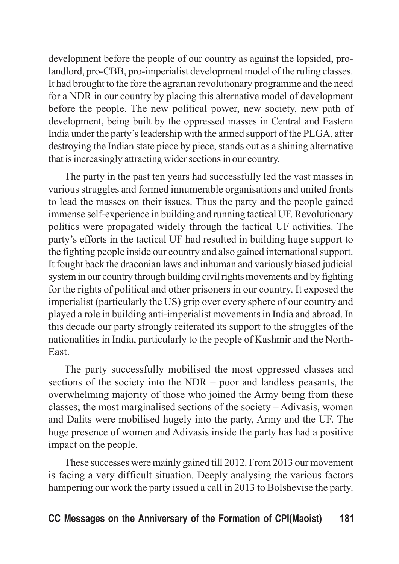development before the people of our country as against the lopsided, prolandlord, pro-CBB, pro-imperialist development model of the ruling classes. It had brought to the fore the agrarian revolutionary programme and the need for a NDR in our country by placing this alternative model of development before the people. The new political power, new society, new path of development, being built by the oppressed masses in Central and Eastern India under the party's leadership with the armed support of the PLGA, after destroying the Indian state piece by piece, stands out as a shining alternative that is increasingly attracting wider sections in our country.

The party in the past ten years had successfully led the vast masses in various struggles and formed innumerable organisations and united fronts to lead the masses on their issues. Thus the party and the people gained immense self-experience in building and running tactical UF. Revolutionary politics were propagated widely through the tactical UF activities. The party's efforts in the tactical UF had resulted in building huge support to the fighting people inside our country and also gained international support. It fought back the draconian laws and inhuman and variously biased judicial system in our country through building civil rights movements and by fighting for the rights of political and other prisoners in our country. It exposed the imperialist (particularly the US) grip over every sphere of our country and played a role in building anti-imperialist movements in India and abroad. In this decade our party strongly reiterated its support to the struggles of the nationalities in India, particularly to the people of Kashmir and the North-East.

The party successfully mobilised the most oppressed classes and sections of the society into the NDR – poor and landless peasants, the overwhelming majority of those who joined the Army being from these classes; the most marginalised sections of the society – Adivasis, women and Dalits were mobilised hugely into the party, Army and the UF. The huge presence of women and Adivasis inside the party has had a positive impact on the people.

These successes were mainly gained till 2012. From 2013 our movement is facing a very difficult situation. Deeply analysing the various factors hampering our work the party issued a call in 2013 to Bolshevise the party.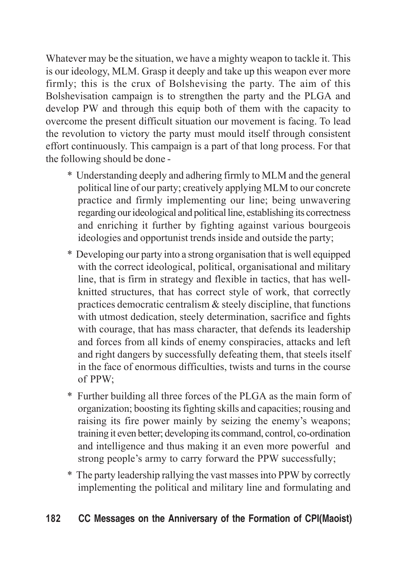Whatever may be the situation, we have a mighty weapon to tackle it. This is our ideology, MLM. Grasp it deeply and take up this weapon ever more firmly; this is the crux of Bolshevising the party. The aim of this Bolshevisation campaign is to strengthen the party and the PLGA and develop PW and through this equip both of them with the capacity to overcome the present difficult situation our movement is facing. To lead the revolution to victory the party must mould itself through consistent effort continuously. This campaign is a part of that long process. For that the following should be done -

- \* Understanding deeply and adhering firmly to MLM and the general political line of our party; creatively applying MLM to our concrete practice and firmly implementing our line; being unwavering regarding our ideological and political line, establishing its correctness and enriching it further by fighting against various bourgeois ideologies and opportunist trends inside and outside the party;
- \* Developing our party into a strong organisation that is well equipped with the correct ideological, political, organisational and military line, that is firm in strategy and flexible in tactics, that has wellknitted structures, that has correct style of work, that correctly practices democratic centralism & steely discipline, that functions with utmost dedication, steely determination, sacrifice and fights with courage, that has mass character, that defends its leadership and forces from all kinds of enemy conspiracies, attacks and left and right dangers by successfully defeating them, that steels itself in the face of enormous difficulties, twists and turns in the course of PPW;
- \* Further building all three forces of the PLGA as the main form of organization; boosting its fighting skills and capacities; rousing and raising its fire power mainly by seizing the enemy's weapons; training it even better; developing its command, control, co-ordination and intelligence and thus making it an even more powerful and strong people's army to carry forward the PPW successfully;
- \* The party leadership rallying the vast masses into PPW by correctly implementing the political and military line and formulating and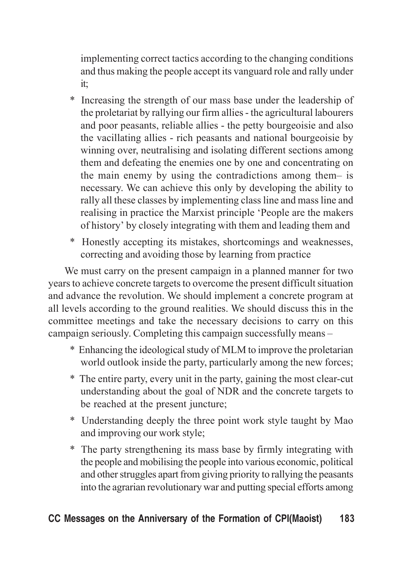implementing correct tactics according to the changing conditions and thus making the people accept its vanguard role and rally under it;

- \* Increasing the strength of our mass base under the leadership of the proletariat by rallying our firm allies - the agricultural labourers and poor peasants, reliable allies - the petty bourgeoisie and also the vacillating allies - rich peasants and national bourgeoisie by winning over, neutralising and isolating different sections among them and defeating the enemies one by one and concentrating on the main enemy by using the contradictions among them– is necessary. We can achieve this only by developing the ability to rally all these classes by implementing class line and mass line and realising in practice the Marxist principle 'People are the makers of history' by closely integrating with them and leading them and
- \* Honestly accepting its mistakes, shortcomings and weaknesses, correcting and avoiding those by learning from practice

We must carry on the present campaign in a planned manner for two years to achieve concrete targets to overcome the present difficult situation and advance the revolution. We should implement a concrete program at all levels according to the ground realities. We should discuss this in the committee meetings and take the necessary decisions to carry on this campaign seriously. Completing this campaign successfully means –

- \* Enhancing the ideological study of MLM to improve the proletarian world outlook inside the party, particularly among the new forces;
- \* The entire party, every unit in the party, gaining the most clear-cut understanding about the goal of NDR and the concrete targets to be reached at the present juncture;
- \* Understanding deeply the three point work style taught by Mao and improving our work style;
- \* The party strengthening its mass base by firmly integrating with the people and mobilising the people into various economic, political and other struggles apart from giving priority to rallying the peasants into the agrarian revolutionary war and putting special efforts among

## **CC Messages on the Anniversary of the Formation of CPI(Maoist)**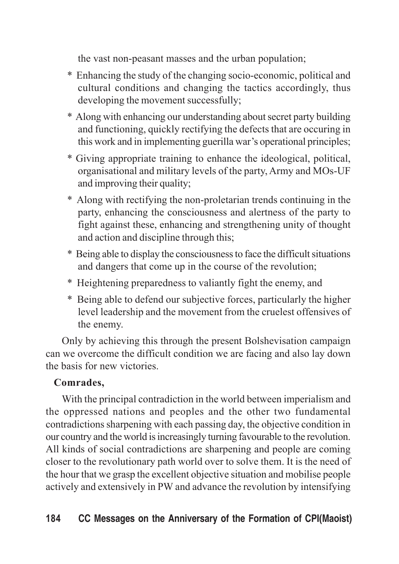the vast non-peasant masses and the urban population;

- \* Enhancing the study of the changing socio-economic, political and cultural conditions and changing the tactics accordingly, thus developing the movement successfully;
- \* Along with enhancing our understanding about secret party building and functioning, quickly rectifying the defects that are occuring in this work and in implementing guerilla war's operational principles;
- \* Giving appropriate training to enhance the ideological, political, organisational and military levels of the party, Army and MOs-UF and improving their quality;
- \* Along with rectifying the non-proletarian trends continuing in the party, enhancing the consciousness and alertness of the party to fight against these, enhancing and strengthening unity of thought and action and discipline through this;
- \* Being able to display the consciousness to face the difficult situations and dangers that come up in the course of the revolution;
- \* Heightening preparedness to valiantly fight the enemy, and
- \* Being able to defend our subjective forces, particularly the higher level leadership and the movement from the cruelest offensives of the enemy.

Only by achieving this through the present Bolshevisation campaign can we overcome the difficult condition we are facing and also lay down the basis for new victories.

## **Comrades,**

With the principal contradiction in the world between imperialism and the oppressed nations and peoples and the other two fundamental contradictions sharpening with each passing day, the objective condition in our country and the world is increasingly turning favourable to the revolution. All kinds of social contradictions are sharpening and people are coming closer to the revolutionary path world over to solve them. It is the need of the hour that we grasp the excellent objective situation and mobilise people actively and extensively in PW and advance the revolution by intensifying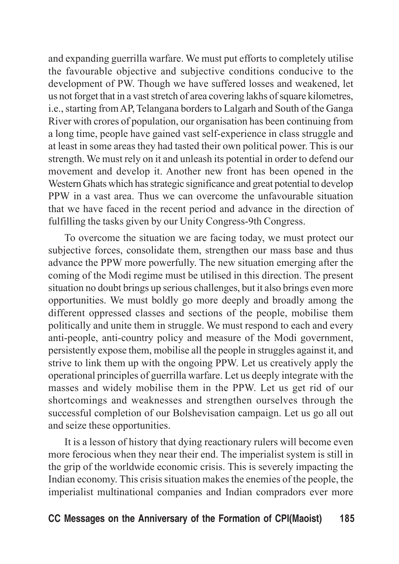and expanding guerrilla warfare. We must put efforts to completely utilise the favourable objective and subjective conditions conducive to the development of PW. Though we have suffered losses and weakened, let us not forget that in a vast stretch of area covering lakhs of square kilometres, i.e., starting from AP, Telangana borders to Lalgarh and South of the Ganga River with crores of population, our organisation has been continuing from a long time, people have gained vast self-experience in class struggle and at least in some areas they had tasted their own political power. This is our strength. We must rely on it and unleash its potential in order to defend our movement and develop it. Another new front has been opened in the Western Ghats which has strategic significance and great potential to develop PPW in a vast area. Thus we can overcome the unfavourable situation that we have faced in the recent period and advance in the direction of fulfilling the tasks given by our Unity Congress-9th Congress.

To overcome the situation we are facing today, we must protect our subjective forces, consolidate them, strengthen our mass base and thus advance the PPW more powerfully. The new situation emerging after the coming of the Modi regime must be utilised in this direction. The present situation no doubt brings up serious challenges, but it also brings even more opportunities. We must boldly go more deeply and broadly among the different oppressed classes and sections of the people, mobilise them politically and unite them in struggle. We must respond to each and every anti-people, anti-country policy and measure of the Modi government, persistently expose them, mobilise all the people in struggles against it, and strive to link them up with the ongoing PPW. Let us creatively apply the operational principles of guerrilla warfare. Let us deeply integrate with the masses and widely mobilise them in the PPW. Let us get rid of our shortcomings and weaknesses and strengthen ourselves through the successful completion of our Bolshevisation campaign. Let us go all out and seize these opportunities.

It is a lesson of history that dying reactionary rulers will become even more ferocious when they near their end. The imperialist system is still in the grip of the worldwide economic crisis. This is severely impacting the Indian economy. This crisis situation makes the enemies of the people, the imperialist multinational companies and Indian compradors ever more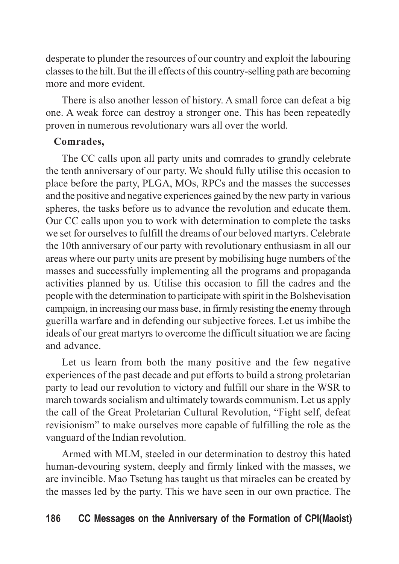desperate to plunder the resources of our country and exploit the labouring classes to the hilt. But the ill effects of this country-selling path are becoming more and more evident.

There is also another lesson of history. A small force can defeat a big one. A weak force can destroy a stronger one. This has been repeatedly proven in numerous revolutionary wars all over the world.

## **Comrades,**

The CC calls upon all party units and comrades to grandly celebrate the tenth anniversary of our party. We should fully utilise this occasion to place before the party, PLGA, MOs, RPCs and the masses the successes and the positive and negative experiences gained by the new party in various spheres, the tasks before us to advance the revolution and educate them. Our CC calls upon you to work with determination to complete the tasks we set for ourselves to fulfill the dreams of our beloved martyrs. Celebrate the 10th anniversary of our party with revolutionary enthusiasm in all our areas where our party units are present by mobilising huge numbers of the masses and successfully implementing all the programs and propaganda activities planned by us. Utilise this occasion to fill the cadres and the people with the determination to participate with spirit in the Bolshevisation campaign, in increasing our mass base, in firmly resisting the enemy through guerilla warfare and in defending our subjective forces. Let us imbibe the ideals of our great martyrs to overcome the difficult situation we are facing and advance.

Let us learn from both the many positive and the few negative experiences of the past decade and put efforts to build a strong proletarian party to lead our revolution to victory and fulfill our share in the WSR to march towards socialism and ultimately towards communism. Let us apply the call of the Great Proletarian Cultural Revolution, "Fight self, defeat revisionism" to make ourselves more capable of fulfilling the role as the vanguard of the Indian revolution.

Armed with MLM, steeled in our determination to destroy this hated human-devouring system, deeply and firmly linked with the masses, we are invincible. Mao Tsetung has taught us that miracles can be created by the masses led by the party. This we have seen in our own practice. The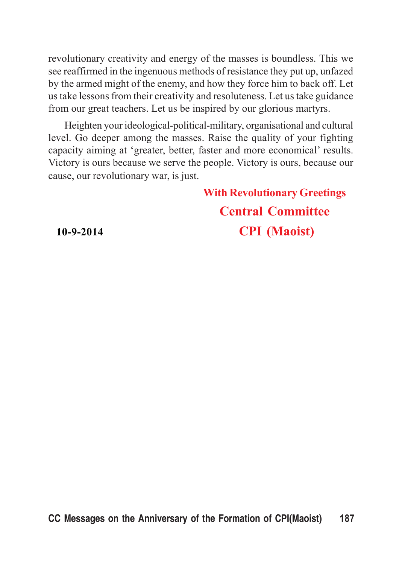revolutionary creativity and energy of the masses is boundless. This we see reaffirmed in the ingenuous methods of resistance they put up, unfazed by the armed might of the enemy, and how they force him to back off. Let us take lessons from their creativity and resoluteness. Let us take guidance from our great teachers. Let us be inspired by our glorious martyrs.

Heighten your ideological-political-military, organisational and cultural level. Go deeper among the masses. Raise the quality of your fighting capacity aiming at 'greater, better, faster and more economical' results. Victory is ours because we serve the people. Victory is ours, because our cause, our revolutionary war, is just.

**With Revolutionary Greetings Central Committee 10-9-2014 CPI (Maoist)**